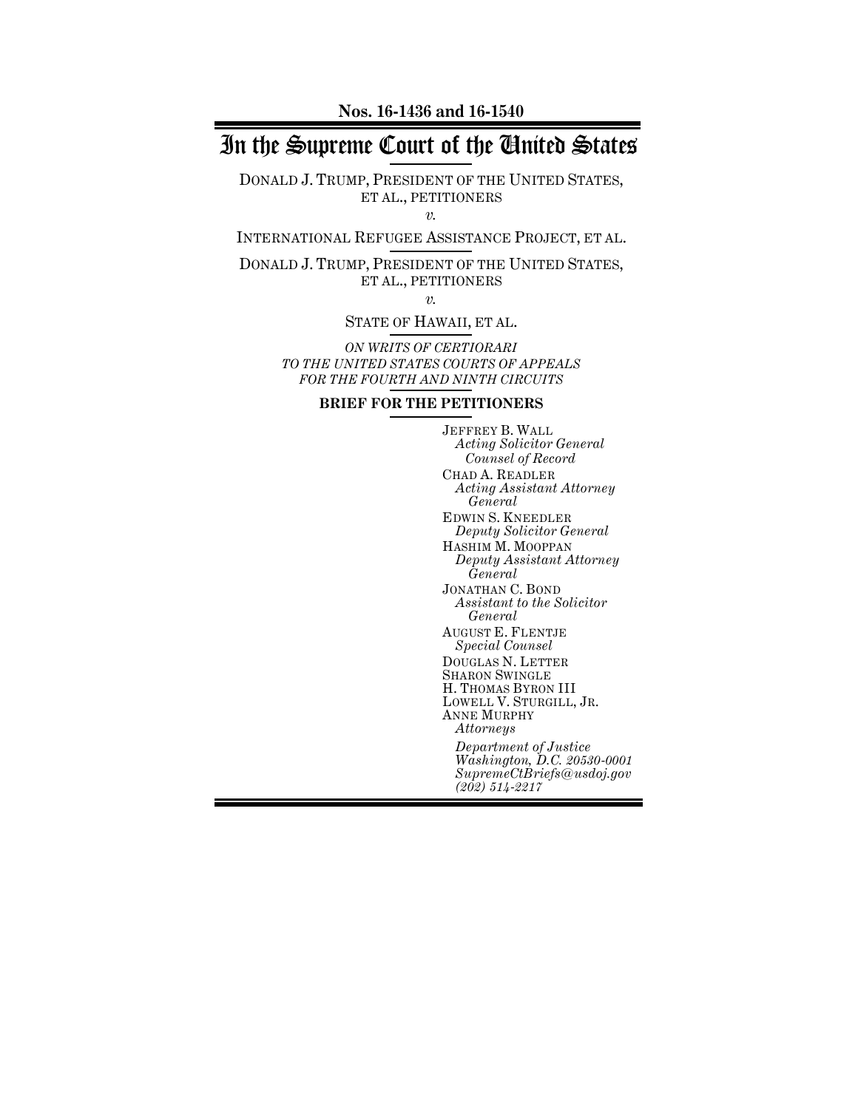**Nos. 16-1436 and 16-1540**

# In the Supreme Court of the United States

DONALD J. TRUMP, PRESIDENT OF THE UNITED STATES, ET AL., PETITIONERS

*v.*

INTERNATIONAL REFUGEE ASSISTANCE PROJECT, ET AL.

DONALD J. TRUMP, PRESIDENT OF THE UNITED STATES, ET AL., PETITIONERS

*v.*

STATE OF HAWAII, ET AL.

*ON WRITS OF CERTIORARI TO THE UNITED STATES COURTS OF APPEALS FOR THE FOURTH AND NINTH CIRCUITS*

#### **BRIEF FOR THE PETITIONERS**

JEFFREY B. WALL *Acting Solicitor General Counsel of Record* CHAD A. READLER *Acting Assistant Attorney General* EDWIN S. KNEEDLER *Deputy Solicitor General* HASHIM M. MOOPPAN *Deputy Assistant Attorney General* JONATHAN C. BOND *Assistant to the Solicitor General* AUGUST E. FLENTJE *Special Counsel* DOUGLAS N. LETTER SHARON SWINGLE H. THOMAS BYRON III LOWELL V. STURGILL, JR. ANNE MURPHY *Attorneys Department of Justice Washington, D.C. 20530-0001 SupremeCtBriefs@usdoj.gov (202) 514-2217*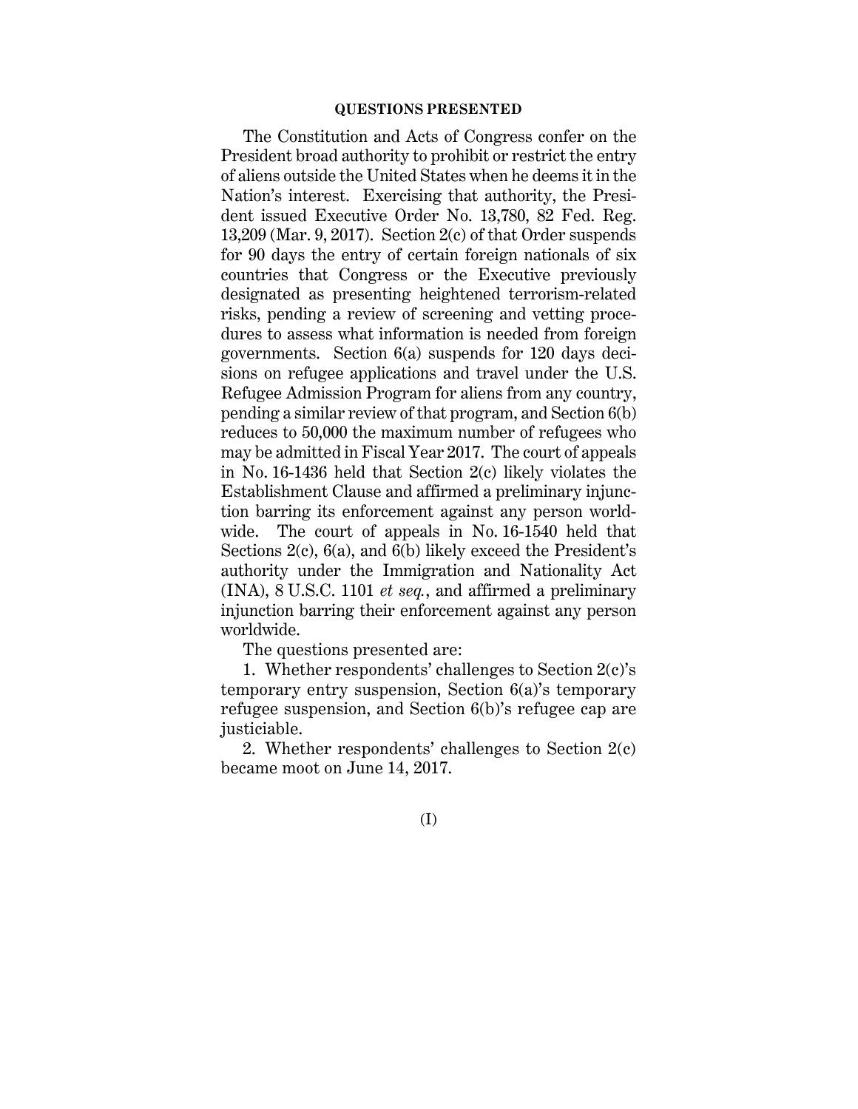### **QUESTIONS PRESENTED**

The Constitution and Acts of Congress confer on the President broad authority to prohibit or restrict the entry of aliens outside the United States when he deems it in the Nation's interest. Exercising that authority, the President issued Executive Order No. 13,780, 82 Fed. Reg. 13,209 (Mar. 9, 2017). Section 2(c) of that Order suspends for 90 days the entry of certain foreign nationals of six countries that Congress or the Executive previously designated as presenting heightened terrorism-related risks, pending a review of screening and vetting procedures to assess what information is needed from foreign governments. Section 6(a) suspends for 120 days decisions on refugee applications and travel under the U.S. Refugee Admission Program for aliens from any country, pending a similar review of that program, and Section 6(b) reduces to 50,000 the maximum number of refugees who may be admitted in Fiscal Year 2017. The court of appeals in No. 16-1436 held that Section 2(c) likely violates the Establishment Clause and affirmed a preliminary injunction barring its enforcement against any person worldwide. The court of appeals in No. 16-1540 held that Sections 2(c), 6(a), and 6(b) likely exceed the President's authority under the Immigration and Nationality Act (INA), 8 U.S.C. 1101 *et seq.*, and affirmed a preliminary injunction barring their enforcement against any person worldwide.

The questions presented are:

1. Whether respondents' challenges to Section  $2(c)$ 's temporary entry suspension, Section 6(a)'s temporary refugee suspension, and Section 6(b)'s refugee cap are justiciable.

2. Whether respondents' challenges to Section 2(c) became moot on June 14, 2017.

# (I)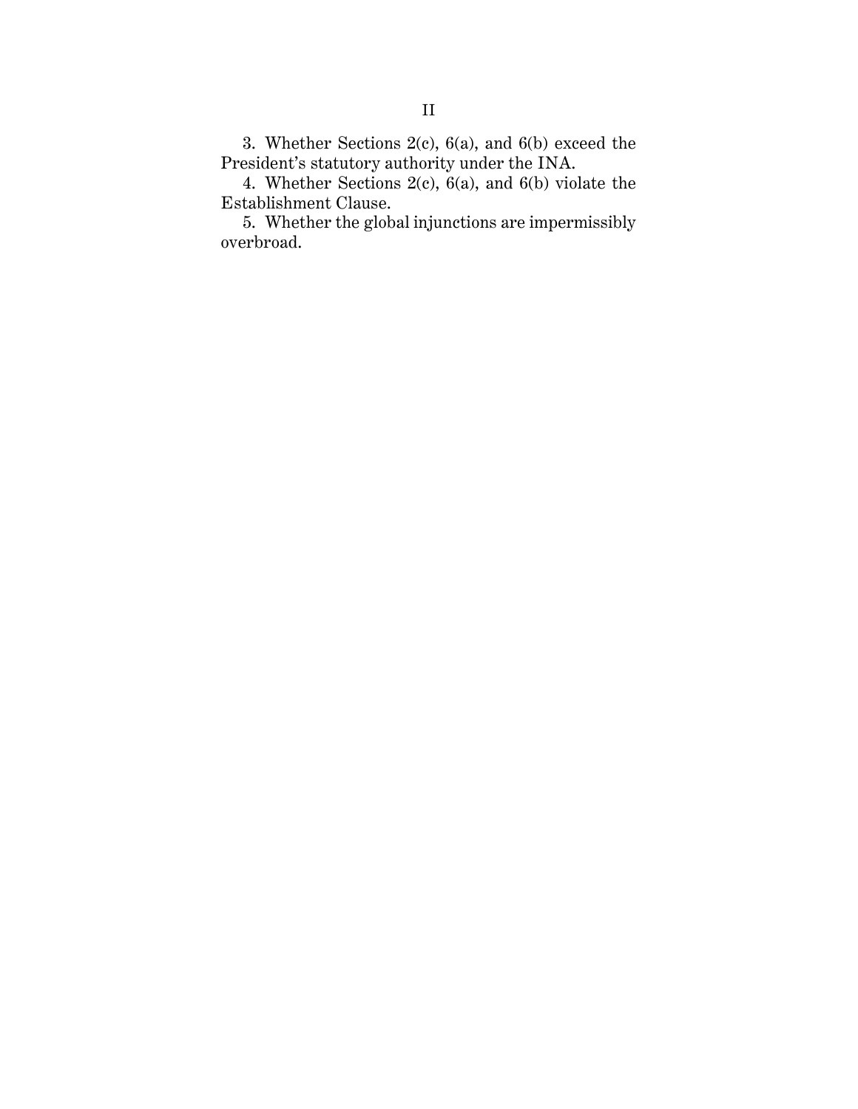3. Whether Sections 2(c), 6(a), and 6(b) exceed the President's statutory authority under the INA.

4. Whether Sections 2(c), 6(a), and 6(b) violate the Establishment Clause.

5. Whether the global injunctions are impermissibly overbroad.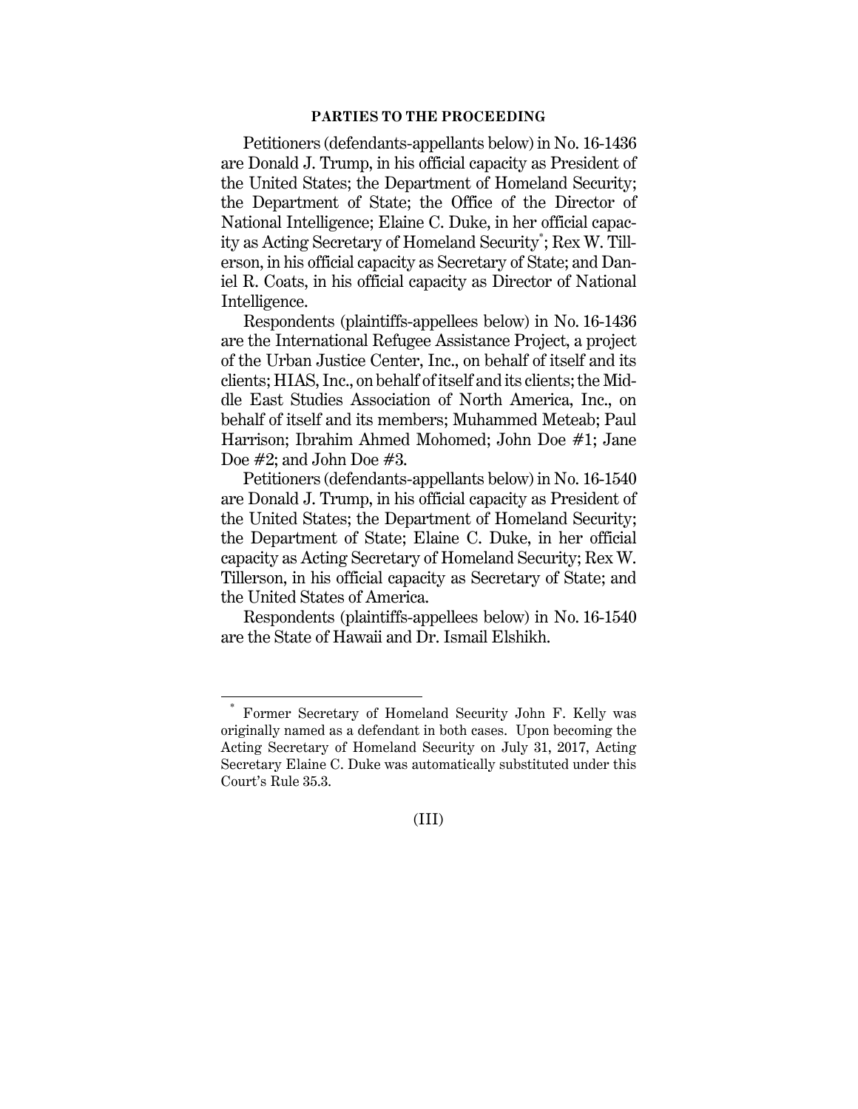# **PARTIES TO THE PROCEEDING**

Petitioners (defendants-appellants below) in No. 16-1436 are Donald J. Trump, in his official capacity as President of the United States; the Department of Homeland Security; the Department of State; the Office of the Director of National Intelligence; Elaine C. Duke, in her official capacity as Acting Secretary of Homeland Security\* ; Rex W. Tillerson, in his official capacity as Secretary of State; and Daniel R. Coats, in his official capacity as Director of National Intelligence.

Respondents (plaintiffs-appellees below) in No. 16-1436 are the International Refugee Assistance Project, a project of the Urban Justice Center, Inc., on behalf of itself and its clients; HIAS, Inc., on behalf of itself and its clients; the Middle East Studies Association of North America, Inc., on behalf of itself and its members; Muhammed Meteab; Paul Harrison; Ibrahim Ahmed Mohomed; John Doe #1; Jane Doe #2; and John Doe #3.

Petitioners (defendants-appellants below) in No. 16-1540 are Donald J. Trump, in his official capacity as President of the United States; the Department of Homeland Security; the Department of State; Elaine C. Duke, in her official capacity as Acting Secretary of Homeland Security; Rex W. Tillerson, in his official capacity as Secretary of State; and the United States of America.

Respondents (plaintiffs-appellees below) in No. 16-1540 are the State of Hawaii and Dr. Ismail Elshikh.

 $\overline{a}$ 

(III)

 <sup>\*</sup> Former Secretary of Homeland Security John F. Kelly was originally named as a defendant in both cases. Upon becoming the Acting Secretary of Homeland Security on July 31, 2017, Acting Secretary Elaine C. Duke was automatically substituted under this Court's Rule 35.3.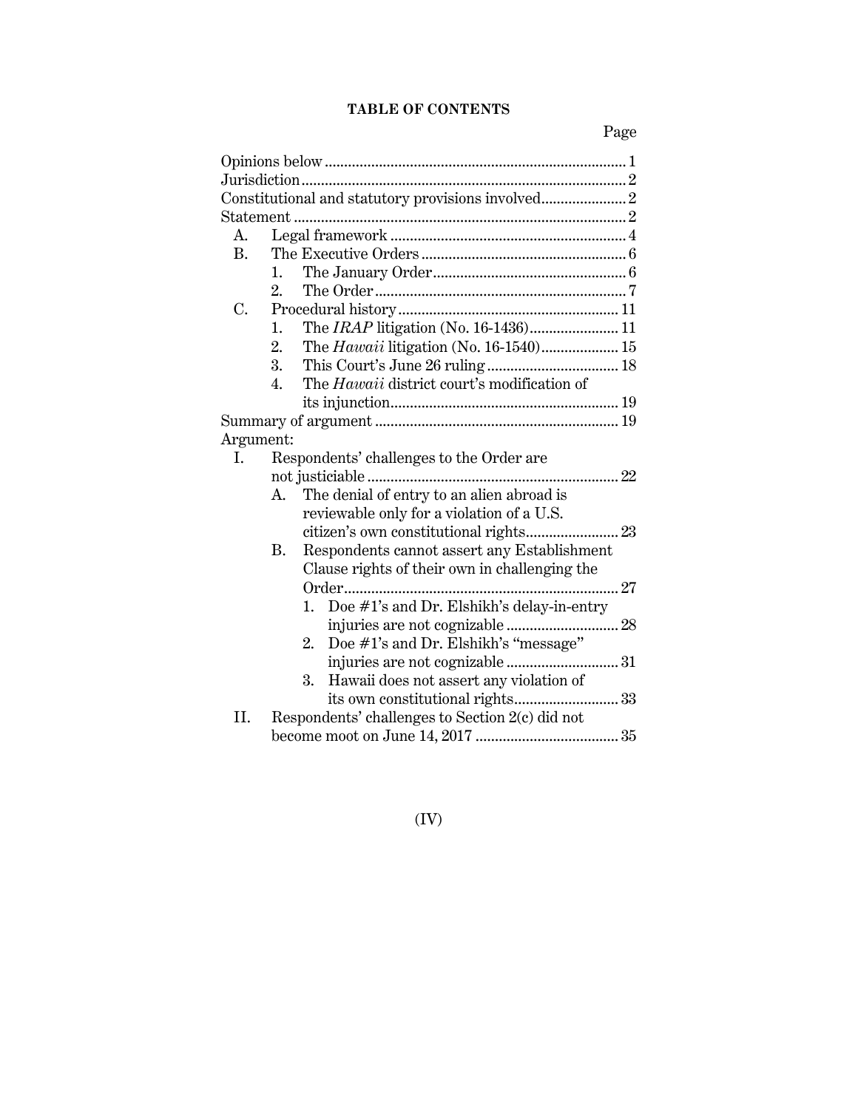# **TABLE OF CONTENTS**

|           |    | Constitutional and statutory provisions involved 2   |
|-----------|----|------------------------------------------------------|
|           |    |                                                      |
|           |    |                                                      |
| A.        |    |                                                      |
| <b>B.</b> |    |                                                      |
|           | 1. |                                                      |
|           | 2. |                                                      |
| C.        |    |                                                      |
|           | 1. | The <i>IRAP</i> litigation (No. 16-1436) 11          |
|           | 2. |                                                      |
|           | 3. |                                                      |
|           | 4. | The Hawaii district court's modification of          |
|           |    |                                                      |
|           |    |                                                      |
| Argument: |    |                                                      |
| L.        |    | Respondents' challenges to the Order are             |
|           |    |                                                      |
|           | A. | The denial of entry to an alien abroad is            |
|           |    | reviewable only for a violation of a U.S.            |
|           |    |                                                      |
|           | В. | Respondents cannot assert any Establishment          |
|           |    | Clause rights of their own in challenging the        |
|           |    | Order<br>27                                          |
|           |    | Doe #1's and Dr. Elshikh's delay-in-entry<br>$1_{-}$ |
|           |    | injuries are not cognizable  28                      |
|           |    | Doe #1's and Dr. Elshikh's "message"<br>2.           |
|           |    |                                                      |
|           |    | 3.<br>Hawaii does not assert any violation of        |
|           |    |                                                      |
| II.       |    | Respondents' challenges to Section 2(c) did not      |
|           |    |                                                      |
|           |    |                                                      |

(IV)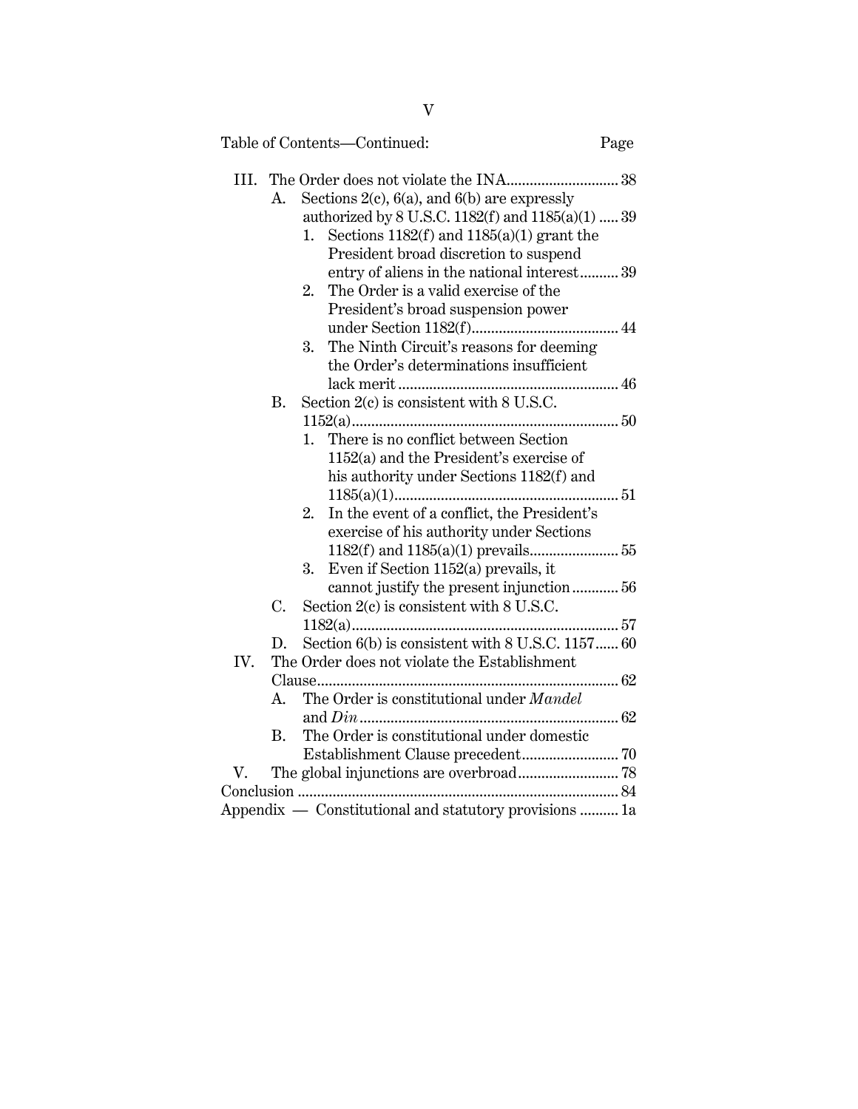| Table of Contents-Continued:<br>Page                                                           |  |
|------------------------------------------------------------------------------------------------|--|
| III.                                                                                           |  |
| A.<br>Sections $2(c)$ , $6(a)$ , and $6(b)$ are expressly                                      |  |
| authorized by 8 U.S.C. 1182(f) and 1185(a)(1)  39                                              |  |
| Sections $1182(f)$ and $1185(a)(1)$ grant the<br>1.                                            |  |
| President broad discretion to suspend                                                          |  |
| entry of aliens in the national interest 39                                                    |  |
| The Order is a valid exercise of the<br>2.                                                     |  |
| President's broad suspension power                                                             |  |
|                                                                                                |  |
| The Ninth Circuit's reasons for deeming<br>3.                                                  |  |
| the Order's determinations insufficient                                                        |  |
|                                                                                                |  |
| Section 2(c) is consistent with 8 U.S.C.<br>В.                                                 |  |
|                                                                                                |  |
| There is no conflict between Section<br>1.                                                     |  |
| 1152(a) and the President's exercise of                                                        |  |
| his authority under Sections 1182(f) and                                                       |  |
| In the event of a conflict, the President's<br>2.                                              |  |
| exercise of his authority under Sections                                                       |  |
|                                                                                                |  |
| Even if Section 1152(a) prevails, it<br>3.                                                     |  |
| cannot justify the present injunction56                                                        |  |
| $C_{\cdot}$<br>Section 2(c) is consistent with 8 U.S.C.                                        |  |
|                                                                                                |  |
| Section $6(b)$ is consistent with 8 U.S.C. 1157 $60$<br>D.                                     |  |
| IV.<br>The Order does not violate the Establishment                                            |  |
|                                                                                                |  |
| The Order is constitutional under Mandel<br>A.                                                 |  |
|                                                                                                |  |
| The Order is constitutional under domestic<br><b>B.</b>                                        |  |
| $\textbf{Estabilishment} \text{ Clause precedent}.\text{}.\text{}.\text{} \text{--} \text{70}$ |  |
| V.                                                                                             |  |
|                                                                                                |  |
| Appendix — Constitutional and statutory provisions  1a                                         |  |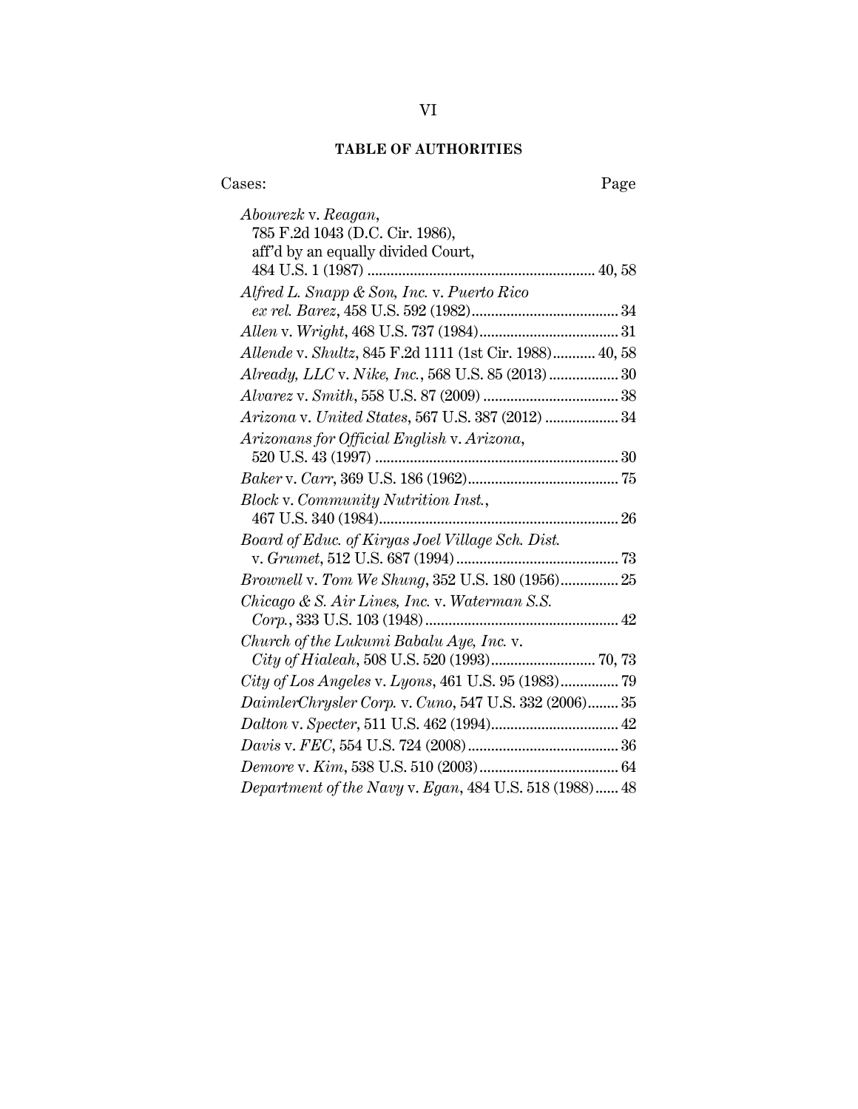# **TABLE OF AUTHORITIES**

| Cases:<br>Page                                          |
|---------------------------------------------------------|
| Abourezk v. Reagan,                                     |
| 785 F.2d 1043 (D.C. Cir. 1986),                         |
| aff'd by an equally divided Court,                      |
|                                                         |
| Alfred L. Snapp & Son, Inc. v. Puerto Rico              |
|                                                         |
|                                                         |
| Allende v. Shultz, 845 F.2d 1111 (1st Cir. 1988) 40, 58 |
| Already, LLC v. Nike, Inc., 568 U.S. 85 (2013) 30       |
|                                                         |
| Arizona v. United States, 567 U.S. 387 (2012)  34       |
| Arizonans for Official English v. Arizona,              |
|                                                         |
|                                                         |
| Block v. Community Nutrition Inst.,                     |
|                                                         |
| Board of Educ. of Kiryas Joel Village Sch. Dist.        |
|                                                         |
| Brownell v. Tom We Shung, 352 U.S. 180 (1956) 25        |
| Chicago & S. Air Lines, Inc. v. Waterman S.S.           |
|                                                         |
| Church of the Lukumi Babalu Aye, Inc. v.                |
|                                                         |
|                                                         |
| DaimlerChrysler Corp. v. Cuno, 547 U.S. 332 (2006) 35   |
|                                                         |
|                                                         |
|                                                         |
| Department of the Navy v. Egan, 484 U.S. 518 (1988) 48  |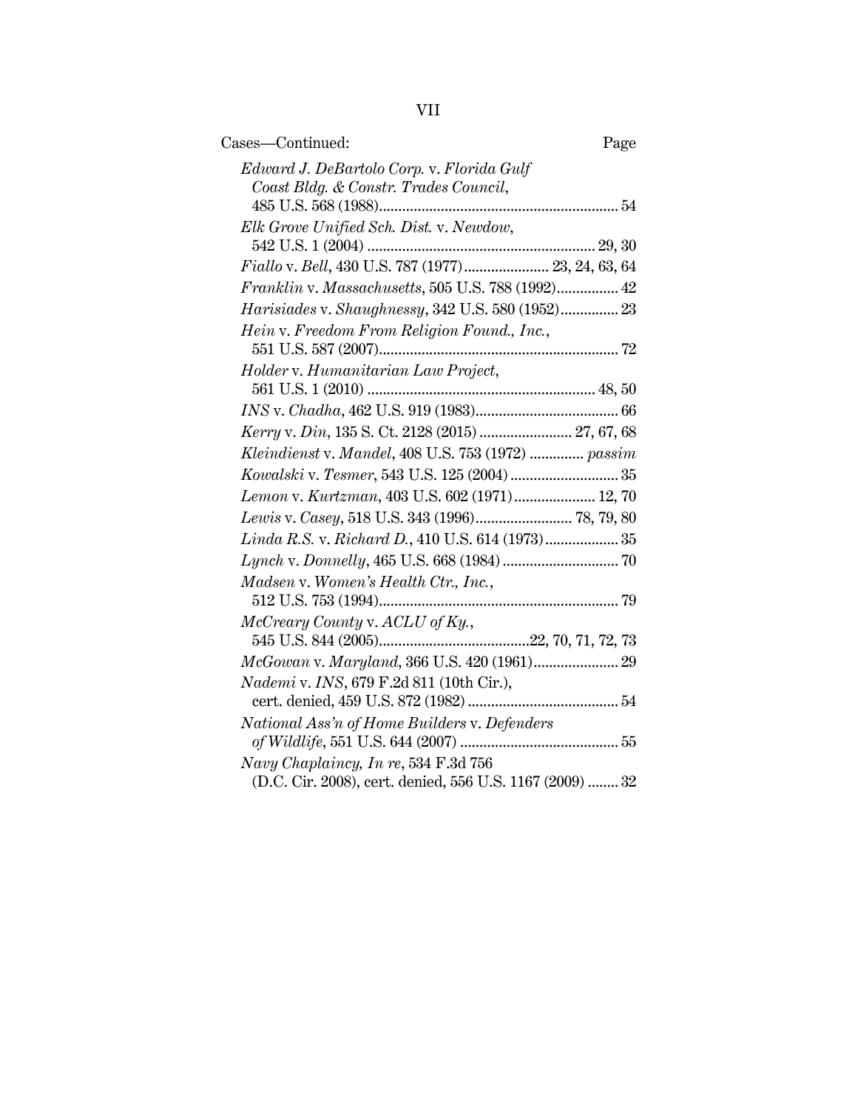VII

| Cases—Continued:                                                                                 | Page |
|--------------------------------------------------------------------------------------------------|------|
| Edward J. DeBartolo Corp. v. Florida Gulf<br>Coast Bldg. & Constr. Trades Council,               |      |
| Elk Grove Unified Sch. Dist. v. Newdow,                                                          |      |
|                                                                                                  |      |
| Fiallo v. Bell, 430 U.S. 787 (1977) 23, 24, 63, 64                                               |      |
| Franklin v. Massachusetts, 505 U.S. 788 (1992) 42                                                |      |
| Harisiades v. Shaughnessy, 342 U.S. 580 (1952) 23                                                |      |
| Hein v. Freedom From Religion Found., Inc.,                                                      |      |
|                                                                                                  |      |
| Holder v. Humanitarian Law Project,                                                              |      |
|                                                                                                  |      |
|                                                                                                  |      |
| Kerry v. Din, 135 S. Ct. 2128 (2015)  27, 67, 68                                                 |      |
| Kleindienst v. Mandel, 408 U.S. 753 (1972)  passim                                               |      |
| Kowalski v. Tesmer, 543 U.S. 125 (2004)  35                                                      |      |
| Lemon v. Kurtzman, 403 U.S. 602 (1971) 12, 70                                                    |      |
| Lewis v. Casey, 518 U.S. 343 (1996) 78, 79, 80                                                   |      |
| Linda R.S. v. Richard D., 410 U.S. 614 (1973) 35                                                 |      |
|                                                                                                  |      |
| Madsen v. Women's Health Ctr., Inc.,                                                             |      |
| McCreary County v. ACLU of Ky.,                                                                  |      |
| McGowan v. Maryland, 366 U.S. 420 (1961) 29                                                      |      |
| Nademi v. INS, 679 F.2d 811 (10th Cir.),                                                         |      |
| National Ass'n of Home Builders v. Defenders                                                     |      |
| Navy Chaplaincy, In re, 534 F.3d 756<br>(D.C. Cir. 2008), cert. denied, 556 U.S. 1167 (2009)  32 |      |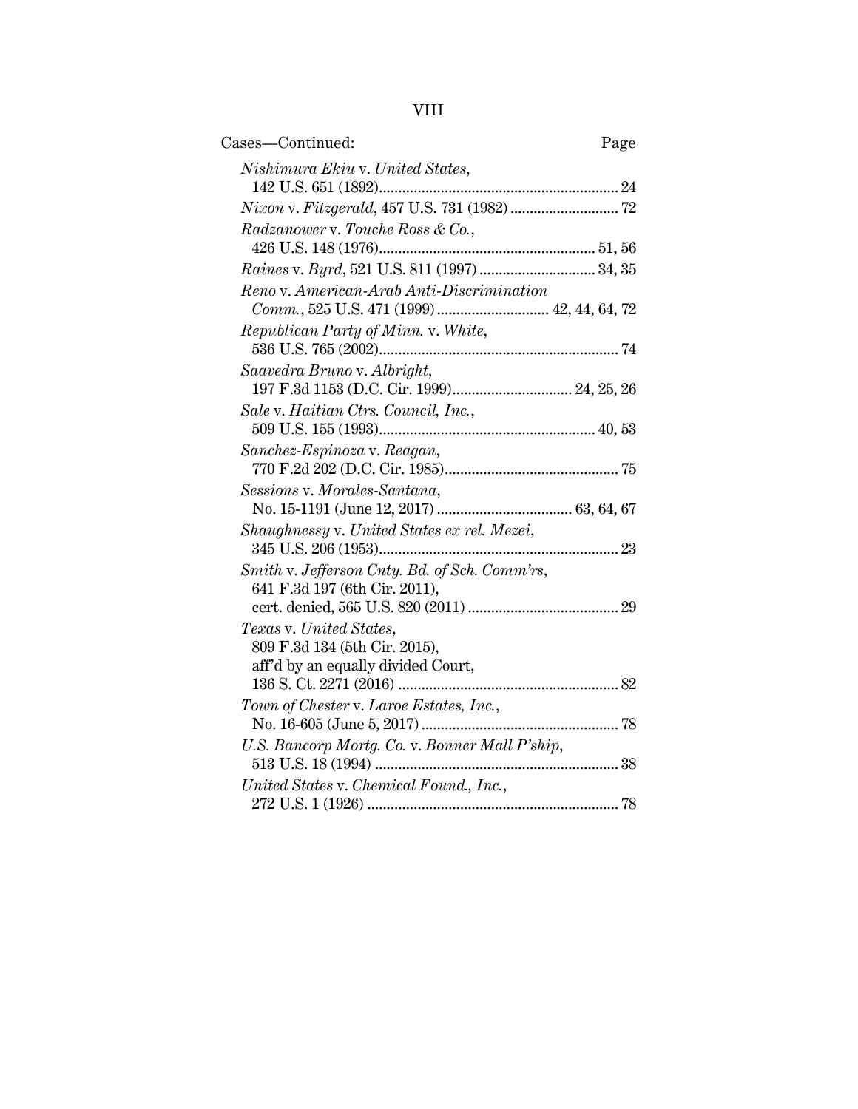VIII

| Cases-Continued:                                                                               | Page |
|------------------------------------------------------------------------------------------------|------|
| Nishimura Ekiu v. United States,                                                               |      |
|                                                                                                |      |
| Radzanower v. Touche Ross & Co.,                                                               |      |
| Raines v. Byrd, 521 U.S. 811 (1997)  34, 35                                                    |      |
| Reno v. American-Arab Anti-Discrimination<br>Comm., 525 U.S. 471 (1999) 42, 44, 64, 72         |      |
| Republican Party of Minn. v. White,                                                            |      |
| Saavedra Bruno v. Albright,                                                                    |      |
| Sale v. Haitian Ctrs. Council, Inc.,                                                           |      |
| Sanchez-Espinoza v. Reagan,                                                                    |      |
| Sessions v. Morales-Santana,                                                                   |      |
| Shaughnessy v. United States ex rel. Mezei,                                                    |      |
| Smith v. Jefferson Cnty. Bd. of Sch. Comm'rs,<br>641 F.3d 197 (6th Cir. 2011),                 |      |
| Texas v. United States,<br>809 F.3d 134 (5th Cir. 2015),<br>aff'd by an equally divided Court, |      |
| Town of Chester v. Laroe Estates, Inc.,                                                        |      |
|                                                                                                |      |
| U.S. Bancorp Mortg. Co. v. Bonner Mall P'ship,                                                 |      |
| United States v. Chemical Found., Inc.,                                                        |      |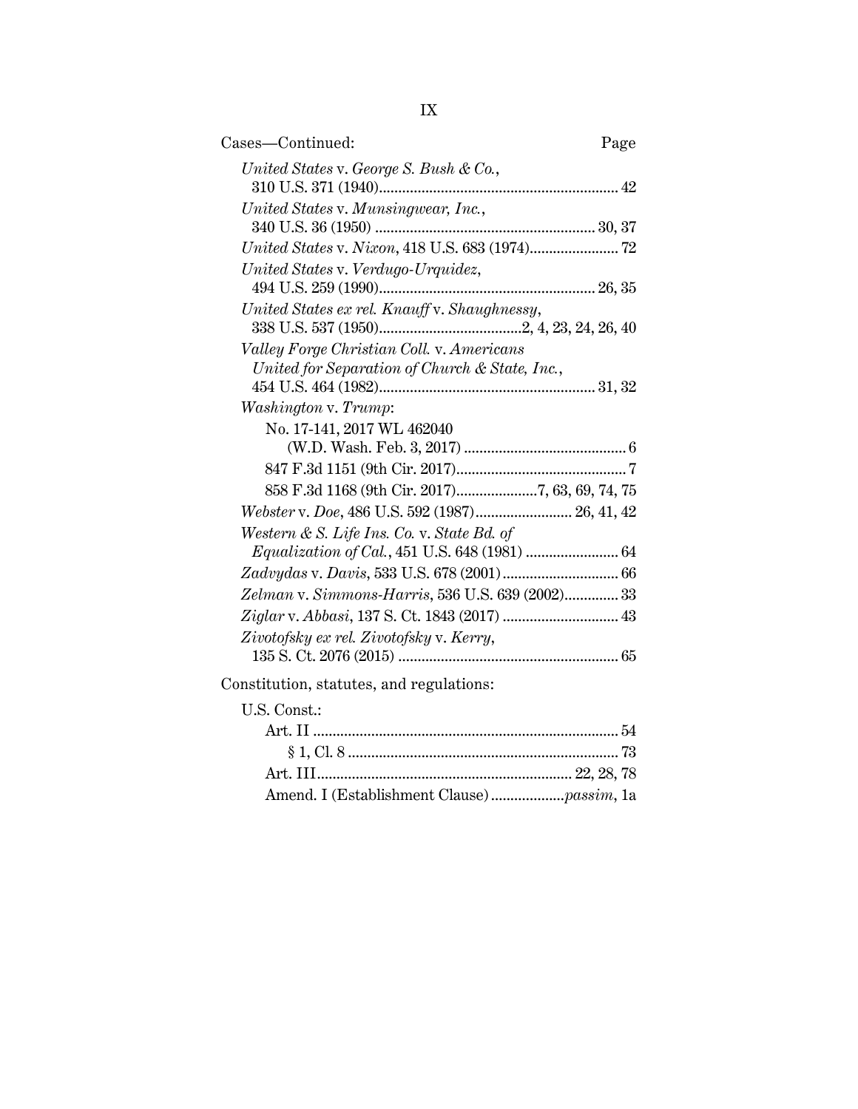| Cases-Continued:<br>Page                                                                    |
|---------------------------------------------------------------------------------------------|
| United States v. George S. Bush & Co.,                                                      |
| United States v. Munsingwear, Inc.,                                                         |
|                                                                                             |
| United States v. Verdugo-Urquidez,                                                          |
| United States ex rel. Knauff v. Shaughnessy,                                                |
| Valley Forge Christian Coll. v. Americans<br>United for Separation of Church & State, Inc., |
| Washington v. Trump:                                                                        |
| No. 17-141, 2017 WL 462040                                                                  |
|                                                                                             |
|                                                                                             |
|                                                                                             |
| Webster v. Doe, 486 U.S. 592 (1987) 26, 41, 42                                              |
| Western & S. Life Ins. Co. v. State Bd. of                                                  |
|                                                                                             |
|                                                                                             |
| Zelman v. Simmons-Harris, 536 U.S. 639 (2002) 33                                            |
|                                                                                             |
| Zivotofsky ex rel. Zivotofsky v. Kerry,                                                     |
| Constitution, statutes, and regulations:                                                    |

# U.S. Const.: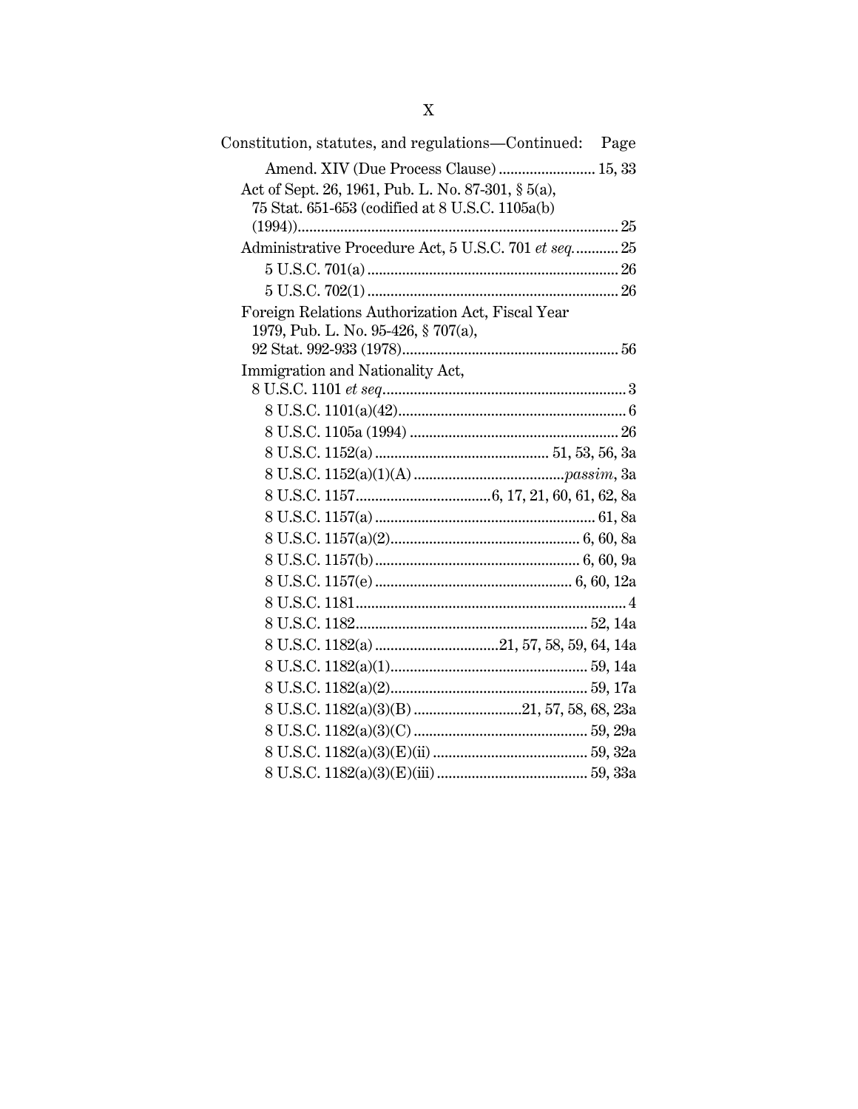| Constitution, statutes, and regulations-Continued: Page |
|---------------------------------------------------------|
| Amend. XIV (Due Process Clause) 15, 33                  |
| Act of Sept. 26, 1961, Pub. L. No. 87-301, § 5(a),      |
| 75 Stat. 651-653 (codified at 8 U.S.C. 1105a(b)         |
|                                                         |
| Administrative Procedure Act, 5 U.S.C. 701 et seq 25    |
|                                                         |
|                                                         |
| Foreign Relations Authorization Act, Fiscal Year        |
| 1979, Pub. L. No. 95-426, § 707(a),                     |
|                                                         |
| Immigration and Nationality Act,                        |
|                                                         |
|                                                         |
|                                                         |
|                                                         |
|                                                         |
|                                                         |
|                                                         |
|                                                         |
|                                                         |
|                                                         |
|                                                         |
|                                                         |
|                                                         |
|                                                         |
|                                                         |
| 8 U.S.C. 1182(a)(3)(B) 21, 57, 58, 68, 23a              |
|                                                         |
|                                                         |
|                                                         |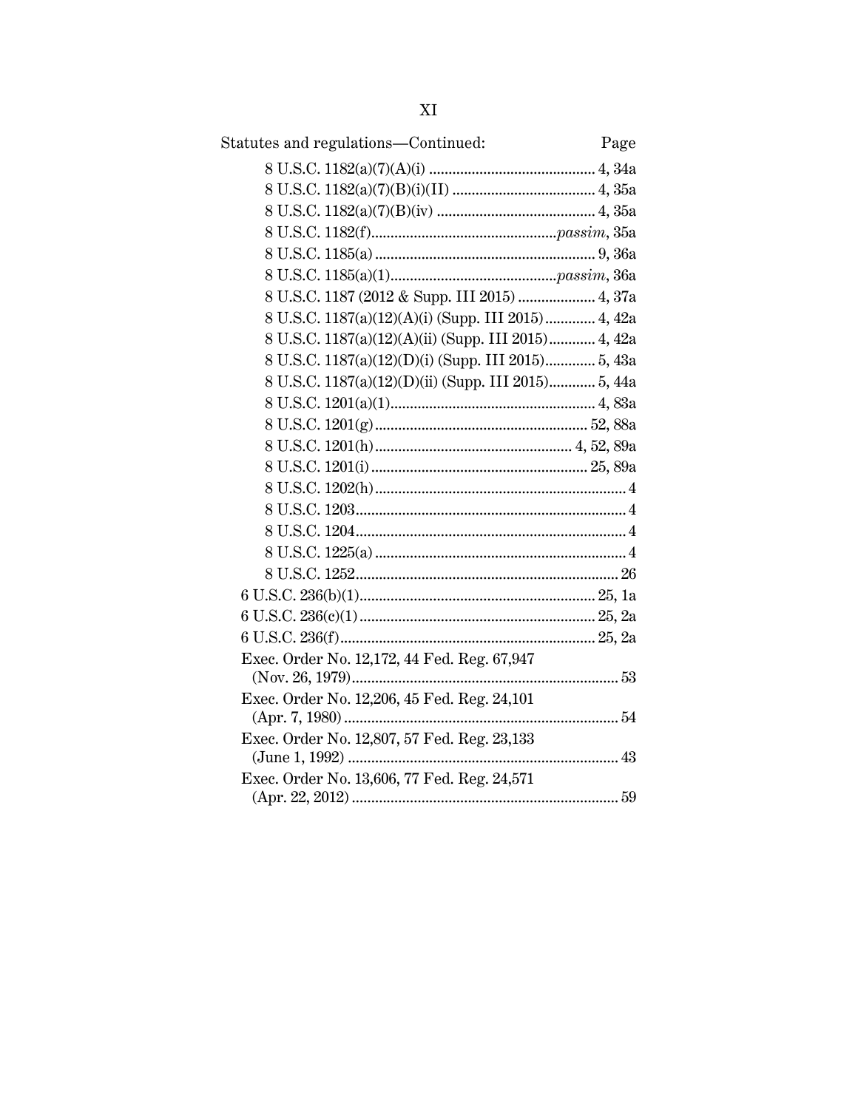| Statutes and regulations-Continued:                 | Page |
|-----------------------------------------------------|------|
|                                                     |      |
|                                                     |      |
|                                                     |      |
|                                                     |      |
|                                                     |      |
|                                                     |      |
|                                                     |      |
| 8 U.S.C. 1187(a)(12)(A)(i) (Supp. III 2015) 4, 42a  |      |
| 8 U.S.C. 1187(a)(12)(A)(ii) (Supp. III 2015) 4, 42a |      |
| 8 U.S.C. 1187(a)(12)(D)(i) (Supp. III 2015) 5, 43a  |      |
| 8 U.S.C. 1187(a)(12)(D)(ii) (Supp. III 2015) 5, 44a |      |
|                                                     |      |
|                                                     |      |
|                                                     |      |
|                                                     |      |
|                                                     |      |
|                                                     |      |
|                                                     |      |
|                                                     |      |
|                                                     |      |
|                                                     |      |
|                                                     |      |
|                                                     |      |
| Exec. Order No. 12,172, 44 Fed. Reg. 67,947         |      |
|                                                     |      |
| Exec. Order No. 12,206, 45 Fed. Reg. 24,101         |      |
| Exec. Order No. 12,807, 57 Fed. Reg. 23,133         |      |
|                                                     |      |
| Exec. Order No. 13,606, 77 Fed. Reg. 24,571         |      |
|                                                     |      |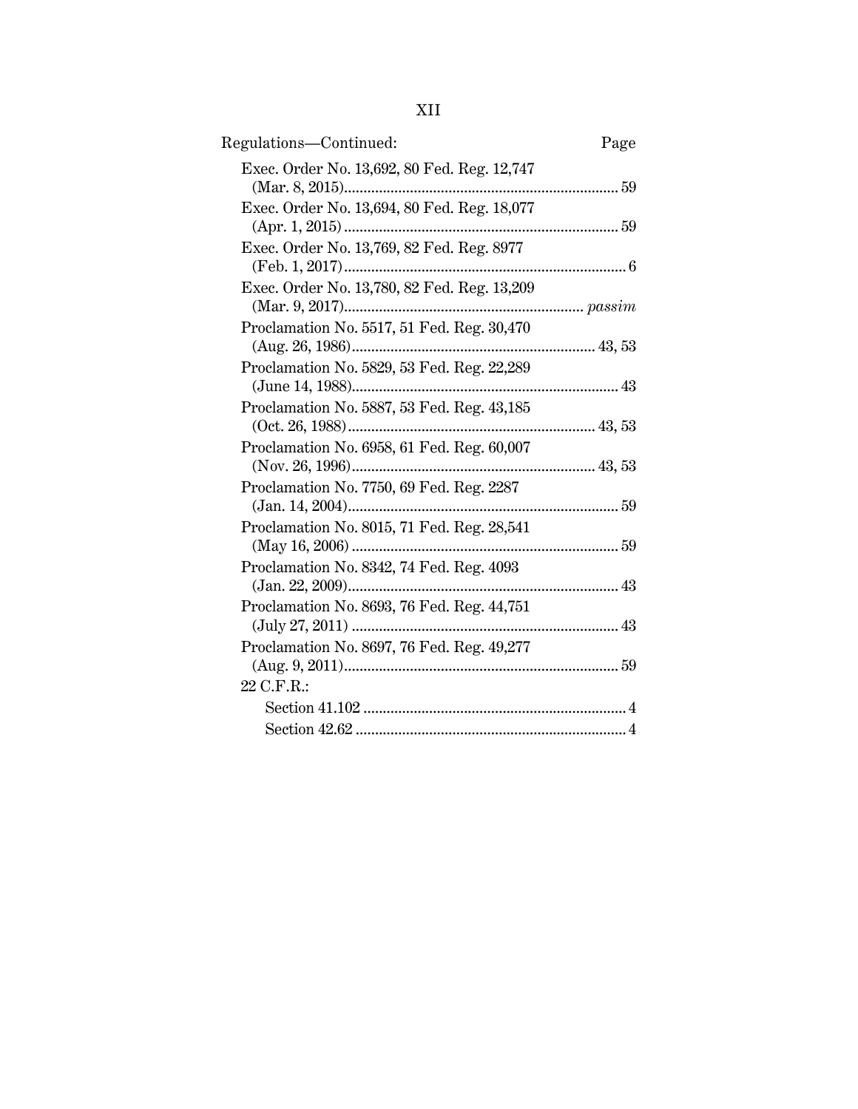| Regulations-Continued:<br>Page                                  |  |
|-----------------------------------------------------------------|--|
| Exec. Order No. 13,692, 80 Fed. Reg. 12,747<br>$(Mar. 8, 2015)$ |  |
| Exec. Order No. 13,694, 80 Fed. Reg. 18,077                     |  |
| Exec. Order No. 13,769, 82 Fed. Reg. 8977                       |  |
| Exec. Order No. 13,780, 82 Fed. Reg. 13,209                     |  |
| Proclamation No. 5517, 51 Fed. Reg. 30,470                      |  |
| Proclamation No. 5829, 53 Fed. Reg. 22,289                      |  |
| Proclamation No. 5887, 53 Fed. Reg. 43,185                      |  |
| Proclamation No. 6958, 61 Fed. Reg. 60,007                      |  |
| Proclamation No. 7750, 69 Fed. Reg. 2287                        |  |
| Proclamation No. 8015, 71 Fed. Reg. 28,541                      |  |
| Proclamation No. 8342, 74 Fed. Reg. 4093                        |  |
| Proclamation No. 8693, 76 Fed. Reg. 44,751                      |  |
| Proclamation No. 8697, 76 Fed. Reg. 49,277                      |  |
| 22 C.F.R.:                                                      |  |
|                                                                 |  |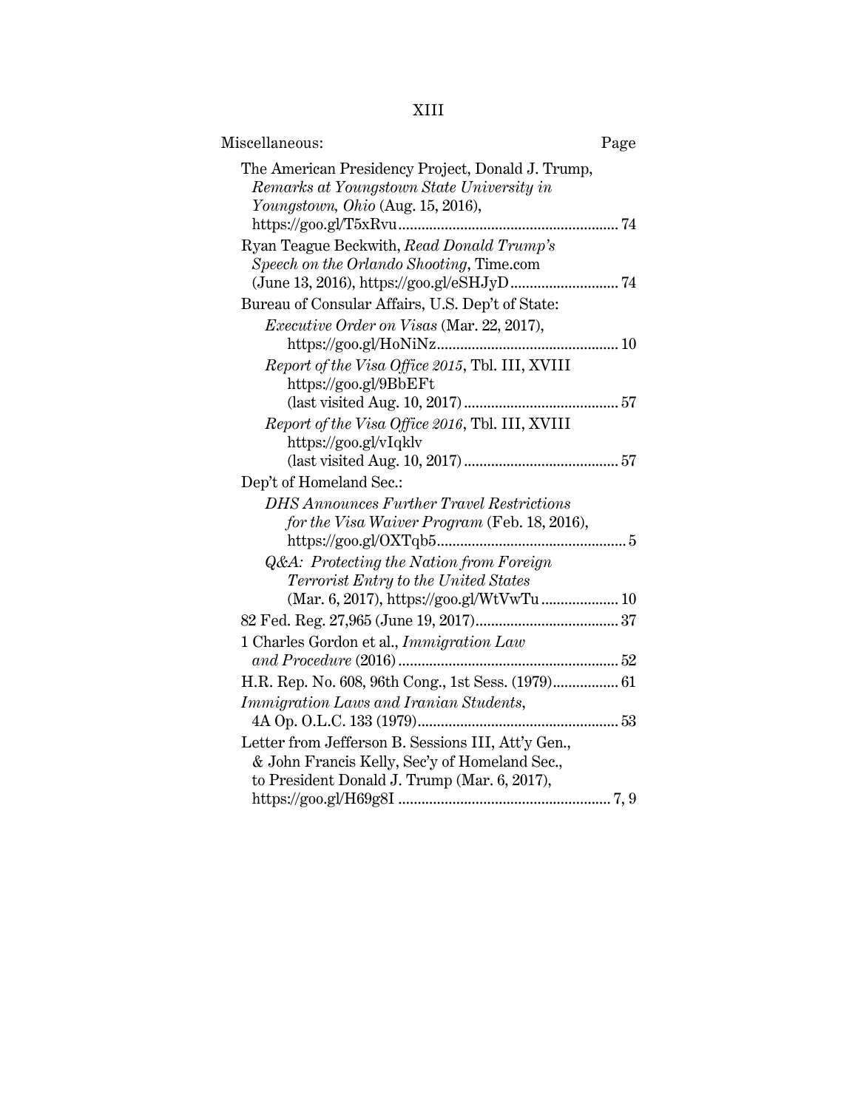XIII

| Miscellaneous:<br>Page                                                                         |  |
|------------------------------------------------------------------------------------------------|--|
| The American Presidency Project, Donald J. Trump,<br>Remarks at Youngstown State University in |  |
| Youngstown, Ohio (Aug. 15, 2016),                                                              |  |
| Ryan Teague Beckwith, Read Donald Trump's                                                      |  |
| Speech on the Orlando Shooting, Time.com                                                       |  |
|                                                                                                |  |
| Bureau of Consular Affairs, U.S. Dep't of State:                                               |  |
| Executive Order on Visas (Mar. 22, 2017),                                                      |  |
|                                                                                                |  |
| Report of the Visa Office 2015, Tbl. III, XVIII<br>https://goo.gl/9BbEFt                       |  |
|                                                                                                |  |
| Report of the Visa Office 2016, Tbl. III, XVIII                                                |  |
| https://goo.gl/vIqklv                                                                          |  |
| Dep't of Homeland Sec.:                                                                        |  |
| <b>DHS Announces Further Travel Restrictions</b>                                               |  |
| for the Visa Waiver Program (Feb. 18, 2016),                                                   |  |
|                                                                                                |  |
| Q&A: Protecting the Nation from Foreign                                                        |  |
| Terrorist Entry to the United States                                                           |  |
| (Mar. 6, 2017), https://goo.gl/WtVwTu 10                                                       |  |
|                                                                                                |  |
| 1 Charles Gordon et al., Immigration Law                                                       |  |
|                                                                                                |  |
| H.R. Rep. No. 608, 96th Cong., 1st Sess. (1979) 61                                             |  |
| <b>Immigration Laws and Iranian Students,</b>                                                  |  |
| Letter from Jefferson B. Sessions III, Att'y Gen.,                                             |  |
| & John Francis Kelly, Sec'y of Homeland Sec.,                                                  |  |
| to President Donald J. Trump (Mar. 6, 2017),                                                   |  |
|                                                                                                |  |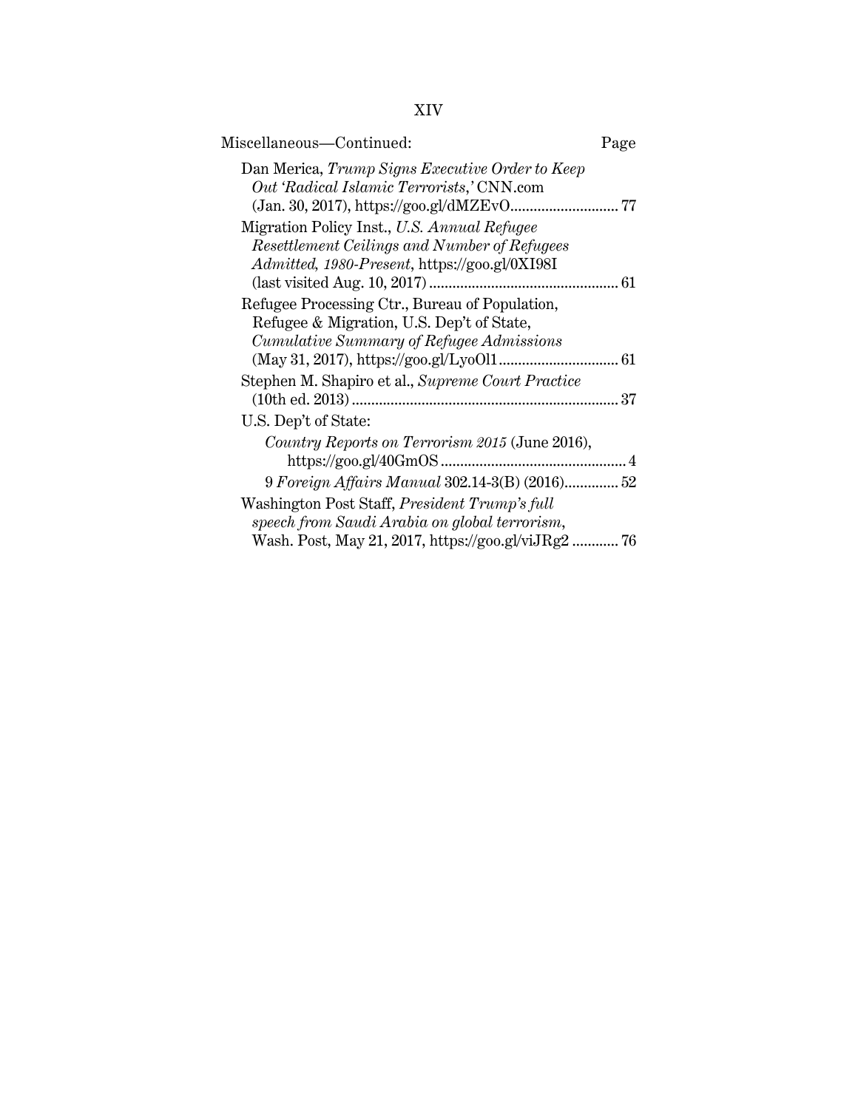| Miscellaneous—Continued:                                                                                                                            | Page |
|-----------------------------------------------------------------------------------------------------------------------------------------------------|------|
| Dan Merica, Trump Signs Executive Order to Keep<br>Out 'Radical Islamic Terrorists,' CNN.com                                                        |      |
| Migration Policy Inst., U.S. Annual Refugee<br>Resettlement Ceilings and Number of Refugees<br><i>Admitted, 1980-Present, https://goo.gl/0XI98I</i> |      |
|                                                                                                                                                     |      |
| Refugee Processing Ctr., Bureau of Population,<br>Refugee & Migration, U.S. Dep't of State,                                                         |      |
| Cumulative Summary of Refugee Admissions                                                                                                            |      |
| Stephen M. Shapiro et al., Supreme Court Practice                                                                                                   |      |
| U.S. Dep't of State:                                                                                                                                |      |
| Country Reports on Terrorism 2015 (June 2016),                                                                                                      |      |
| 9 Foreign Affairs Manual 302.14-3(B) (2016)52                                                                                                       |      |
| Washington Post Staff, President Trump's full<br>speech from Saudi Arabia on global terrorism,                                                      |      |
| Wash. Post, May 21, 2017, https://goo.gl/viJRg2                                                                                                     | 76   |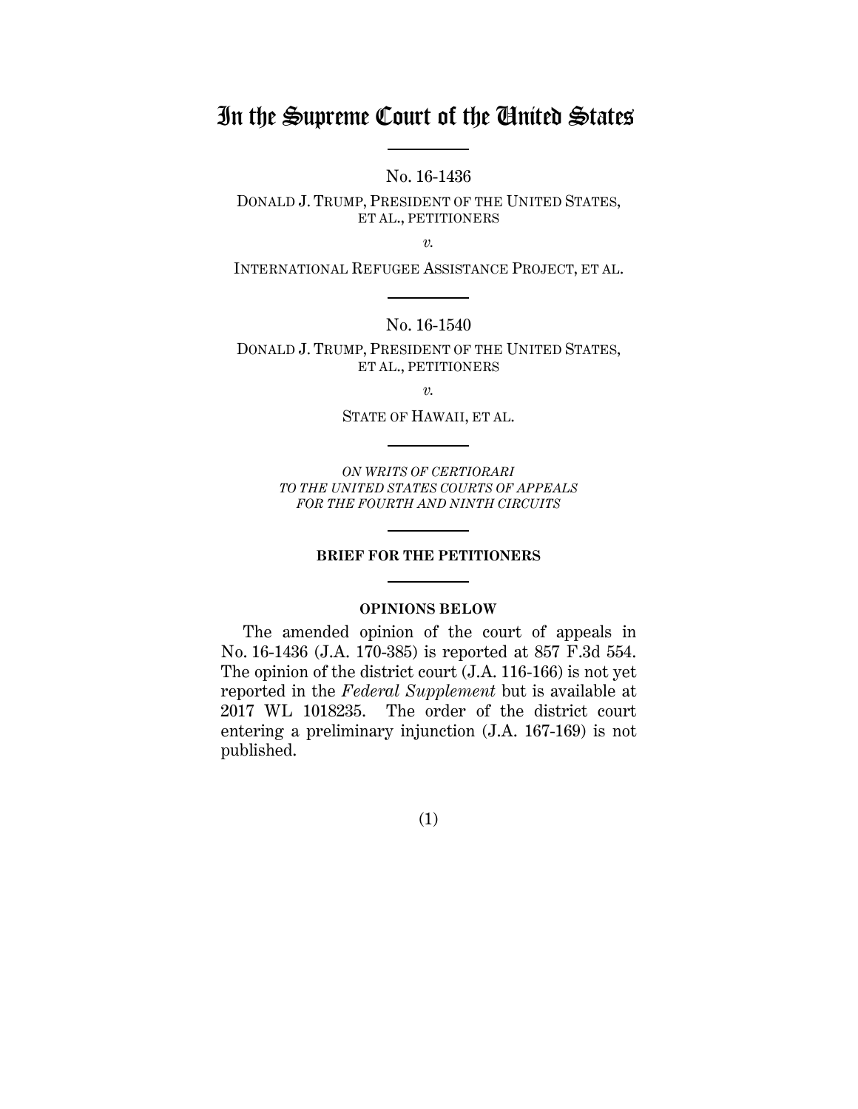# In the Supreme Court of the United States

No. 16-1436

DONALD J. TRUMP, PRESIDENT OF THE UNITED STATES, ET AL., PETITIONERS

*v.*

INTERNATIONAL REFUGEE ASSISTANCE PROJECT, ET AL.

# No. 16-1540

DONALD J. TRUMP, PRESIDENT OF THE UNITED STATES, ET AL., PETITIONERS

*v.*

STATE OF HAWAII, ET AL.

*ON WRITS OF CERTIORARI TO THE UNITED STATES COURTS OF APPEALS FOR THE FOURTH AND NINTH CIRCUITS*

#### **BRIEF FOR THE PETITIONERS**

# **OPINIONS BELOW**

The amended opinion of the court of appeals in No. 16-1436 (J.A. 170-385) is reported at 857 F.3d 554. The opinion of the district court (J.A. 116-166) is not yet reported in the *Federal Supplement* but is available at 2017 WL 1018235. The order of the district court entering a preliminary injunction (J.A. 167-169) is not published.

(1)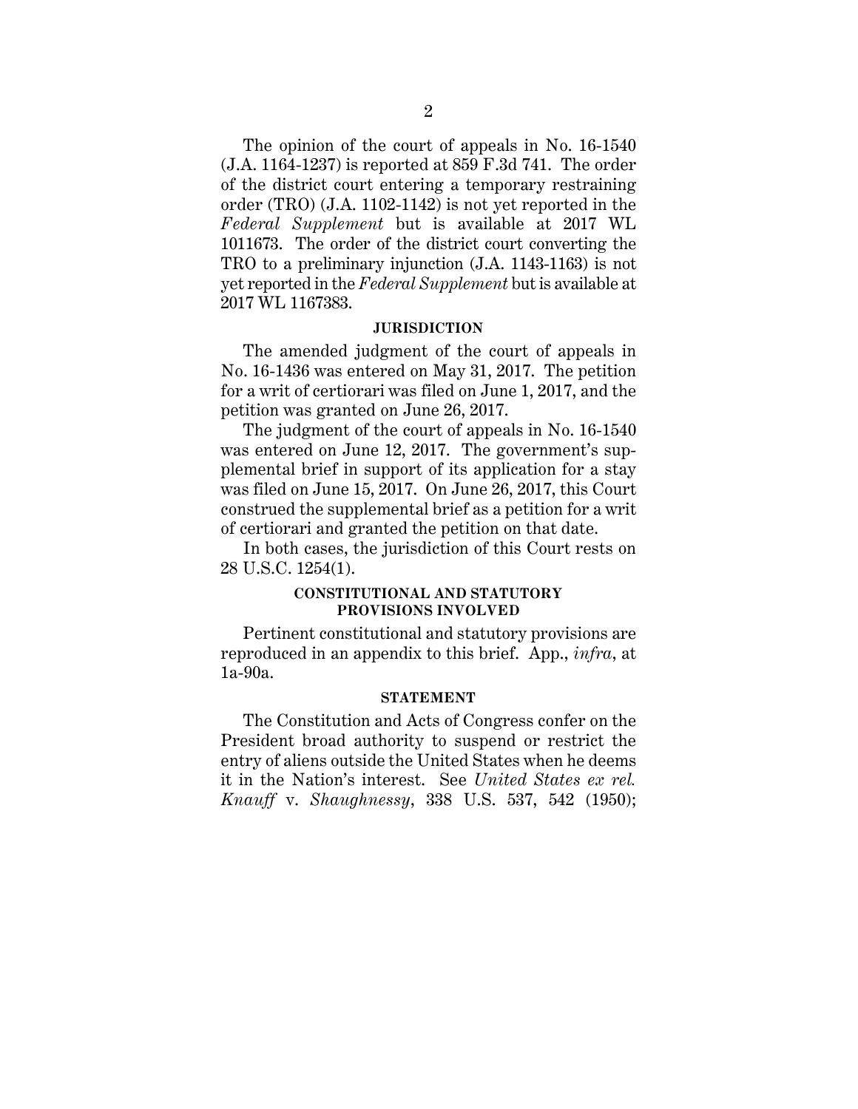The opinion of the court of appeals in No. 16-1540 (J.A. 1164-1237) is reported at 859 F.3d 741. The order of the district court entering a temporary restraining order (TRO) (J.A. 1102-1142) is not yet reported in the *Federal Supplement* but is available at 2017 WL 1011673. The order of the district court converting the TRO to a preliminary injunction (J.A. 1143-1163) is not yet reported in the *Federal Supplement* but is available at 2017 WL 1167383.

### **JURISDICTION**

The amended judgment of the court of appeals in No. 16-1436 was entered on May 31, 2017. The petition for a writ of certiorari was filed on June 1, 2017, and the petition was granted on June 26, 2017.

The judgment of the court of appeals in No. 16-1540 was entered on June 12, 2017. The government's supplemental brief in support of its application for a stay was filed on June 15, 2017. On June 26, 2017, this Court construed the supplemental brief as a petition for a writ of certiorari and granted the petition on that date.

In both cases, the jurisdiction of this Court rests on 28 U.S.C. 1254(1).

### **CONSTITUTIONAL AND STATUTORY PROVISIONS INVOLVED**

Pertinent constitutional and statutory provisions are reproduced in an appendix to this brief. App., *infra*, at 1a-90a.

#### **STATEMENT**

The Constitution and Acts of Congress confer on the President broad authority to suspend or restrict the entry of aliens outside the United States when he deems it in the Nation's interest. See *United States ex rel. Knauff* v. *Shaughnessy*, 338 U.S. 537, 542 (1950);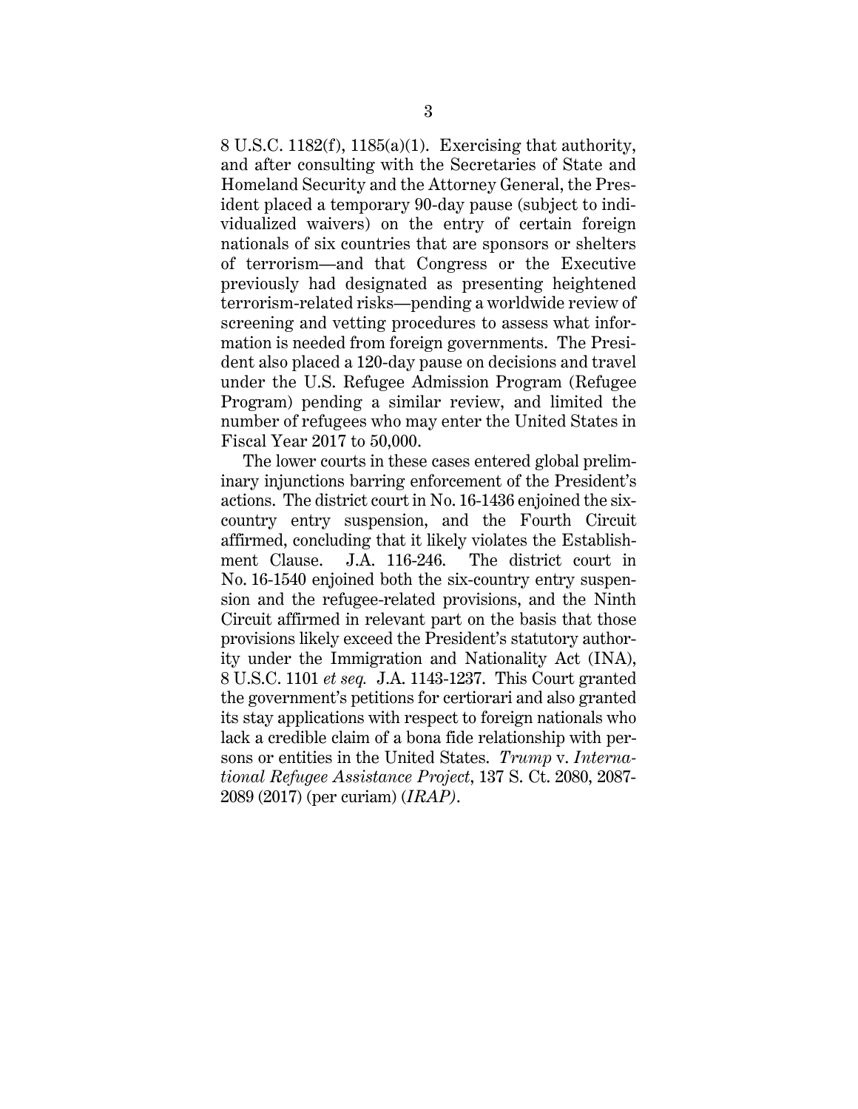8 U.S.C. 1182(f), 1185(a)(1). Exercising that authority, and after consulting with the Secretaries of State and Homeland Security and the Attorney General, the President placed a temporary 90-day pause (subject to individualized waivers) on the entry of certain foreign nationals of six countries that are sponsors or shelters of terrorism—and that Congress or the Executive previously had designated as presenting heightened terrorism-related risks—pending a worldwide review of screening and vetting procedures to assess what information is needed from foreign governments. The President also placed a 120-day pause on decisions and travel under the U.S. Refugee Admission Program (Refugee Program) pending a similar review, and limited the number of refugees who may enter the United States in Fiscal Year 2017 to 50,000.

The lower courts in these cases entered global preliminary injunctions barring enforcement of the President's actions. The district court in No. 16-1436 enjoined the sixcountry entry suspension, and the Fourth Circuit affirmed, concluding that it likely violates the Establishment Clause. J.A. 116-246. The district court in No. 16-1540 enjoined both the six-country entry suspension and the refugee-related provisions, and the Ninth Circuit affirmed in relevant part on the basis that those provisions likely exceed the President's statutory authority under the Immigration and Nationality Act (INA), 8 U.S.C. 1101 *et seq.* J.A. 1143-1237. This Court granted the government's petitions for certiorari and also granted its stay applications with respect to foreign nationals who lack a credible claim of a bona fide relationship with persons or entities in the United States. *Trump* v. *International Refugee Assistance Project*, 137 S. Ct. 2080, 2087- 2089 (2017) (per curiam) (*IRAP)*.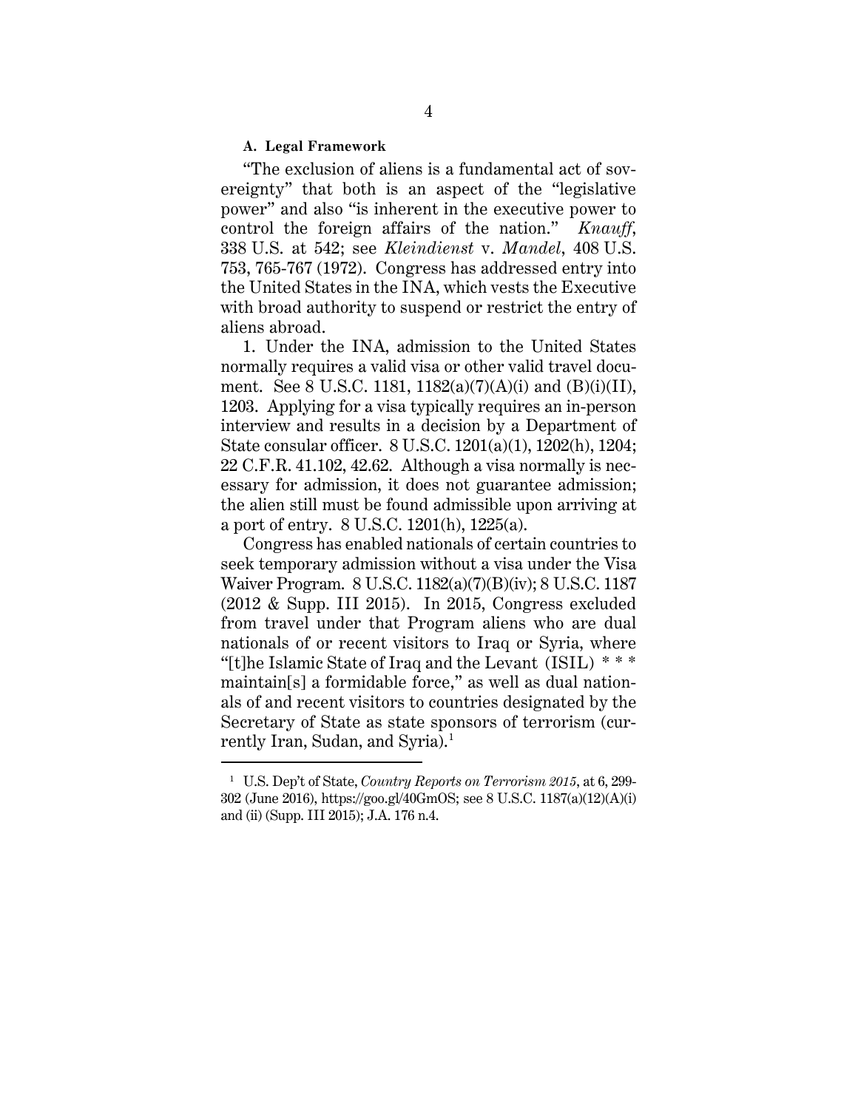#### **A. Legal Framework**

"The exclusion of aliens is a fundamental act of sovereignty" that both is an aspect of the "legislative power" and also "is inherent in the executive power to control the foreign affairs of the nation." *Knauff*, 338 U.S. at 542; see *Kleindienst* v. *Mandel*, 408 U.S. 753, 765-767 (1972). Congress has addressed entry into the United States in the INA, which vests the Executive with broad authority to suspend or restrict the entry of aliens abroad.

1. Under the INA, admission to the United States normally requires a valid visa or other valid travel document. See 8 U.S.C. 1181, 1182(a)(7)(A)(i) and (B)(i)(II), 1203. Applying for a visa typically requires an in-person interview and results in a decision by a Department of State consular officer. 8 U.S.C. 1201(a)(1), 1202(h), 1204; 22 C.F.R. 41.102, 42.62. Although a visa normally is necessary for admission, it does not guarantee admission; the alien still must be found admissible upon arriving at a port of entry. 8 U.S.C. 1201(h), 1225(a).

Congress has enabled nationals of certain countries to seek temporary admission without a visa under the Visa Waiver Program. 8 U.S.C. 1182(a)(7)(B)(iv); 8 U.S.C. 1187 (2012 & Supp. III 2015). In 2015, Congress excluded from travel under that Program aliens who are dual nationals of or recent visitors to Iraq or Syria, where "[t]he Islamic State of Iraq and the Levant (ISIL)  $***$ maintain[s] a formidable force," as well as dual nationals of and recent visitors to countries designated by the Secretary of State as state sponsors of terrorism (currently Iran, Sudan, and Syria). 1

 $\overline{a}$ 

<sup>1</sup> U.S. Dep't of State, *Country Reports on Terrorism 2015*, at 6, 299- 302 (June 2016), https://goo.gl/40GmOS; see 8 U.S.C. 1187(a)(12)(A)(i) and (ii) (Supp. III 2015); J.A. 176 n.4.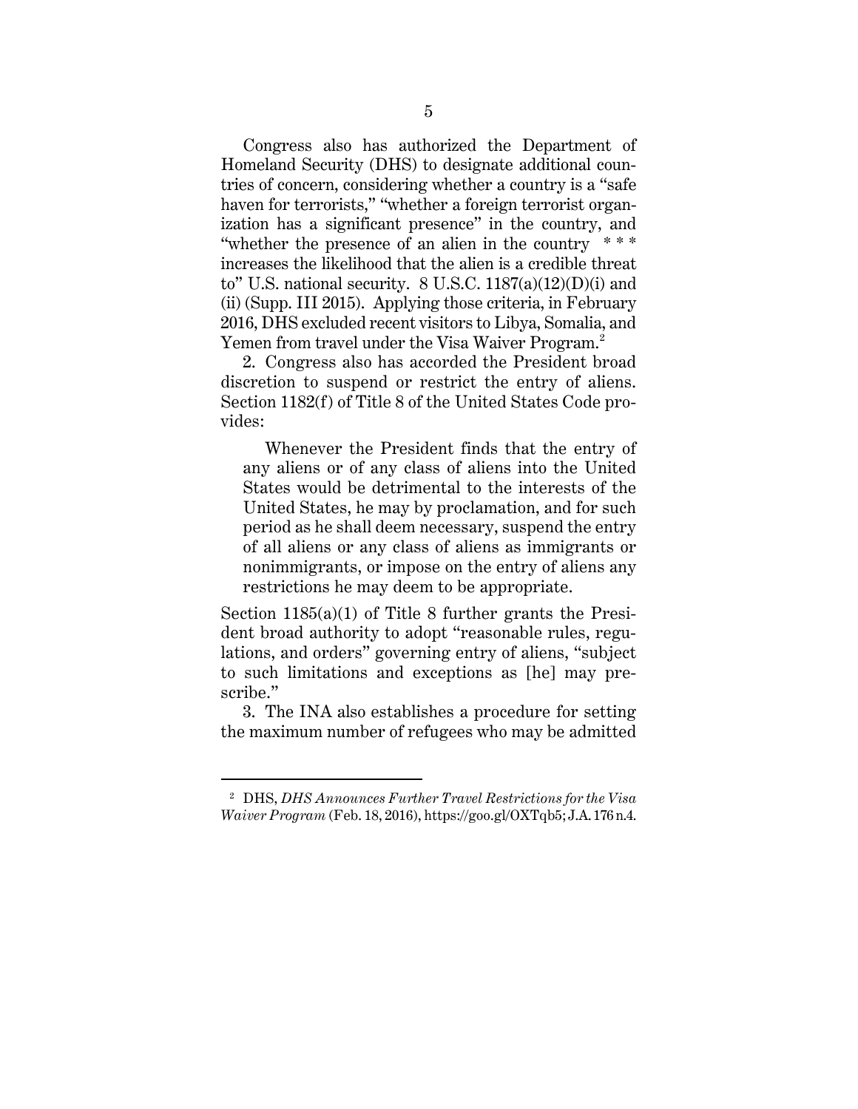Congress also has authorized the Department of Homeland Security (DHS) to designate additional countries of concern, considering whether a country is a "safe haven for terrorists," "whether a foreign terrorist organization has a significant presence" in the country, and "whether the presence of an alien in the country  $***$ increases the likelihood that the alien is a credible threat to" U.S. national security.  $8$  U.S.C.  $1187(a)(12)(D)(i)$  and (ii) (Supp. III 2015). Applying those criteria, in February 2016, DHS excluded recent visitors to Libya, Somalia, and Yemen from travel under the Visa Waiver Program.<sup>2</sup>

2. Congress also has accorded the President broad discretion to suspend or restrict the entry of aliens. Section 1182(f) of Title 8 of the United States Code provides:

Whenever the President finds that the entry of any aliens or of any class of aliens into the United States would be detrimental to the interests of the United States, he may by proclamation, and for such period as he shall deem necessary, suspend the entry of all aliens or any class of aliens as immigrants or nonimmigrants, or impose on the entry of aliens any restrictions he may deem to be appropriate.

Section 1185(a)(1) of Title 8 further grants the President broad authority to adopt "reasonable rules, regulations, and orders" governing entry of aliens, "subject to such limitations and exceptions as [he] may prescribe."

3. The INA also establishes a procedure for setting the maximum number of refugees who may be admitted

 $\overline{a}$ 

<sup>2</sup> DHS, *DHS Announces Further Travel Restrictions for the Visa Waiver Program* (Feb. 18, 2016), https://goo.gl/OXTqb5; J.A. 176 n.4.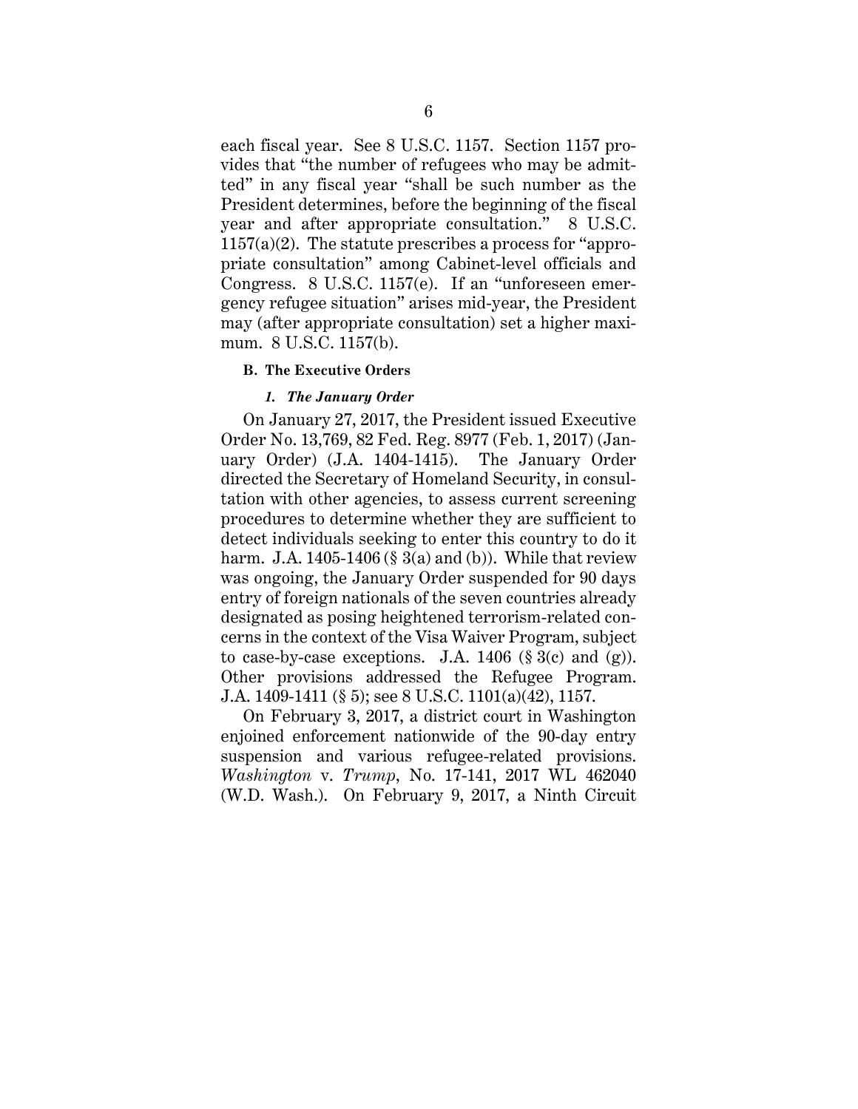each fiscal year. See 8 U.S.C. 1157. Section 1157 provides that "the number of refugees who may be admitted" in any fiscal year "shall be such number as the President determines, before the beginning of the fiscal year and after appropriate consultation." 8 U.S.C. 1157(a)(2). The statute prescribes a process for "appropriate consultation" among Cabinet-level officials and Congress. 8 U.S.C. 1157(e). If an "unforeseen emergency refugee situation" arises mid-year, the President may (after appropriate consultation) set a higher maximum. 8 U.S.C. 1157(b).

#### **B. The Executive Orders**

#### *1. The January Order*

On January 27, 2017, the President issued Executive Order No. 13,769, 82 Fed. Reg. 8977 (Feb. 1, 2017) (January Order) (J.A. 1404-1415). The January Order directed the Secretary of Homeland Security, in consultation with other agencies, to assess current screening procedures to determine whether they are sufficient to detect individuals seeking to enter this country to do it harm. J.A. 1405-1406 (§  $3(a)$  and (b)). While that review was ongoing, the January Order suspended for 90 days entry of foreign nationals of the seven countries already designated as posing heightened terrorism-related concerns in the context of the Visa Waiver Program, subject to case-by-case exceptions. J.A.  $1406$  (§ 3(c) and (g)). Other provisions addressed the Refugee Program. J.A. 1409-1411 (§ 5); see 8 U.S.C. 1101(a)(42), 1157.

On February 3, 2017, a district court in Washington enjoined enforcement nationwide of the 90-day entry suspension and various refugee-related provisions. *Washington* v. *Trump*, No. 17-141, 2017 WL 462040 (W.D. Wash.). On February 9, 2017, a Ninth Circuit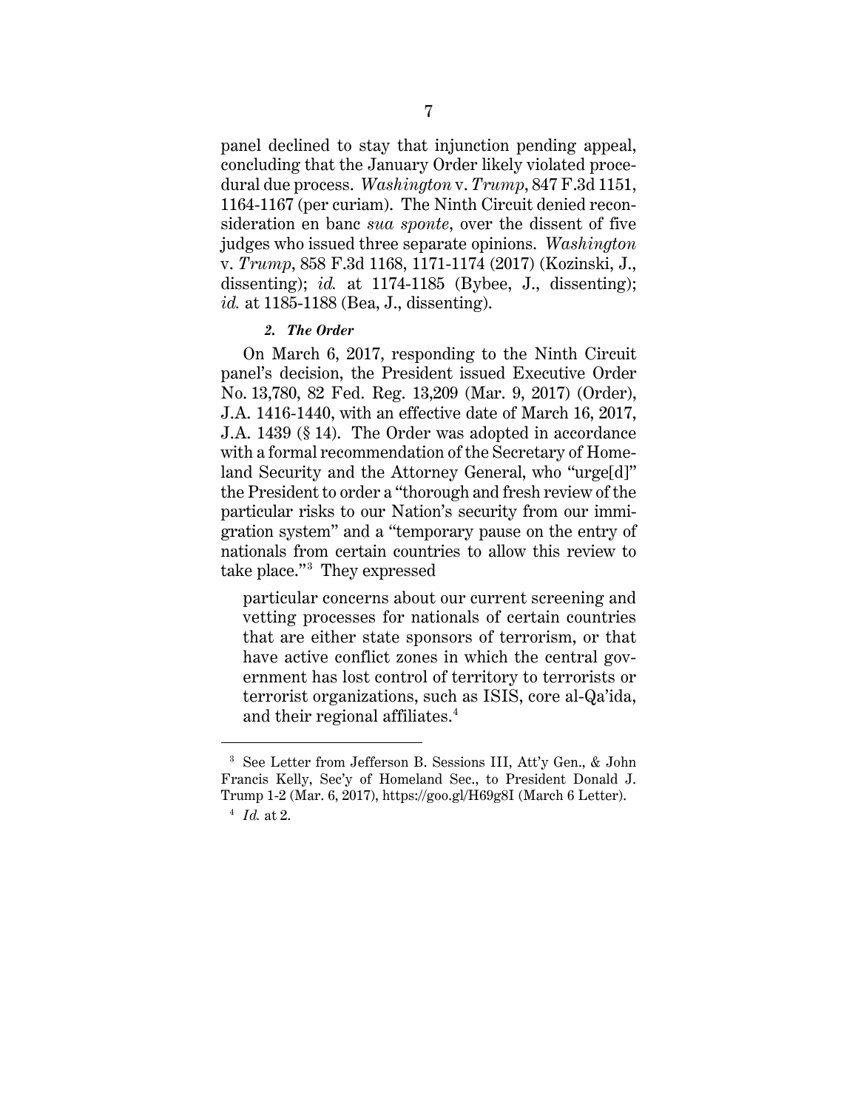panel declined to stay that injunction pending appeal, concluding that the January Order likely violated procedural due process. *Washington* v. *Trump*, 847 F.3d 1151, 1164-1167 (per curiam). The Ninth Circuit denied reconsideration en banc *sua sponte*, over the dissent of five judges who issued three separate opinions. *Washington*  v. *Trump*, 858 F.3d 1168, 1171-1174 (2017) (Kozinski, J., dissenting); *id.* at 1174-1185 (Bybee, J., dissenting); *id.* at 1185-1188 (Bea, J., dissenting).

# *2. The Order*

On March 6, 2017, responding to the Ninth Circuit panel's decision, the President issued Executive Order No. 13,780, 82 Fed. Reg. 13,209 (Mar. 9, 2017) (Order), J.A. 1416-1440, with an effective date of March 16, 2017, J.A. 1439 (§ 14). The Order was adopted in accordance with a formal recommendation of the Secretary of Homeland Security and the Attorney General, who "urge[d]" the President to order a "thorough and fresh review of the particular risks to our Nation's security from our immigration system" and a "temporary pause on the entry of nationals from certain countries to allow this review to take place."<sup>3</sup> They expressed

particular concerns about our current screening and vetting processes for nationals of certain countries that are either state sponsors of terrorism, or that have active conflict zones in which the central government has lost control of territory to terrorists or terrorist organizations, such as ISIS, core al-Qa'ida, and their regional affiliates.<sup>4</sup>

 $\overline{a}$ 

<sup>3</sup> See Letter from Jefferson B. Sessions III, Att'y Gen., & John Francis Kelly, Sec'y of Homeland Sec., to President Donald J. Trump 1-2 (Mar. 6, 2017), https://goo.gl/H69g8I (March 6 Letter).

<sup>4</sup> *Id.* at 2.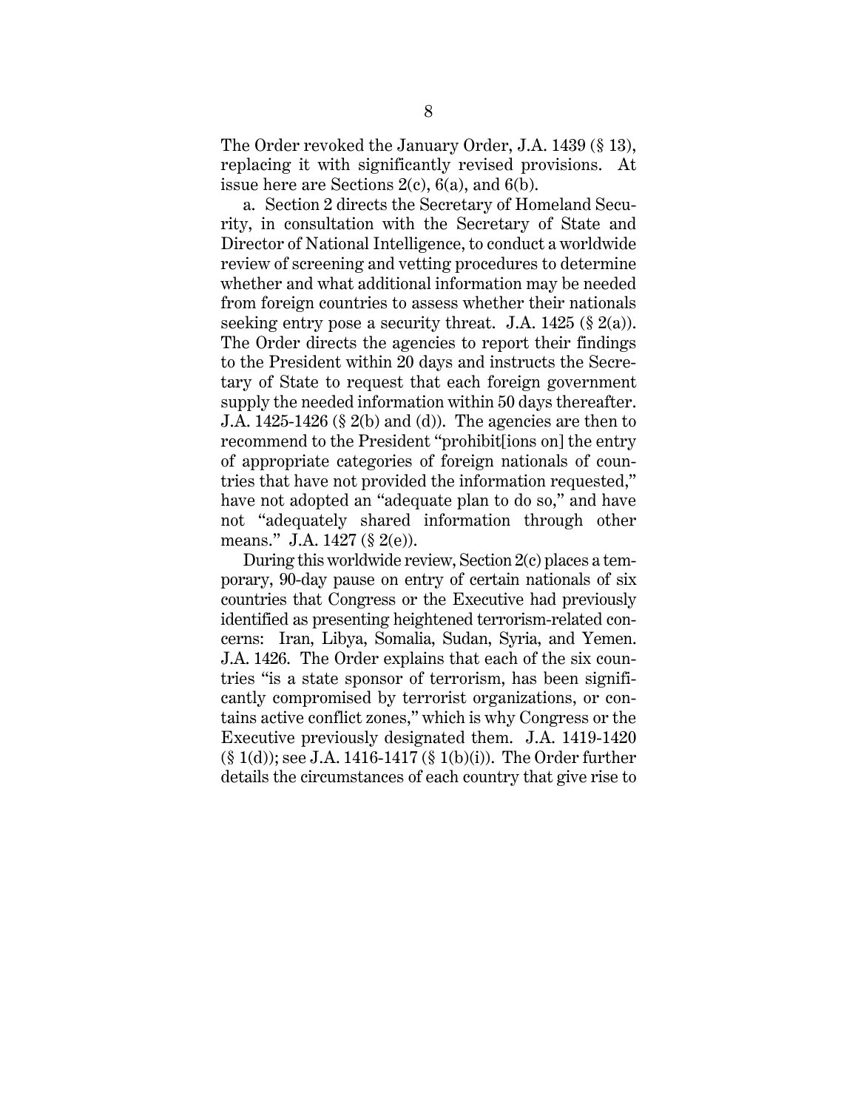The Order revoked the January Order, J.A. 1439 (§ 13), replacing it with significantly revised provisions. At issue here are Sections  $2(c)$ ,  $6(a)$ , and  $6(b)$ .

a. Section 2 directs the Secretary of Homeland Security, in consultation with the Secretary of State and Director of National Intelligence, to conduct a worldwide review of screening and vetting procedures to determine whether and what additional information may be needed from foreign countries to assess whether their nationals seeking entry pose a security threat. J.A.  $1425 \left( \frac{8}{5} 2(a) \right)$ . The Order directs the agencies to report their findings to the President within 20 days and instructs the Secretary of State to request that each foreign government supply the needed information within 50 days thereafter. J.A. 1425-1426 (§ 2(b) and (d)). The agencies are then to recommend to the President "prohibit[ions on] the entry of appropriate categories of foreign nationals of countries that have not provided the information requested," have not adopted an "adequate plan to do so," and have not "adequately shared information through other means." J.A. 1427 (§ 2(e)).

During this worldwide review, Section 2(c) places a temporary, 90-day pause on entry of certain nationals of six countries that Congress or the Executive had previously identified as presenting heightened terrorism-related concerns: Iran, Libya, Somalia, Sudan, Syria, and Yemen. J.A. 1426. The Order explains that each of the six countries "is a state sponsor of terrorism, has been significantly compromised by terrorist organizations, or contains active conflict zones," which is why Congress or the Executive previously designated them. J.A. 1419-1420 (§ 1(d)); see J.A. 1416-1417 (§ 1(b)(i)). The Order further details the circumstances of each country that give rise to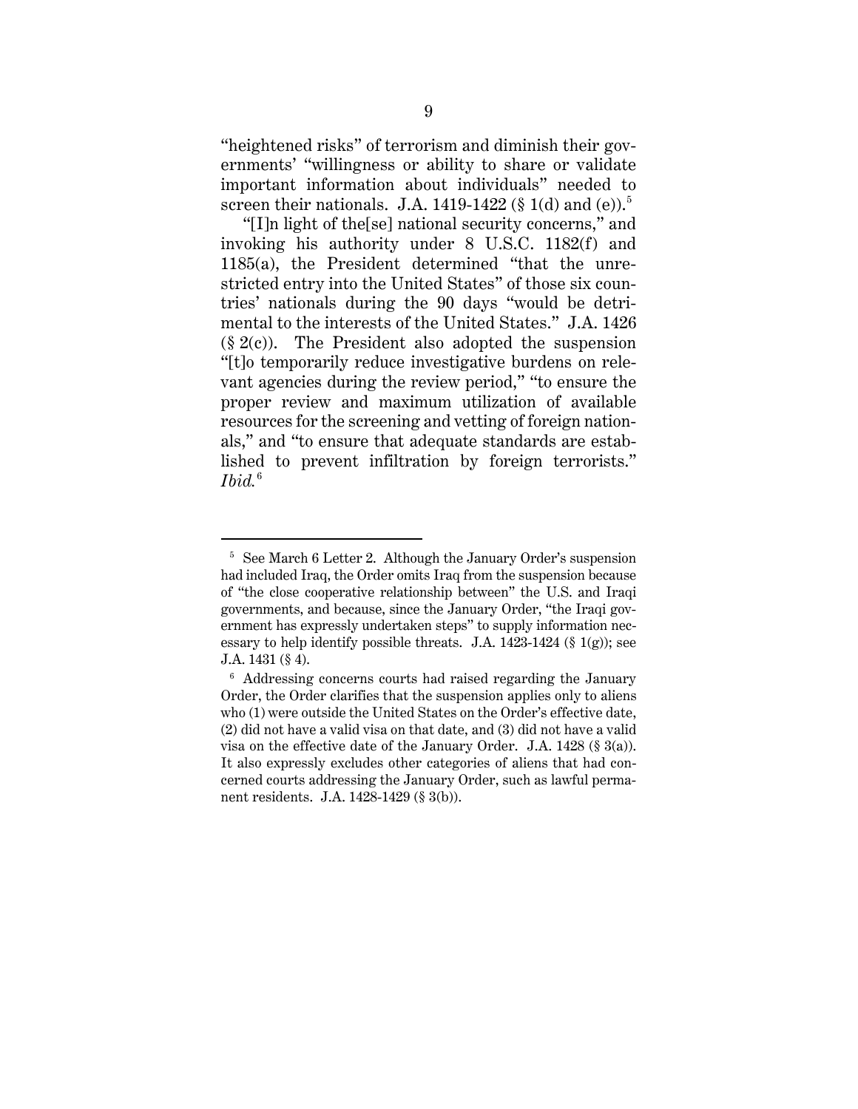"heightened risks" of terrorism and diminish their governments' "willingness or ability to share or validate important information about individuals" needed to screen their nationals. J.A. 1419-1422 (§ 1(d) and (e)).<sup>5</sup>

"[I]n light of the[se] national security concerns," and invoking his authority under 8 U.S.C. 1182(f) and 1185(a), the President determined "that the unrestricted entry into the United States" of those six countries' nationals during the 90 days "would be detrimental to the interests of the United States." J.A. 1426  $(\S 2(c))$ . The President also adopted the suspension "[t]o temporarily reduce investigative burdens on relevant agencies during the review period," "to ensure the proper review and maximum utilization of available resources for the screening and vetting of foreign nationals," and "to ensure that adequate standards are established to prevent infiltration by foreign terrorists." *Ibid.*<sup>6</sup>

 $\overline{a}$ 

<sup>&</sup>lt;sup>5</sup> See March 6 Letter 2. Although the January Order's suspension had included Iraq, the Order omits Iraq from the suspension because of "the close cooperative relationship between" the U.S. and Iraqi governments, and because, since the January Order, "the Iraqi government has expressly undertaken steps" to supply information necessary to help identify possible threats. J.A.  $1423-1424$  (§  $1(g)$ ); see J.A. 1431 (§ 4).

<sup>&</sup>lt;sup>6</sup> Addressing concerns courts had raised regarding the January Order, the Order clarifies that the suspension applies only to aliens who (1) were outside the United States on the Order's effective date, (2) did not have a valid visa on that date, and (3) did not have a valid visa on the effective date of the January Order. J.A.  $1428$  (§ 3(a)). It also expressly excludes other categories of aliens that had concerned courts addressing the January Order, such as lawful permanent residents. J.A. 1428-1429 (§ 3(b)).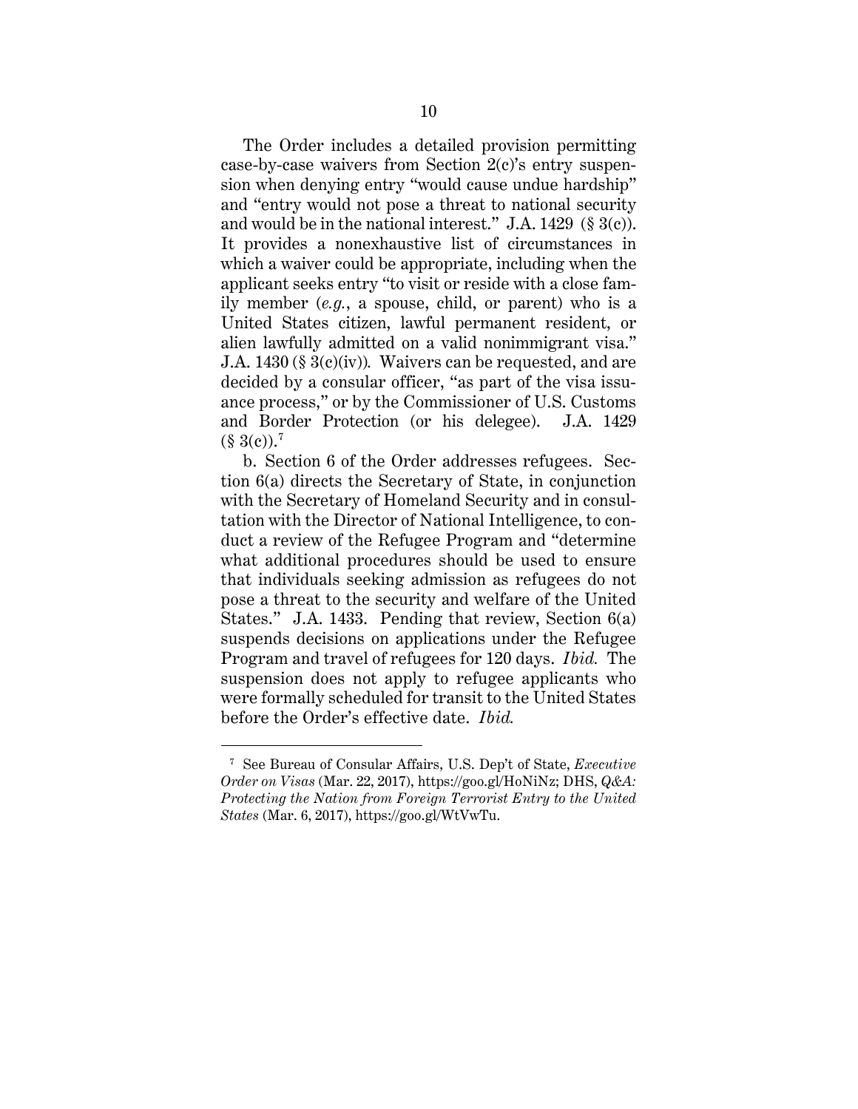The Order includes a detailed provision permitting case-by-case waivers from Section 2(c)'s entry suspension when denying entry "would cause undue hardship" and "entry would not pose a threat to national security and would be in the national interest." J.A.  $1429$  (§ 3(c)). It provides a nonexhaustive list of circumstances in which a waiver could be appropriate, including when the applicant seeks entry "to visit or reside with a close family member (*e.g.*, a spouse, child, or parent) who is a United States citizen, lawful permanent resident, or alien lawfully admitted on a valid nonimmigrant visa." J.A. 1430 (§ 3(c)(iv))*.* Waivers can be requested, and are decided by a consular officer, "as part of the visa issuance process," or by the Commissioner of U.S. Customs and Border Protection (or his delegee). J.A. 1429  $(\S 3(c)).^7$ 

b. Section 6 of the Order addresses refugees. Section 6(a) directs the Secretary of State, in conjunction with the Secretary of Homeland Security and in consultation with the Director of National Intelligence, to conduct a review of the Refugee Program and "determine what additional procedures should be used to ensure that individuals seeking admission as refugees do not pose a threat to the security and welfare of the United States." J.A. 1433. Pending that review, Section 6(a) suspends decisions on applications under the Refugee Program and travel of refugees for 120 days. *Ibid.* The suspension does not apply to refugee applicants who were formally scheduled for transit to the United States before the Order's effective date. *Ibid.*

 $\overline{a}$ 

<sup>7</sup> See Bureau of Consular Affairs, U.S. Dep't of State, *Executive Order on Visas* (Mar. 22, 2017), https://goo.gl/HoNiNz; DHS, *Q&A: Protecting the Nation from Foreign Terrorist Entry to the United States* (Mar. 6, 2017), https://goo.gl/WtVwTu.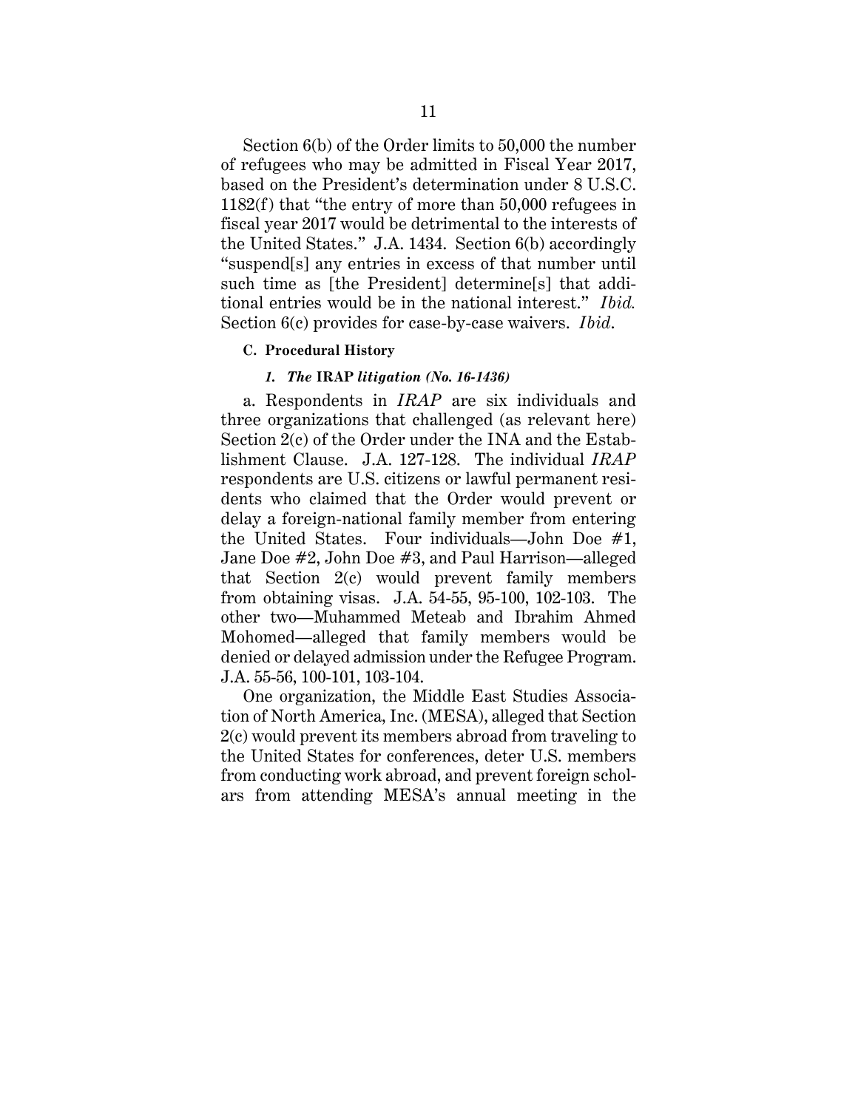Section 6(b) of the Order limits to 50,000 the number of refugees who may be admitted in Fiscal Year 2017, based on the President's determination under 8 U.S.C. 1182(f) that "the entry of more than 50,000 refugees in fiscal year 2017 would be detrimental to the interests of the United States." J.A. 1434. Section 6(b) accordingly "suspend[s] any entries in excess of that number until such time as [the President] determine[s] that additional entries would be in the national interest." *Ibid.* Section 6(c) provides for case-by-case waivers. *Ibid*.

### **C. Procedural History**

### *1. The* **IRAP** *litigation (No. 16-1436)*

a. Respondents in *IRAP* are six individuals and three organizations that challenged (as relevant here) Section 2(c) of the Order under the INA and the Establishment Clause. J.A. 127-128. The individual *IRAP*  respondents are U.S. citizens or lawful permanent residents who claimed that the Order would prevent or delay a foreign-national family member from entering the United States. Four individuals—John Doe #1, Jane Doe #2, John Doe #3, and Paul Harrison—alleged that Section 2(c) would prevent family members from obtaining visas. J.A. 54-55, 95-100, 102-103. The other two—Muhammed Meteab and Ibrahim Ahmed Mohomed—alleged that family members would be denied or delayed admission under the Refugee Program. J.A. 55-56, 100-101, 103-104.

One organization, the Middle East Studies Association of North America, Inc. (MESA), alleged that Section 2(c) would prevent its members abroad from traveling to the United States for conferences, deter U.S. members from conducting work abroad, and prevent foreign scholars from attending MESA's annual meeting in the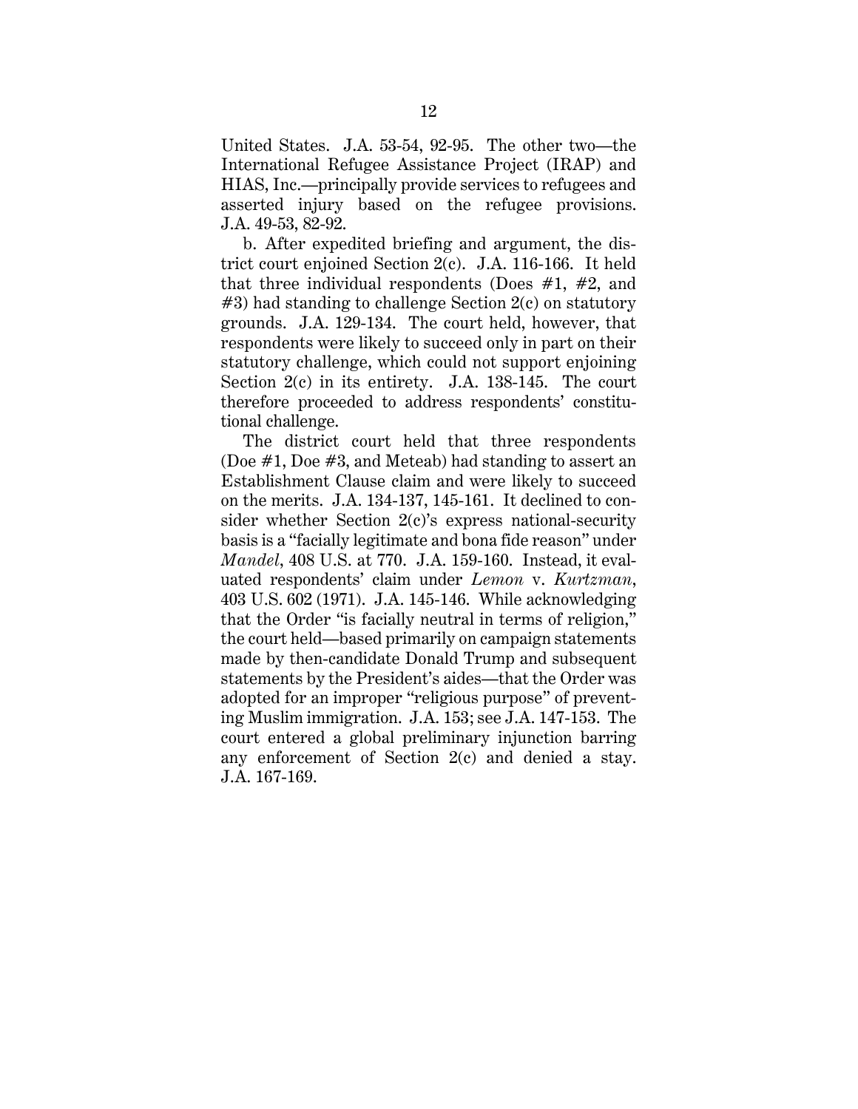United States. J.A. 53-54, 92-95. The other two—the International Refugee Assistance Project (IRAP) and HIAS, Inc.—principally provide services to refugees and asserted injury based on the refugee provisions. J.A. 49-53, 82-92.

b. After expedited briefing and argument, the district court enjoined Section 2(c). J.A. 116-166. It held that three individual respondents (Does  $#1, #2,$  and #3) had standing to challenge Section 2(c) on statutory grounds. J.A. 129-134. The court held, however, that respondents were likely to succeed only in part on their statutory challenge, which could not support enjoining Section 2(c) in its entirety. J.A. 138-145. The court therefore proceeded to address respondents' constitutional challenge.

The district court held that three respondents (Doe #1, Doe #3, and Meteab) had standing to assert an Establishment Clause claim and were likely to succeed on the merits. J.A. 134-137, 145-161. It declined to consider whether Section 2(c)'s express national-security basis is a "facially legitimate and bona fide reason" under *Mandel*, 408 U.S. at 770. J.A. 159-160. Instead, it evaluated respondents' claim under *Lemon* v. *Kurtzman*, 403 U.S. 602 (1971). J.A. 145-146. While acknowledging that the Order "is facially neutral in terms of religion," the court held—based primarily on campaign statements made by then-candidate Donald Trump and subsequent statements by the President's aides—that the Order was adopted for an improper "religious purpose" of preventing Muslim immigration. J.A. 153; see J.A. 147-153. The court entered a global preliminary injunction barring any enforcement of Section 2(c) and denied a stay. J.A. 167-169.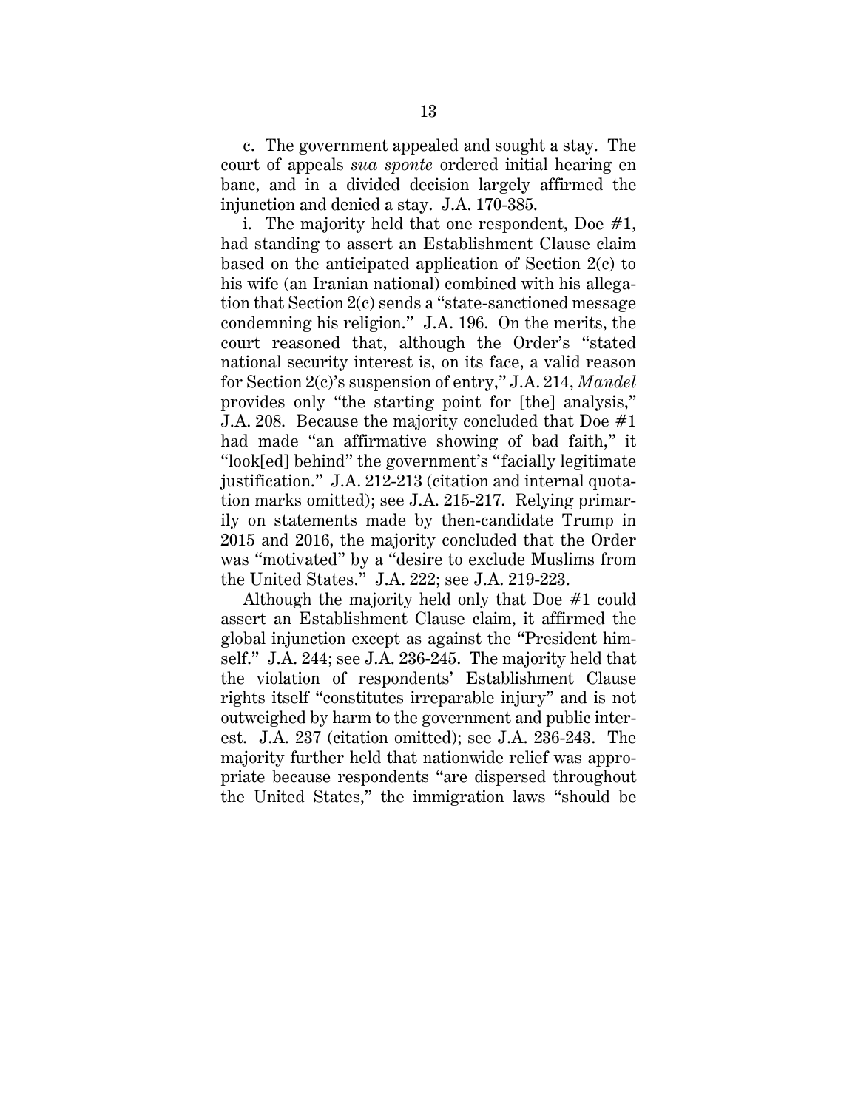c. The government appealed and sought a stay. The court of appeals *sua sponte* ordered initial hearing en banc, and in a divided decision largely affirmed the injunction and denied a stay. J.A. 170-385.

i. The majority held that one respondent, Doe  $#1$ , had standing to assert an Establishment Clause claim based on the anticipated application of Section 2(c) to his wife (an Iranian national) combined with his allegation that Section 2(c) sends a "state-sanctioned message condemning his religion." J.A. 196. On the merits, the court reasoned that, although the Order's "stated national security interest is, on its face, a valid reason for Section 2(c)'s suspension of entry," J.A. 214, *Mandel* provides only "the starting point for [the] analysis," J.A. 208. Because the majority concluded that Doe #1 had made "an affirmative showing of bad faith," it "look[ed] behind" the government's "facially legitimate justification." J.A. 212-213 (citation and internal quotation marks omitted); see J.A. 215-217. Relying primarily on statements made by then-candidate Trump in 2015 and 2016, the majority concluded that the Order was "motivated" by a "desire to exclude Muslims from the United States." J.A. 222; see J.A. 219-223.

Although the majority held only that Doe #1 could assert an Establishment Clause claim, it affirmed the global injunction except as against the "President himself." J.A. 244; see J.A. 236-245. The majority held that the violation of respondents' Establishment Clause rights itself "constitutes irreparable injury" and is not outweighed by harm to the government and public interest. J.A. 237 (citation omitted); see J.A. 236-243. The majority further held that nationwide relief was appropriate because respondents "are dispersed throughout the United States," the immigration laws "should be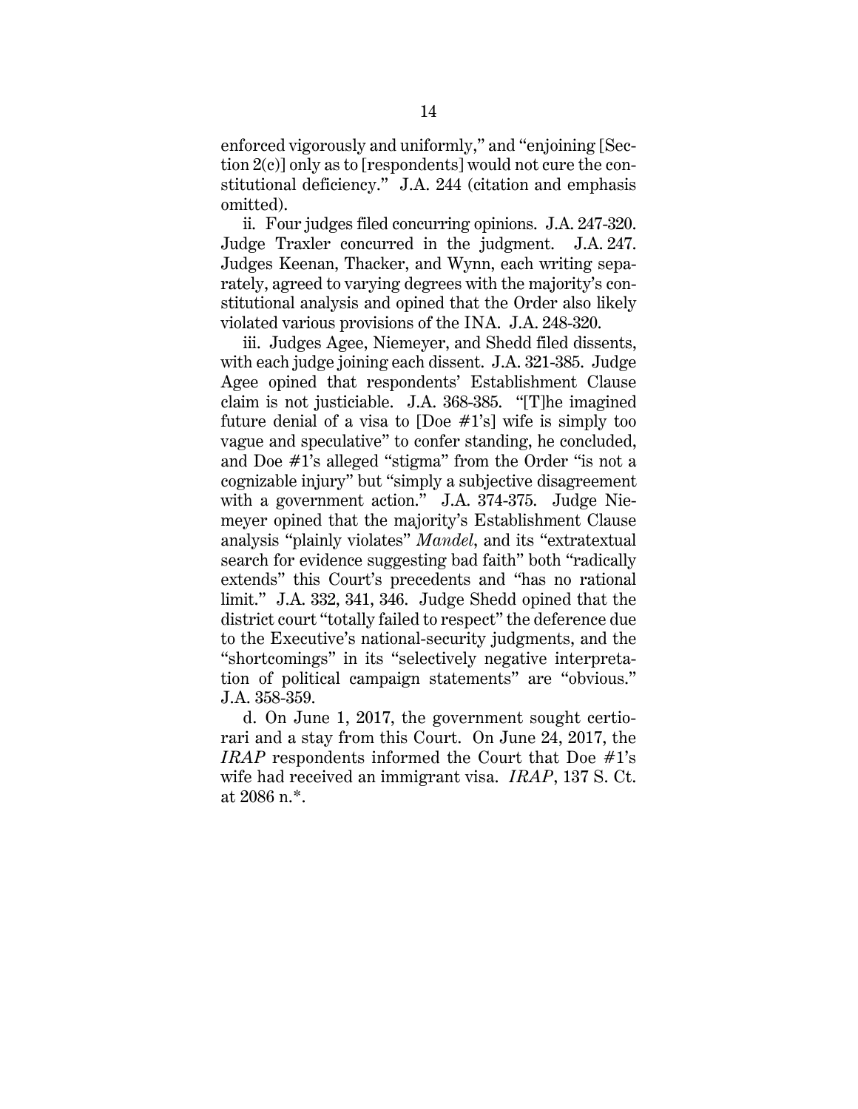enforced vigorously and uniformly," and "enjoining [Section 2(c)] only as to [respondents] would not cure the constitutional deficiency." J.A. 244 (citation and emphasis omitted).

ii. Four judges filed concurring opinions. J.A. 247-320. Judge Traxler concurred in the judgment. J.A. 247. Judges Keenan, Thacker, and Wynn, each writing separately, agreed to varying degrees with the majority's constitutional analysis and opined that the Order also likely violated various provisions of the INA. J.A. 248-320.

iii. Judges Agee, Niemeyer, and Shedd filed dissents, with each judge joining each dissent. J.A. 321-385. Judge Agee opined that respondents' Establishment Clause claim is not justiciable. J.A. 368-385. "[T]he imagined future denial of a visa to [Doe #1's] wife is simply too vague and speculative" to confer standing, he concluded, and Doe #1's alleged "stigma" from the Order "is not a cognizable injury" but "simply a subjective disagreement with a government action." J.A. 374-375. Judge Niemeyer opined that the majority's Establishment Clause analysis "plainly violates" *Mandel*, and its "extratextual search for evidence suggesting bad faith" both "radically extends" this Court's precedents and "has no rational limit." J.A. 332, 341, 346. Judge Shedd opined that the district court "totally failed to respect" the deference due to the Executive's national-security judgments, and the "shortcomings" in its "selectively negative interpretation of political campaign statements" are "obvious." J.A. 358-359.

d. On June 1, 2017, the government sought certiorari and a stay from this Court. On June 24, 2017, the *IRAP* respondents informed the Court that Doe #1's wife had received an immigrant visa. *IRAP*, 137 S. Ct. at 2086 n.\*.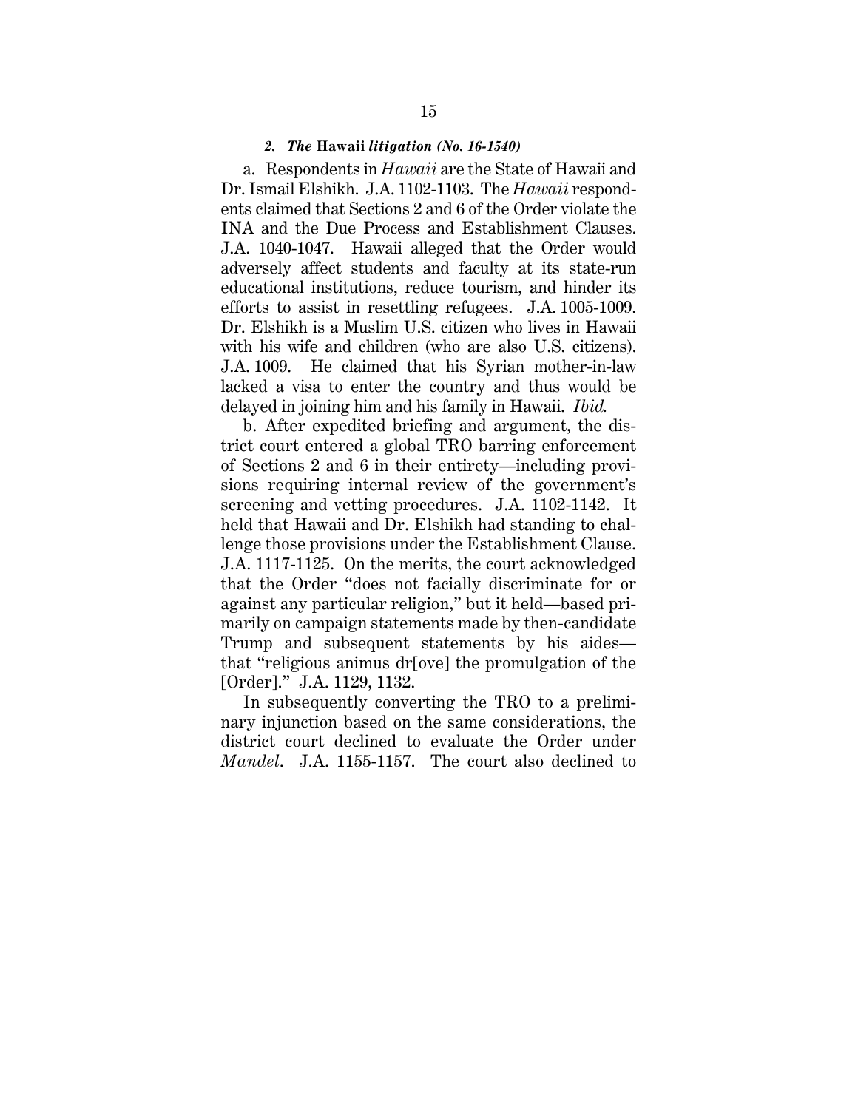#### *2. The* **Hawaii** *litigation (No. 16-1540)*

a. Respondents in *Hawaii* are the State of Hawaii and Dr. Ismail Elshikh. J.A. 1102-1103. The *Hawaii* respondents claimed that Sections 2 and 6 of the Order violate the INA and the Due Process and Establishment Clauses. J.A. 1040-1047. Hawaii alleged that the Order would adversely affect students and faculty at its state-run educational institutions, reduce tourism, and hinder its efforts to assist in resettling refugees. J.A. 1005-1009. Dr. Elshikh is a Muslim U.S. citizen who lives in Hawaii with his wife and children (who are also U.S. citizens). J.A. 1009. He claimed that his Syrian mother-in-law lacked a visa to enter the country and thus would be delayed in joining him and his family in Hawaii. *Ibid.*

b. After expedited briefing and argument, the district court entered a global TRO barring enforcement of Sections 2 and 6 in their entirety—including provisions requiring internal review of the government's screening and vetting procedures. J.A. 1102-1142. It held that Hawaii and Dr. Elshikh had standing to challenge those provisions under the Establishment Clause. J.A. 1117-1125. On the merits, the court acknowledged that the Order "does not facially discriminate for or against any particular religion," but it held—based primarily on campaign statements made by then-candidate Trump and subsequent statements by his aides that "religious animus dr[ove] the promulgation of the [Order]." J.A. 1129, 1132.

In subsequently converting the TRO to a preliminary injunction based on the same considerations, the district court declined to evaluate the Order under *Mandel*. J.A. 1155-1157. The court also declined to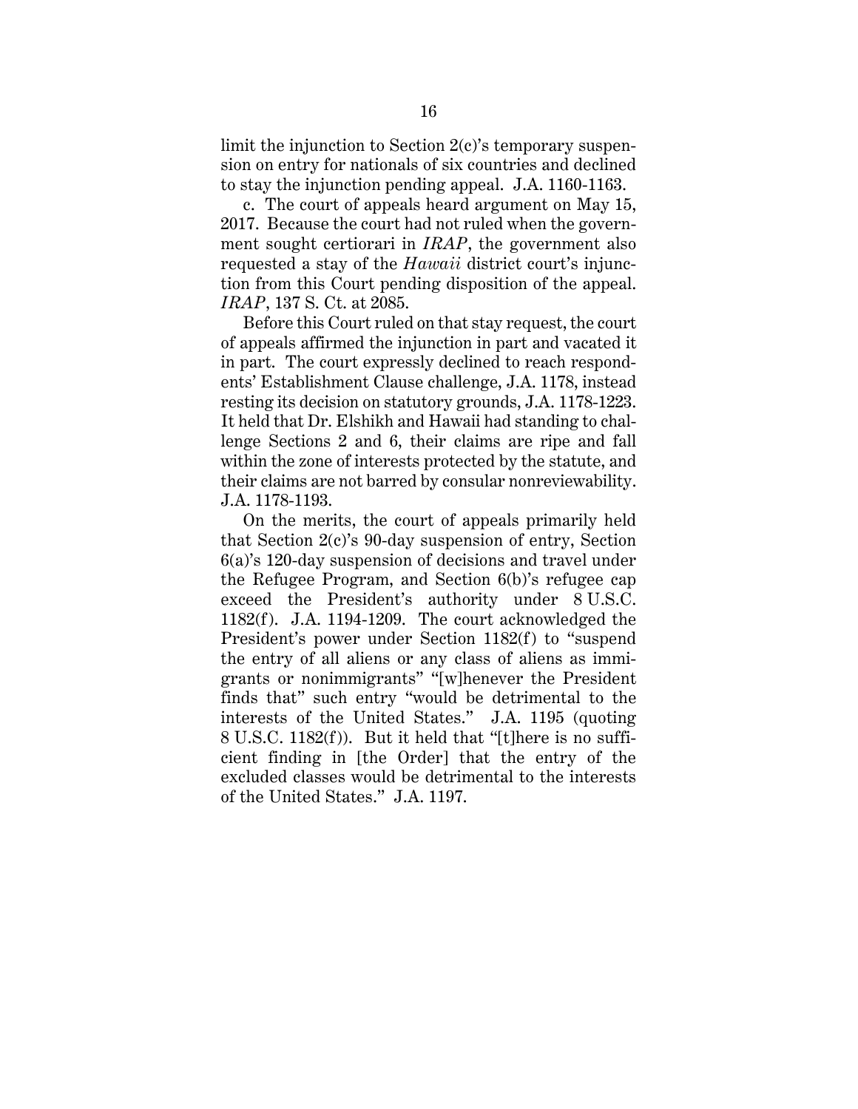limit the injunction to Section 2(c)'s temporary suspension on entry for nationals of six countries and declined to stay the injunction pending appeal. J.A. 1160-1163.

c. The court of appeals heard argument on May 15, 2017. Because the court had not ruled when the government sought certiorari in *IRAP*, the government also requested a stay of the *Hawaii* district court's injunction from this Court pending disposition of the appeal. *IRAP*, 137 S. Ct. at 2085.

Before this Court ruled on that stay request, the court of appeals affirmed the injunction in part and vacated it in part. The court expressly declined to reach respondents' Establishment Clause challenge, J.A. 1178, instead resting its decision on statutory grounds, J.A. 1178-1223. It held that Dr. Elshikh and Hawaii had standing to challenge Sections 2 and 6, their claims are ripe and fall within the zone of interests protected by the statute, and their claims are not barred by consular nonreviewability. J.A. 1178-1193.

On the merits, the court of appeals primarily held that Section 2(c)'s 90-day suspension of entry, Section 6(a)'s 120-day suspension of decisions and travel under the Refugee Program, and Section 6(b)'s refugee cap exceed the President's authority under 8 U.S.C. 1182(f). J.A. 1194-1209. The court acknowledged the President's power under Section 1182(f) to "suspend the entry of all aliens or any class of aliens as immigrants or nonimmigrants" "[w]henever the President finds that" such entry "would be detrimental to the interests of the United States." J.A. 1195 (quoting 8 U.S.C. 1182(f)). But it held that "[t]here is no sufficient finding in [the Order] that the entry of the excluded classes would be detrimental to the interests of the United States." J.A. 1197.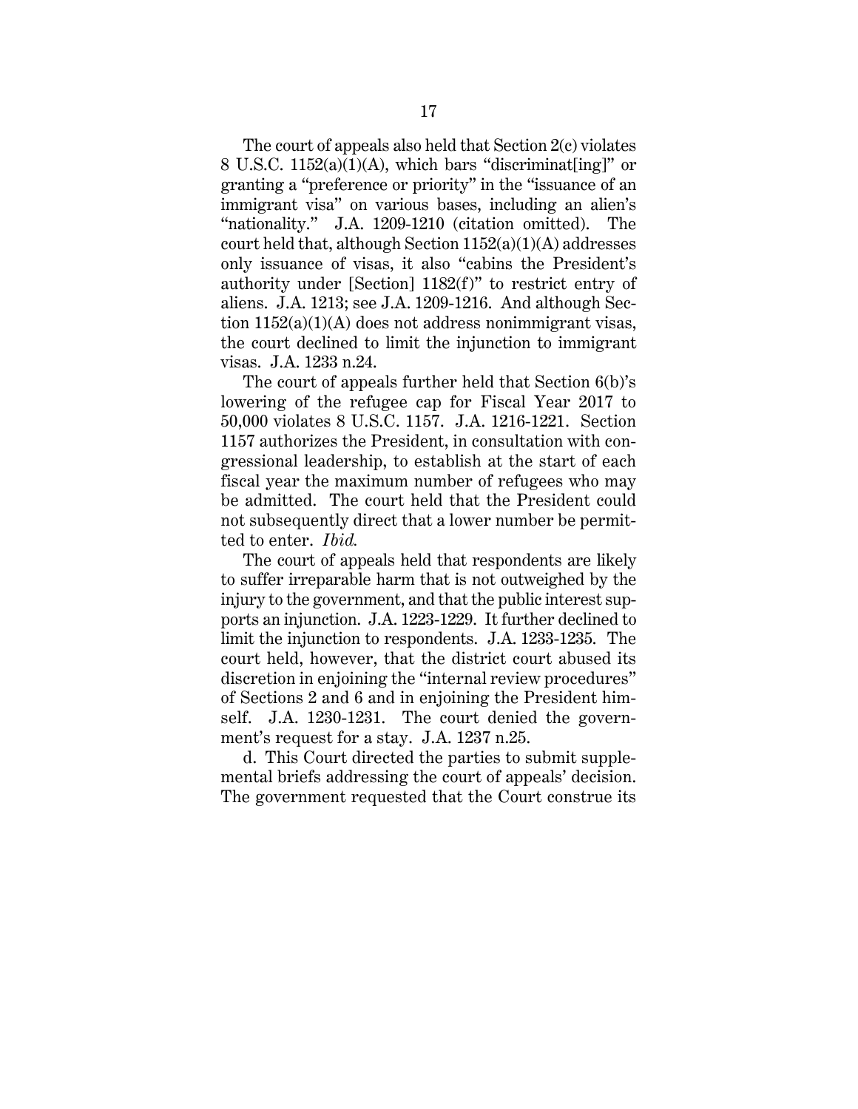The court of appeals also held that Section 2(c) violates 8 U.S.C.  $1152(a)(1)(A)$ , which bars "discriminat[ing]" or granting a "preference or priority" in the "issuance of an immigrant visa" on various bases, including an alien's "nationality." J.A. 1209-1210 (citation omitted). The court held that, although Section  $1152(a)(1)(A)$  addresses only issuance of visas, it also "cabins the President's authority under [Section] 1182(f)" to restrict entry of aliens. J.A. 1213; see J.A. 1209-1216. And although Section 1152(a)(1)(A) does not address nonimmigrant visas, the court declined to limit the injunction to immigrant visas. J.A. 1233 n.24.

The court of appeals further held that Section 6(b)'s lowering of the refugee cap for Fiscal Year 2017 to 50,000 violates 8 U.S.C. 1157. J.A. 1216-1221. Section 1157 authorizes the President, in consultation with congressional leadership, to establish at the start of each fiscal year the maximum number of refugees who may be admitted. The court held that the President could not subsequently direct that a lower number be permitted to enter. *Ibid.*

The court of appeals held that respondents are likely to suffer irreparable harm that is not outweighed by the injury to the government, and that the public interest supports an injunction. J.A. 1223-1229. It further declined to limit the injunction to respondents. J.A. 1233-1235. The court held, however, that the district court abused its discretion in enjoining the "internal review procedures" of Sections 2 and 6 and in enjoining the President himself. J.A. 1230-1231. The court denied the government's request for a stay. J.A. 1237 n.25.

d. This Court directed the parties to submit supplemental briefs addressing the court of appeals' decision. The government requested that the Court construe its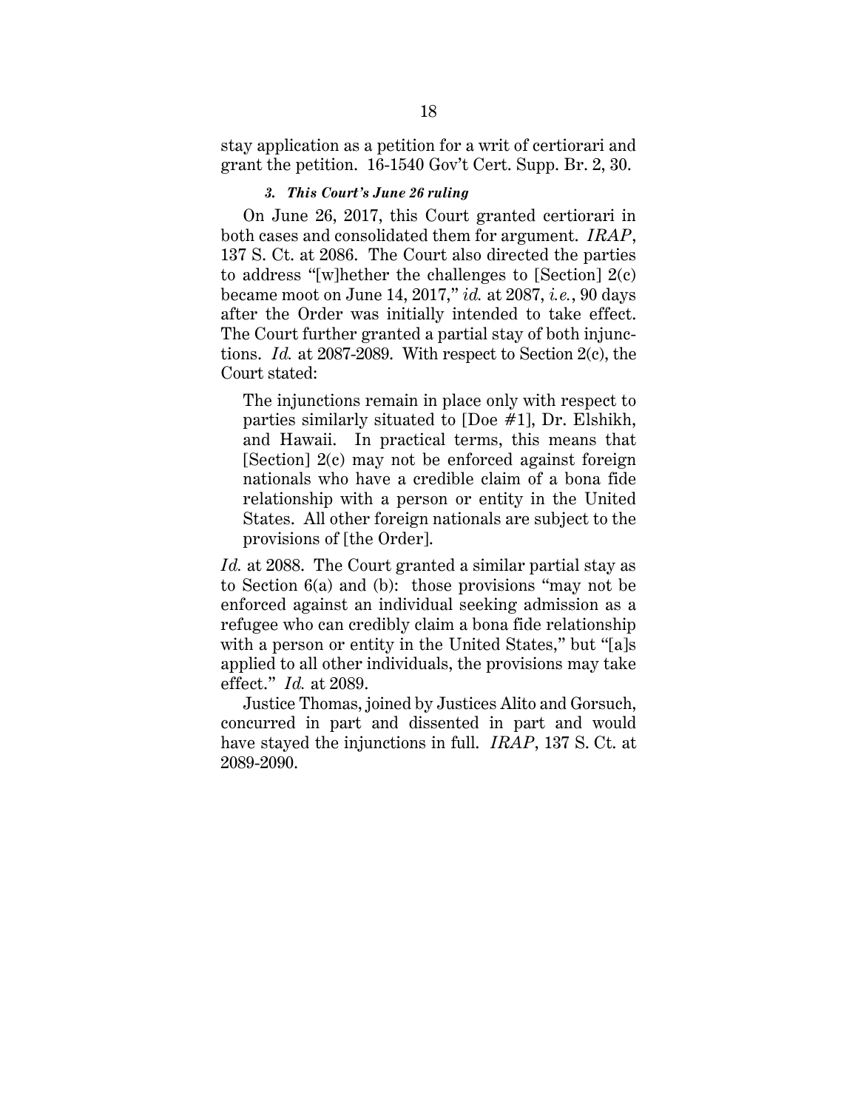stay application as a petition for a writ of certiorari and grant the petition. 16-1540 Gov't Cert. Supp. Br. 2, 30.

#### *3. This Court's June 26 ruling*

On June 26, 2017, this Court granted certiorari in both cases and consolidated them for argument. *IRAP*, 137 S. Ct. at 2086. The Court also directed the parties to address "[w]hether the challenges to [Section] 2(c) became moot on June 14, 2017," *id.* at 2087, *i.e.*, 90 days after the Order was initially intended to take effect. The Court further granted a partial stay of both injunctions. *Id.* at 2087-2089. With respect to Section 2(c), the Court stated:

The injunctions remain in place only with respect to parties similarly situated to [Doe #1], Dr. Elshikh, and Hawaii. In practical terms, this means that [Section] 2(c) may not be enforced against foreign nationals who have a credible claim of a bona fide relationship with a person or entity in the United States. All other foreign nationals are subject to the provisions of [the Order].

*Id.* at 2088. The Court granted a similar partial stay as to Section 6(a) and (b): those provisions "may not be enforced against an individual seeking admission as a refugee who can credibly claim a bona fide relationship with a person or entity in the United States," but "[a]s applied to all other individuals, the provisions may take effect." *Id.* at 2089.

Justice Thomas, joined by Justices Alito and Gorsuch, concurred in part and dissented in part and would have stayed the injunctions in full. *IRAP*, 137 S. Ct. at 2089-2090.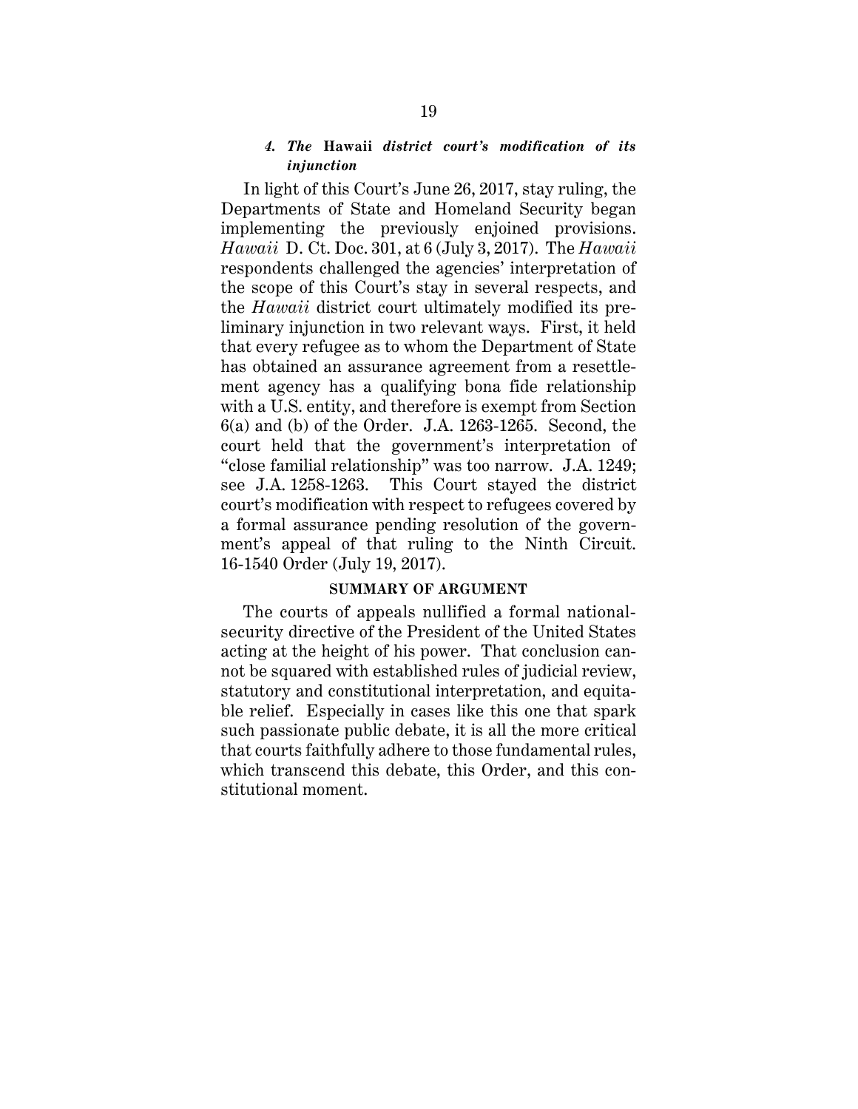## *4. The* **Hawaii** *district court's modification of its injunction*

In light of this Court's June 26, 2017, stay ruling, the Departments of State and Homeland Security began implementing the previously enjoined provisions. *Hawaii* D. Ct. Doc. 301, at 6 (July 3, 2017). The *Hawaii* respondents challenged the agencies' interpretation of the scope of this Court's stay in several respects, and the *Hawaii* district court ultimately modified its preliminary injunction in two relevant ways. First, it held that every refugee as to whom the Department of State has obtained an assurance agreement from a resettlement agency has a qualifying bona fide relationship with a U.S. entity, and therefore is exempt from Section 6(a) and (b) of the Order. J.A. 1263-1265. Second, the court held that the government's interpretation of "close familial relationship" was too narrow. J.A. 1249; see J.A. 1258-1263. This Court stayed the district court's modification with respect to refugees covered by a formal assurance pending resolution of the government's appeal of that ruling to the Ninth Circuit. 16-1540 Order (July 19, 2017).

#### **SUMMARY OF ARGUMENT**

The courts of appeals nullified a formal nationalsecurity directive of the President of the United States acting at the height of his power. That conclusion cannot be squared with established rules of judicial review, statutory and constitutional interpretation, and equitable relief. Especially in cases like this one that spark such passionate public debate, it is all the more critical that courts faithfully adhere to those fundamental rules, which transcend this debate, this Order, and this constitutional moment.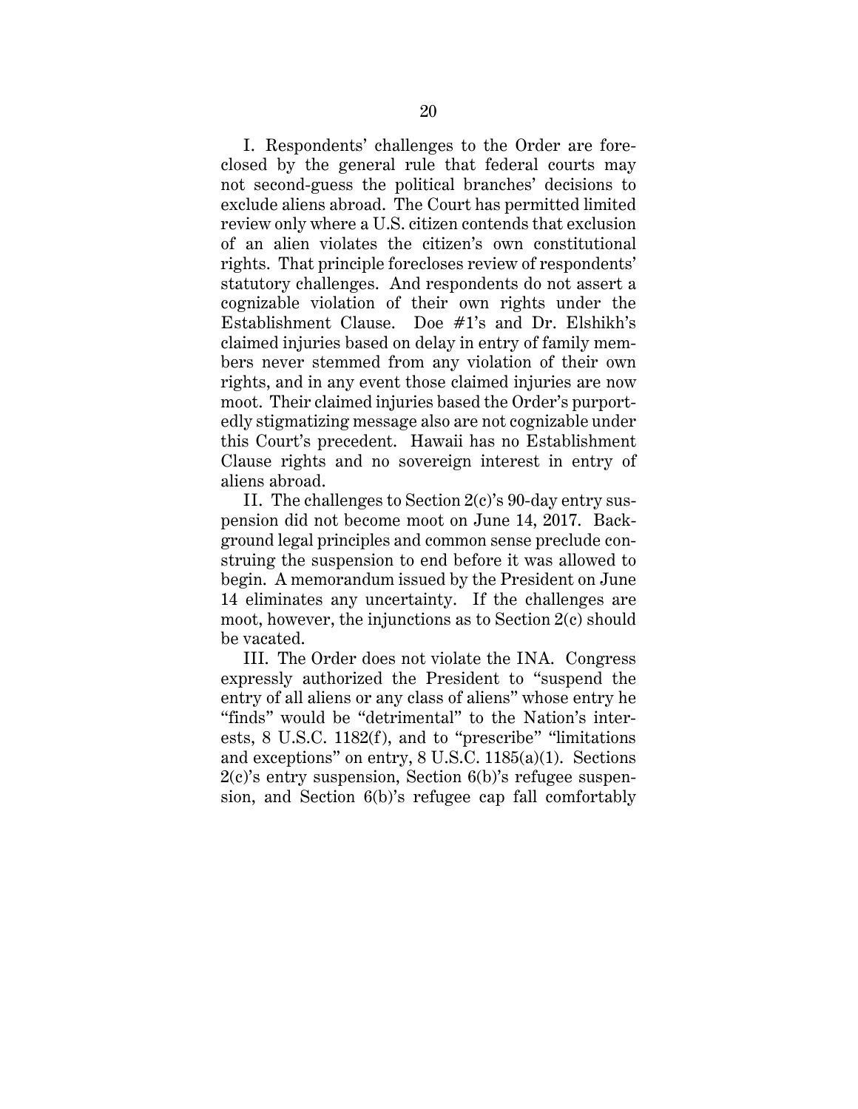I. Respondents' challenges to the Order are foreclosed by the general rule that federal courts may not second-guess the political branches' decisions to exclude aliens abroad. The Court has permitted limited review only where a U.S. citizen contends that exclusion of an alien violates the citizen's own constitutional rights. That principle forecloses review of respondents' statutory challenges. And respondents do not assert a cognizable violation of their own rights under the Establishment Clause. Doe #1's and Dr. Elshikh's claimed injuries based on delay in entry of family members never stemmed from any violation of their own rights, and in any event those claimed injuries are now moot. Their claimed injuries based the Order's purportedly stigmatizing message also are not cognizable under this Court's precedent. Hawaii has no Establishment Clause rights and no sovereign interest in entry of aliens abroad.

II. The challenges to Section 2(c)'s 90-day entry suspension did not become moot on June 14, 2017. Background legal principles and common sense preclude construing the suspension to end before it was allowed to begin. A memorandum issued by the President on June 14 eliminates any uncertainty. If the challenges are moot, however, the injunctions as to Section 2(c) should be vacated.

III. The Order does not violate the INA. Congress expressly authorized the President to "suspend the entry of all aliens or any class of aliens" whose entry he "finds" would be "detrimental" to the Nation's interests, 8 U.S.C. 1182(f), and to "prescribe" "limitations and exceptions" on entry, 8 U.S.C. 1185(a)(1). Sections  $2(c)$ 's entry suspension, Section  $6(b)$ 's refugee suspension, and Section 6(b)'s refugee cap fall comfortably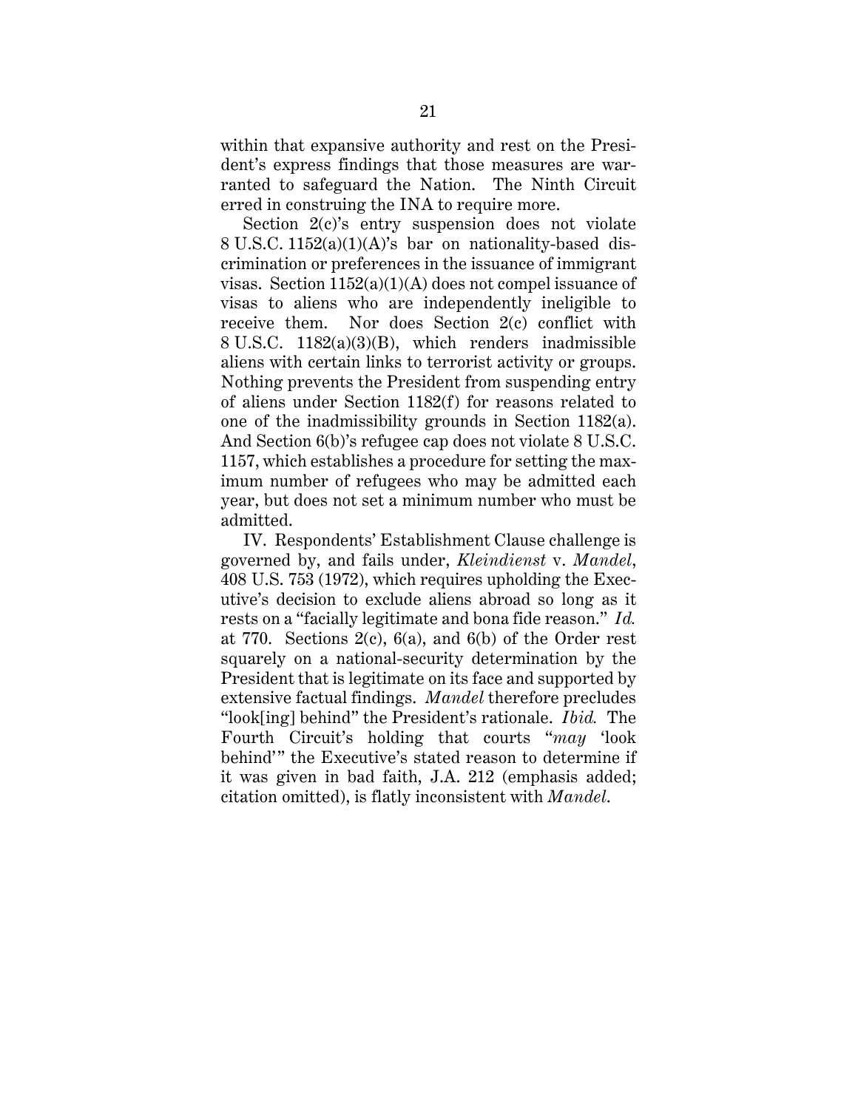within that expansive authority and rest on the President's express findings that those measures are warranted to safeguard the Nation. The Ninth Circuit erred in construing the INA to require more.

Section 2(c)'s entry suspension does not violate 8 U.S.C. 1152(a)(1)(A)'s bar on nationality-based discrimination or preferences in the issuance of immigrant visas. Section  $1152(a)(1)(A)$  does not compel issuance of visas to aliens who are independently ineligible to receive them. Nor does Section 2(c) conflict with 8 U.S.C. 1182(a)(3)(B), which renders inadmissible aliens with certain links to terrorist activity or groups. Nothing prevents the President from suspending entry of aliens under Section 1182(f) for reasons related to one of the inadmissibility grounds in Section 1182(a). And Section 6(b)'s refugee cap does not violate 8 U.S.C. 1157, which establishes a procedure for setting the maximum number of refugees who may be admitted each year, but does not set a minimum number who must be admitted.

IV. Respondents' Establishment Clause challenge is governed by, and fails under, *Kleindienst* v. *Mandel*, 408 U.S. 753 (1972), which requires upholding the Executive's decision to exclude aliens abroad so long as it rests on a "facially legitimate and bona fide reason." *Id.* at 770. Sections  $2(c)$ ,  $6(a)$ , and  $6(b)$  of the Order rest squarely on a national-security determination by the President that is legitimate on its face and supported by extensive factual findings. *Mandel* therefore precludes "look[ing] behind" the President's rationale. *Ibid.* The Fourth Circuit's holding that courts "*may* 'look behind'" the Executive's stated reason to determine if it was given in bad faith, J.A. 212 (emphasis added; citation omitted), is flatly inconsistent with *Mandel*.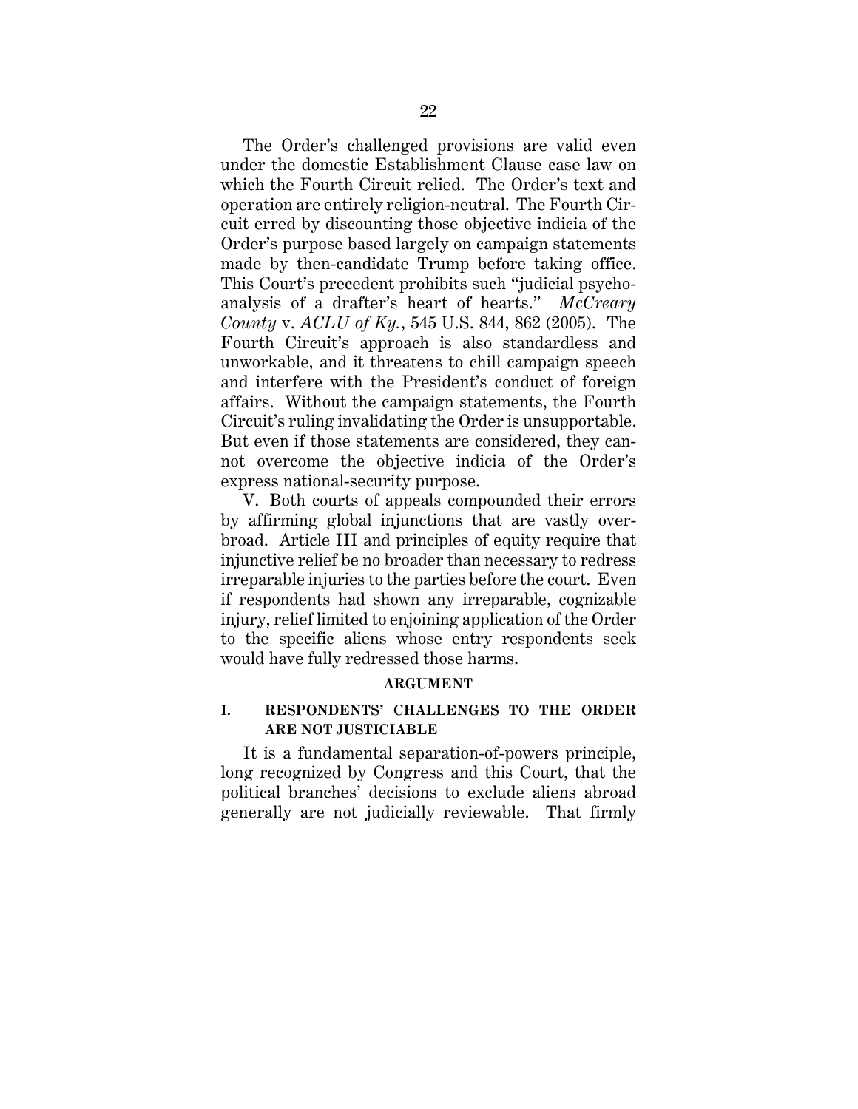The Order's challenged provisions are valid even under the domestic Establishment Clause case law on which the Fourth Circuit relied. The Order's text and operation are entirely religion-neutral. The Fourth Circuit erred by discounting those objective indicia of the Order's purpose based largely on campaign statements made by then-candidate Trump before taking office. This Court's precedent prohibits such "judicial psychoanalysis of a drafter's heart of hearts." *McCreary County* v. *ACLU of Ky.*, 545 U.S. 844, 862 (2005). The Fourth Circuit's approach is also standardless and unworkable, and it threatens to chill campaign speech and interfere with the President's conduct of foreign affairs. Without the campaign statements, the Fourth Circuit's ruling invalidating the Order is unsupportable. But even if those statements are considered, they cannot overcome the objective indicia of the Order's express national-security purpose.

V. Both courts of appeals compounded their errors by affirming global injunctions that are vastly overbroad. Article III and principles of equity require that injunctive relief be no broader than necessary to redress irreparable injuries to the parties before the court. Even if respondents had shown any irreparable, cognizable injury, relief limited to enjoining application of the Order to the specific aliens whose entry respondents seek would have fully redressed those harms.

#### **ARGUMENT**

# **I. RESPONDENTS' CHALLENGES TO THE ORDER ARE NOT JUSTICIABLE**

It is a fundamental separation-of-powers principle, long recognized by Congress and this Court, that the political branches' decisions to exclude aliens abroad generally are not judicially reviewable. That firmly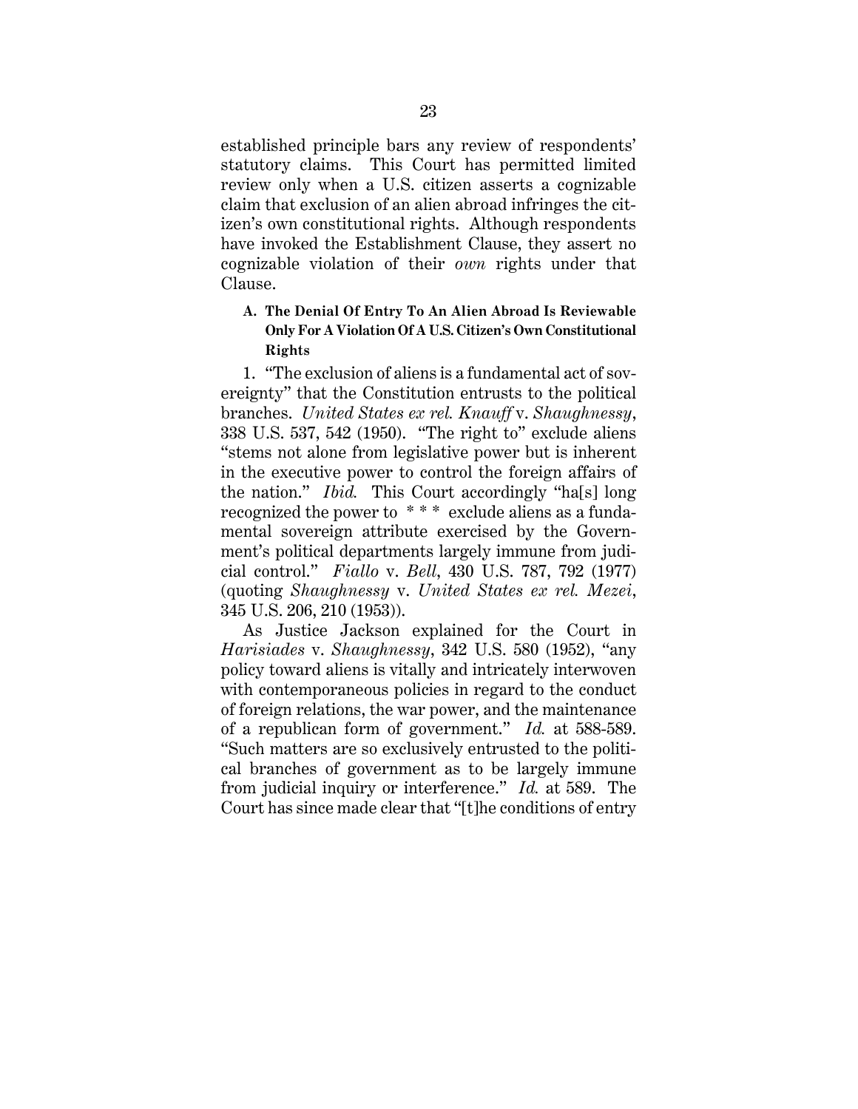established principle bars any review of respondents' statutory claims. This Court has permitted limited review only when a U.S. citizen asserts a cognizable claim that exclusion of an alien abroad infringes the citizen's own constitutional rights. Although respondents have invoked the Establishment Clause, they assert no cognizable violation of their *own* rights under that Clause.

# **A. The Denial Of Entry To An Alien Abroad Is Reviewable Only For A Violation Of A U.S. Citizen's Own Constitutional Rights**

1. "The exclusion of aliens is a fundamental act of sovereignty" that the Constitution entrusts to the political branches. *United States ex rel. Knauff* v. *Shaughnessy*, 338 U.S. 537, 542 (1950). "The right to" exclude aliens "stems not alone from legislative power but is inherent in the executive power to control the foreign affairs of the nation." *Ibid.* This Court accordingly "ha[s] long recognized the power to \* \* \* exclude aliens as a fundamental sovereign attribute exercised by the Government's political departments largely immune from judicial control." *Fiallo* v. *Bell*, 430 U.S. 787, 792 (1977) (quoting *Shaughnessy* v. *United States ex rel. Mezei*, 345 U.S. 206, 210 (1953)).

As Justice Jackson explained for the Court in *Harisiades* v. *Shaughnessy*, 342 U.S. 580 (1952), "any policy toward aliens is vitally and intricately interwoven with contemporaneous policies in regard to the conduct of foreign relations, the war power, and the maintenance of a republican form of government." *Id.* at 588-589. "Such matters are so exclusively entrusted to the political branches of government as to be largely immune from judicial inquiry or interference." *Id.* at 589. The Court has since made clear that "[t]he conditions of entry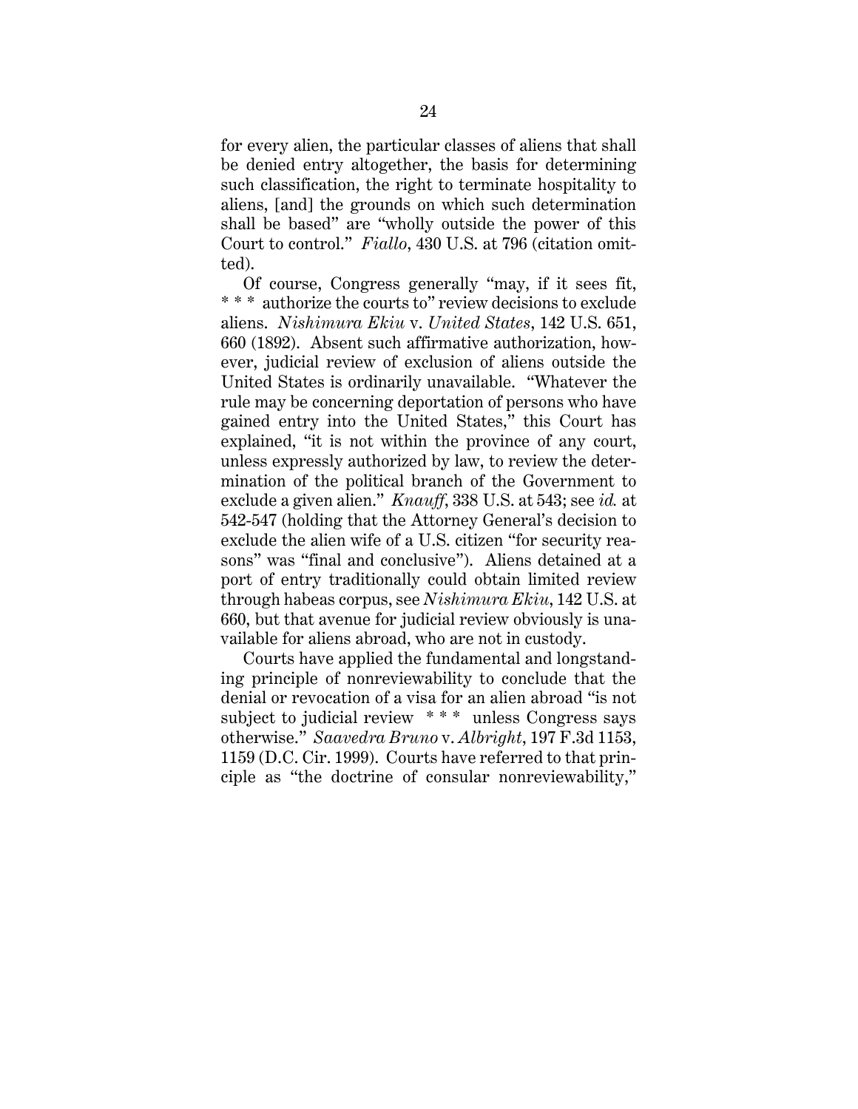for every alien, the particular classes of aliens that shall be denied entry altogether, the basis for determining such classification, the right to terminate hospitality to aliens, [and] the grounds on which such determination shall be based" are "wholly outside the power of this Court to control." *Fiallo*, 430 U.S. at 796 (citation omitted).

Of course, Congress generally "may, if it sees fit, \* \* \* authorize the courts to" review decisions to exclude aliens. *Nishimura Ekiu* v. *United States*, 142 U.S. 651, 660 (1892). Absent such affirmative authorization, however, judicial review of exclusion of aliens outside the United States is ordinarily unavailable. "Whatever the rule may be concerning deportation of persons who have gained entry into the United States," this Court has explained, "it is not within the province of any court, unless expressly authorized by law, to review the determination of the political branch of the Government to exclude a given alien." *Knauff*, 338 U.S. at 543; see *id.* at 542-547 (holding that the Attorney General's decision to exclude the alien wife of a U.S. citizen "for security reasons" was "final and conclusive"). Aliens detained at a port of entry traditionally could obtain limited review through habeas corpus, see *Nishimura Ekiu*, 142 U.S. at 660, but that avenue for judicial review obviously is unavailable for aliens abroad, who are not in custody.

Courts have applied the fundamental and longstanding principle of nonreviewability to conclude that the denial or revocation of a visa for an alien abroad "is not subject to judicial review \*\*\* unless Congress says otherwise." *Saavedra Bruno* v. *Albright*, 197 F.3d 1153, 1159 (D.C. Cir. 1999). Courts have referred to that principle as "the doctrine of consular nonreviewability,"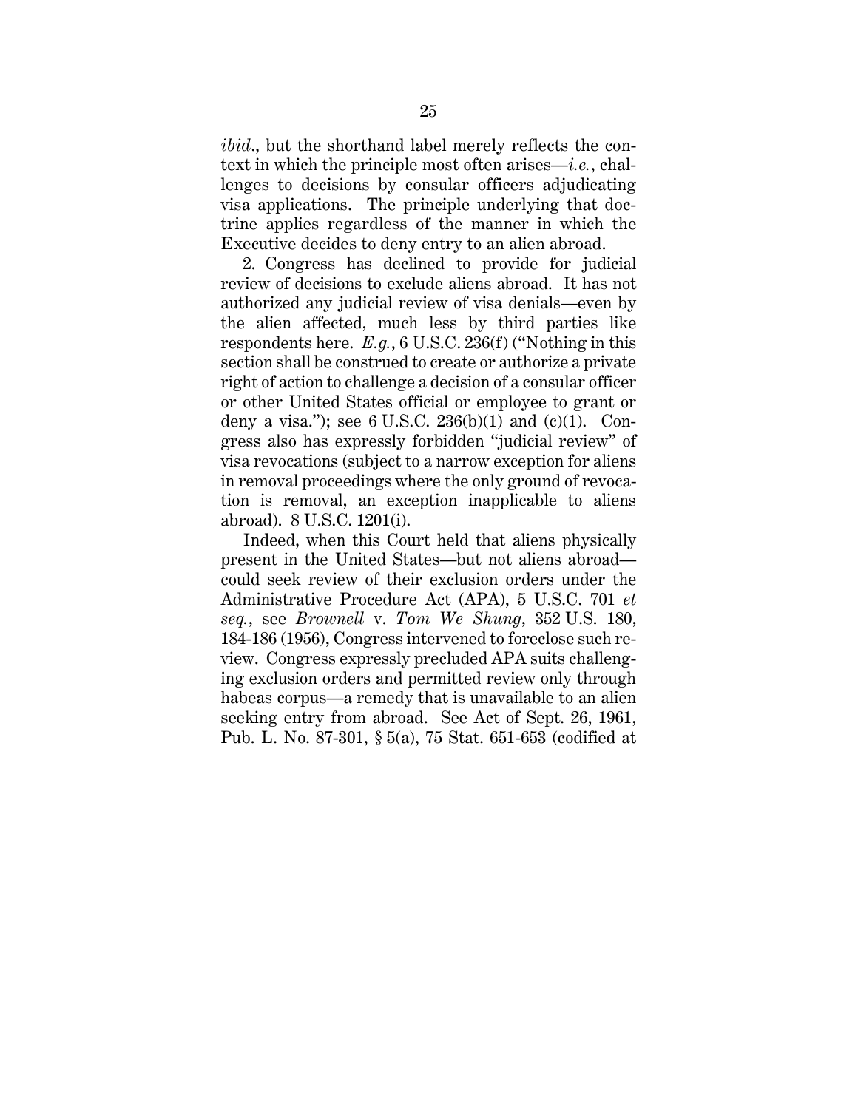*ibid*., but the shorthand label merely reflects the context in which the principle most often arises—*i.e.*, challenges to decisions by consular officers adjudicating visa applications. The principle underlying that doctrine applies regardless of the manner in which the Executive decides to deny entry to an alien abroad.

2. Congress has declined to provide for judicial review of decisions to exclude aliens abroad. It has not authorized any judicial review of visa denials—even by the alien affected, much less by third parties like respondents here. *E.g.*, 6 U.S.C. 236(f) ("Nothing in this section shall be construed to create or authorize a private right of action to challenge a decision of a consular officer or other United States official or employee to grant or deny a visa."); see 6 U.S.C.  $236(b)(1)$  and  $(c)(1)$ . Congress also has expressly forbidden "judicial review" of visa revocations (subject to a narrow exception for aliens in removal proceedings where the only ground of revocation is removal, an exception inapplicable to aliens abroad). 8 U.S.C. 1201(i).

Indeed, when this Court held that aliens physically present in the United States—but not aliens abroad could seek review of their exclusion orders under the Administrative Procedure Act (APA), 5 U.S.C. 701 *et seq.*, see *Brownell* v. *Tom We Shung*, 352 U.S. 180, 184-186 (1956), Congress intervened to foreclose such review. Congress expressly precluded APA suits challenging exclusion orders and permitted review only through habeas corpus—a remedy that is unavailable to an alien seeking entry from abroad. See Act of Sept. 26, 1961, Pub. L. No. 87-301, § 5(a), 75 Stat. 651-653 (codified at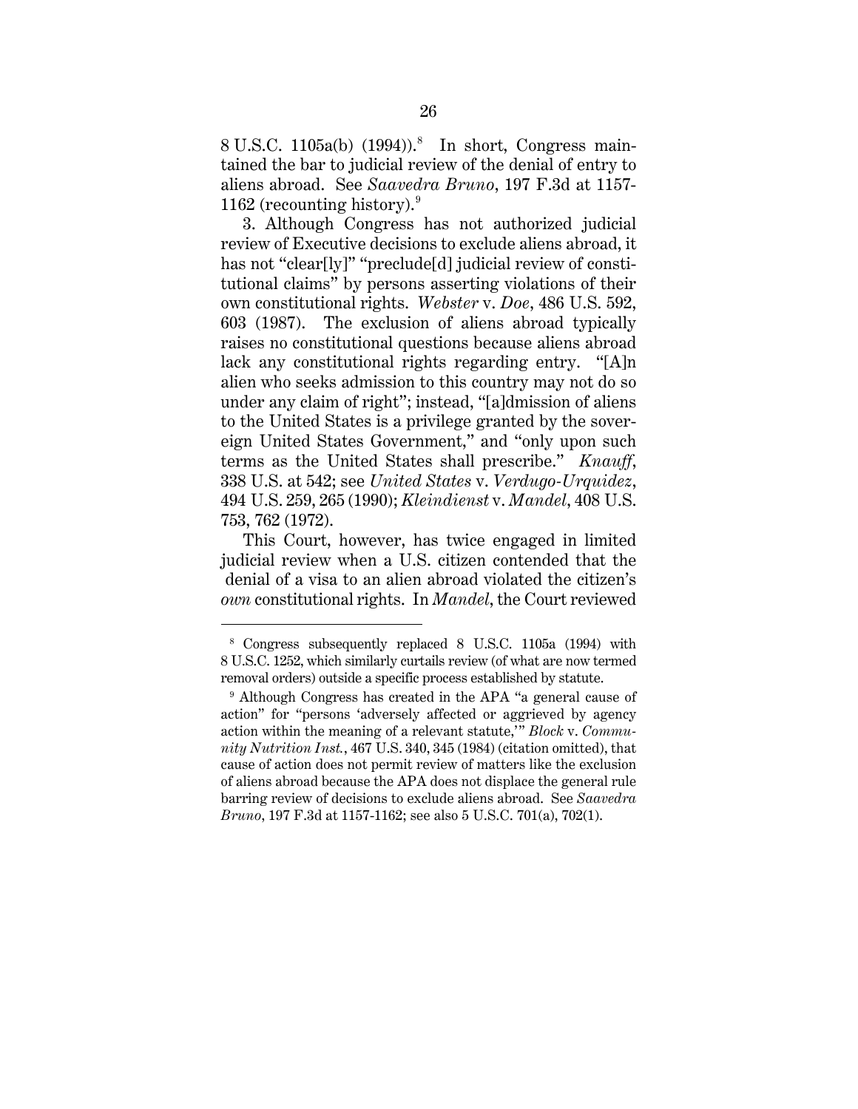8 U.S.C. 1105a(b) (1994)).<sup>8</sup> In short, Congress maintained the bar to judicial review of the denial of entry to aliens abroad. See *Saavedra Bruno*, 197 F.3d at 1157- 1162 (recounting history). $9$ 

3. Although Congress has not authorized judicial review of Executive decisions to exclude aliens abroad, it has not "clear[ly]" "preclude[d] judicial review of constitutional claims" by persons asserting violations of their own constitutional rights. *Webster* v. *Doe*, 486 U.S. 592, 603 (1987). The exclusion of aliens abroad typically raises no constitutional questions because aliens abroad lack any constitutional rights regarding entry. "[A]n alien who seeks admission to this country may not do so under any claim of right"; instead, "[a]dmission of aliens to the United States is a privilege granted by the sovereign United States Government," and "only upon such terms as the United States shall prescribe." *Knauff*, 338 U.S. at 542; see *United States* v. *Verdugo-Urquidez*, 494 U.S. 259, 265 (1990); *Kleindienst* v. *Mandel*, 408 U.S. 753, 762 (1972).

This Court, however, has twice engaged in limited judicial review when a U.S. citizen contended that the denial of a visa to an alien abroad violated the citizen's *own* constitutional rights. In *Mandel*, the Court reviewed

 $\ddot{\phantom{a}}$ 

<sup>8</sup> Congress subsequently replaced 8 U.S.C. 1105a (1994) with 8 U.S.C. 1252, which similarly curtails review (of what are now termed removal orders) outside a specific process established by statute.

<sup>9</sup> Although Congress has created in the APA "a general cause of action" for "persons 'adversely affected or aggrieved by agency action within the meaning of a relevant statute,'" *Block* v. *Community Nutrition Inst.*, 467 U.S. 340, 345 (1984) (citation omitted), that cause of action does not permit review of matters like the exclusion of aliens abroad because the APA does not displace the general rule barring review of decisions to exclude aliens abroad. See *Saavedra Bruno*, 197 F.3d at 1157-1162; see also 5 U.S.C. 701(a), 702(1).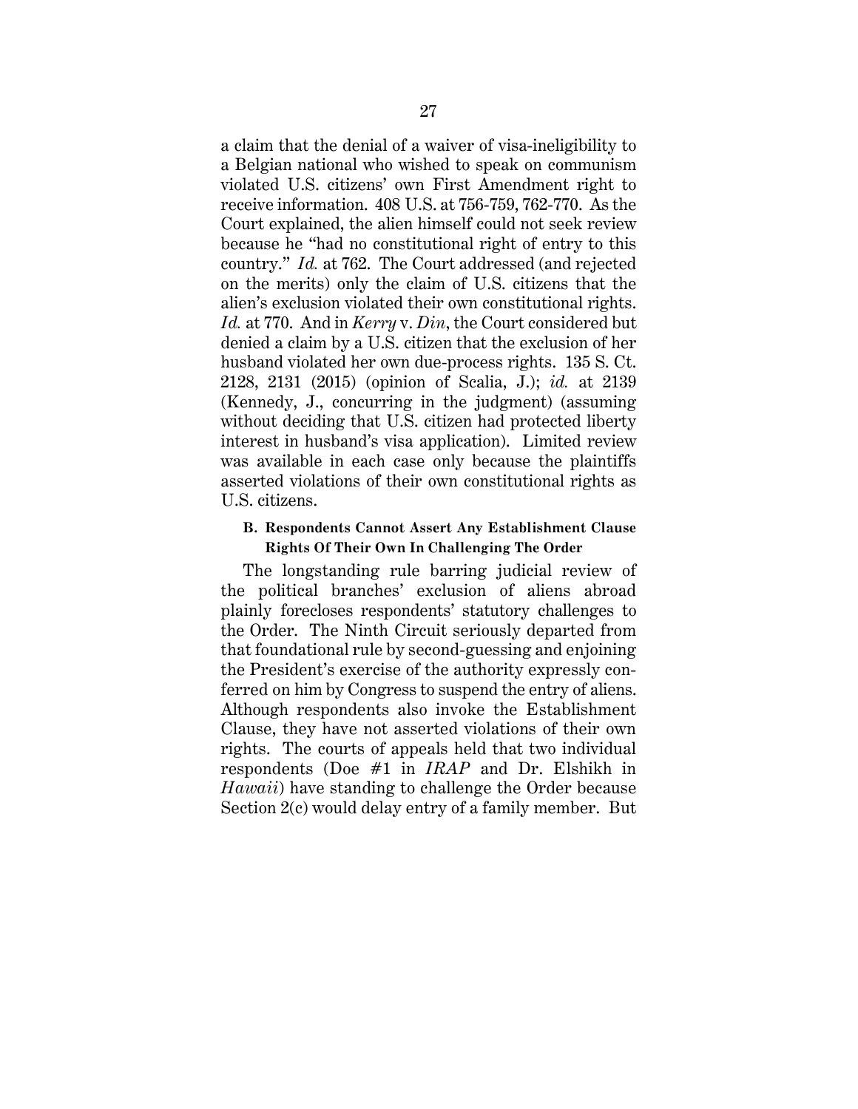a claim that the denial of a waiver of visa-ineligibility to a Belgian national who wished to speak on communism violated U.S. citizens' own First Amendment right to receive information. 408 U.S. at 756-759, 762-770. As the Court explained, the alien himself could not seek review because he "had no constitutional right of entry to this country." *Id.* at 762. The Court addressed (and rejected on the merits) only the claim of U.S. citizens that the alien's exclusion violated their own constitutional rights. *Id.* at 770. And in *Kerry* v. *Din*, the Court considered but denied a claim by a U.S. citizen that the exclusion of her husband violated her own due-process rights. 135 S. Ct. 2128, 2131 (2015) (opinion of Scalia, J.); *id.* at 2139 (Kennedy, J., concurring in the judgment) (assuming without deciding that U.S. citizen had protected liberty interest in husband's visa application). Limited review was available in each case only because the plaintiffs asserted violations of their own constitutional rights as U.S. citizens.

### **B. Respondents Cannot Assert Any Establishment Clause Rights Of Their Own In Challenging The Order**

The longstanding rule barring judicial review of the political branches' exclusion of aliens abroad plainly forecloses respondents' statutory challenges to the Order. The Ninth Circuit seriously departed from that foundational rule by second-guessing and enjoining the President's exercise of the authority expressly conferred on him by Congress to suspend the entry of aliens. Although respondents also invoke the Establishment Clause, they have not asserted violations of their own rights. The courts of appeals held that two individual respondents (Doe #1 in *IRAP* and Dr. Elshikh in *Hawaii*) have standing to challenge the Order because Section 2(c) would delay entry of a family member. But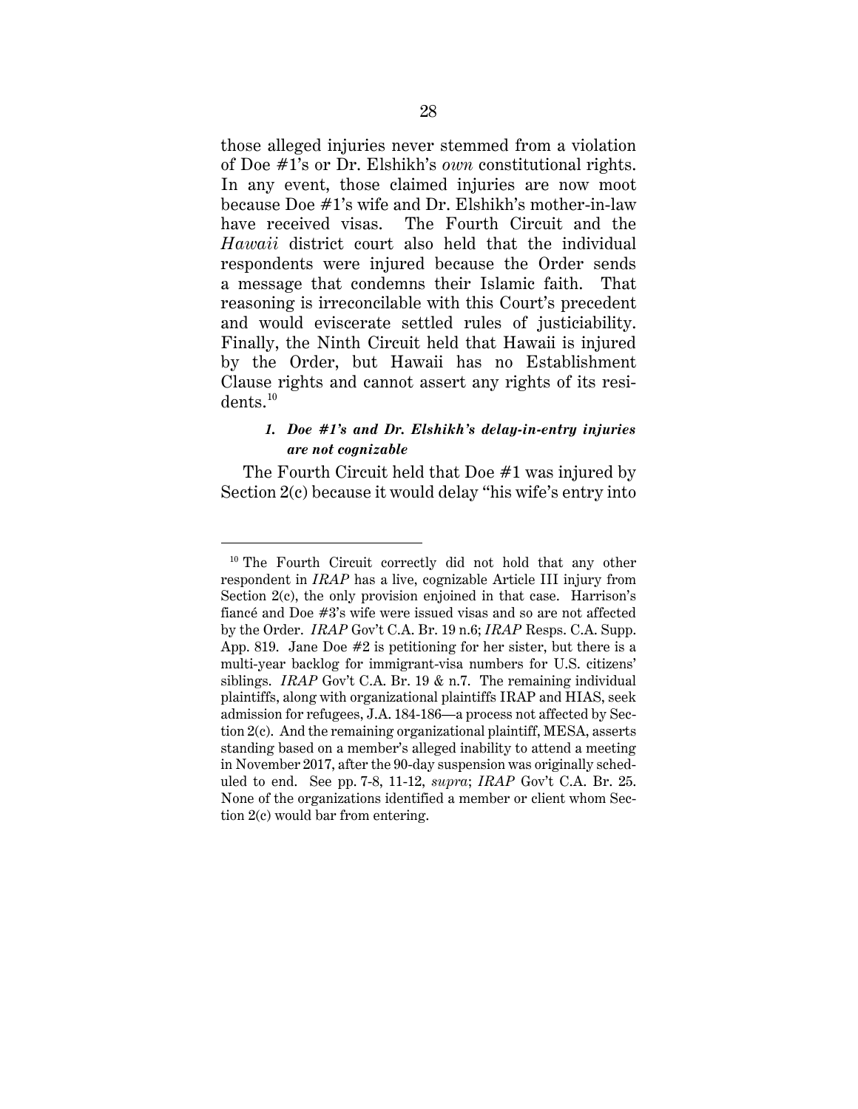those alleged injuries never stemmed from a violation of Doe #1's or Dr. Elshikh's *own* constitutional rights. In any event, those claimed injuries are now moot because Doe #1's wife and Dr. Elshikh's mother-in-law have received visas. The Fourth Circuit and the *Hawaii* district court also held that the individual respondents were injured because the Order sends a message that condemns their Islamic faith. That reasoning is irreconcilable with this Court's precedent and would eviscerate settled rules of justiciability. Finally, the Ninth Circuit held that Hawaii is injured by the Order, but Hawaii has no Establishment Clause rights and cannot assert any rights of its residents.10

### *1. Doe #1's and Dr. Elshikh's delay-in-entry injuries are not cognizable*

The Fourth Circuit held that Doe #1 was injured by Section 2(c) because it would delay "his wife's entry into

<sup>&</sup>lt;sup>10</sup> The Fourth Circuit correctly did not hold that any other respondent in *IRAP* has a live, cognizable Article III injury from Section 2(c), the only provision enjoined in that case. Harrison's fiancé and Doe #3's wife were issued visas and so are not affected by the Order. *IRAP* Gov't C.A. Br. 19 n.6; *IRAP* Resps. C.A. Supp. App. 819. Jane Doe #2 is petitioning for her sister, but there is a multi-year backlog for immigrant-visa numbers for U.S. citizens' siblings. *IRAP* Gov't C.A. Br. 19 & n.7. The remaining individual plaintiffs, along with organizational plaintiffs IRAP and HIAS, seek admission for refugees, J.A. 184-186—a process not affected by Section 2(c). And the remaining organizational plaintiff, MESA, asserts standing based on a member's alleged inability to attend a meeting in November 2017, after the 90-day suspension was originally scheduled to end. See pp. 7-8, 11-12, *supra*; *IRAP* Gov't C.A. Br. 25. None of the organizations identified a member or client whom Section 2(c) would bar from entering.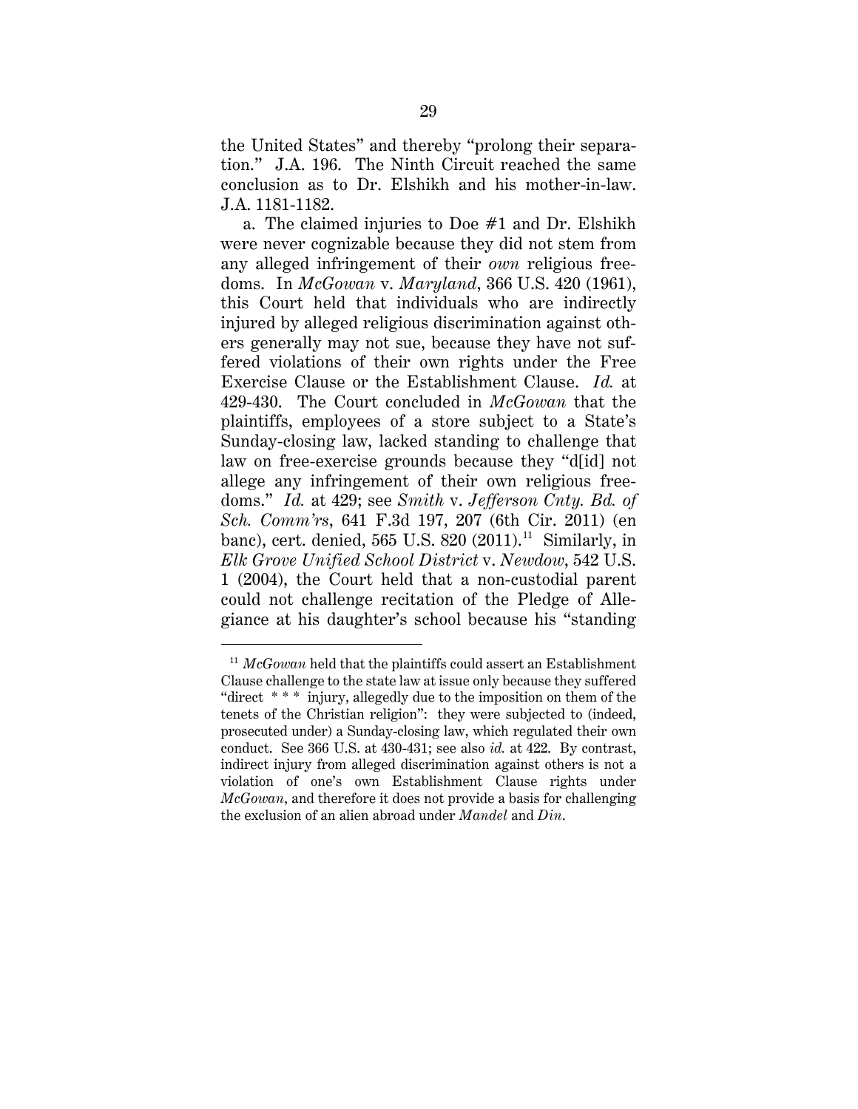the United States" and thereby "prolong their separation." J.A. 196. The Ninth Circuit reached the same conclusion as to Dr. Elshikh and his mother-in-law. J.A. 1181-1182.

a. The claimed injuries to Doe #1 and Dr. Elshikh were never cognizable because they did not stem from any alleged infringement of their *own* religious freedoms. In *McGowan* v. *Maryland*, 366 U.S. 420 (1961), this Court held that individuals who are indirectly injured by alleged religious discrimination against others generally may not sue, because they have not suffered violations of their own rights under the Free Exercise Clause or the Establishment Clause. *Id.* at 429-430. The Court concluded in *McGowan* that the plaintiffs, employees of a store subject to a State's Sunday-closing law, lacked standing to challenge that law on free-exercise grounds because they "d[id] not allege any infringement of their own religious freedoms." *Id.* at 429; see *Smith* v. *Jefferson Cnty. Bd. of Sch. Comm'rs*, 641 F.3d 197, 207 (6th Cir. 2011) (en banc), cert. denied, 565 U.S. 820  $(2011).$ <sup>11</sup> Similarly, in *Elk Grove Unified School District* v. *Newdow*, 542 U.S. 1 (2004), the Court held that a non-custodial parent could not challenge recitation of the Pledge of Allegiance at his daughter's school because his "standing

<sup>&</sup>lt;sup>11</sup> *McGowan* held that the plaintiffs could assert an Establishment Clause challenge to the state law at issue only because they suffered "direct \* \* \* injury, allegedly due to the imposition on them of the tenets of the Christian religion": they were subjected to (indeed, prosecuted under) a Sunday-closing law, which regulated their own conduct. See 366 U.S. at 430-431; see also *id.* at 422. By contrast, indirect injury from alleged discrimination against others is not a violation of one's own Establishment Clause rights under *McGowan*, and therefore it does not provide a basis for challenging the exclusion of an alien abroad under *Mandel* and *Din*.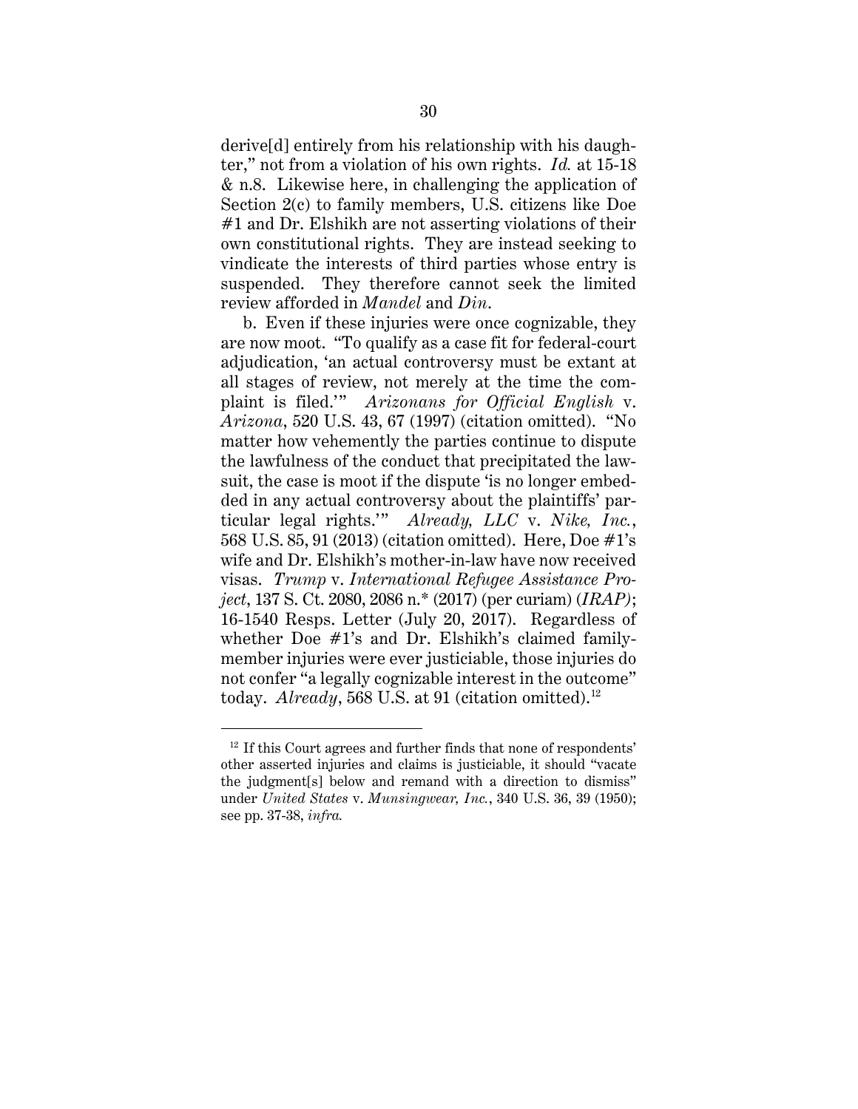derive[d] entirely from his relationship with his daughter," not from a violation of his own rights. *Id.* at 15-18 & n.8. Likewise here, in challenging the application of Section 2(c) to family members, U.S. citizens like Doe #1 and Dr. Elshikh are not asserting violations of their own constitutional rights. They are instead seeking to vindicate the interests of third parties whose entry is suspended. They therefore cannot seek the limited review afforded in *Mandel* and *Din*.

b. Even if these injuries were once cognizable, they are now moot. "To qualify as a case fit for federal-court adjudication, 'an actual controversy must be extant at all stages of review, not merely at the time the complaint is filed.'" *Arizonans for Official English* v. *Arizona*, 520 U.S. 43, 67 (1997) (citation omitted). "No matter how vehemently the parties continue to dispute the lawfulness of the conduct that precipitated the lawsuit, the case is moot if the dispute 'is no longer embedded in any actual controversy about the plaintiffs' particular legal rights.'" *Already, LLC* v. *Nike, Inc.*, 568 U.S. 85, 91 (2013) (citation omitted).Here, Doe #1's wife and Dr. Elshikh's mother-in-law have now received visas. *Trump* v. *International Refugee Assistance Project*, 137 S. Ct. 2080, 2086 n.\* (2017) (per curiam) (*IRAP)*; 16-1540 Resps. Letter (July 20, 2017). Regardless of whether Doe #1's and Dr. Elshikh's claimed familymember injuries were ever justiciable, those injuries do not confer "a legally cognizable interest in the outcome" today. *Already*, 568 U.S. at 91 (citation omitted).<sup>12</sup>

 $12$  If this Court agrees and further finds that none of respondents' other asserted injuries and claims is justiciable, it should "vacate the judgment[s] below and remand with a direction to dismiss" under *United States* v. *Munsingwear, Inc.*, 340 U.S. 36, 39 (1950); see pp. 37-38, *infra.*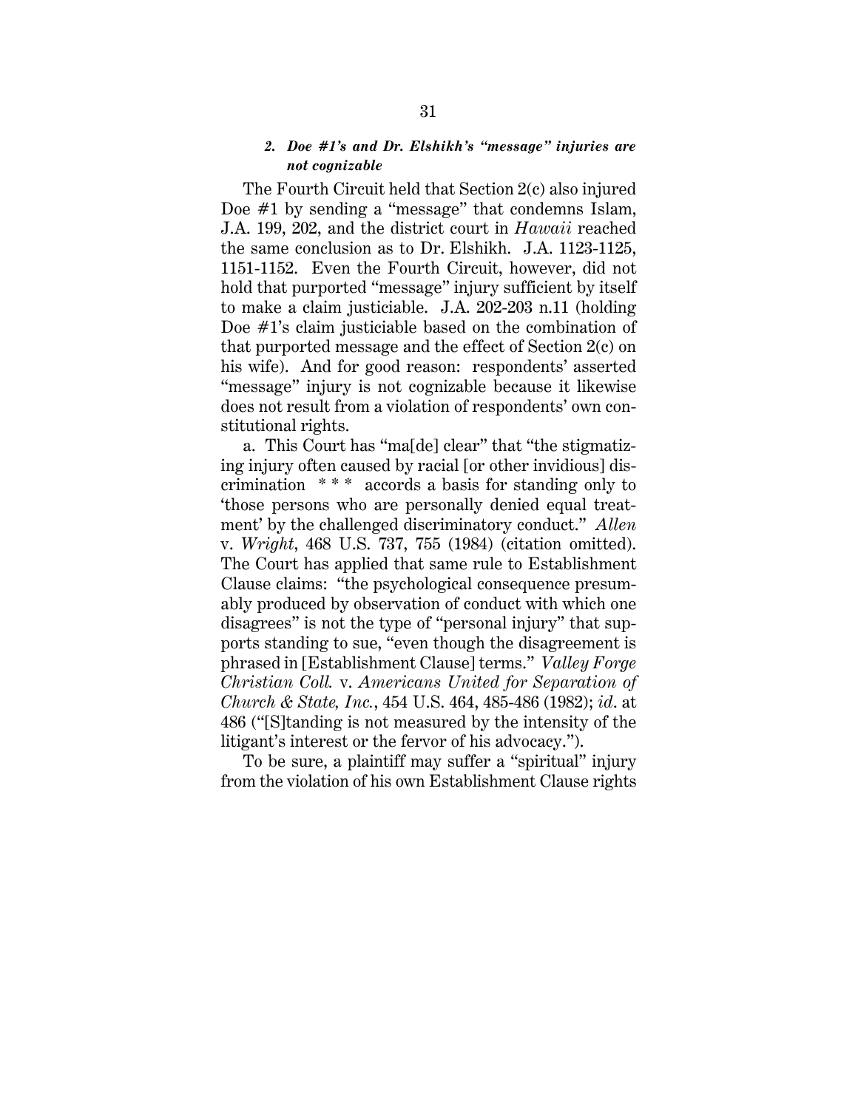### *2. Doe #1's and Dr. Elshikh's "message" injuries are not cognizable*

The Fourth Circuit held that Section 2(c) also injured Doe #1 by sending a "message" that condemns Islam, J.A. 199, 202, and the district court in *Hawaii* reached the same conclusion as to Dr. Elshikh. J.A. 1123-1125, 1151-1152. Even the Fourth Circuit, however, did not hold that purported "message" injury sufficient by itself to make a claim justiciable. J.A. 202-203 n.11 (holding Doe #1's claim justiciable based on the combination of that purported message and the effect of Section 2(c) on his wife). And for good reason: respondents' asserted "message" injury is not cognizable because it likewise does not result from a violation of respondents' own constitutional rights.

a. This Court has "ma[de] clear" that "the stigmatizing injury often caused by racial [or other invidious] discrimination \* \* \* accords a basis for standing only to 'those persons who are personally denied equal treatment' by the challenged discriminatory conduct." *Allen* v. *Wright*, 468 U.S. 737, 755 (1984) (citation omitted). The Court has applied that same rule to Establishment Clause claims: "the psychological consequence presumably produced by observation of conduct with which one disagrees" is not the type of "personal injury" that supports standing to sue, "even though the disagreement is phrased in [Establishment Clause] terms." *Valley Forge Christian Coll.* v. *Americans United for Separation of Church & State, Inc.*, 454 U.S. 464, 485-486 (1982); *id*. at 486 ("[S]tanding is not measured by the intensity of the litigant's interest or the fervor of his advocacy.").

To be sure, a plaintiff may suffer a "spiritual" injury from the violation of his own Establishment Clause rights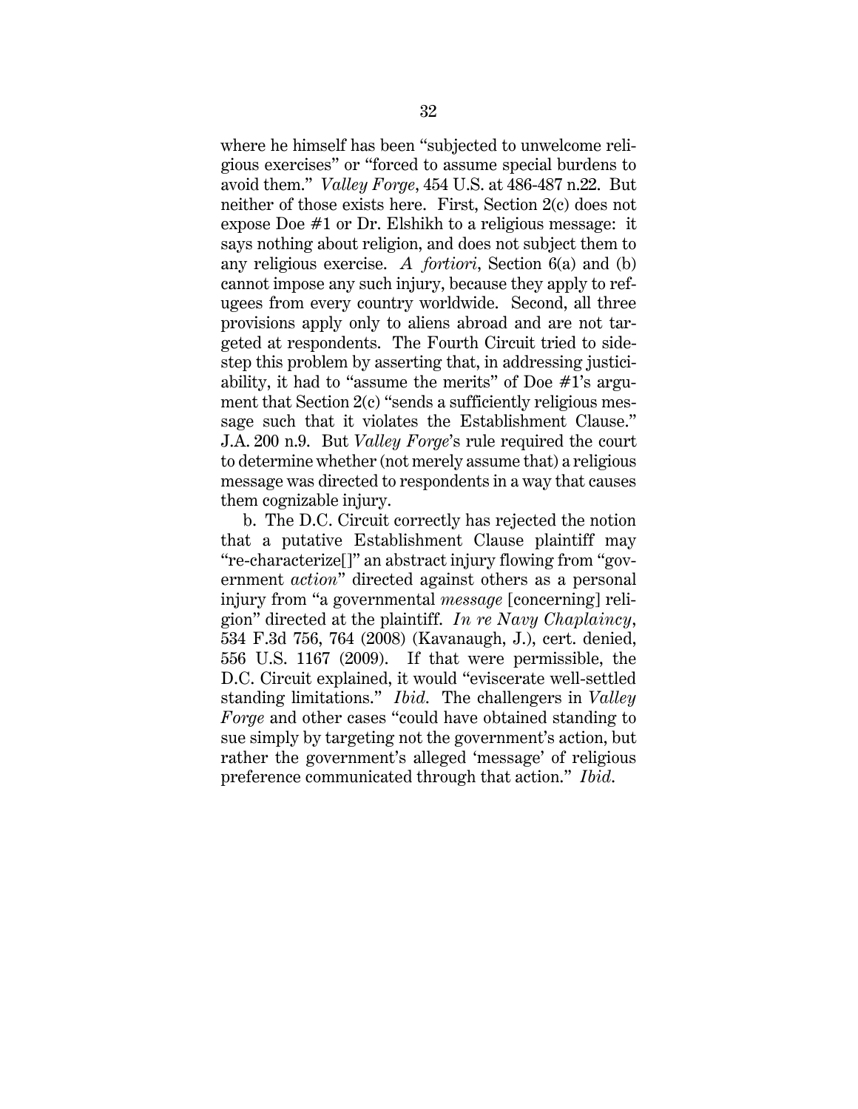where he himself has been "subjected to unwelcome religious exercises" or "forced to assume special burdens to avoid them." *Valley Forge*, 454 U.S. at 486-487 n.22. But neither of those exists here. First, Section 2(c) does not expose Doe #1 or Dr. Elshikh to a religious message: it says nothing about religion, and does not subject them to any religious exercise. *A fortiori*, Section 6(a) and (b) cannot impose any such injury, because they apply to refugees from every country worldwide. Second, all three provisions apply only to aliens abroad and are not targeted at respondents. The Fourth Circuit tried to sidestep this problem by asserting that, in addressing justiciability, it had to "assume the merits" of Doe #1's argument that Section 2(c) "sends a sufficiently religious message such that it violates the Establishment Clause." J.A. 200 n.9. But *Valley Forge*'s rule required the court to determine whether (not merely assume that) a religious message was directed to respondents in a way that causes them cognizable injury.

b. The D.C. Circuit correctly has rejected the notion that a putative Establishment Clause plaintiff may "re-characterize[]" an abstract injury flowing from "government *action*" directed against others as a personal injury from "a governmental *message* [concerning] religion" directed at the plaintiff. *In re Navy Chaplaincy*, 534 F.3d 756, 764 (2008) (Kavanaugh, J.), cert. denied, 556 U.S. 1167 (2009). If that were permissible, the D.C. Circuit explained, it would "eviscerate well-settled standing limitations." *Ibid*. The challengers in *Valley Forge* and other cases "could have obtained standing to sue simply by targeting not the government's action, but rather the government's alleged 'message' of religious preference communicated through that action." *Ibid*.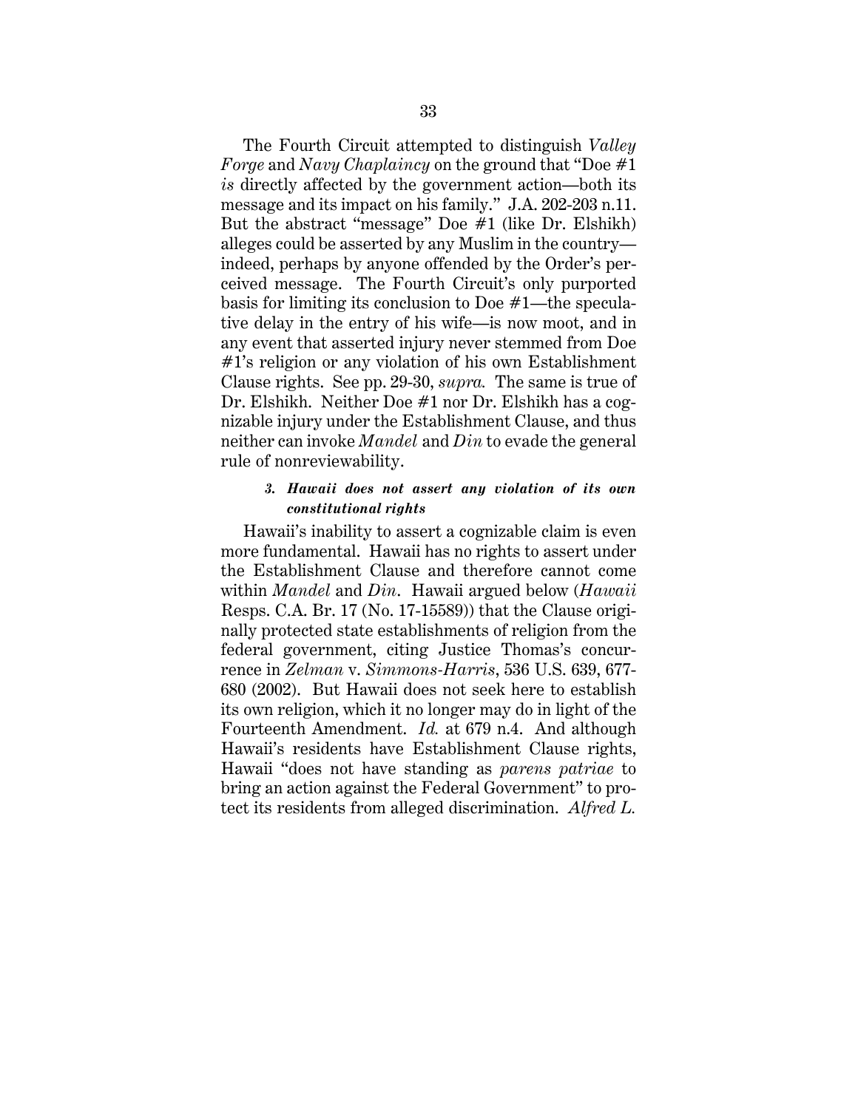The Fourth Circuit attempted to distinguish *Valley Forge* and *Navy Chaplaincy* on the ground that "Doe #1 *is* directly affected by the government action—both its message and its impact on his family." J.A. 202-203 n.11. But the abstract "message" Doe #1 (like Dr. Elshikh) alleges could be asserted by any Muslim in the country indeed, perhaps by anyone offended by the Order's perceived message. The Fourth Circuit's only purported basis for limiting its conclusion to Doe #1—the speculative delay in the entry of his wife—is now moot, and in any event that asserted injury never stemmed from Doe #1's religion or any violation of his own Establishment Clause rights. See pp. 29-30, *supra.* The same is true of Dr. Elshikh. Neither Doe #1 nor Dr. Elshikh has a cognizable injury under the Establishment Clause, and thus neither can invoke *Mandel* and *Din* to evade the general rule of nonreviewability.

#### *3. Hawaii does not assert any violation of its own constitutional rights*

Hawaii's inability to assert a cognizable claim is even more fundamental. Hawaii has no rights to assert under the Establishment Clause and therefore cannot come within *Mandel* and *Din*. Hawaii argued below (*Hawaii*  Resps. C.A. Br. 17 (No. 17-15589)) that the Clause originally protected state establishments of religion from the federal government, citing Justice Thomas's concurrence in *Zelman* v. *Simmons-Harris*, 536 U.S. 639, 677- 680 (2002). But Hawaii does not seek here to establish its own religion, which it no longer may do in light of the Fourteenth Amendment. *Id.* at 679 n.4. And although Hawaii's residents have Establishment Clause rights, Hawaii "does not have standing as *parens patriae* to bring an action against the Federal Government" to protect its residents from alleged discrimination. *Alfred L.*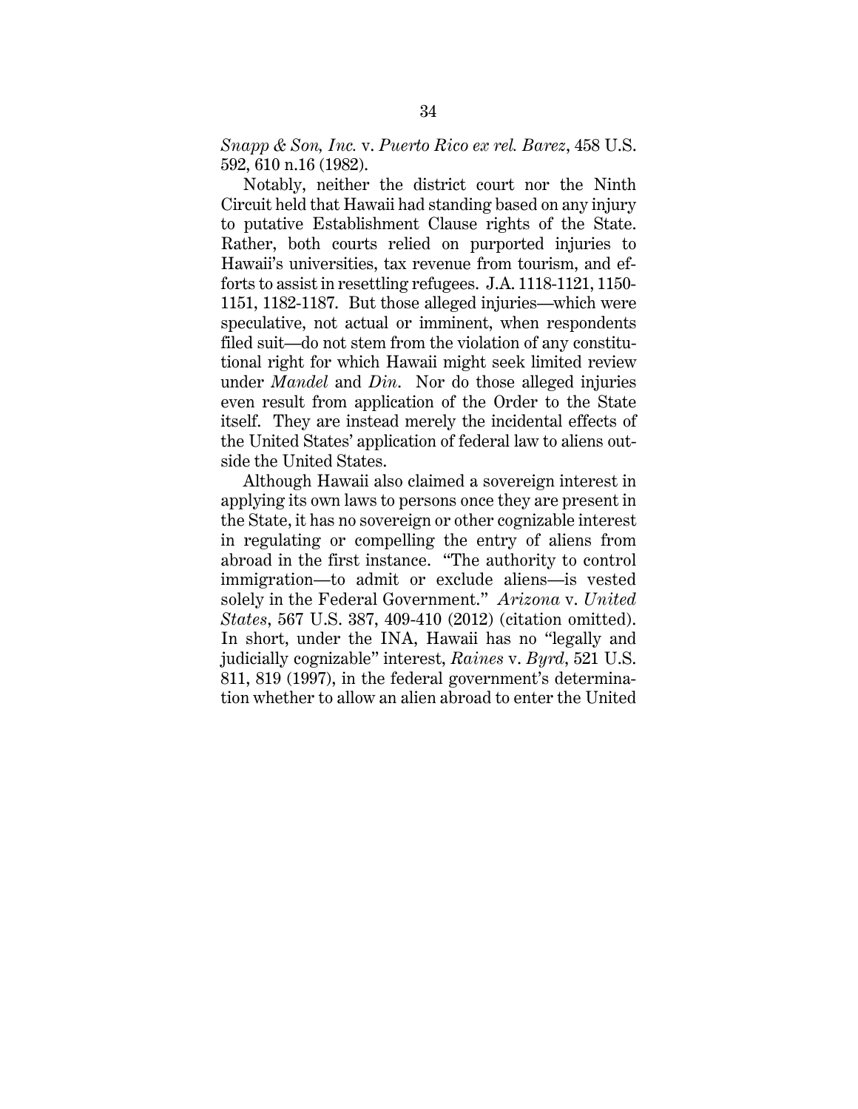*Snapp & Son, Inc.* v. *Puerto Rico ex rel. Barez*, 458 U.S. 592, 610 n.16 (1982).

Notably, neither the district court nor the Ninth Circuit held that Hawaii had standing based on any injury to putative Establishment Clause rights of the State. Rather, both courts relied on purported injuries to Hawaii's universities, tax revenue from tourism, and efforts to assist in resettling refugees. J.A. 1118-1121, 1150- 1151, 1182-1187. But those alleged injuries—which were speculative, not actual or imminent, when respondents filed suit—do not stem from the violation of any constitutional right for which Hawaii might seek limited review under *Mandel* and *Din*. Nor do those alleged injuries even result from application of the Order to the State itself. They are instead merely the incidental effects of the United States' application of federal law to aliens outside the United States.

Although Hawaii also claimed a sovereign interest in applying its own laws to persons once they are present in the State, it has no sovereign or other cognizable interest in regulating or compelling the entry of aliens from abroad in the first instance. "The authority to control immigration—to admit or exclude aliens—is vested solely in the Federal Government." *Arizona* v. *United States*, 567 U.S. 387, 409-410 (2012) (citation omitted). In short, under the INA, Hawaii has no "legally and judicially cognizable" interest, *Raines* v. *Byrd*, 521 U.S. 811, 819 (1997), in the federal government's determination whether to allow an alien abroad to enter the United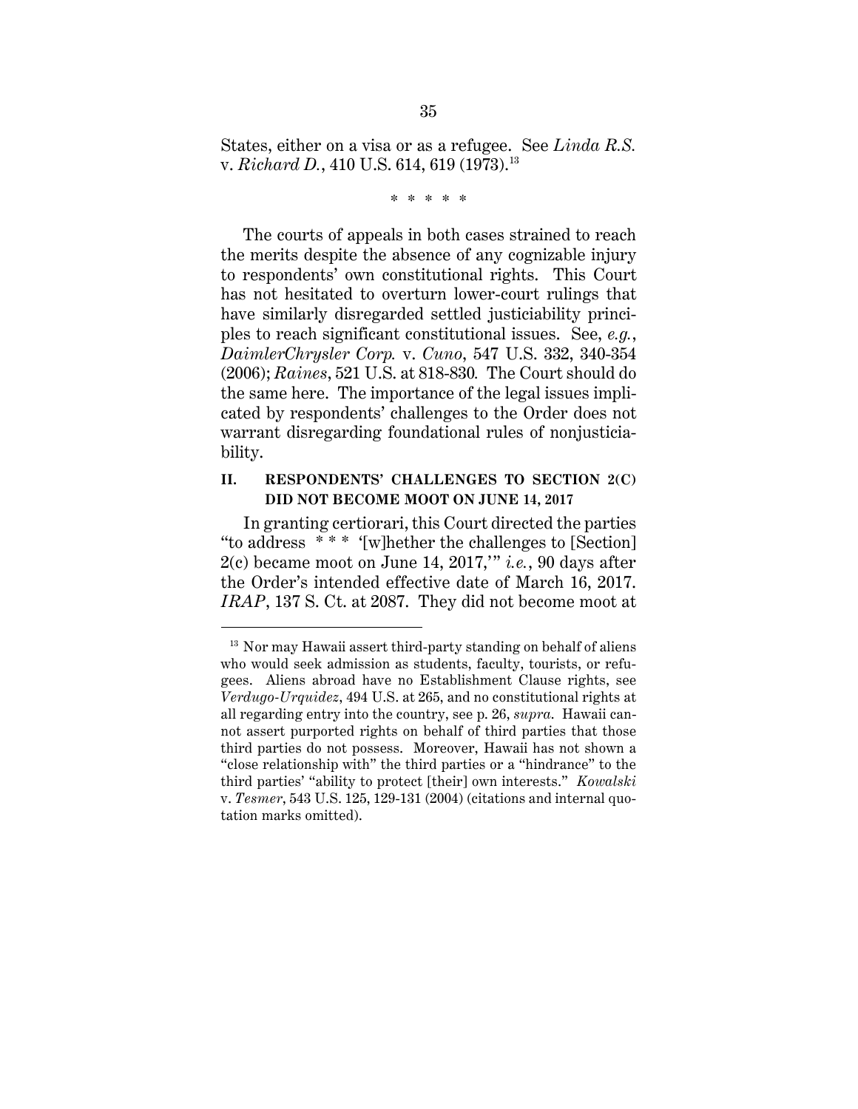States, either on a visa or as a refugee. See *Linda R.S.* v. *Richard D.*, 410 U.S. 614, 619 (1973).<sup>13</sup>

\* \* \* \* \*

The courts of appeals in both cases strained to reach the merits despite the absence of any cognizable injury to respondents' own constitutional rights. This Court has not hesitated to overturn lower-court rulings that have similarly disregarded settled justiciability principles to reach significant constitutional issues. See, *e.g.*, *DaimlerChrysler Corp.* v. *Cuno*, 547 U.S. 332, 340-354 (2006); *Raines*, 521 U.S. at 818-830*.* The Court should do the same here. The importance of the legal issues implicated by respondents' challenges to the Order does not warrant disregarding foundational rules of nonjusticiability.

### **II. RESPONDENTS' CHALLENGES TO SECTION 2(C) DID NOT BECOME MOOT ON JUNE 14, 2017**

In granting certiorari, this Court directed the parties "to address \* \* \* '[w]hether the challenges to [Section] 2(c) became moot on June 14, 2017,'" *i.e.*, 90 days after the Order's intended effective date of March 16, 2017. *IRAP*, 137 S. Ct. at 2087. They did not become moot at

<sup>&</sup>lt;sup>13</sup> Nor may Hawaii assert third-party standing on behalf of aliens who would seek admission as students, faculty, tourists, or refugees. Aliens abroad have no Establishment Clause rights, see *Verdugo-Urquidez*, 494 U.S. at 265, and no constitutional rights at all regarding entry into the country, see p. 26, *supra*. Hawaii cannot assert purported rights on behalf of third parties that those third parties do not possess. Moreover, Hawaii has not shown a "close relationship with" the third parties or a "hindrance" to the third parties' "ability to protect [their] own interests." *Kowalski*  v. *Tesmer*, 543 U.S. 125, 129-131 (2004) (citations and internal quotation marks omitted).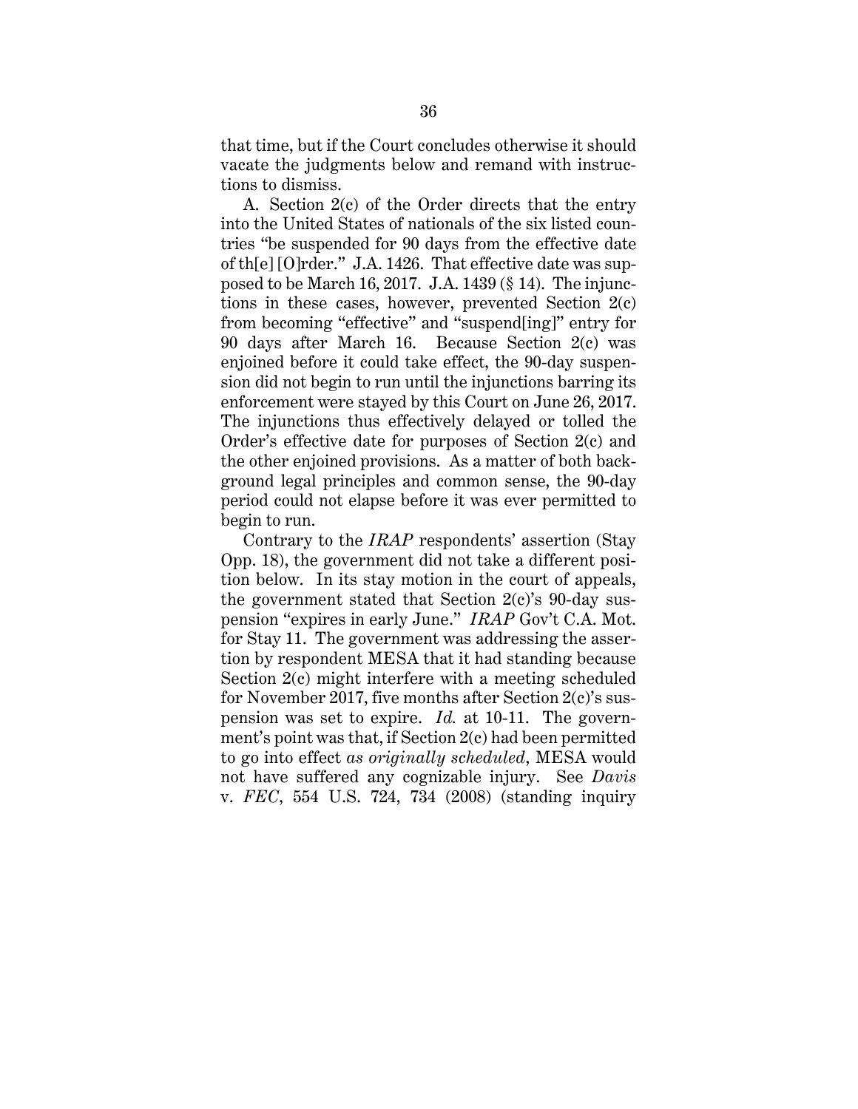that time, but if the Court concludes otherwise it should vacate the judgments below and remand with instructions to dismiss.

A. Section 2(c) of the Order directs that the entry into the United States of nationals of the six listed countries "be suspended for 90 days from the effective date of th[e] [O]rder." J.A. 1426. That effective date was supposed to be March 16, 2017. J.A. 1439 (§ 14). The injunctions in these cases, however, prevented Section 2(c) from becoming "effective" and "suspend[ing]" entry for 90 days after March 16. Because Section 2(c) was enjoined before it could take effect, the 90-day suspension did not begin to run until the injunctions barring its enforcement were stayed by this Court on June 26, 2017. The injunctions thus effectively delayed or tolled the Order's effective date for purposes of Section 2(c) and the other enjoined provisions. As a matter of both background legal principles and common sense, the 90-day period could not elapse before it was ever permitted to begin to run.

Contrary to the *IRAP* respondents' assertion (Stay Opp. 18), the government did not take a different position below. In its stay motion in the court of appeals, the government stated that Section  $2(c)$ 's 90-day suspension "expires in early June." *IRAP* Gov't C.A. Mot. for Stay 11. The government was addressing the assertion by respondent MESA that it had standing because Section 2(c) might interfere with a meeting scheduled for November 2017, five months after Section 2(c)'s suspension was set to expire. *Id.* at 10-11. The government's point was that, if Section 2(c) had been permitted to go into effect *as originally scheduled*, MESA would not have suffered any cognizable injury. See *Davis*  v. *FEC*, 554 U.S. 724, 734 (2008) (standing inquiry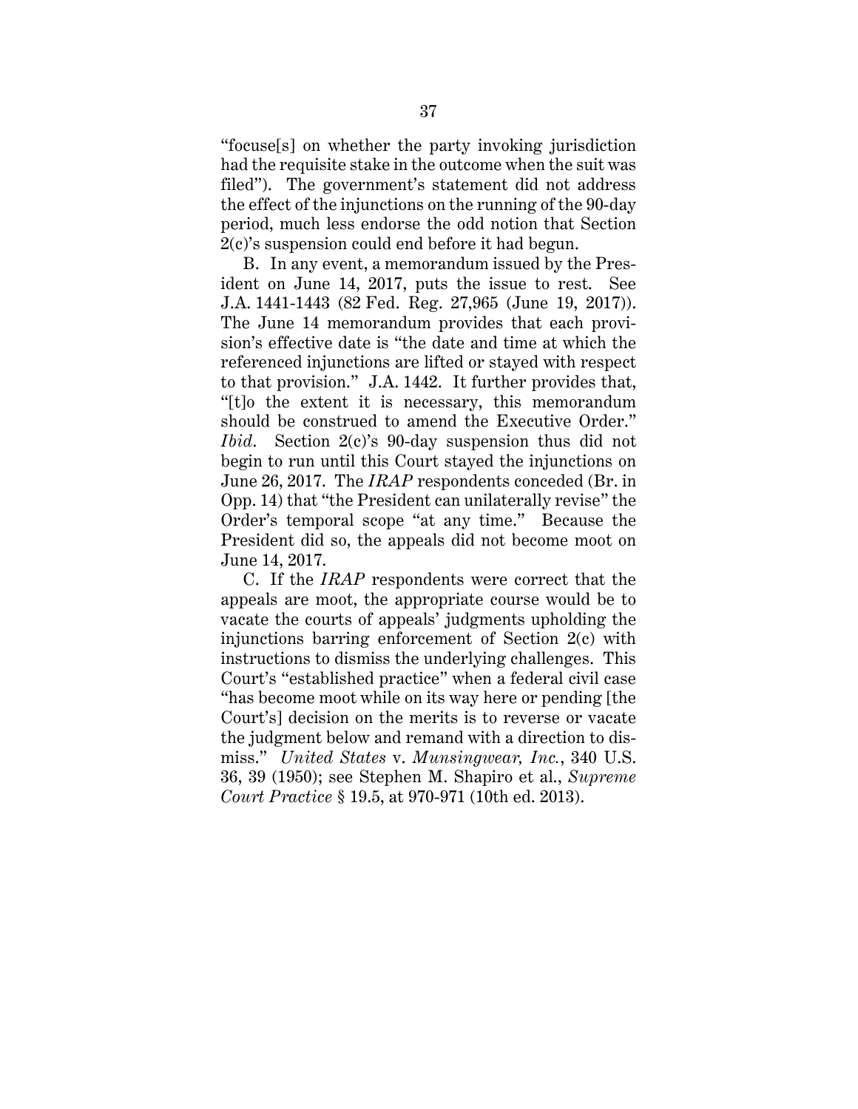"focuse[s] on whether the party invoking jurisdiction had the requisite stake in the outcome when the suit was filed"). The government's statement did not address the effect of the injunctions on the running of the 90-day period, much less endorse the odd notion that Section 2(c)'s suspension could end before it had begun.

B. In any event, a memorandum issued by the President on June 14, 2017, puts the issue to rest. See J.A. 1441-1443 (82 Fed. Reg. 27,965 (June 19, 2017)). The June 14 memorandum provides that each provision's effective date is "the date and time at which the referenced injunctions are lifted or stayed with respect to that provision." J.A. 1442. It further provides that, "[t]o the extent it is necessary, this memorandum should be construed to amend the Executive Order." *Ibid.* Section 2(c)'s 90-day suspension thus did not begin to run until this Court stayed the injunctions on June 26, 2017. The *IRAP* respondents conceded (Br. in Opp. 14) that "the President can unilaterally revise" the Order's temporal scope "at any time." Because the President did so, the appeals did not become moot on June 14, 2017.

C. If the *IRAP* respondents were correct that the appeals are moot, the appropriate course would be to vacate the courts of appeals' judgments upholding the injunctions barring enforcement of Section 2(c) with instructions to dismiss the underlying challenges. This Court's "established practice" when a federal civil case "has become moot while on its way here or pending [the Court's] decision on the merits is to reverse or vacate the judgment below and remand with a direction to dismiss." *United States* v. *Munsingwear, Inc.*, 340 U.S. 36, 39 (1950); see Stephen M. Shapiro et al., *Supreme Court Practice* § 19.5, at 970-971 (10th ed. 2013).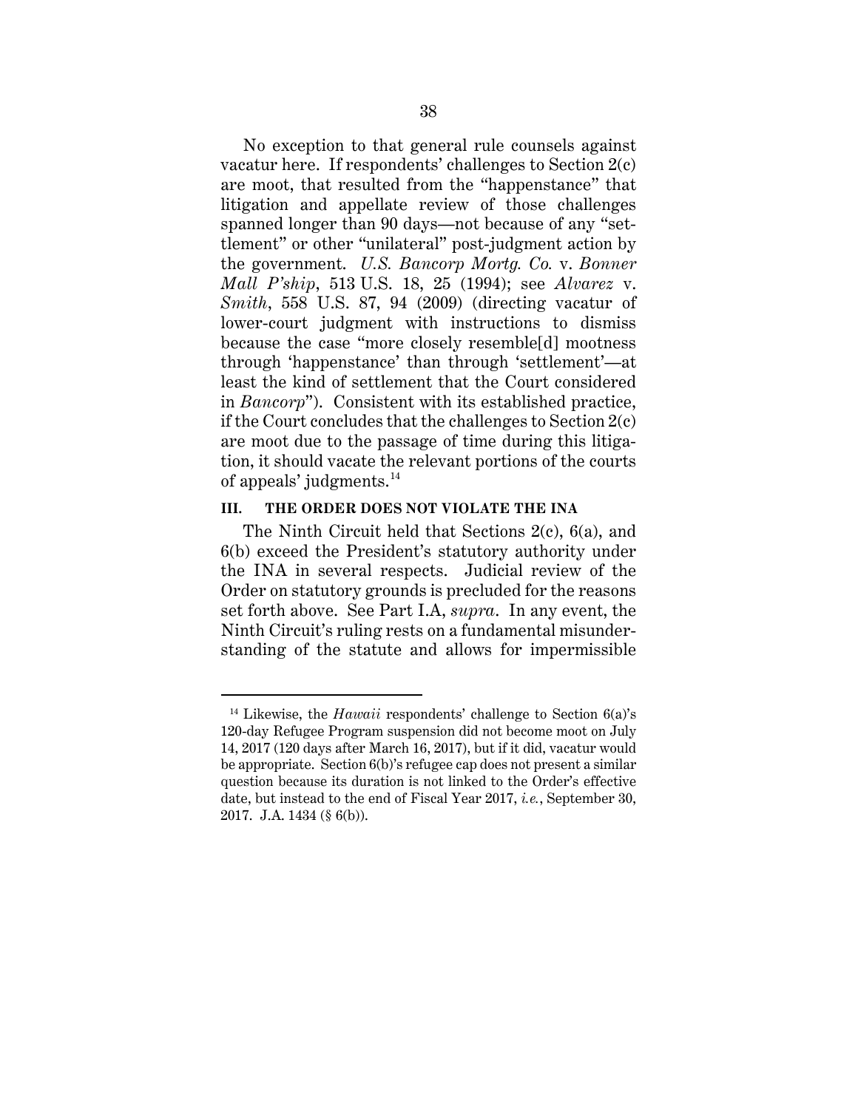No exception to that general rule counsels against vacatur here. If respondents' challenges to Section 2(c) are moot, that resulted from the "happenstance" that litigation and appellate review of those challenges spanned longer than 90 days—not because of any "settlement" or other "unilateral" post-judgment action by the government. *U.S. Bancorp Mortg. Co.* v. *Bonner Mall P'ship*, 513 U.S. 18, 25 (1994); see *Alvarez* v. *Smith*, 558 U.S. 87, 94 (2009) (directing vacatur of lower-court judgment with instructions to dismiss because the case "more closely resemble[d] mootness through 'happenstance' than through 'settlement'—at least the kind of settlement that the Court considered in *Bancorp*"). Consistent with its established practice, if the Court concludes that the challenges to Section 2(c) are moot due to the passage of time during this litigation, it should vacate the relevant portions of the courts of appeals' judgments.14

#### **III. THE ORDER DOES NOT VIOLATE THE INA**

 $\overline{a}$ 

The Ninth Circuit held that Sections 2(c), 6(a), and 6(b) exceed the President's statutory authority under the INA in several respects. Judicial review of the Order on statutory grounds is precluded for the reasons set forth above. See Part I.A, *supra*. In any event, the Ninth Circuit's ruling rests on a fundamental misunderstanding of the statute and allows for impermissible

<sup>&</sup>lt;sup>14</sup> Likewise, the *Hawaii* respondents' challenge to Section 6(a)'s 120-day Refugee Program suspension did not become moot on July 14, 2017 (120 days after March 16, 2017), but if it did, vacatur would be appropriate. Section 6(b)'s refugee cap does not present a similar question because its duration is not linked to the Order's effective date, but instead to the end of Fiscal Year 2017, *i.e.*, September 30, 2017. J.A. 1434 (§ 6(b)).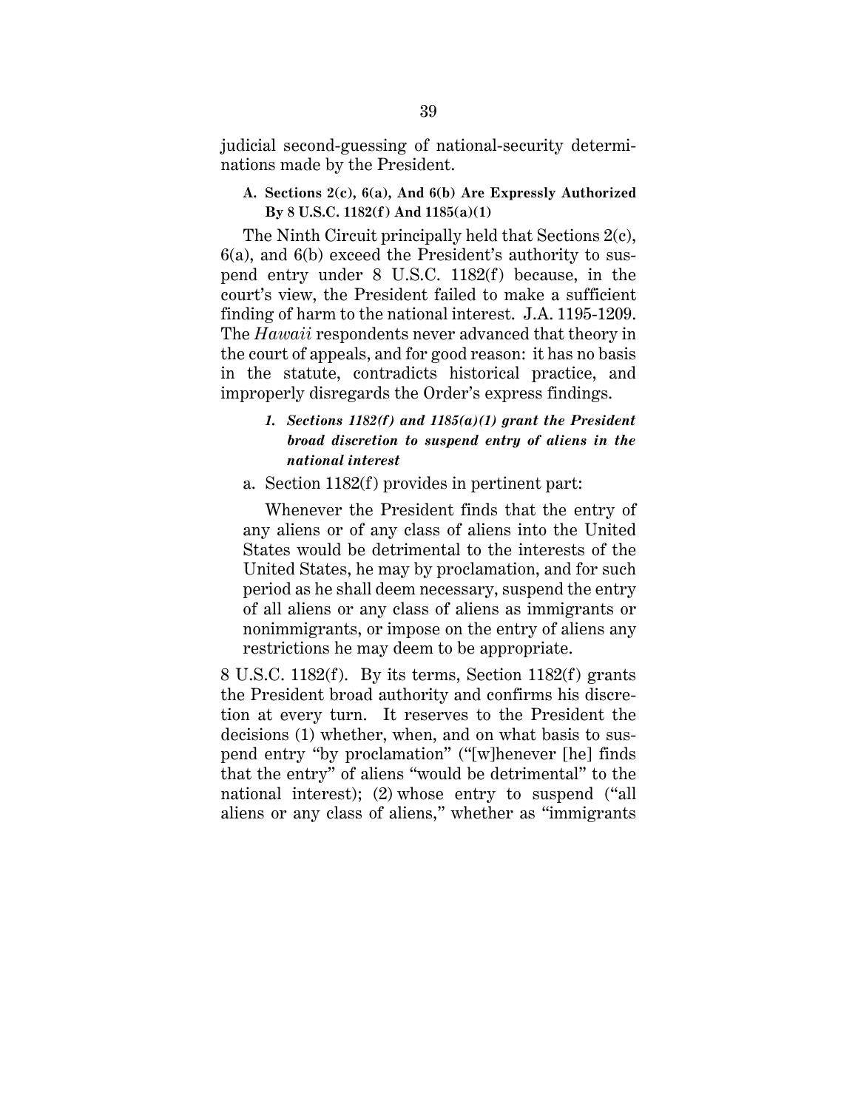judicial second-guessing of national-security determinations made by the President.

**A. Sections 2(c), 6(a), And 6(b) Are Expressly Authorized By 8 U.S.C. 1182(f) And 1185(a)(1)**

The Ninth Circuit principally held that Sections 2(c), 6(a), and 6(b) exceed the President's authority to suspend entry under 8 U.S.C. 1182(f) because, in the court's view, the President failed to make a sufficient finding of harm to the national interest. J.A. 1195-1209. The *Hawaii* respondents never advanced that theory in the court of appeals, and for good reason: it has no basis in the statute, contradicts historical practice, and improperly disregards the Order's express findings.

# *1. Sections 1182(f) and 1185(a)(1) grant the President broad discretion to suspend entry of aliens in the national interest*

a. Section 1182(f) provides in pertinent part:

Whenever the President finds that the entry of any aliens or of any class of aliens into the United States would be detrimental to the interests of the United States, he may by proclamation, and for such period as he shall deem necessary, suspend the entry of all aliens or any class of aliens as immigrants or nonimmigrants, or impose on the entry of aliens any restrictions he may deem to be appropriate.

8 U.S.C. 1182(f). By its terms, Section 1182(f) grants the President broad authority and confirms his discretion at every turn. It reserves to the President the decisions (1) whether, when, and on what basis to suspend entry "by proclamation" ("[w]henever [he] finds that the entry" of aliens "would be detrimental" to the national interest); (2) whose entry to suspend ("all aliens or any class of aliens," whether as "immigrants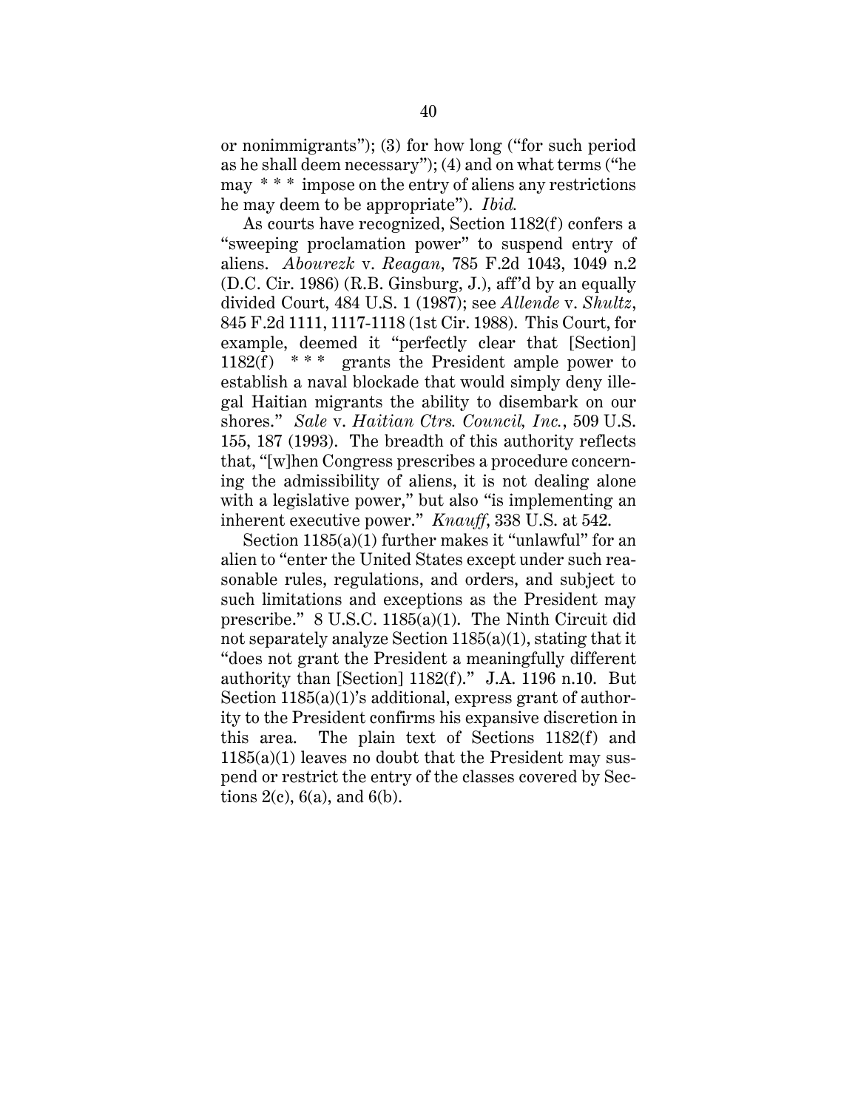or nonimmigrants"); (3) for how long ("for such period as he shall deem necessary"); (4) and on what terms ("he may \* \* \* impose on the entry of aliens any restrictions he may deem to be appropriate"). *Ibid.*

As courts have recognized, Section 1182(f) confers a "sweeping proclamation power" to suspend entry of aliens. *Abourezk* v. *Reagan*, 785 F.2d 1043, 1049 n.2 (D.C. Cir. 1986) (R.B. Ginsburg, J.), aff'd by an equally divided Court, 484 U.S. 1 (1987); see *Allende* v. *Shultz*, 845 F.2d 1111, 1117-1118 (1st Cir. 1988). This Court, for example, deemed it "perfectly clear that [Section] 1182(f) \* \* \* grants the President ample power to establish a naval blockade that would simply deny illegal Haitian migrants the ability to disembark on our shores." *Sale* v. *Haitian Ctrs. Council, Inc.*, 509 U.S. 155, 187 (1993). The breadth of this authority reflects that, "[w]hen Congress prescribes a procedure concerning the admissibility of aliens, it is not dealing alone with a legislative power," but also "is implementing an inherent executive power." *Knauff*, 338 U.S. at 542.

Section 1185(a)(1) further makes it "unlawful" for an alien to "enter the United States except under such reasonable rules, regulations, and orders, and subject to such limitations and exceptions as the President may prescribe." 8 U.S.C. 1185(a)(1). The Ninth Circuit did not separately analyze Section 1185(a)(1), stating that it "does not grant the President a meaningfully different authority than [Section] 1182(f)." J.A. 1196 n.10. But Section 1185(a)(1)'s additional, express grant of authority to the President confirms his expansive discretion in this area. The plain text of Sections 1182(f) and 1185(a)(1) leaves no doubt that the President may suspend or restrict the entry of the classes covered by Sections  $2(c)$ ,  $6(a)$ , and  $6(b)$ .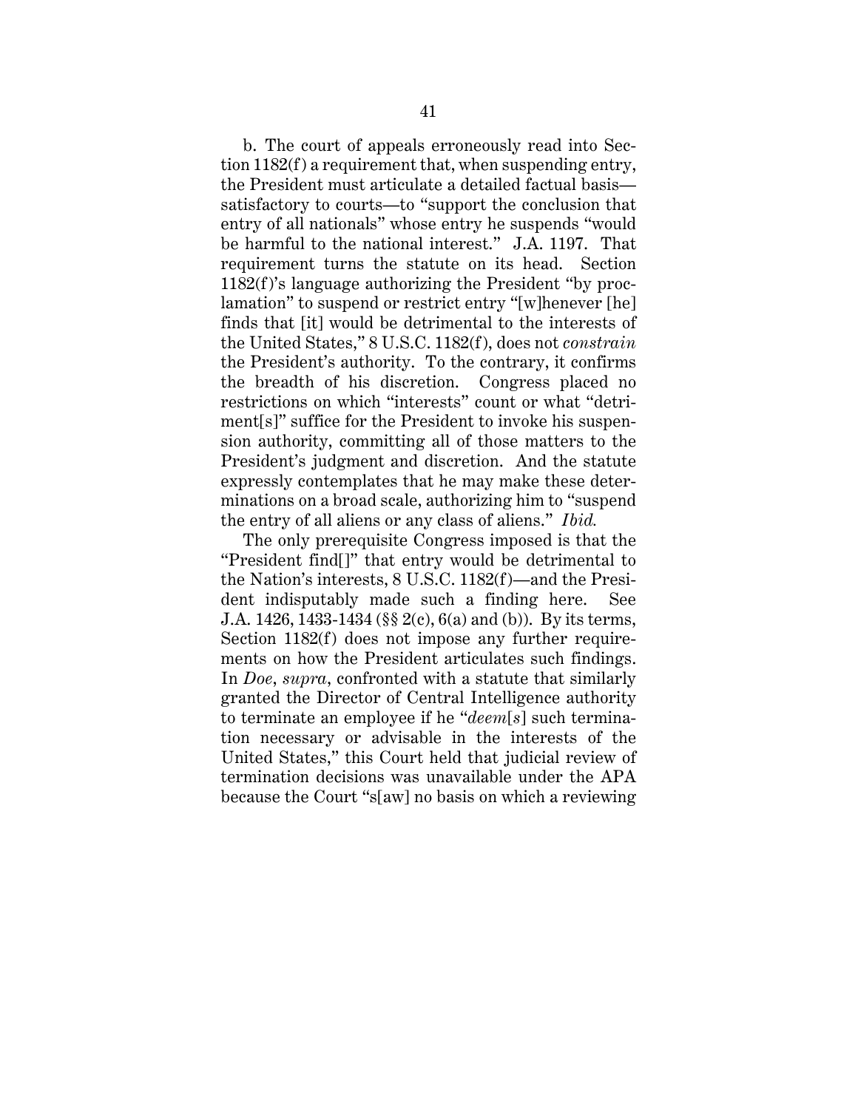b. The court of appeals erroneously read into Section 1182(f) a requirement that, when suspending entry, the President must articulate a detailed factual basis satisfactory to courts—to "support the conclusion that entry of all nationals" whose entry he suspends "would be harmful to the national interest." J.A. 1197. That requirement turns the statute on its head. Section 1182(f)'s language authorizing the President "by proclamation" to suspend or restrict entry "[w]henever [he] finds that [it] would be detrimental to the interests of the United States," 8 U.S.C. 1182(f), does not *constrain* the President's authority. To the contrary, it confirms the breadth of his discretion. Congress placed no restrictions on which "interests" count or what "detriment[s]" suffice for the President to invoke his suspension authority, committing all of those matters to the President's judgment and discretion. And the statute expressly contemplates that he may make these determinations on a broad scale, authorizing him to "suspend the entry of all aliens or any class of aliens." *Ibid.*

The only prerequisite Congress imposed is that the "President find[]" that entry would be detrimental to the Nation's interests, 8 U.S.C. 1182(f)—and the President indisputably made such a finding here. See J.A. 1426, 1433-1434 (§§ 2(c), 6(a) and (b)). By its terms, Section 1182(f) does not impose any further requirements on how the President articulates such findings. In *Doe*, *supra*, confronted with a statute that similarly granted the Director of Central Intelligence authority to terminate an employee if he "*deem*[*s*] such termination necessary or advisable in the interests of the United States," this Court held that judicial review of termination decisions was unavailable under the APA because the Court "s[aw] no basis on which a reviewing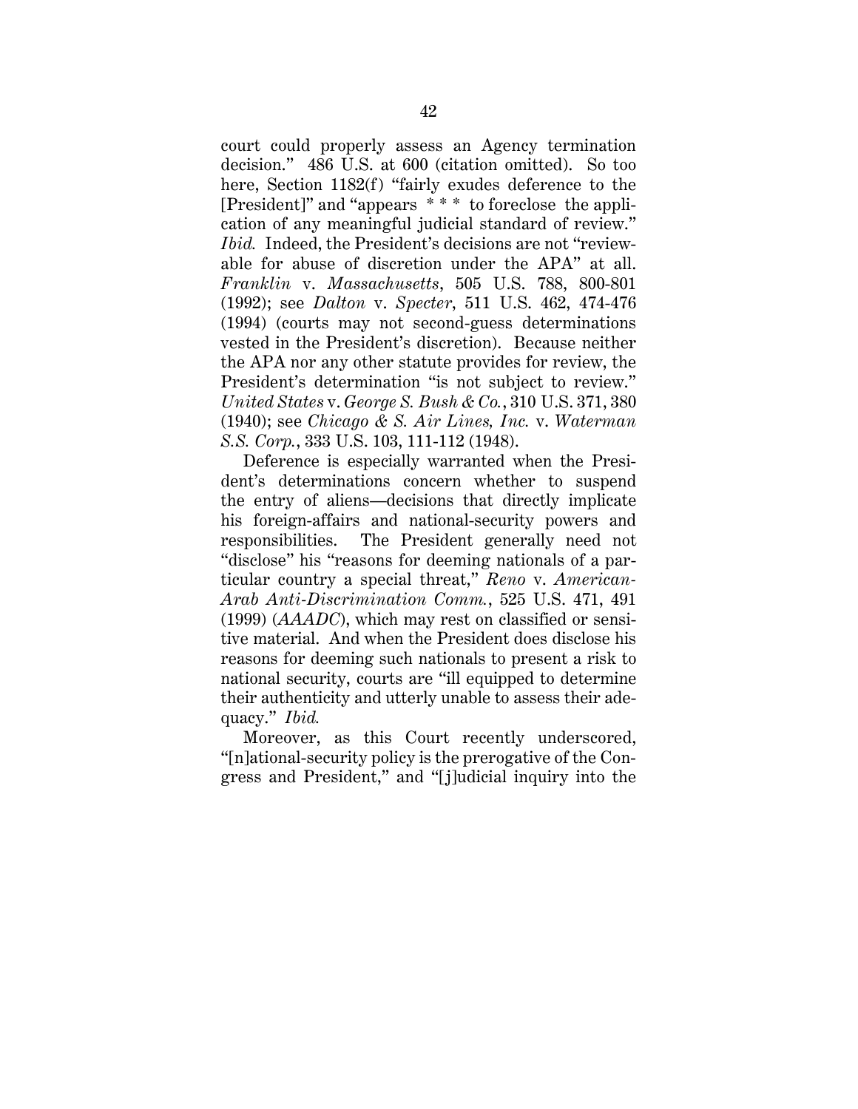court could properly assess an Agency termination decision." 486 U.S. at 600 (citation omitted). So too here, Section 1182(f) "fairly exudes deference to the [President]" and "appears \* \* \* to foreclose the application of any meaningful judicial standard of review." *Ibid.* Indeed, the President's decisions are not "reviewable for abuse of discretion under the APA" at all. *Franklin* v. *Massachusetts*, 505 U.S. 788, 800-801 (1992); see *Dalton* v. *Specter*, 511 U.S. 462, 474-476 (1994) (courts may not second-guess determinations vested in the President's discretion). Because neither the APA nor any other statute provides for review, the President's determination "is not subject to review." *United States* v. *George S. Bush & Co.*, 310 U.S. 371, 380 (1940); see *Chicago & S. Air Lines, Inc.* v. *Waterman S.S. Corp.*, 333 U.S. 103, 111-112 (1948).

Deference is especially warranted when the President's determinations concern whether to suspend the entry of aliens—decisions that directly implicate his foreign-affairs and national-security powers and responsibilities. The President generally need not "disclose" his "reasons for deeming nationals of a particular country a special threat," *Reno* v. *American-Arab Anti-Discrimination Comm.*, 525 U.S. 471, 491 (1999) (*AAADC*), which may rest on classified or sensitive material. And when the President does disclose his reasons for deeming such nationals to present a risk to national security, courts are "ill equipped to determine their authenticity and utterly unable to assess their adequacy." *Ibid.*

Moreover, as this Court recently underscored, "[n]ational-security policy is the prerogative of the Congress and President," and "[j]udicial inquiry into the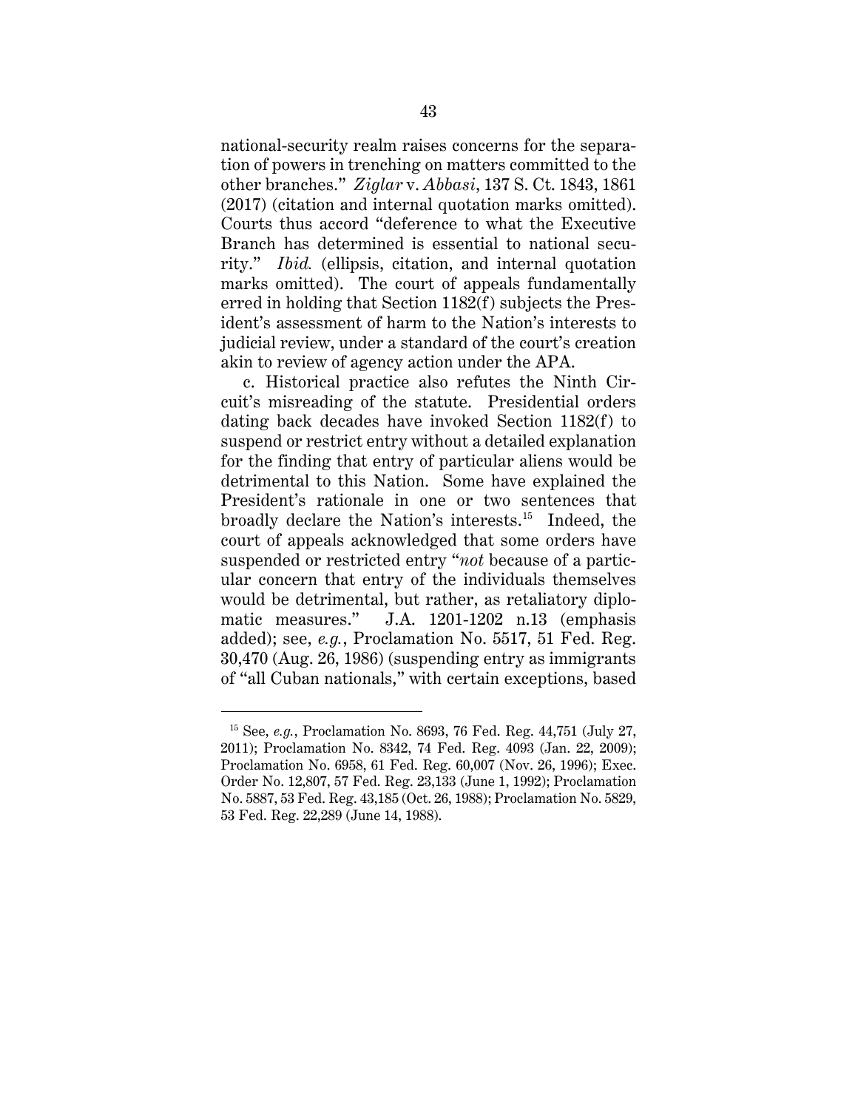national-security realm raises concerns for the separation of powers in trenching on matters committed to the other branches." *Ziglar* v. *Abbasi*, 137 S. Ct. 1843, 1861 (2017) (citation and internal quotation marks omitted). Courts thus accord "deference to what the Executive Branch has determined is essential to national security." *Ibid.* (ellipsis, citation, and internal quotation marks omitted). The court of appeals fundamentally erred in holding that Section 1182(f) subjects the President's assessment of harm to the Nation's interests to judicial review, under a standard of the court's creation akin to review of agency action under the APA.

c. Historical practice also refutes the Ninth Circuit's misreading of the statute. Presidential orders dating back decades have invoked Section 1182(f) to suspend or restrict entry without a detailed explanation for the finding that entry of particular aliens would be detrimental to this Nation. Some have explained the President's rationale in one or two sentences that broadly declare the Nation's interests.<sup>15</sup> Indeed, the court of appeals acknowledged that some orders have suspended or restricted entry "*not* because of a particular concern that entry of the individuals themselves would be detrimental, but rather, as retaliatory diplomatic measures." J.A. 1201-1202 n.13 (emphasis added); see, *e.g.*, Proclamation No. 5517, 51 Fed. Reg. 30,470 (Aug. 26, 1986) (suspending entry as immigrants of "all Cuban nationals," with certain exceptions, based

<sup>15</sup> See, *e.g.*, Proclamation No. 8693, 76 Fed. Reg. 44,751 (July 27, 2011); Proclamation No. 8342, 74 Fed. Reg. 4093 (Jan. 22, 2009); Proclamation No. 6958, 61 Fed. Reg. 60,007 (Nov. 26, 1996); Exec. Order No. 12,807, 57 Fed. Reg. 23,133 (June 1, 1992); Proclamation No. 5887, 53 Fed. Reg. 43,185 (Oct. 26, 1988); Proclamation No. 5829, 53 Fed. Reg. 22,289 (June 14, 1988).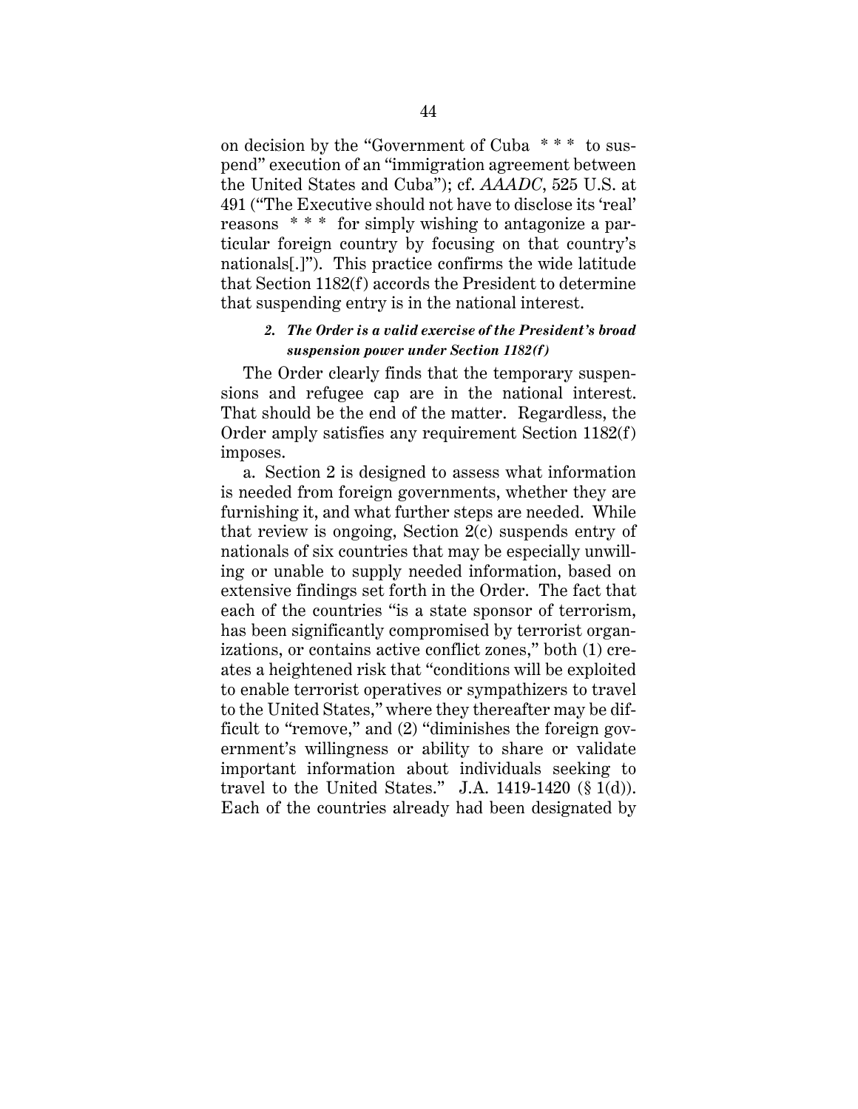on decision by the "Government of Cuba \* \* \* to suspend" execution of an "immigration agreement between the United States and Cuba"); cf. *AAADC*, 525 U.S. at 491 ("The Executive should not have to disclose its 'real' reasons \* \* \* for simply wishing to antagonize a particular foreign country by focusing on that country's nationals[.]"). This practice confirms the wide latitude that Section 1182(f) accords the President to determine that suspending entry is in the national interest.

# *2. The Order is a valid exercise of the President's broad suspension power under Section 1182(f)*

The Order clearly finds that the temporary suspensions and refugee cap are in the national interest. That should be the end of the matter. Regardless, the Order amply satisfies any requirement Section 1182(f) imposes.

a. Section 2 is designed to assess what information is needed from foreign governments, whether they are furnishing it, and what further steps are needed. While that review is ongoing, Section 2(c) suspends entry of nationals of six countries that may be especially unwilling or unable to supply needed information, based on extensive findings set forth in the Order. The fact that each of the countries "is a state sponsor of terrorism, has been significantly compromised by terrorist organizations, or contains active conflict zones," both (1) creates a heightened risk that "conditions will be exploited to enable terrorist operatives or sympathizers to travel to the United States," where they thereafter may be difficult to "remove," and (2) "diminishes the foreign government's willingness or ability to share or validate important information about individuals seeking to travel to the United States." J.A. 1419-1420  $(\S 1(d))$ . Each of the countries already had been designated by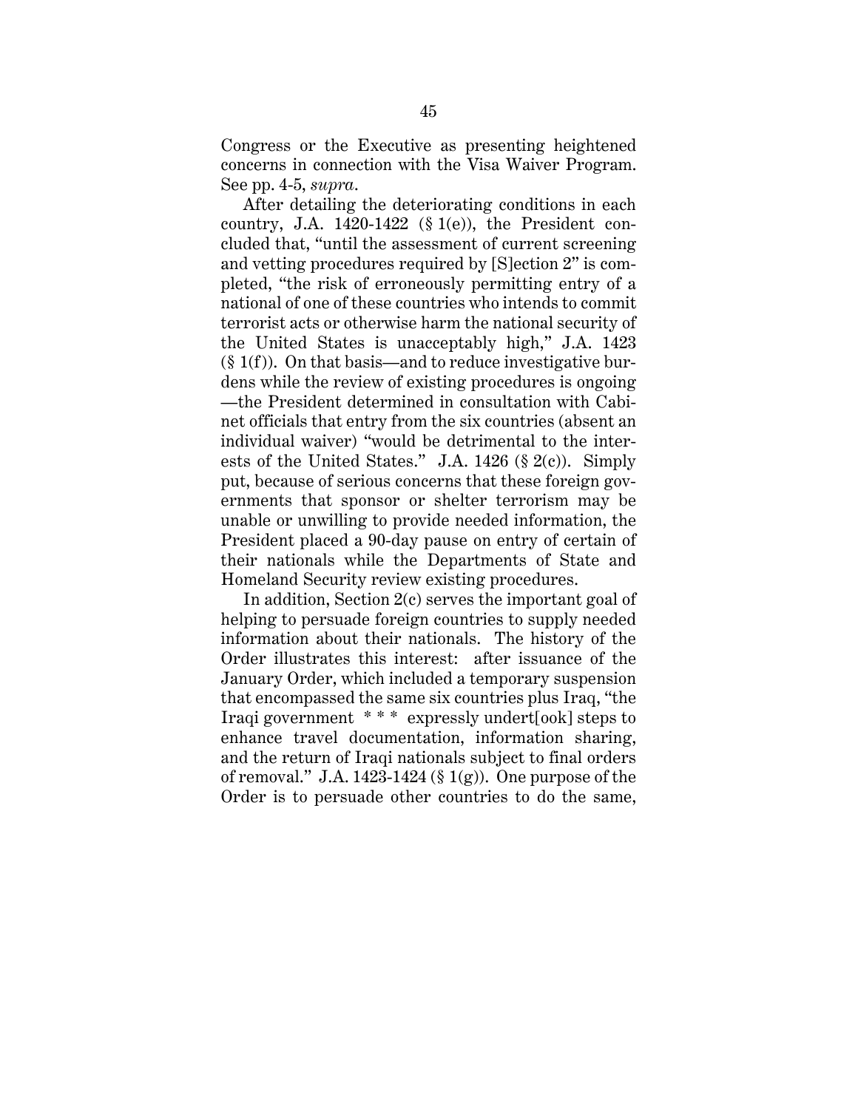Congress or the Executive as presenting heightened concerns in connection with the Visa Waiver Program. See pp. 4-5, *supra*.

After detailing the deteriorating conditions in each country, J.A.  $1420-1422$  (§ 1(e)), the President concluded that, "until the assessment of current screening and vetting procedures required by [S]ection 2" is completed, "the risk of erroneously permitting entry of a national of one of these countries who intends to commit terrorist acts or otherwise harm the national security of the United States is unacceptably high," J.A. 1423  $(\S 1(f))$ . On that basis—and to reduce investigative burdens while the review of existing procedures is ongoing —the President determined in consultation with Cabinet officials that entry from the six countries (absent an individual waiver) "would be detrimental to the interests of the United States." J.A. 1426 (§ 2(c)). Simply put, because of serious concerns that these foreign governments that sponsor or shelter terrorism may be unable or unwilling to provide needed information, the President placed a 90-day pause on entry of certain of their nationals while the Departments of State and Homeland Security review existing procedures.

In addition, Section 2(c) serves the important goal of helping to persuade foreign countries to supply needed information about their nationals. The history of the Order illustrates this interest: after issuance of the January Order, which included a temporary suspension that encompassed the same six countries plus Iraq, "the Iraqi government \* \* \* expressly undert[ook] steps to enhance travel documentation, information sharing, and the return of Iraqi nationals subject to final orders of removal." J.A. 1423-1424 ( $\S$  1(g)). One purpose of the Order is to persuade other countries to do the same,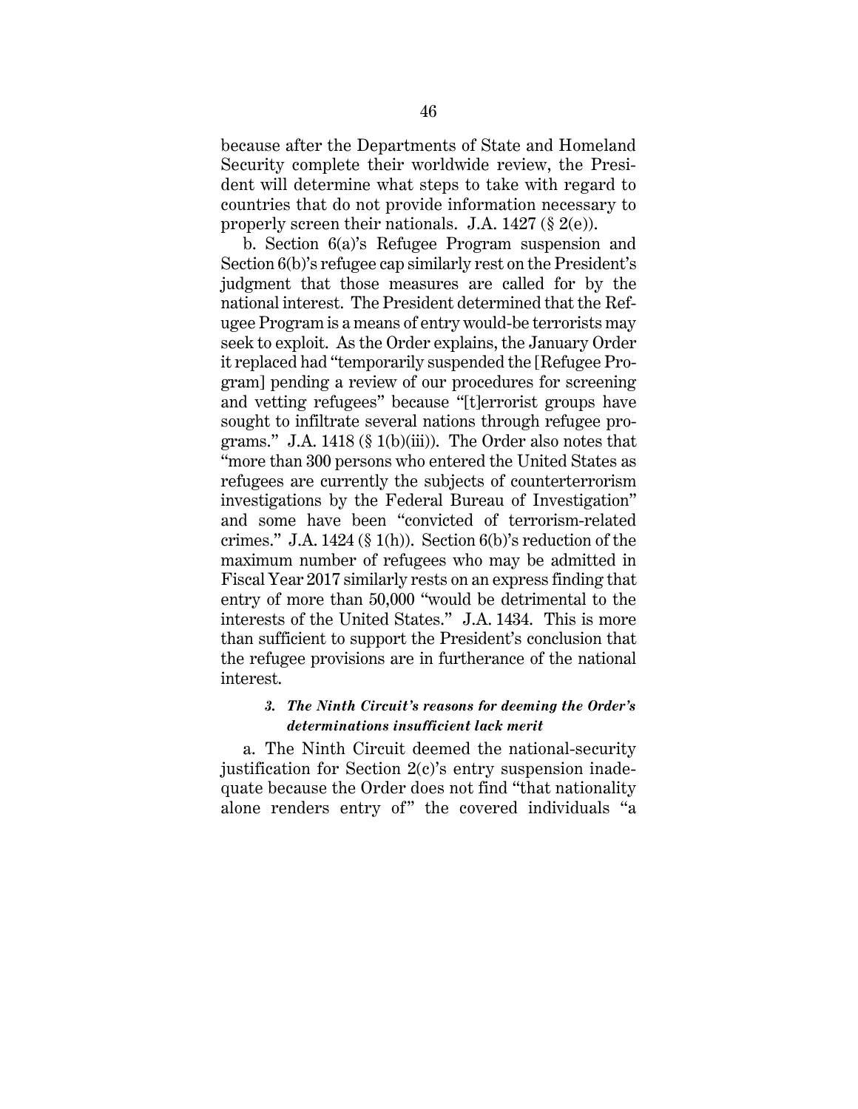because after the Departments of State and Homeland Security complete their worldwide review, the President will determine what steps to take with regard to countries that do not provide information necessary to properly screen their nationals. J.A. 1427 (§ 2(e)).

b. Section 6(a)'s Refugee Program suspension and Section 6(b)'s refugee cap similarly rest on the President's judgment that those measures are called for by the national interest. The President determined that the Refugee Program is a means of entry would-be terrorists may seek to exploit. As the Order explains, the January Order it replaced had "temporarily suspended the [Refugee Program] pending a review of our procedures for screening and vetting refugees" because "[t]errorist groups have sought to infiltrate several nations through refugee programs." J.A.  $1418 \left( \frac{8}{9} \right. 1(b)(iii)$ . The Order also notes that "more than 300 persons who entered the United States as refugees are currently the subjects of counterterrorism investigations by the Federal Bureau of Investigation" and some have been "convicted of terrorism-related crimes." J.A.  $1424$  (§ 1(h)). Section 6(b)'s reduction of the maximum number of refugees who may be admitted in Fiscal Year 2017 similarly rests on an express finding that entry of more than 50,000 "would be detrimental to the interests of the United States." J.A. 1434. This is more than sufficient to support the President's conclusion that the refugee provisions are in furtherance of the national interest.

# *3. The Ninth Circuit's reasons for deeming the Order's determinations insufficient lack merit*

a. The Ninth Circuit deemed the national-security justification for Section 2(c)'s entry suspension inadequate because the Order does not find "that nationality alone renders entry of" the covered individuals "a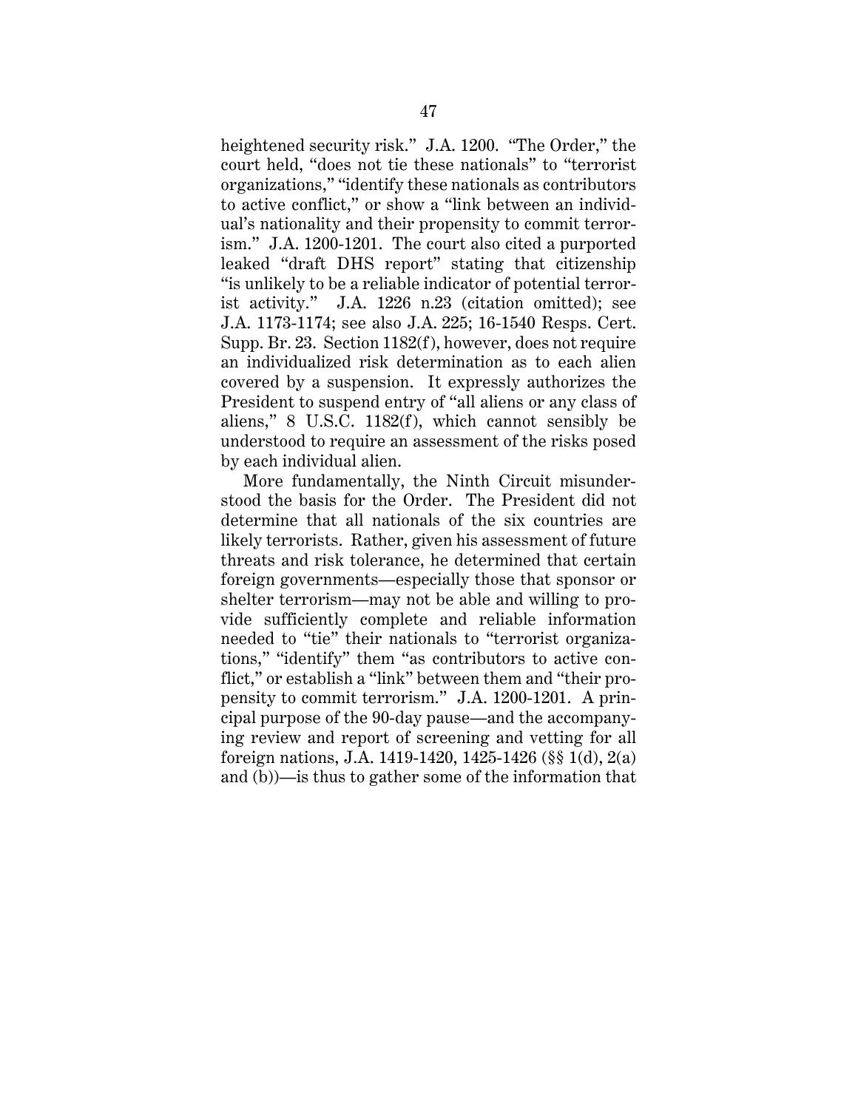heightened security risk." J.A. 1200. "The Order," the court held, "does not tie these nationals" to "terrorist organizations," "identify these nationals as contributors to active conflict," or show a "link between an individual's nationality and their propensity to commit terrorism." J.A. 1200-1201. The court also cited a purported leaked "draft DHS report" stating that citizenship "is unlikely to be a reliable indicator of potential terrorist activity." J.A. 1226 n.23 (citation omitted); see J.A. 1173-1174; see also J.A. 225; 16-1540 Resps. Cert. Supp. Br. 23. Section 1182(f), however, does not require an individualized risk determination as to each alien covered by a suspension. It expressly authorizes the President to suspend entry of "all aliens or any class of aliens," 8 U.S.C. 1182(f), which cannot sensibly be understood to require an assessment of the risks posed by each individual alien.

More fundamentally, the Ninth Circuit misunderstood the basis for the Order. The President did not determine that all nationals of the six countries are likely terrorists. Rather, given his assessment of future threats and risk tolerance, he determined that certain foreign governments—especially those that sponsor or shelter terrorism—may not be able and willing to provide sufficiently complete and reliable information needed to "tie" their nationals to "terrorist organizations," "identify" them "as contributors to active conflict," or establish a "link" between them and "their propensity to commit terrorism." J.A. 1200-1201. A principal purpose of the 90-day pause—and the accompanying review and report of screening and vetting for all foreign nations, J.A. 1419-1420, 1425-1426 (§§ 1(d), 2(a) and (b))—is thus to gather some of the information that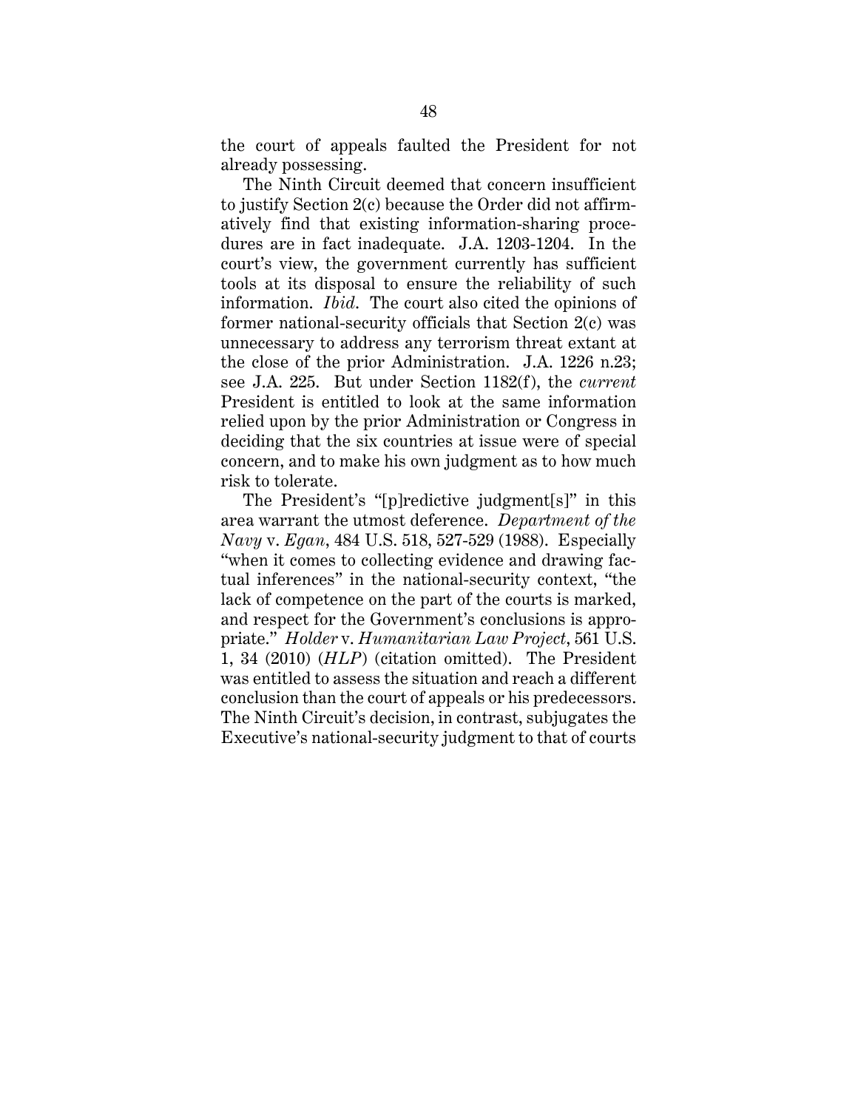the court of appeals faulted the President for not already possessing.

The Ninth Circuit deemed that concern insufficient to justify Section 2(c) because the Order did not affirmatively find that existing information-sharing procedures are in fact inadequate. J.A. 1203-1204. In the court's view, the government currently has sufficient tools at its disposal to ensure the reliability of such information. *Ibid*. The court also cited the opinions of former national-security officials that Section 2(c) was unnecessary to address any terrorism threat extant at the close of the prior Administration. J.A. 1226 n.23; see J.A. 225. But under Section 1182(f), the *current* President is entitled to look at the same information relied upon by the prior Administration or Congress in deciding that the six countries at issue were of special concern, and to make his own judgment as to how much risk to tolerate.

The President's "[p]redictive judgment[s]" in this area warrant the utmost deference. *Department of the Navy* v. *Egan*, 484 U.S. 518, 527-529 (1988). Especially "when it comes to collecting evidence and drawing factual inferences" in the national-security context, "the lack of competence on the part of the courts is marked, and respect for the Government's conclusions is appropriate." *Holder* v. *Humanitarian Law Project*, 561 U.S. 1, 34 (2010) (*HLP*) (citation omitted). The President was entitled to assess the situation and reach a different conclusion than the court of appeals or his predecessors. The Ninth Circuit's decision, in contrast, subjugates the Executive's national-security judgment to that of courts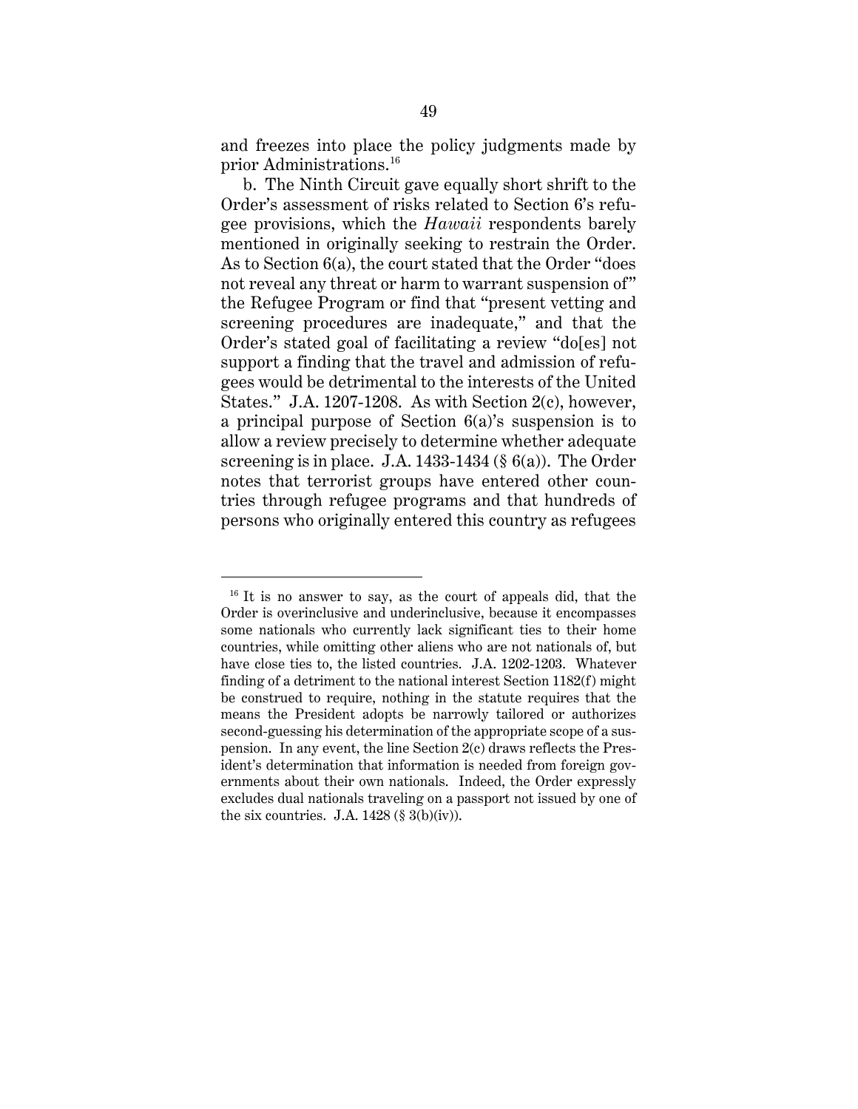and freezes into place the policy judgments made by prior Administrations.16

b. The Ninth Circuit gave equally short shrift to the Order's assessment of risks related to Section 6's refugee provisions, which the *Hawaii* respondents barely mentioned in originally seeking to restrain the Order. As to Section 6(a), the court stated that the Order "does not reveal any threat or harm to warrant suspension of" the Refugee Program or find that "present vetting and screening procedures are inadequate," and that the Order's stated goal of facilitating a review "do[es] not support a finding that the travel and admission of refugees would be detrimental to the interests of the United States." J.A. 1207-1208. As with Section 2(c), however, a principal purpose of Section 6(a)'s suspension is to allow a review precisely to determine whether adequate screening is in place. J.A.  $1433-1434$  (§ 6(a)). The Order notes that terrorist groups have entered other countries through refugee programs and that hundreds of persons who originally entered this country as refugees

 $16$  It is no answer to say, as the court of appeals did, that the Order is overinclusive and underinclusive, because it encompasses some nationals who currently lack significant ties to their home countries, while omitting other aliens who are not nationals of, but have close ties to, the listed countries. J.A. 1202-1203. Whatever finding of a detriment to the national interest Section 1182(f) might be construed to require, nothing in the statute requires that the means the President adopts be narrowly tailored or authorizes second-guessing his determination of the appropriate scope of a suspension. In any event, the line Section 2(c) draws reflects the President's determination that information is needed from foreign governments about their own nationals. Indeed, the Order expressly excludes dual nationals traveling on a passport not issued by one of the six countries. J.A.  $1428 \left( \frac{8}{5} \cdot 3(b)(iv) \right)$ .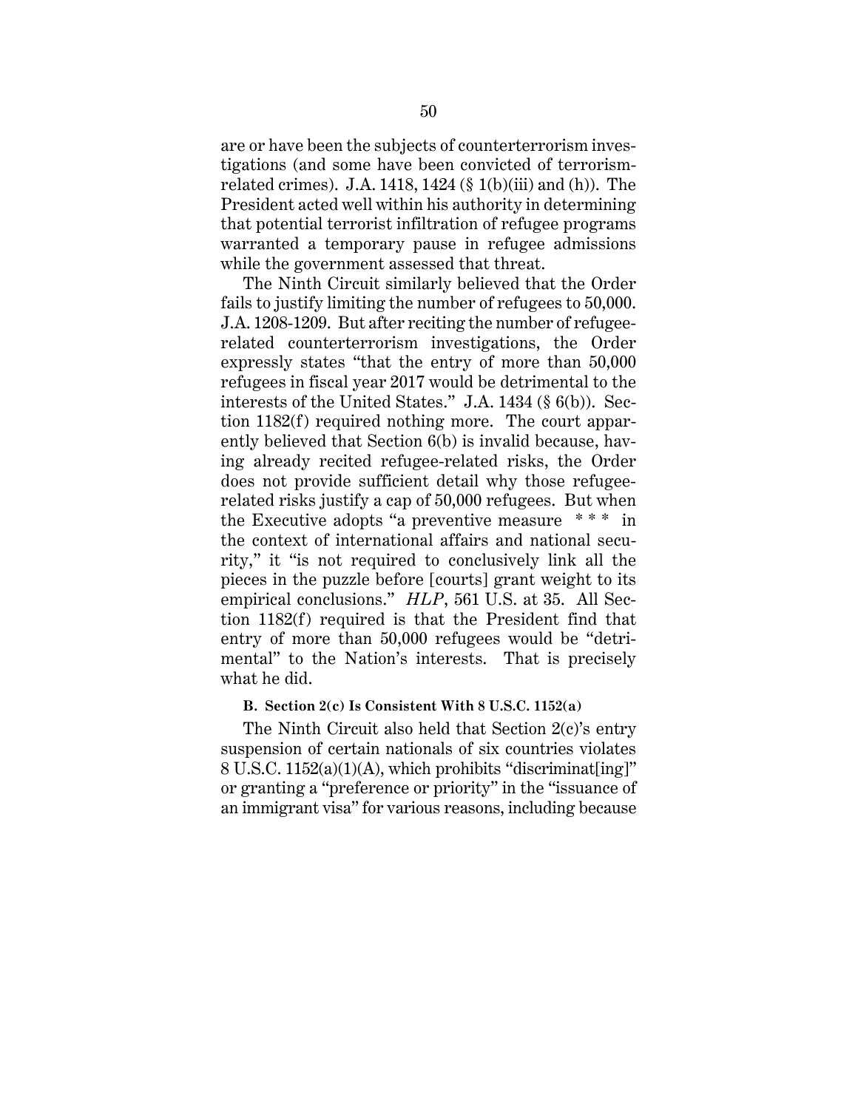are or have been the subjects of counterterrorism investigations (and some have been convicted of terrorismrelated crimes). J.A. 1418, 1424 (§ 1(b)(iii) and (h)). The President acted well within his authority in determining that potential terrorist infiltration of refugee programs warranted a temporary pause in refugee admissions while the government assessed that threat.

The Ninth Circuit similarly believed that the Order fails to justify limiting the number of refugees to 50,000. J.A. 1208-1209. But after reciting the number of refugeerelated counterterrorism investigations, the Order expressly states "that the entry of more than 50,000 refugees in fiscal year 2017 would be detrimental to the interests of the United States." J.A. 1434 (§ 6(b)). Section 1182(f) required nothing more. The court apparently believed that Section 6(b) is invalid because, having already recited refugee-related risks, the Order does not provide sufficient detail why those refugeerelated risks justify a cap of 50,000 refugees. But when the Executive adopts "a preventive measure \* \* \* in the context of international affairs and national security," it "is not required to conclusively link all the pieces in the puzzle before [courts] grant weight to its empirical conclusions." *HLP*, 561 U.S. at 35. All Section 1182(f) required is that the President find that entry of more than 50,000 refugees would be "detrimental" to the Nation's interests. That is precisely what he did.

#### **B. Section 2(c) Is Consistent With 8 U.S.C. 1152(a)**

The Ninth Circuit also held that Section 2(c)'s entry suspension of certain nationals of six countries violates 8 U.S.C. 1152(a)(1)(A), which prohibits "discriminat[ing]" or granting a "preference or priority" in the "issuance of an immigrant visa" for various reasons, including because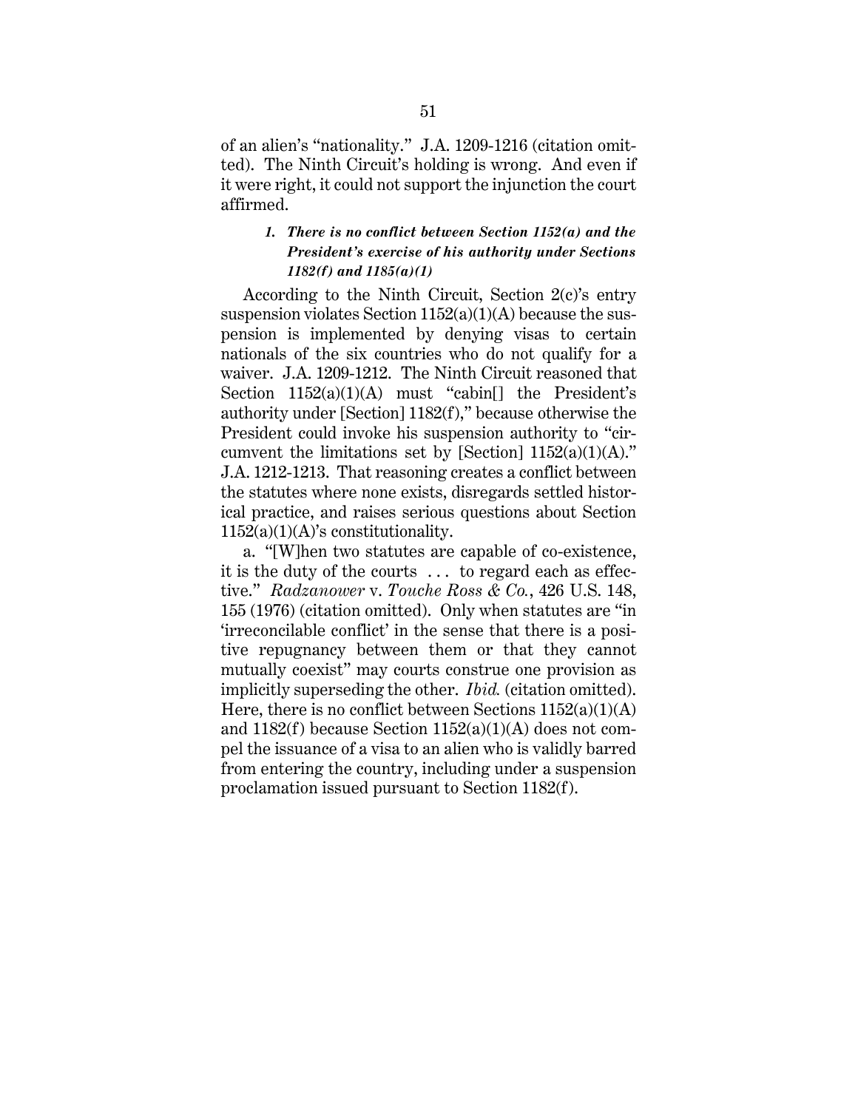of an alien's "nationality." J.A. 1209-1216 (citation omitted). The Ninth Circuit's holding is wrong. And even if it were right, it could not support the injunction the court affirmed.

# *1. There is no conflict between Section 1152(a) and the President's exercise of his authority under Sections 1182(f) and 1185(a)(1)*

According to the Ninth Circuit, Section 2(c)'s entry suspension violates Section  $1152(a)(1)(A)$  because the suspension is implemented by denying visas to certain nationals of the six countries who do not qualify for a waiver. J.A. 1209-1212. The Ninth Circuit reasoned that Section  $1152(a)(1)(A)$  must "cabin<sup>[]</sup> the President's authority under [Section] 1182(f)," because otherwise the President could invoke his suspension authority to "circumvent the limitations set by [Section]  $1152(a)(1)(A)$ ." J.A. 1212-1213. That reasoning creates a conflict between the statutes where none exists, disregards settled historical practice, and raises serious questions about Section 1152(a)(1)(A)'s constitutionality.

a. "[W]hen two statutes are capable of co-existence, it is the duty of the courts . . . to regard each as effective." *Radzanower* v. *Touche Ross & Co.*, 426 U.S. 148, 155 (1976) (citation omitted). Only when statutes are "in 'irreconcilable conflict' in the sense that there is a positive repugnancy between them or that they cannot mutually coexist" may courts construe one provision as implicitly superseding the other. *Ibid.* (citation omitted). Here, there is no conflict between Sections  $1152(a)(1)(A)$ and  $1182(f)$  because Section  $1152(a)(1)(A)$  does not compel the issuance of a visa to an alien who is validly barred from entering the country, including under a suspension proclamation issued pursuant to Section 1182(f).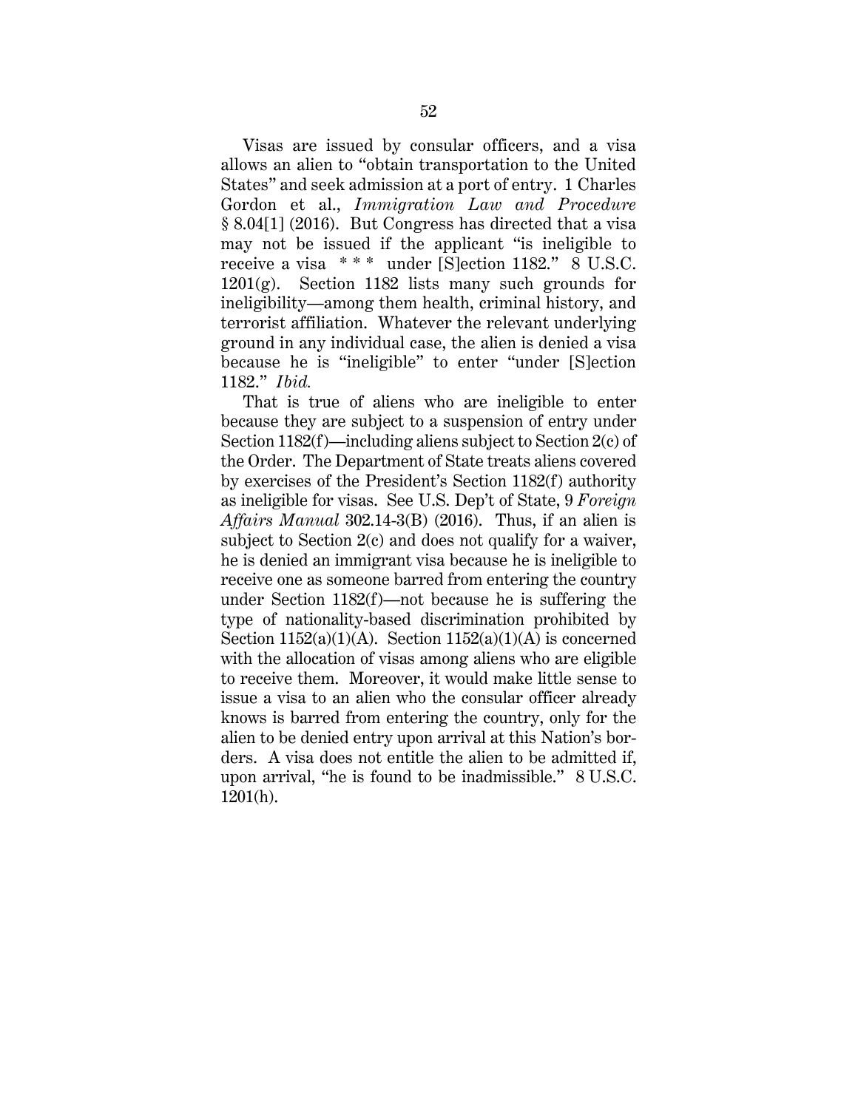Visas are issued by consular officers, and a visa allows an alien to "obtain transportation to the United States" and seek admission at a port of entry. 1 Charles Gordon et al., *Immigration Law and Procedure* § 8.04[1] (2016). But Congress has directed that a visa may not be issued if the applicant "is ineligible to receive a visa \*\*\* under [S]ection 1182." 8 U.S.C. 1201(g). Section 1182 lists many such grounds for ineligibility—among them health, criminal history, and terrorist affiliation. Whatever the relevant underlying ground in any individual case, the alien is denied a visa because he is "ineligible" to enter "under [S]ection 1182." *Ibid.*

That is true of aliens who are ineligible to enter because they are subject to a suspension of entry under Section 1182(f)—including aliens subject to Section 2(c) of the Order. The Department of State treats aliens covered by exercises of the President's Section 1182(f) authority as ineligible for visas. See U.S. Dep't of State, 9 *Foreign Affairs Manual* 302.14-3(B) (2016). Thus, if an alien is subject to Section 2(c) and does not qualify for a waiver, he is denied an immigrant visa because he is ineligible to receive one as someone barred from entering the country under Section 1182(f)—not because he is suffering the type of nationality-based discrimination prohibited by Section  $1152(a)(1)(A)$ . Section  $1152(a)(1)(A)$  is concerned with the allocation of visas among aliens who are eligible to receive them. Moreover, it would make little sense to issue a visa to an alien who the consular officer already knows is barred from entering the country, only for the alien to be denied entry upon arrival at this Nation's borders. A visa does not entitle the alien to be admitted if, upon arrival, "he is found to be inadmissible." 8 U.S.C. 1201(h).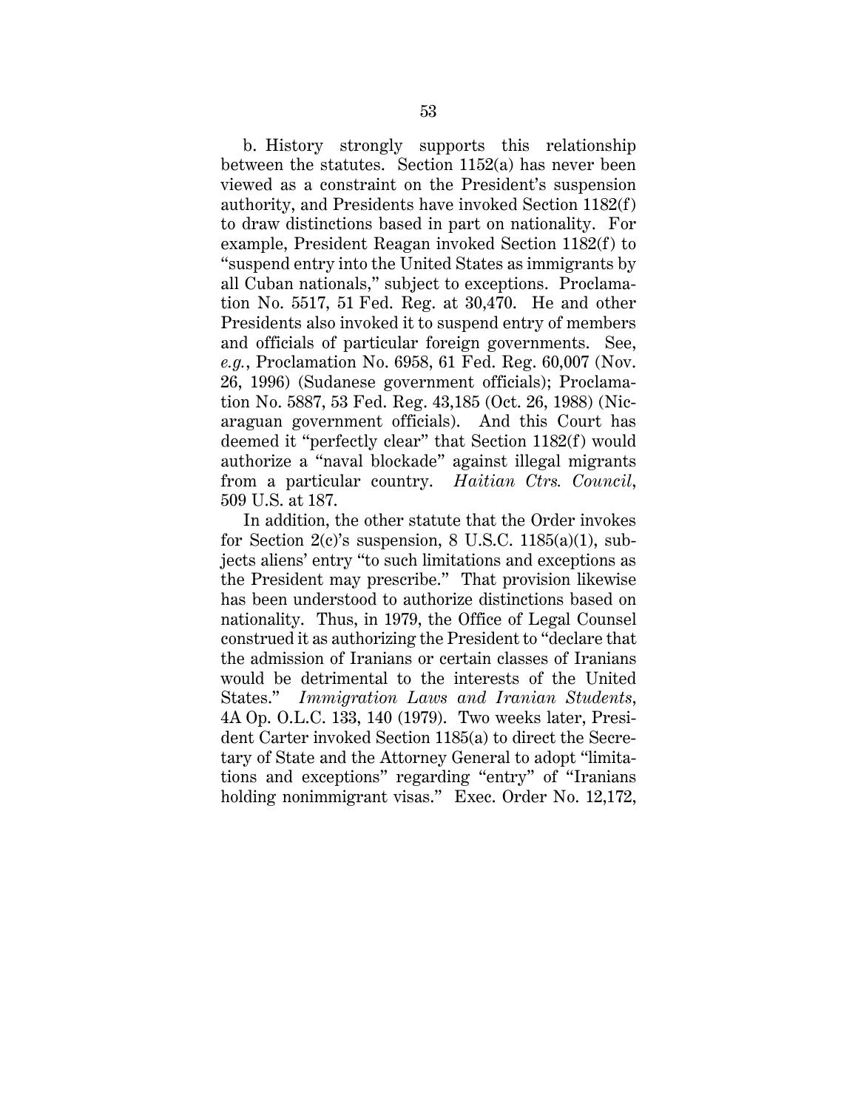b. History strongly supports this relationship between the statutes. Section 1152(a) has never been viewed as a constraint on the President's suspension authority, and Presidents have invoked Section 1182(f) to draw distinctions based in part on nationality. For example, President Reagan invoked Section 1182(f) to "suspend entry into the United States as immigrants by all Cuban nationals," subject to exceptions. Proclamation No. 5517, 51 Fed. Reg. at 30,470. He and other Presidents also invoked it to suspend entry of members and officials of particular foreign governments. See, *e.g.*, Proclamation No. 6958, 61 Fed. Reg. 60,007 (Nov. 26, 1996) (Sudanese government officials); Proclamation No. 5887, 53 Fed. Reg. 43,185 (Oct. 26, 1988) (Nicaraguan government officials). And this Court has deemed it "perfectly clear" that Section 1182(f) would authorize a "naval blockade" against illegal migrants from a particular country. *Haitian Ctrs. Council*, 509 U.S. at 187.

In addition, the other statute that the Order invokes for Section  $2(c)$ 's suspension, 8 U.S.C. 1185(a)(1), subjects aliens' entry "to such limitations and exceptions as the President may prescribe." That provision likewise has been understood to authorize distinctions based on nationality. Thus, in 1979, the Office of Legal Counsel construed it as authorizing the President to "declare that the admission of Iranians or certain classes of Iranians would be detrimental to the interests of the United States." *Immigration Laws and Iranian Students*, 4A Op. O.L.C. 133, 140 (1979). Two weeks later, President Carter invoked Section 1185(a) to direct the Secretary of State and the Attorney General to adopt "limitations and exceptions" regarding "entry" of "Iranians holding nonimmigrant visas." Exec. Order No. 12,172,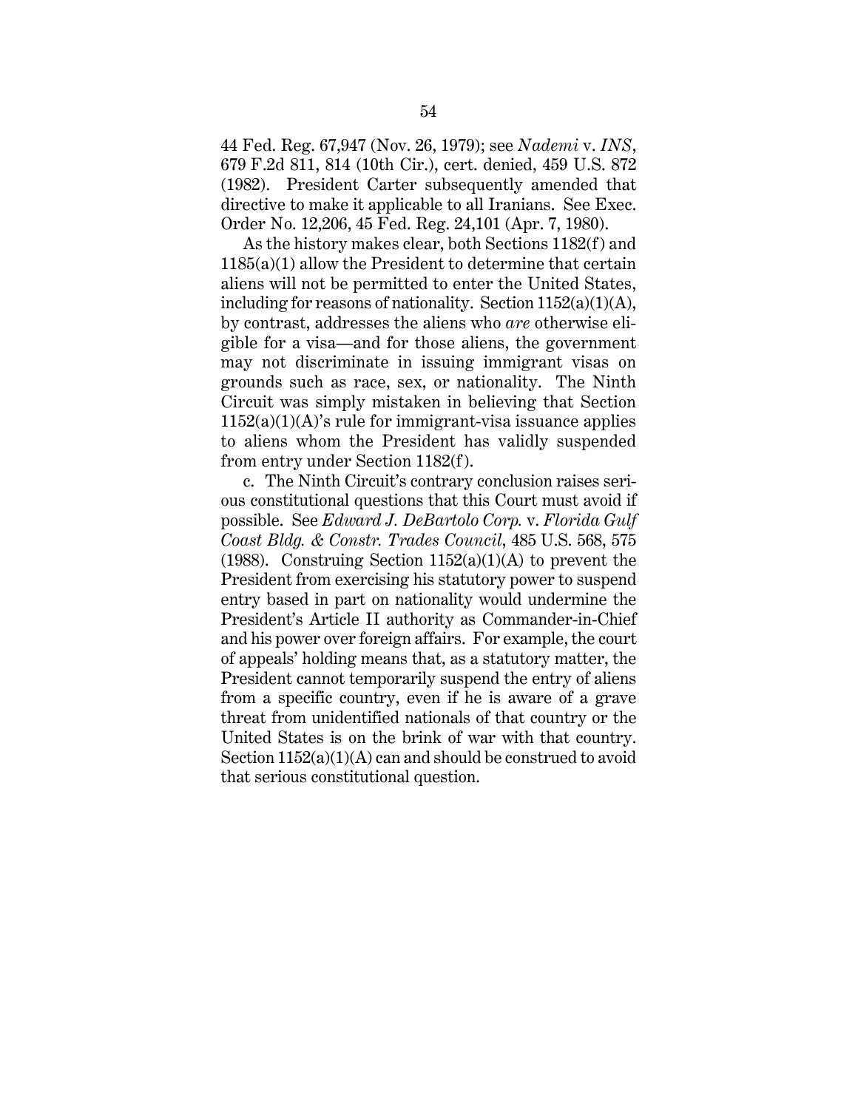44 Fed. Reg. 67,947 (Nov. 26, 1979); see *Nademi* v. *INS*, 679 F.2d 811, 814 (10th Cir.), cert. denied, 459 U.S. 872 (1982). President Carter subsequently amended that directive to make it applicable to all Iranians. See Exec. Order No. 12,206, 45 Fed. Reg. 24,101 (Apr. 7, 1980).

As the history makes clear, both Sections 1182(f) and 1185(a)(1) allow the President to determine that certain aliens will not be permitted to enter the United States, including for reasons of nationality. Section  $1152(a)(1)(A)$ , by contrast, addresses the aliens who *are* otherwise eligible for a visa—and for those aliens, the government may not discriminate in issuing immigrant visas on grounds such as race, sex, or nationality. The Ninth Circuit was simply mistaken in believing that Section  $1152(a)(1)(A)$ 's rule for immigrant-visa issuance applies to aliens whom the President has validly suspended from entry under Section 1182(f).

c. The Ninth Circuit's contrary conclusion raises serious constitutional questions that this Court must avoid if possible. See *Edward J. DeBartolo Corp.* v. *Florida Gulf Coast Bldg. & Constr. Trades Council*, 485 U.S. 568, 575 (1988). Construing Section  $1152(a)(1)(A)$  to prevent the President from exercising his statutory power to suspend entry based in part on nationality would undermine the President's Article II authority as Commander-in-Chief and his power over foreign affairs. For example, the court of appeals' holding means that, as a statutory matter, the President cannot temporarily suspend the entry of aliens from a specific country, even if he is aware of a grave threat from unidentified nationals of that country or the United States is on the brink of war with that country. Section  $1152(a)(1)(A)$  can and should be construed to avoid that serious constitutional question.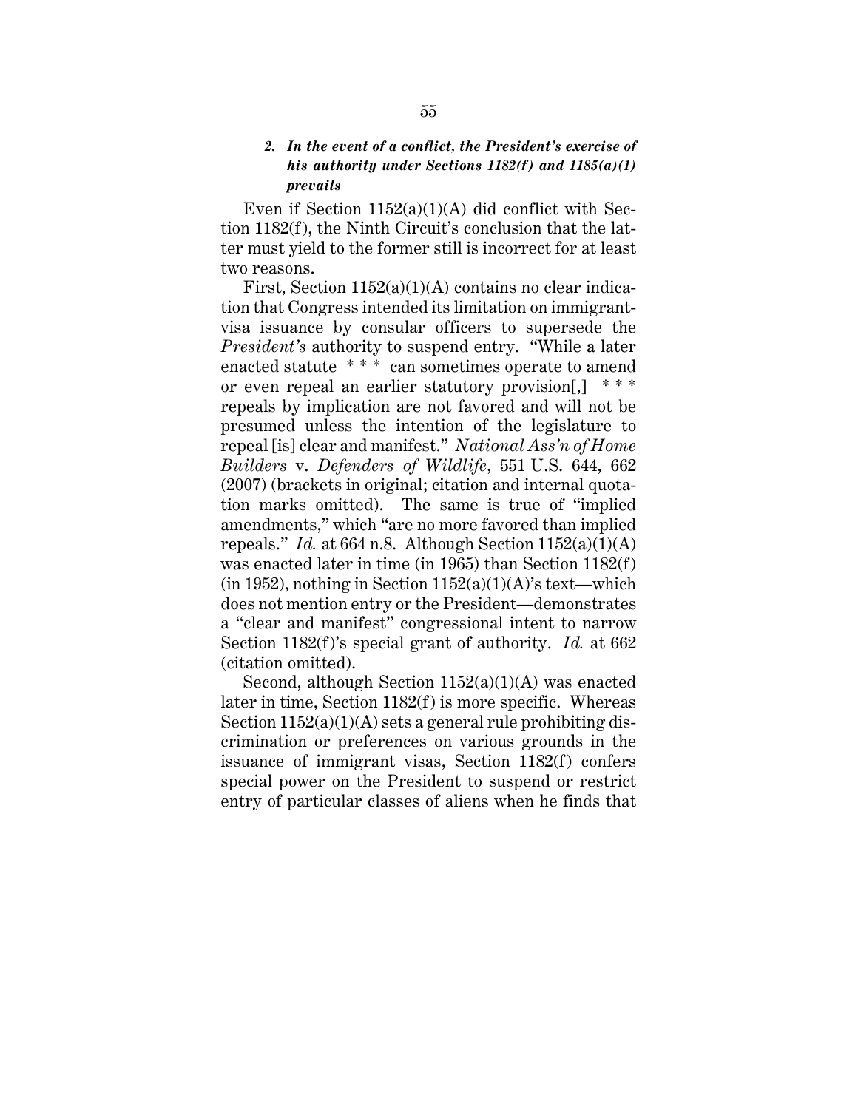# *2. In the event of a conflict, the President's exercise of his authority under Sections 1182(f) and 1185(a)(1) prevails*

Even if Section  $1152(a)(1)(A)$  did conflict with Section 1182(f), the Ninth Circuit's conclusion that the latter must yield to the former still is incorrect for at least two reasons.

First, Section  $1152(a)(1)(A)$  contains no clear indication that Congress intended its limitation on immigrantvisa issuance by consular officers to supersede the *President's* authority to suspend entry. "While a later enacted statute \* \* \* can sometimes operate to amend or even repeal an earlier statutory provision[,] \* \* \* repeals by implication are not favored and will not be presumed unless the intention of the legislature to repeal [is] clear and manifest." *National Ass'n of Home Builders* v. *Defenders of Wildlife*, 551 U.S. 644, 662 (2007) (brackets in original; citation and internal quotation marks omitted). The same is true of "implied amendments," which "are no more favored than implied repeals." *Id.* at 664 n.8. Although Section  $1152(a)(1)(A)$ was enacted later in time (in 1965) than Section 1182(f)  $(in 1952)$ , nothing in Section  $1152(a)(1)(A)$ 's text—which does not mention entry or the President—demonstrates a "clear and manifest" congressional intent to narrow Section 1182(f)'s special grant of authority. *Id.* at 662 (citation omitted).

Second, although Section  $1152(a)(1)(A)$  was enacted later in time, Section 1182(f) is more specific. Whereas Section  $1152(a)(1)(A)$  sets a general rule prohibiting discrimination or preferences on various grounds in the issuance of immigrant visas, Section 1182(f) confers special power on the President to suspend or restrict entry of particular classes of aliens when he finds that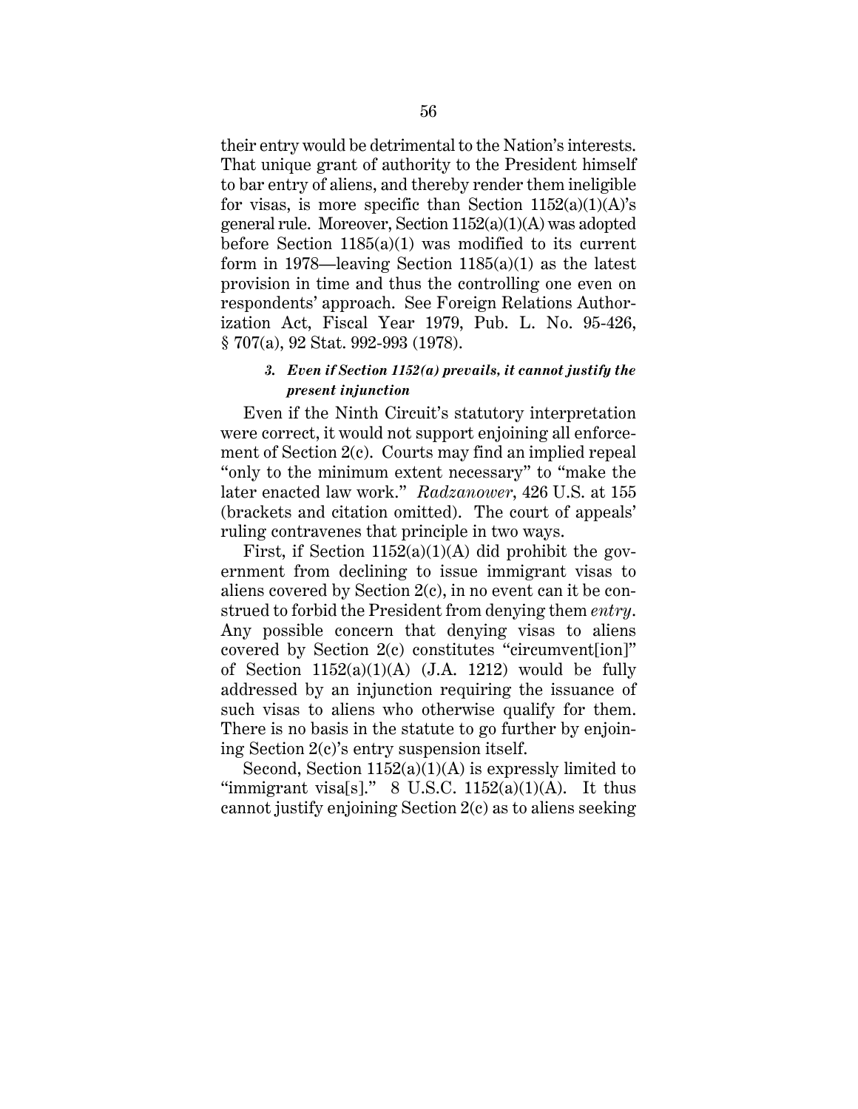their entry would be detrimental to the Nation's interests. That unique grant of authority to the President himself to bar entry of aliens, and thereby render them ineligible for visas, is more specific than Section  $1152(a)(1)(A)$ 's general rule. Moreover, Section 1152(a)(1)(A) was adopted before Section 1185(a)(1) was modified to its current form in 1978—leaving Section  $1185(a)(1)$  as the latest provision in time and thus the controlling one even on respondents' approach. See Foreign Relations Authorization Act, Fiscal Year 1979, Pub. L. No. 95-426, § 707(a), 92 Stat. 992-993 (1978).

### *3. Even if Section 1152(a) prevails, it cannot justify the present injunction*

Even if the Ninth Circuit's statutory interpretation were correct, it would not support enjoining all enforcement of Section 2(c). Courts may find an implied repeal "only to the minimum extent necessary" to "make the later enacted law work." *Radzanower*, 426 U.S. at 155 (brackets and citation omitted). The court of appeals' ruling contravenes that principle in two ways.

First, if Section  $1152(a)(1)(A)$  did prohibit the government from declining to issue immigrant visas to aliens covered by Section 2(c), in no event can it be construed to forbid the President from denying them *entry*. Any possible concern that denying visas to aliens covered by Section 2(c) constitutes "circumvent[ion]" of Section  $1152(a)(1)(A)$  (J.A. 1212) would be fully addressed by an injunction requiring the issuance of such visas to aliens who otherwise qualify for them. There is no basis in the statute to go further by enjoining Section 2(c)'s entry suspension itself.

Second, Section  $1152(a)(1)(A)$  is expressly limited to "immigrant visa[s]." 8 U.S.C.  $1152(a)(1)(A)$ . It thus cannot justify enjoining Section 2(c) as to aliens seeking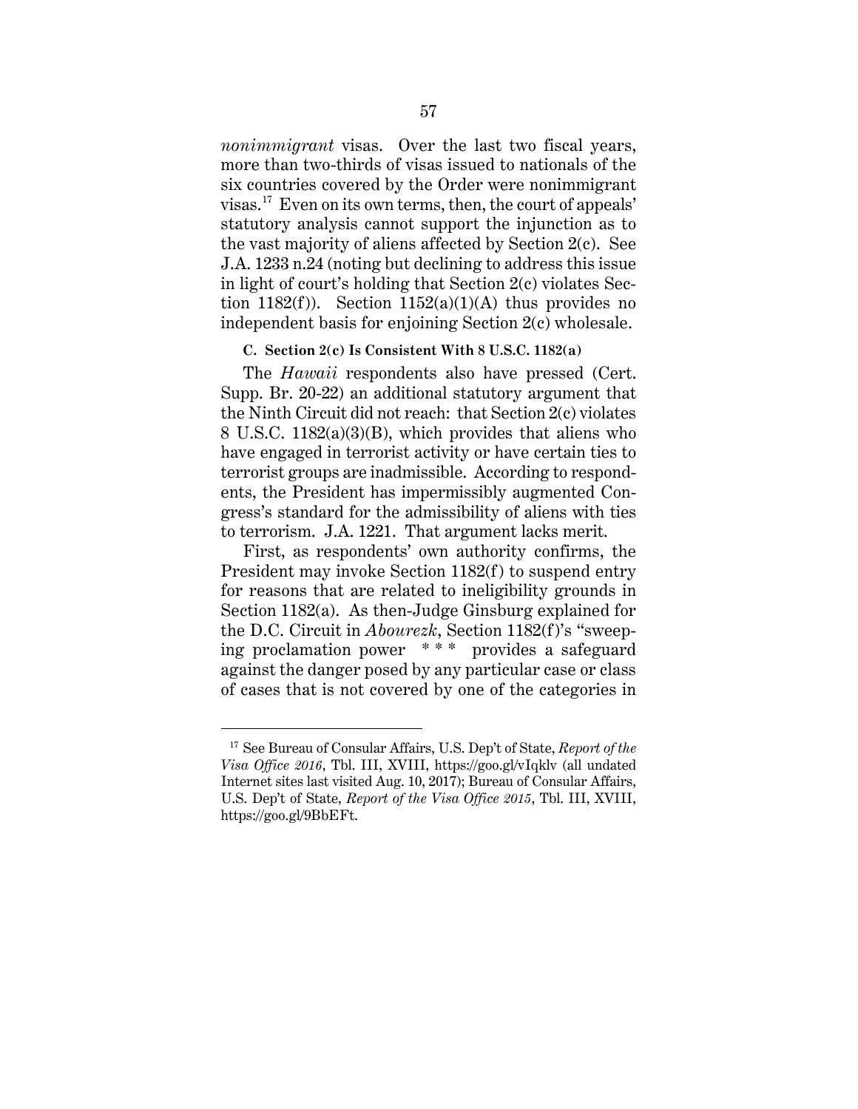*nonimmigrant* visas. Over the last two fiscal years, more than two-thirds of visas issued to nationals of the six countries covered by the Order were nonimmigrant visas.17 Even on its own terms, then, the court of appeals' statutory analysis cannot support the injunction as to the vast majority of aliens affected by Section 2(c). See J.A. 1233 n.24 (noting but declining to address this issue in light of court's holding that Section 2(c) violates Section 1182(f)). Section 1152(a)(1)(A) thus provides no independent basis for enjoining Section 2(c) wholesale.

### **C. Section 2(c) Is Consistent With 8 U.S.C. 1182(a)**

The *Hawaii* respondents also have pressed (Cert. Supp. Br. 20-22) an additional statutory argument that the Ninth Circuit did not reach: that Section 2(c) violates 8 U.S.C. 1182(a)(3)(B), which provides that aliens who have engaged in terrorist activity or have certain ties to terrorist groups are inadmissible. According to respondents, the President has impermissibly augmented Congress's standard for the admissibility of aliens with ties to terrorism. J.A. 1221. That argument lacks merit.

First, as respondents' own authority confirms, the President may invoke Section 1182(f) to suspend entry for reasons that are related to ineligibility grounds in Section 1182(a). As then-Judge Ginsburg explained for the D.C. Circuit in *Abourezk*, Section 1182(f)'s "sweeping proclamation power \* \* \* provides a safeguard against the danger posed by any particular case or class of cases that is not covered by one of the categories in

<sup>17</sup> See Bureau of Consular Affairs, U.S. Dep't of State, *Report of the Visa Office 2016*, Tbl. III, XVIII, https://goo.gl/vIqklv (all undated Internet sites last visited Aug. 10, 2017); Bureau of Consular Affairs, U.S. Dep't of State, *Report of the Visa Office 2015*, Tbl. III, XVIII, https://goo.gl/9BbEFt.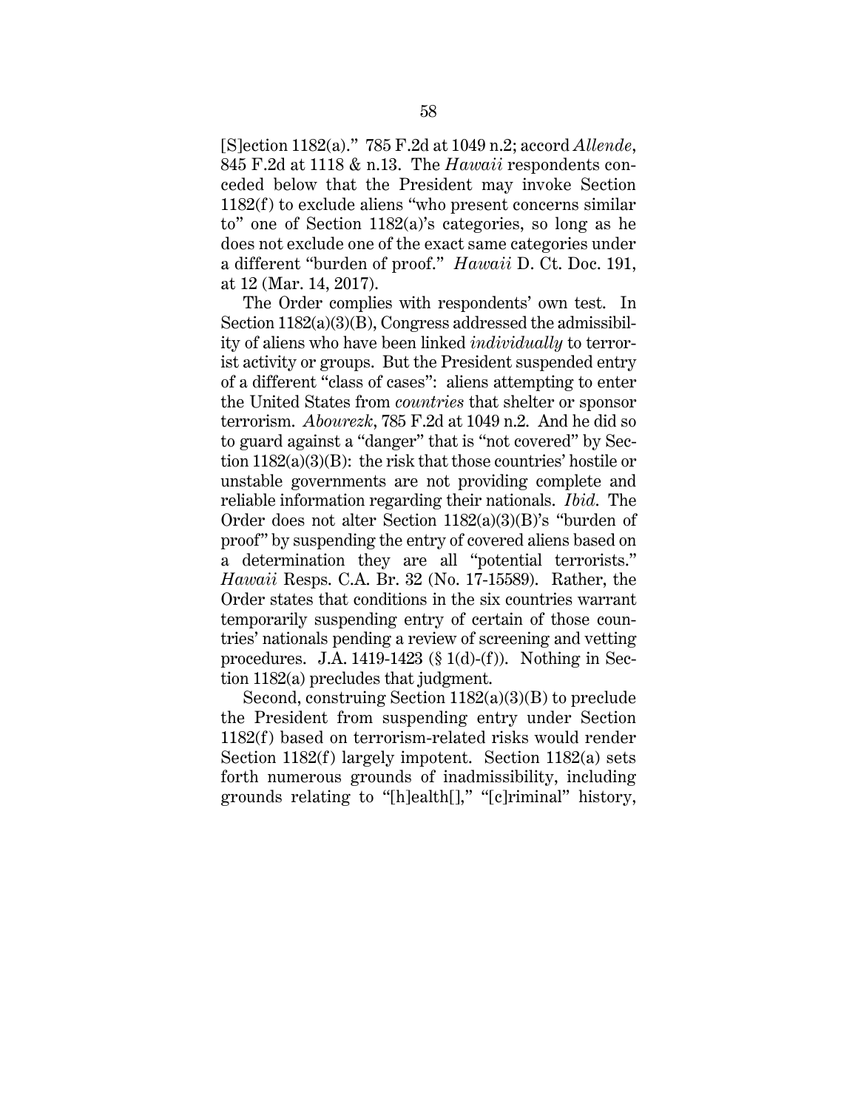[S]ection 1182(a)." 785 F.2d at 1049 n.2; accord *Allende*, 845 F.2d at 1118 & n.13. The *Hawaii* respondents conceded below that the President may invoke Section 1182(f) to exclude aliens "who present concerns similar to" one of Section 1182(a)'s categories, so long as he does not exclude one of the exact same categories under a different "burden of proof." *Hawaii* D. Ct. Doc. 191, at 12 (Mar. 14, 2017).

The Order complies with respondents' own test. In Section 1182(a)(3)(B), Congress addressed the admissibility of aliens who have been linked *individually* to terrorist activity or groups. But the President suspended entry of a different "class of cases": aliens attempting to enter the United States from *countries* that shelter or sponsor terrorism. *Abourezk*, 785 F.2d at 1049 n.2. And he did so to guard against a "danger" that is "not covered" by Section 1182(a)(3)(B): the risk that those countries' hostile or unstable governments are not providing complete and reliable information regarding their nationals. *Ibid*. The Order does not alter Section 1182(a)(3)(B)'s "burden of proof" by suspending the entry of covered aliens based on a determination they are all "potential terrorists." *Hawaii* Resps. C.A. Br. 32 (No. 17-15589). Rather, the Order states that conditions in the six countries warrant temporarily suspending entry of certain of those countries' nationals pending a review of screening and vetting procedures. J.A. 1419-1423  $(\S 1(d)-(f))$ . Nothing in Section 1182(a) precludes that judgment.

Second, construing Section 1182(a)(3)(B) to preclude the President from suspending entry under Section 1182(f) based on terrorism-related risks would render Section 1182(f) largely impotent. Section 1182(a) sets forth numerous grounds of inadmissibility, including grounds relating to "[h]ealth[]," "[c]riminal" history,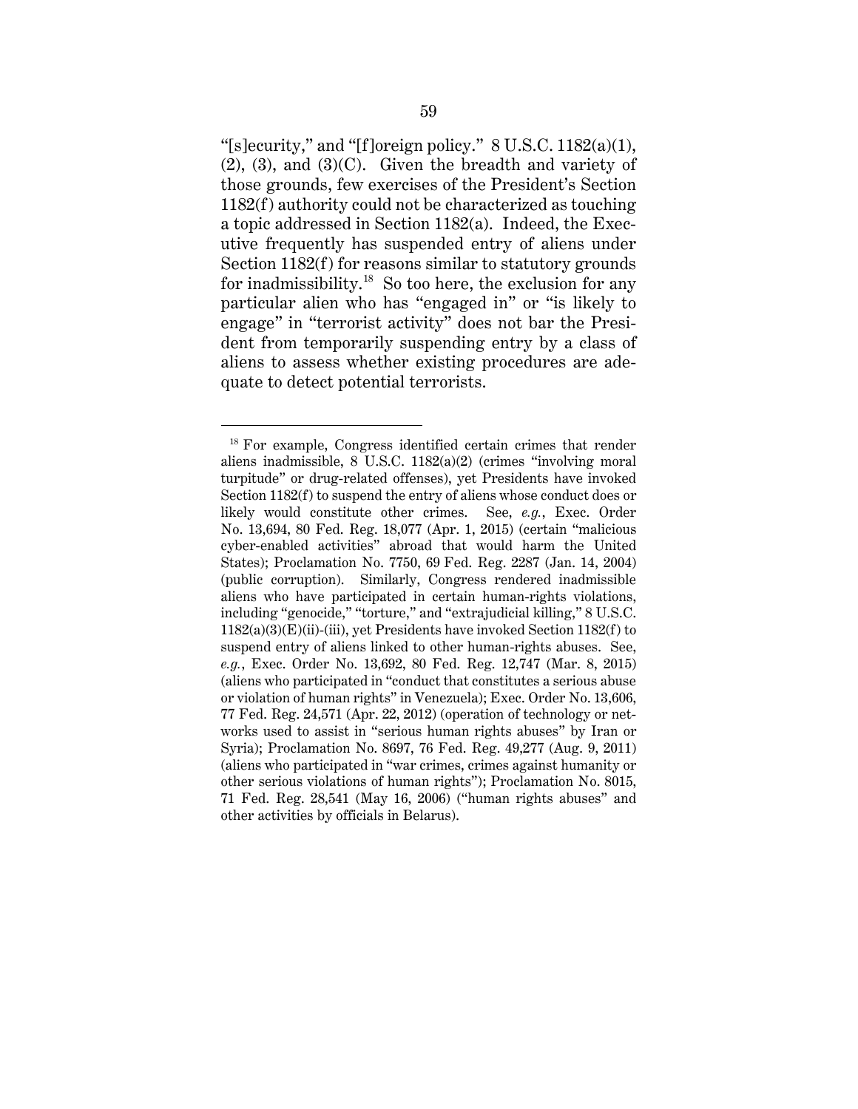"[s]ecurity," and "[f]oreign policy."  $8 \text{ U.S.C. } 1182(a)(1)$ ,  $(2)$ ,  $(3)$ , and  $(3)(C)$ . Given the breadth and variety of those grounds, few exercises of the President's Section 1182(f) authority could not be characterized as touching a topic addressed in Section 1182(a). Indeed, the Executive frequently has suspended entry of aliens under Section 1182(f) for reasons similar to statutory grounds for inadmissibility.<sup>18</sup> So too here, the exclusion for any particular alien who has "engaged in" or "is likely to engage" in "terrorist activity" does not bar the President from temporarily suspending entry by a class of aliens to assess whether existing procedures are adequate to detect potential terrorists.

 $\overline{a}$ 

<sup>18</sup> For example, Congress identified certain crimes that render aliens inadmissible, 8 U.S.C. 1182(a)(2) (crimes "involving moral turpitude" or drug-related offenses), yet Presidents have invoked Section 1182(f) to suspend the entry of aliens whose conduct does or likely would constitute other crimes.See, *e.g.*, Exec. Order No. 13,694, 80 Fed. Reg. 18,077 (Apr. 1, 2015) (certain "malicious cyber-enabled activities" abroad that would harm the United States); Proclamation No. 7750, 69 Fed. Reg. 2287 (Jan. 14, 2004) (public corruption). Similarly, Congress rendered inadmissible aliens who have participated in certain human-rights violations, including "genocide," "torture," and "extrajudicial killing," 8 U.S.C. 1182(a)(3)(E)(ii)-(iii), yet Presidents have invoked Section 1182(f) to suspend entry of aliens linked to other human-rights abuses. See, *e.g.*, Exec. Order No. 13,692, 80 Fed. Reg. 12,747 (Mar. 8, 2015) (aliens who participated in "conduct that constitutes a serious abuse or violation of human rights" in Venezuela); Exec. Order No. 13,606, 77 Fed. Reg. 24,571 (Apr. 22, 2012) (operation of technology or networks used to assist in "serious human rights abuses" by Iran or Syria); Proclamation No. 8697, 76 Fed. Reg. 49,277 (Aug. 9, 2011) (aliens who participated in "war crimes, crimes against humanity or other serious violations of human rights"); Proclamation No. 8015, 71 Fed. Reg. 28,541 (May 16, 2006) ("human rights abuses" and other activities by officials in Belarus).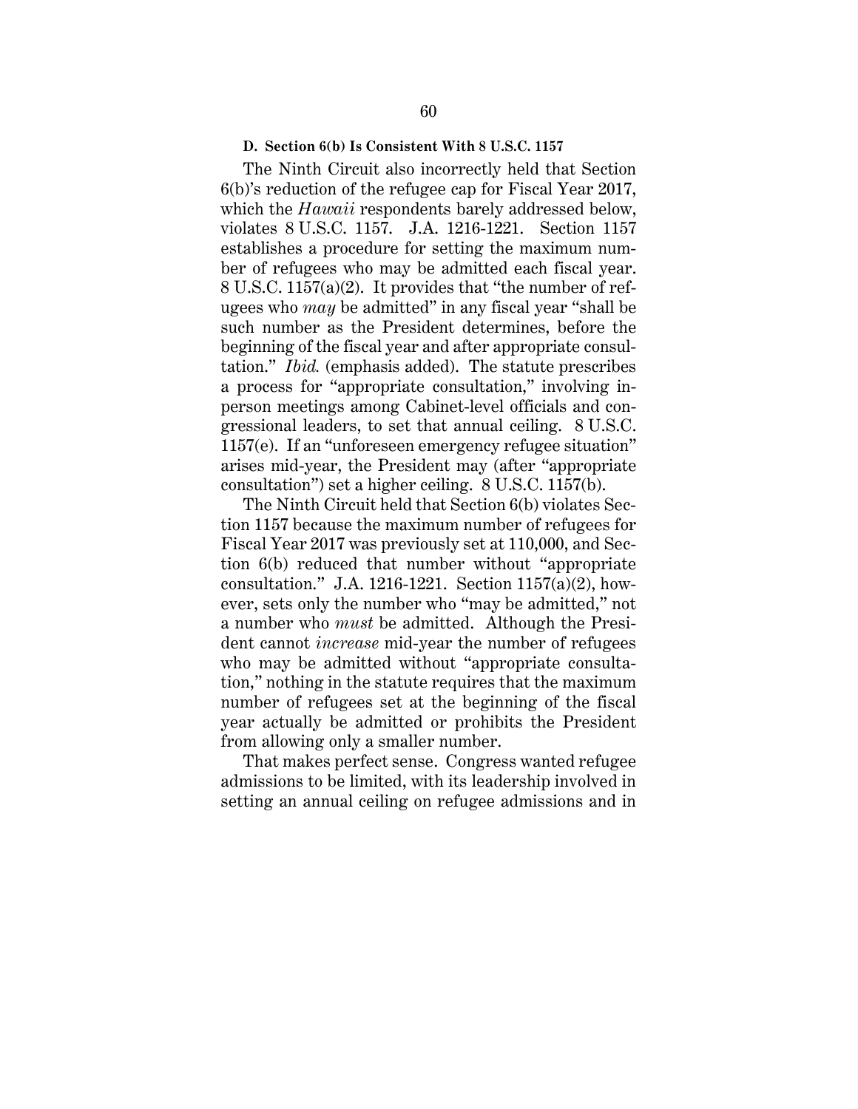#### **D. Section 6(b) Is Consistent With 8 U.S.C. 1157**

The Ninth Circuit also incorrectly held that Section 6(b)'s reduction of the refugee cap for Fiscal Year 2017, which the *Hawaii* respondents barely addressed below, violates 8 U.S.C. 1157. J.A. 1216-1221. Section 1157 establishes a procedure for setting the maximum number of refugees who may be admitted each fiscal year. 8 U.S.C. 1157(a)(2). It provides that "the number of refugees who *may* be admitted" in any fiscal year "shall be such number as the President determines, before the beginning of the fiscal year and after appropriate consultation." *Ibid.* (emphasis added). The statute prescribes a process for "appropriate consultation," involving inperson meetings among Cabinet-level officials and congressional leaders, to set that annual ceiling. 8 U.S.C. 1157(e). If an "unforeseen emergency refugee situation" arises mid-year, the President may (after "appropriate consultation") set a higher ceiling. 8 U.S.C. 1157(b).

The Ninth Circuit held that Section 6(b) violates Section 1157 because the maximum number of refugees for Fiscal Year 2017 was previously set at 110,000, and Section 6(b) reduced that number without "appropriate consultation." J.A. 1216-1221. Section 1157(a)(2), however, sets only the number who "may be admitted," not a number who *must* be admitted. Although the President cannot *increase* mid-year the number of refugees who may be admitted without "appropriate consultation," nothing in the statute requires that the maximum number of refugees set at the beginning of the fiscal year actually be admitted or prohibits the President from allowing only a smaller number.

That makes perfect sense. Congress wanted refugee admissions to be limited, with its leadership involved in setting an annual ceiling on refugee admissions and in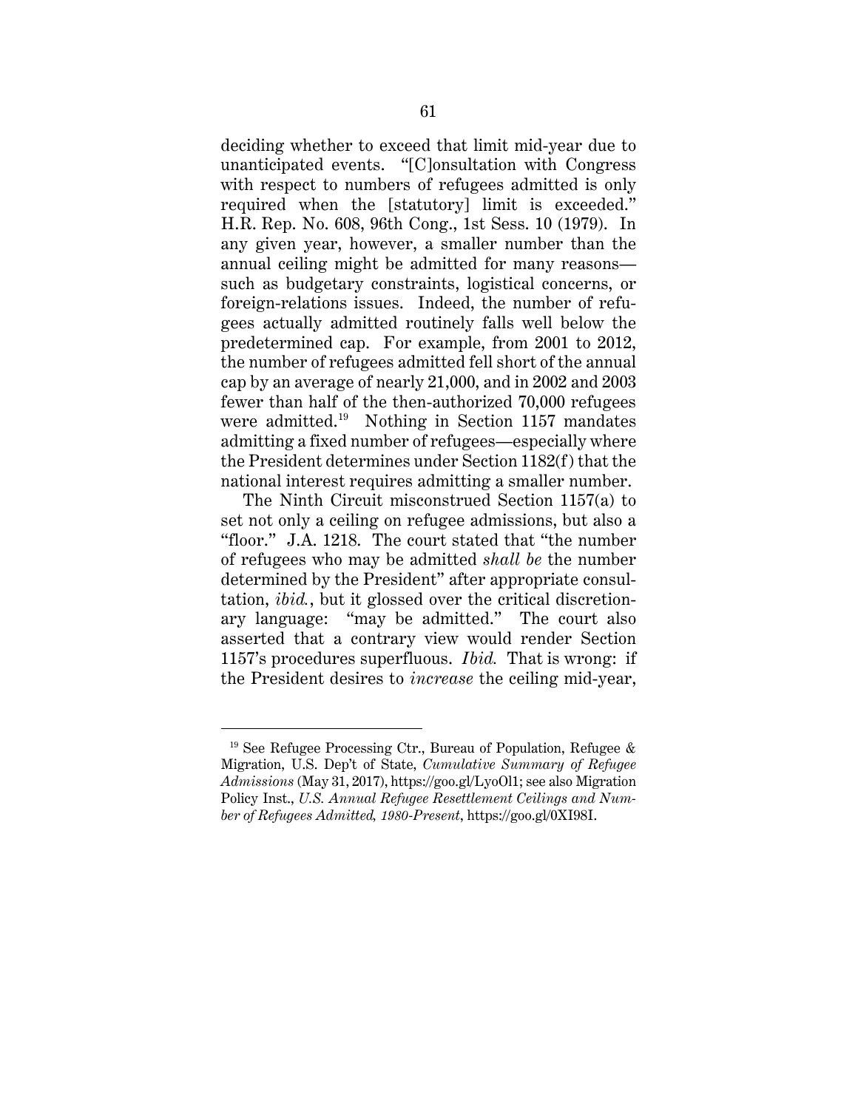deciding whether to exceed that limit mid-year due to unanticipated events. "[C]onsultation with Congress with respect to numbers of refugees admitted is only required when the [statutory] limit is exceeded." H.R. Rep. No. 608, 96th Cong., 1st Sess. 10 (1979). In any given year, however, a smaller number than the annual ceiling might be admitted for many reasons such as budgetary constraints, logistical concerns, or foreign-relations issues. Indeed, the number of refugees actually admitted routinely falls well below the predetermined cap. For example, from 2001 to 2012, the number of refugees admitted fell short of the annual cap by an average of nearly 21,000, and in 2002 and 2003 fewer than half of the then-authorized 70,000 refugees were admitted.<sup>19</sup> Nothing in Section 1157 mandates admitting a fixed number of refugees—especially where the President determines under Section 1182(f) that the national interest requires admitting a smaller number.

The Ninth Circuit misconstrued Section 1157(a) to set not only a ceiling on refugee admissions, but also a "floor." J.A. 1218. The court stated that "the number of refugees who may be admitted *shall be* the number determined by the President" after appropriate consultation, *ibid.*, but it glossed over the critical discretionary language: "may be admitted." The court also asserted that a contrary view would render Section 1157's procedures superfluous. *Ibid.* That is wrong: if the President desires to *increase* the ceiling mid-year,

 $\overline{a}$ 

<sup>&</sup>lt;sup>19</sup> See Refugee Processing Ctr., Bureau of Population, Refugee  $\&$ Migration, U.S. Dep't of State, *Cumulative Summary of Refugee Admissions* (May 31, 2017), https://goo.gl/LyoOl1; see also Migration Policy Inst., *U.S. Annual Refugee Resettlement Ceilings and Number of Refugees Admitted, 1980-Present*, https://goo.gl/0XI98I.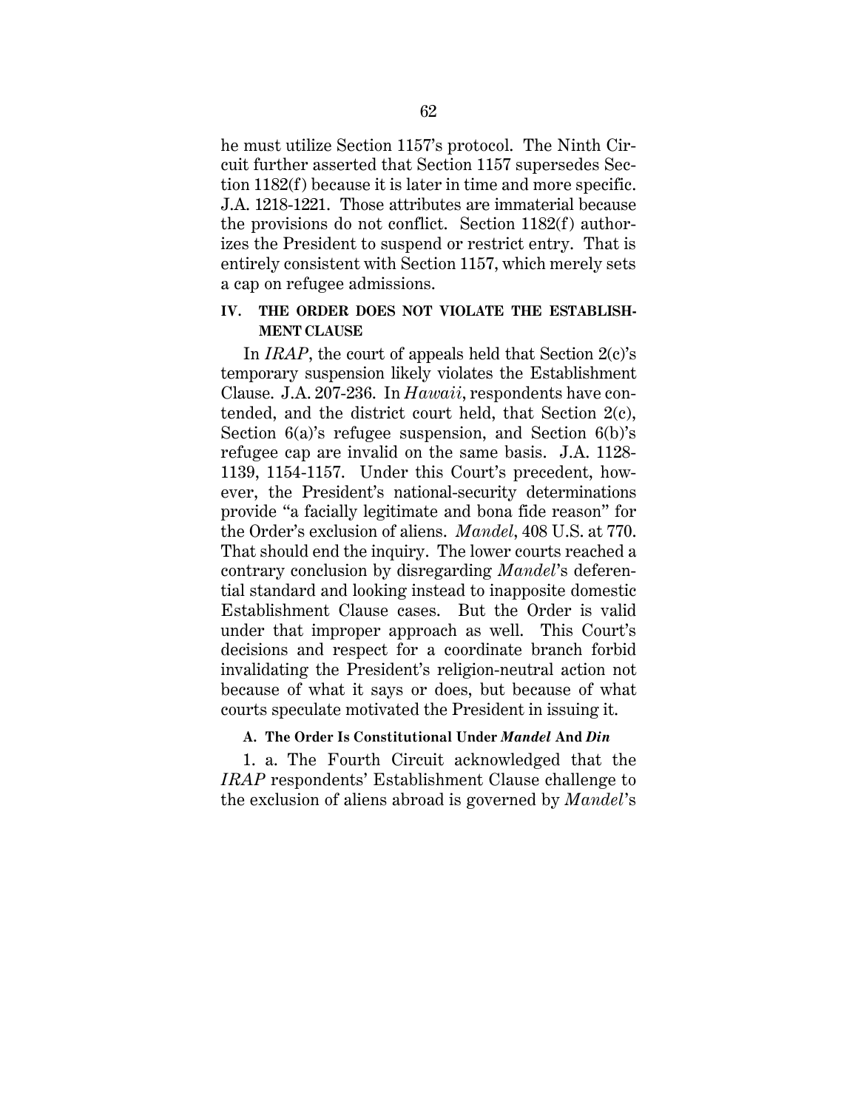he must utilize Section 1157's protocol. The Ninth Circuit further asserted that Section 1157 supersedes Section 1182(f) because it is later in time and more specific. J.A. 1218-1221. Those attributes are immaterial because the provisions do not conflict. Section 1182(f) authorizes the President to suspend or restrict entry. That is entirely consistent with Section 1157, which merely sets a cap on refugee admissions.

# **IV. THE ORDER DOES NOT VIOLATE THE ESTABLISH-MENT CLAUSE**

In *IRAP*, the court of appeals held that Section 2(c)'s temporary suspension likely violates the Establishment Clause. J.A. 207-236. In *Hawaii*, respondents have contended, and the district court held, that Section 2(c), Section  $6(a)$ 's refugee suspension, and Section  $6(b)$ 's refugee cap are invalid on the same basis. J.A. 1128- 1139, 1154-1157. Under this Court's precedent, however, the President's national-security determinations provide "a facially legitimate and bona fide reason" for the Order's exclusion of aliens. *Mandel*, 408 U.S. at 770. That should end the inquiry. The lower courts reached a contrary conclusion by disregarding *Mandel*'s deferential standard and looking instead to inapposite domestic Establishment Clause cases. But the Order is valid under that improper approach as well. This Court's decisions and respect for a coordinate branch forbid invalidating the President's religion-neutral action not because of what it says or does, but because of what courts speculate motivated the President in issuing it.

#### **A. The Order Is Constitutional Under** *Mandel* **And** *Din*

1. a. The Fourth Circuit acknowledged that the *IRAP* respondents' Establishment Clause challenge to the exclusion of aliens abroad is governed by *Mandel*'s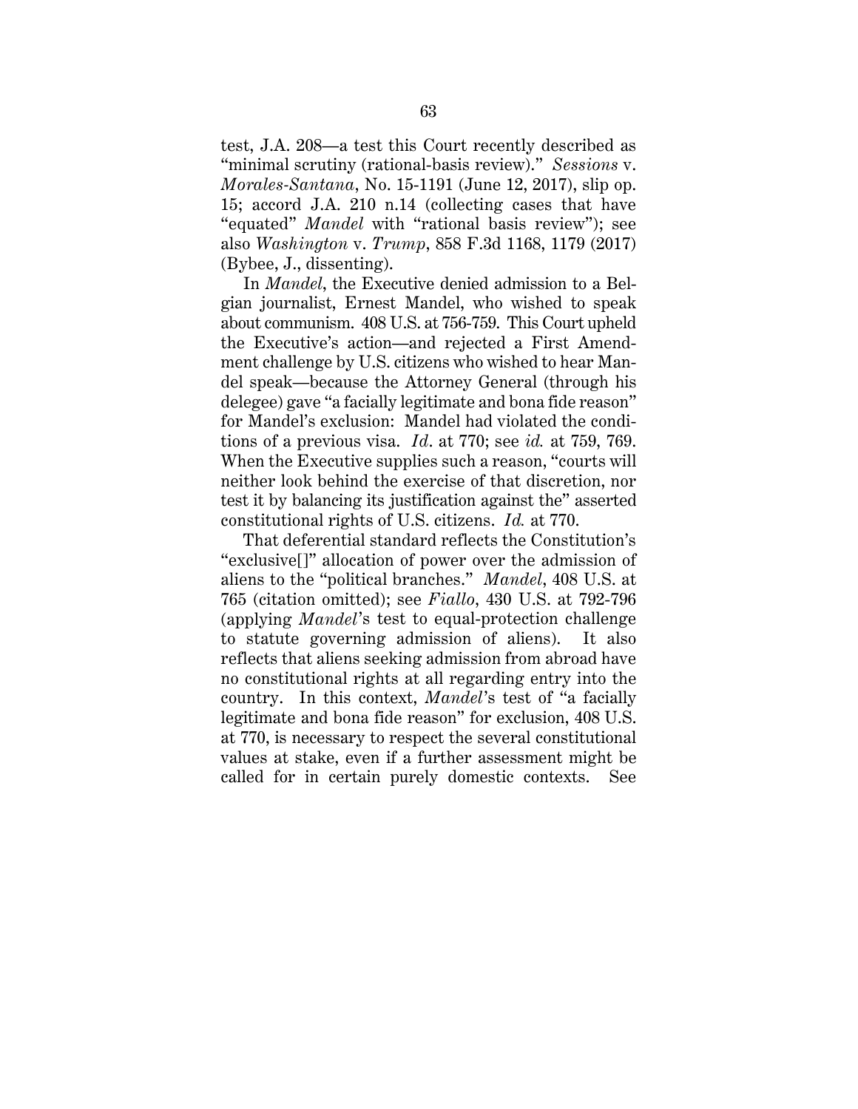test, J.A. 208—a test this Court recently described as "minimal scrutiny (rational-basis review)." *Sessions* v. *Morales-Santana*, No. 15-1191 (June 12, 2017), slip op. 15; accord J.A. 210 n.14 (collecting cases that have "equated" *Mandel* with "rational basis review"); see also *Washington* v. *Trump*, 858 F.3d 1168, 1179 (2017) (Bybee, J., dissenting).

In *Mandel*, the Executive denied admission to a Belgian journalist, Ernest Mandel, who wished to speak about communism. 408 U.S. at 756-759. This Court upheld the Executive's action—and rejected a First Amendment challenge by U.S. citizens who wished to hear Mandel speak—because the Attorney General (through his delegee) gave "a facially legitimate and bona fide reason" for Mandel's exclusion: Mandel had violated the conditions of a previous visa. *Id*. at 770; see *id.* at 759, 769. When the Executive supplies such a reason, "courts will neither look behind the exercise of that discretion, nor test it by balancing its justification against the" asserted constitutional rights of U.S. citizens. *Id.* at 770.

That deferential standard reflects the Constitution's "exclusive[]" allocation of power over the admission of aliens to the "political branches." *Mandel*, 408 U.S. at 765 (citation omitted); see *Fiallo*, 430 U.S. at 792-796 (applying *Mandel*'s test to equal-protection challenge to statute governing admission of aliens). It also reflects that aliens seeking admission from abroad have no constitutional rights at all regarding entry into the country. In this context, *Mandel*'s test of "a facially legitimate and bona fide reason" for exclusion, 408 U.S. at 770, is necessary to respect the several constitutional values at stake, even if a further assessment might be called for in certain purely domestic contexts. See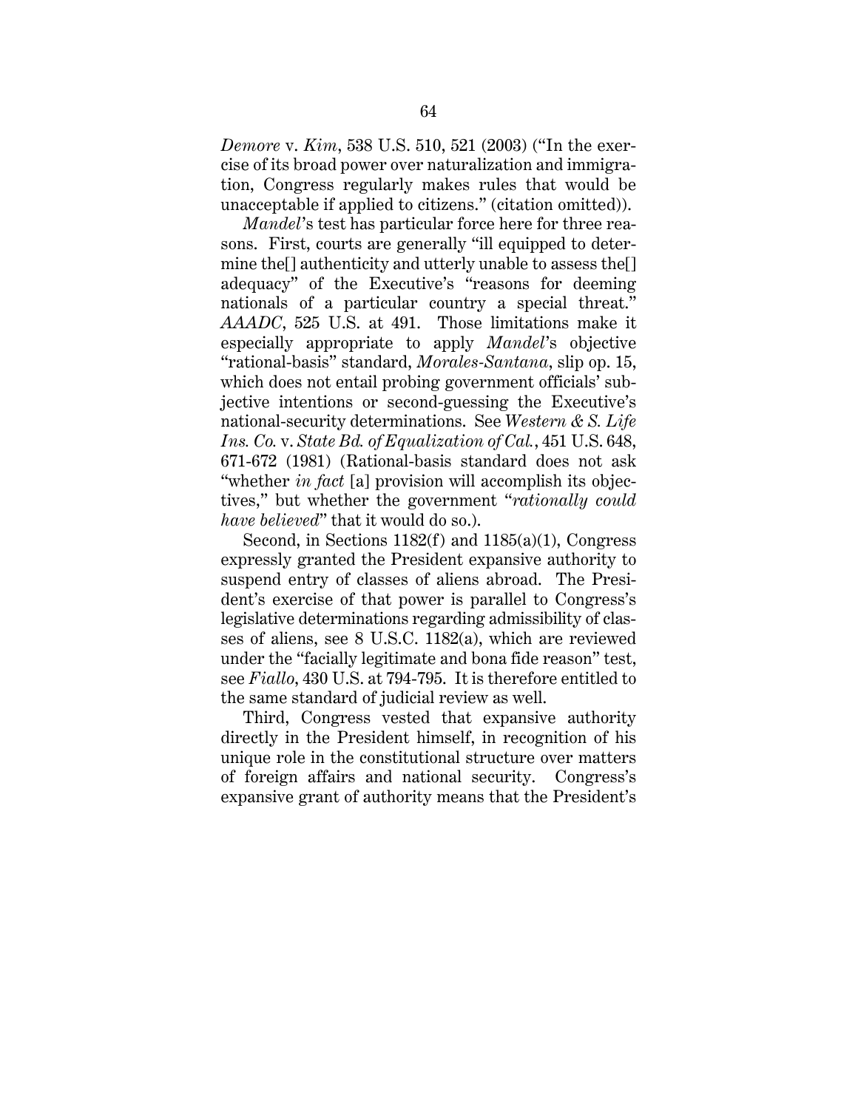*Demore* v. *Kim*, 538 U.S. 510, 521 (2003) ("In the exercise of its broad power over naturalization and immigration, Congress regularly makes rules that would be unacceptable if applied to citizens." (citation omitted)).

*Mandel*'s test has particular force here for three reasons. First, courts are generally "ill equipped to determine the<sup>[]</sup> authenticity and utterly unable to assess the<sup>[]</sup> adequacy" of the Executive's "reasons for deeming nationals of a particular country a special threat." *AAADC*, 525 U.S. at 491. Those limitations make it especially appropriate to apply *Mandel*'s objective "rational-basis" standard, *Morales-Santana*, slip op. 15, which does not entail probing government officials' subjective intentions or second-guessing the Executive's national-security determinations. See *Western & S. Life Ins. Co.* v. *State Bd. of Equalization of Cal.*, 451 U.S. 648, 671-672 (1981) (Rational-basis standard does not ask "whether *in fact* [a] provision will accomplish its objectives," but whether the government "*rationally could have believed*" that it would do so.).

Second, in Sections 1182(f) and 1185(a)(1), Congress expressly granted the President expansive authority to suspend entry of classes of aliens abroad. The President's exercise of that power is parallel to Congress's legislative determinations regarding admissibility of classes of aliens, see 8 U.S.C. 1182(a), which are reviewed under the "facially legitimate and bona fide reason" test, see *Fiallo*, 430 U.S. at 794-795. It is therefore entitled to the same standard of judicial review as well.

Third, Congress vested that expansive authority directly in the President himself, in recognition of his unique role in the constitutional structure over matters of foreign affairs and national security. Congress's expansive grant of authority means that the President's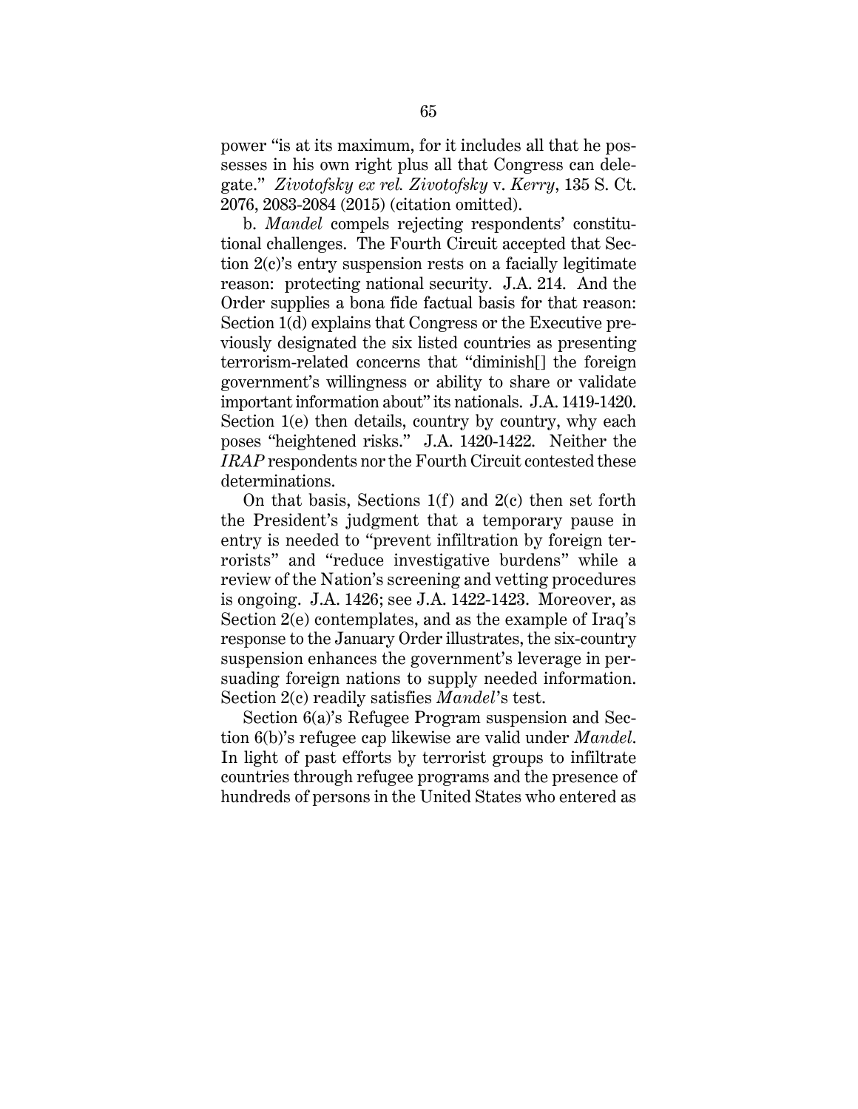power "is at its maximum, for it includes all that he possesses in his own right plus all that Congress can delegate." *Zivotofsky ex rel. Zivotofsky* v. *Kerry*, 135 S. Ct. 2076, 2083-2084 (2015) (citation omitted).

b. *Mandel* compels rejecting respondents' constitutional challenges. The Fourth Circuit accepted that Section 2(c)'s entry suspension rests on a facially legitimate reason: protecting national security. J.A. 214. And the Order supplies a bona fide factual basis for that reason: Section 1(d) explains that Congress or the Executive previously designated the six listed countries as presenting terrorism-related concerns that "diminish[] the foreign government's willingness or ability to share or validate important information about" its nationals. J.A. 1419-1420. Section 1(e) then details, country by country, why each poses "heightened risks." J.A. 1420-1422. Neither the *IRAP* respondents nor the Fourth Circuit contested these determinations.

On that basis, Sections 1(f) and 2(c) then set forth the President's judgment that a temporary pause in entry is needed to "prevent infiltration by foreign terrorists" and "reduce investigative burdens" while a review of the Nation's screening and vetting procedures is ongoing. J.A. 1426; see J.A. 1422-1423. Moreover, as Section 2(e) contemplates, and as the example of Iraq's response to the January Order illustrates, the six-country suspension enhances the government's leverage in persuading foreign nations to supply needed information. Section 2(c) readily satisfies *Mandel*'s test.

Section 6(a)'s Refugee Program suspension and Section 6(b)'s refugee cap likewise are valid under *Mandel*. In light of past efforts by terrorist groups to infiltrate countries through refugee programs and the presence of hundreds of persons in the United States who entered as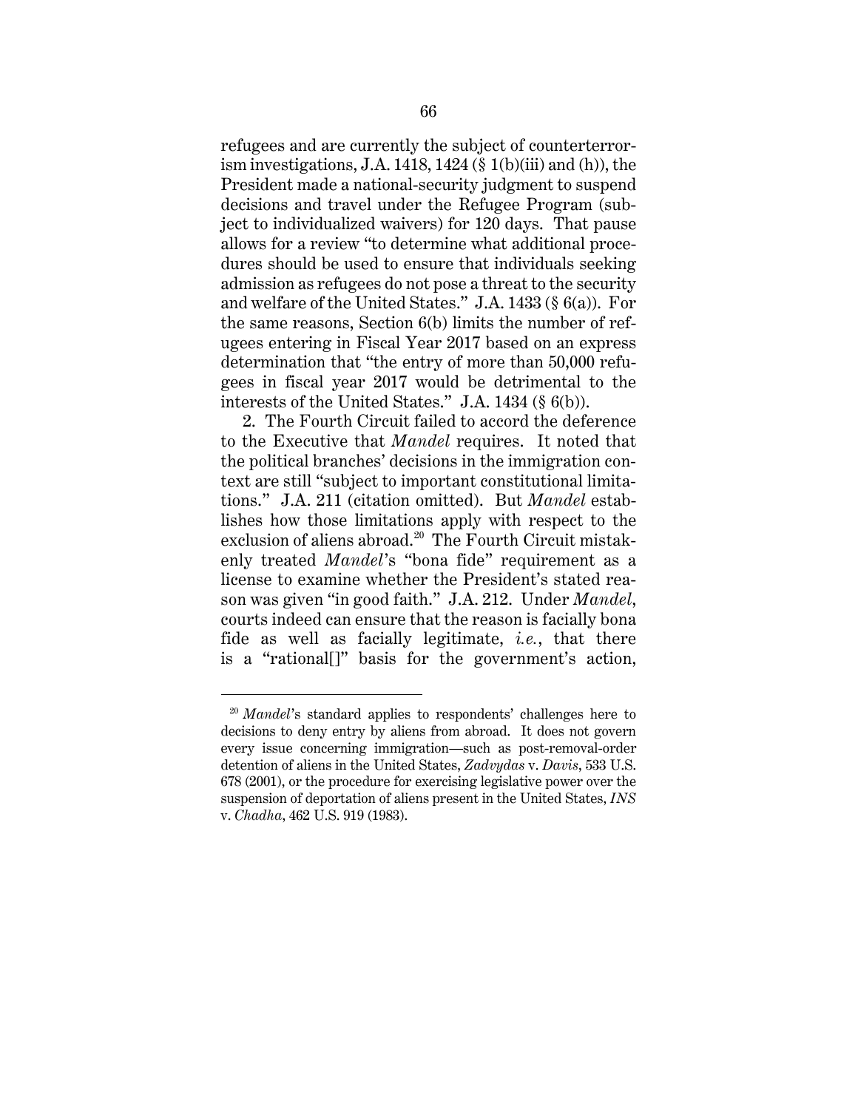refugees and are currently the subject of counterterrorism investigations, J.A.  $1418$ ,  $1424$  ( $\S$   $1(b)$ (iii) and (h)), the President made a national-security judgment to suspend decisions and travel under the Refugee Program (subject to individualized waivers) for 120 days. That pause allows for a review "to determine what additional procedures should be used to ensure that individuals seeking admission as refugees do not pose a threat to the security and welfare of the United States." J.A. 1433 (§ 6(a)). For the same reasons, Section 6(b) limits the number of refugees entering in Fiscal Year 2017 based on an express determination that "the entry of more than 50,000 refugees in fiscal year 2017 would be detrimental to the interests of the United States." J.A. 1434 (§ 6(b)).

2. The Fourth Circuit failed to accord the deference to the Executive that *Mandel* requires. It noted that the political branches' decisions in the immigration context are still "subject to important constitutional limitations." J.A. 211 (citation omitted). But *Mandel* establishes how those limitations apply with respect to the exclusion of aliens abroad.<sup>20</sup> The Fourth Circuit mistakenly treated *Mandel*'s "bona fide" requirement as a license to examine whether the President's stated reason was given "in good faith." J.A. 212. Under *Mandel*, courts indeed can ensure that the reason is facially bona fide as well as facially legitimate, *i.e.*, that there is a "rational[]" basis for the government's action,

 $\overline{a}$ 

<sup>20</sup> *Mandel*'s standard applies to respondents' challenges here to decisions to deny entry by aliens from abroad. It does not govern every issue concerning immigration—such as post-removal-order detention of aliens in the United States, *Zadvydas* v. *Davis*, 533 U.S. 678 (2001), or the procedure for exercising legislative power over the suspension of deportation of aliens present in the United States, *INS* v. *Chadha*, 462 U.S. 919 (1983).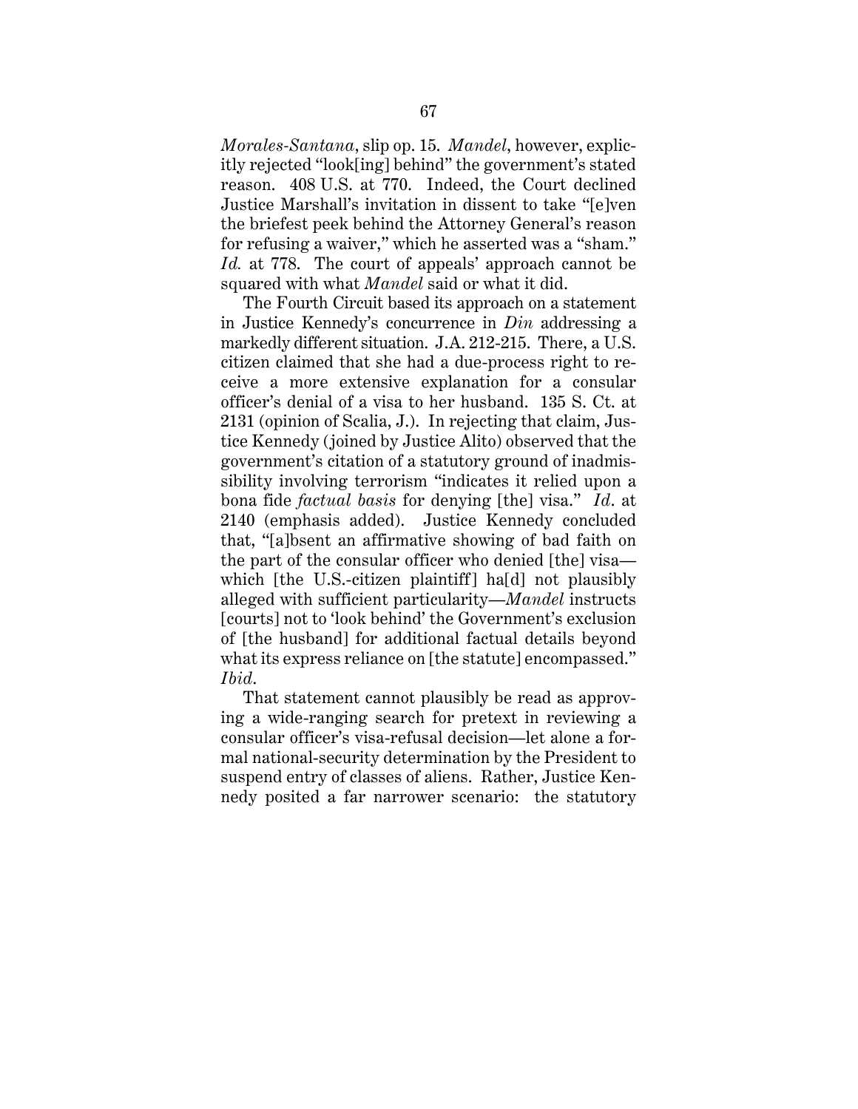*Morales-Santana*, slip op. 15. *Mandel*, however, explicitly rejected "look[ing] behind" the government's stated reason. 408 U.S. at 770. Indeed, the Court declined Justice Marshall's invitation in dissent to take "[e]ven the briefest peek behind the Attorney General's reason for refusing a waiver," which he asserted was a "sham." *Id.* at 778. The court of appeals' approach cannot be squared with what *Mandel* said or what it did.

The Fourth Circuit based its approach on a statement in Justice Kennedy's concurrence in *Din* addressing a markedly different situation. J.A. 212-215. There, a U.S. citizen claimed that she had a due-process right to receive a more extensive explanation for a consular officer's denial of a visa to her husband. 135 S. Ct. at 2131 (opinion of Scalia, J.). In rejecting that claim, Justice Kennedy (joined by Justice Alito) observed that the government's citation of a statutory ground of inadmissibility involving terrorism "indicates it relied upon a bona fide *factual basis* for denying [the] visa." *Id*. at 2140 (emphasis added). Justice Kennedy concluded that, "[a]bsent an affirmative showing of bad faith on the part of the consular officer who denied [the] visa which [the U.S.-citizen plaintiff] ha[d] not plausibly alleged with sufficient particularity—*Mandel* instructs [courts] not to 'look behind' the Government's exclusion of [the husband] for additional factual details beyond what its express reliance on [the statute] encompassed." *Ibid*.

That statement cannot plausibly be read as approving a wide-ranging search for pretext in reviewing a consular officer's visa-refusal decision—let alone a formal national-security determination by the President to suspend entry of classes of aliens. Rather, Justice Kennedy posited a far narrower scenario: the statutory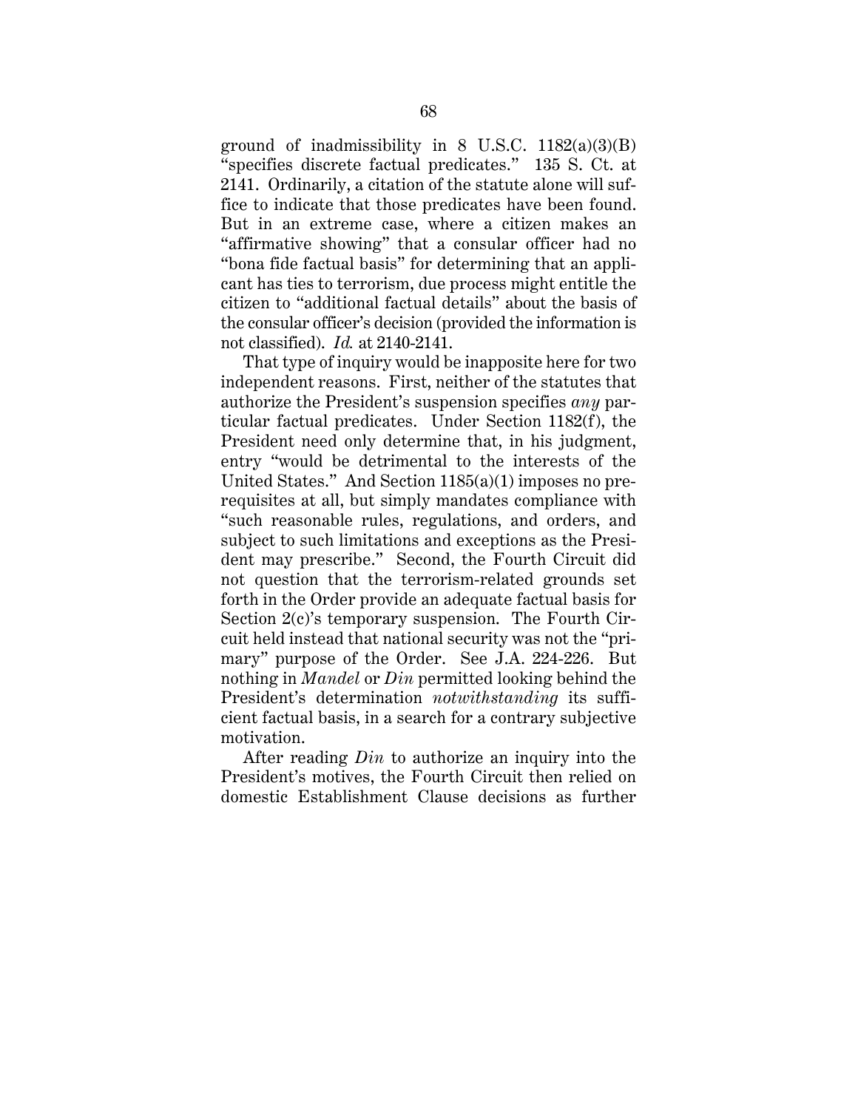ground of inadmissibility in  $8$  U.S.C.  $1182(a)(3)(B)$ "specifies discrete factual predicates." 135 S. Ct. at 2141. Ordinarily, a citation of the statute alone will suffice to indicate that those predicates have been found. But in an extreme case, where a citizen makes an "affirmative showing" that a consular officer had no "bona fide factual basis" for determining that an applicant has ties to terrorism, due process might entitle the citizen to "additional factual details" about the basis of the consular officer's decision (provided the information is not classified). *Id.* at 2140-2141.

That type of inquiry would be inapposite here for two independent reasons. First, neither of the statutes that authorize the President's suspension specifies *any* particular factual predicates. Under Section 1182(f), the President need only determine that, in his judgment, entry "would be detrimental to the interests of the United States." And Section 1185(a)(1) imposes no prerequisites at all, but simply mandates compliance with "such reasonable rules, regulations, and orders, and subject to such limitations and exceptions as the President may prescribe." Second, the Fourth Circuit did not question that the terrorism-related grounds set forth in the Order provide an adequate factual basis for Section 2(c)'s temporary suspension. The Fourth Circuit held instead that national security was not the "primary" purpose of the Order. See J.A. 224-226. But nothing in *Mandel* or *Din* permitted looking behind the President's determination *notwithstanding* its sufficient factual basis, in a search for a contrary subjective motivation.

After reading *Din* to authorize an inquiry into the President's motives, the Fourth Circuit then relied on domestic Establishment Clause decisions as further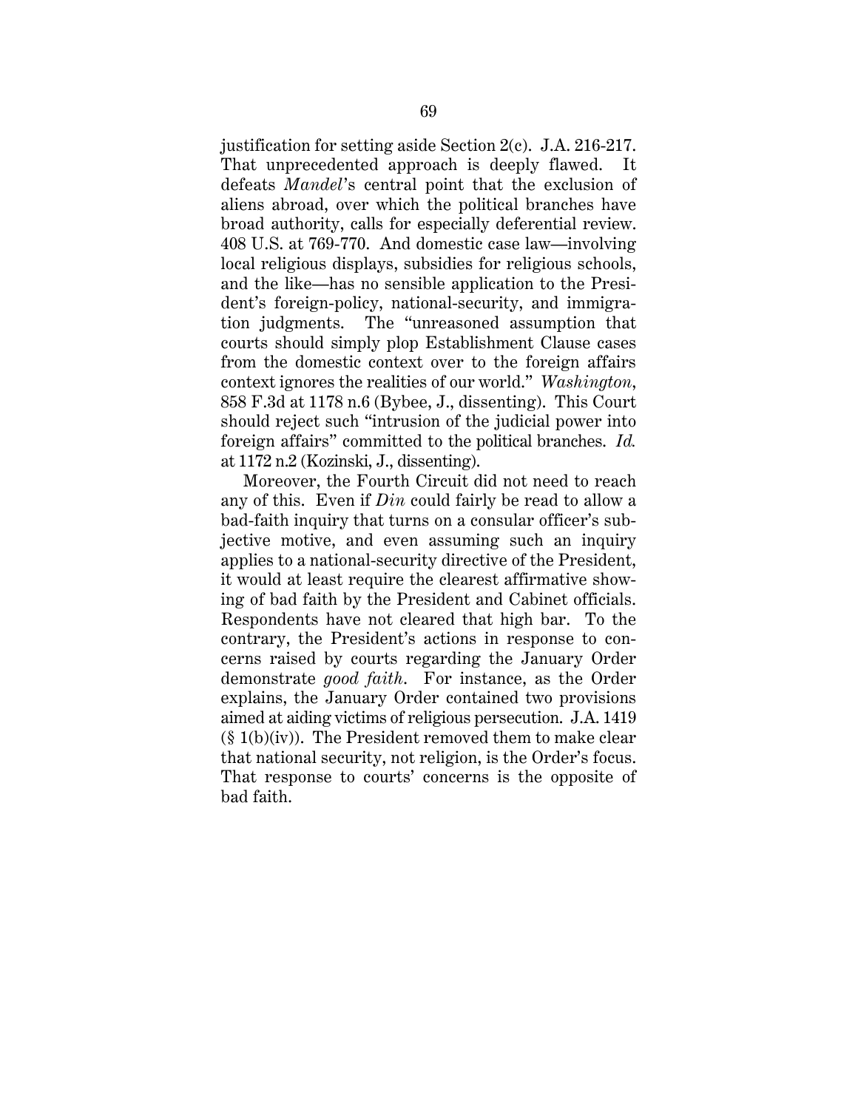justification for setting aside Section 2(c). J.A. 216-217. That unprecedented approach is deeply flawed. It defeats *Mandel*'s central point that the exclusion of aliens abroad, over which the political branches have broad authority, calls for especially deferential review. 408 U.S. at 769-770. And domestic case law—involving local religious displays, subsidies for religious schools, and the like—has no sensible application to the President's foreign-policy, national-security, and immigration judgments. The "unreasoned assumption that courts should simply plop Establishment Clause cases from the domestic context over to the foreign affairs context ignores the realities of our world." *Washington*, 858 F.3d at 1178 n.6 (Bybee, J., dissenting). This Court should reject such "intrusion of the judicial power into foreign affairs" committed to the political branches. *Id.* at 1172 n.2 (Kozinski, J., dissenting).

Moreover, the Fourth Circuit did not need to reach any of this. Even if *Din* could fairly be read to allow a bad-faith inquiry that turns on a consular officer's subjective motive, and even assuming such an inquiry applies to a national-security directive of the President, it would at least require the clearest affirmative showing of bad faith by the President and Cabinet officials. Respondents have not cleared that high bar. To the contrary, the President's actions in response to concerns raised by courts regarding the January Order demonstrate *good faith*. For instance, as the Order explains, the January Order contained two provisions aimed at aiding victims of religious persecution. J.A. 1419  $(\S 1(b)(iv))$ . The President removed them to make clear that national security, not religion, is the Order's focus. That response to courts' concerns is the opposite of bad faith.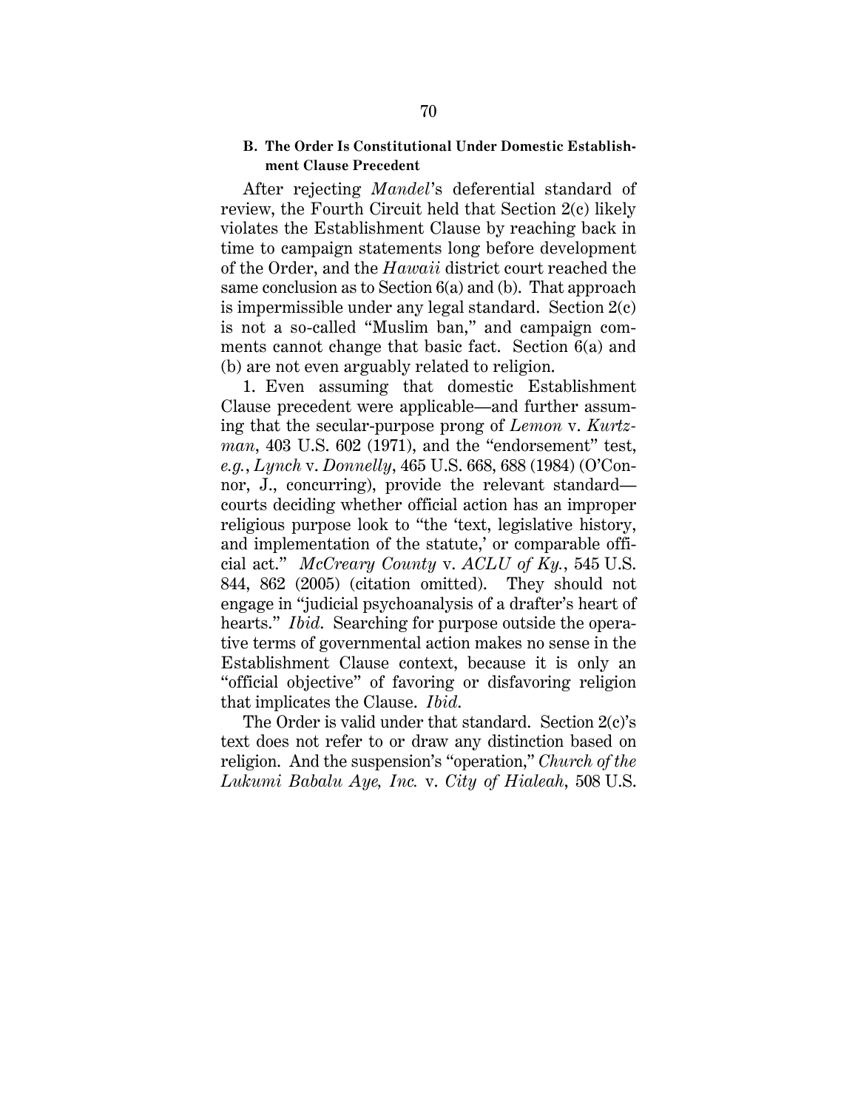## **B. The Order Is Constitutional Under Domestic Establishment Clause Precedent**

After rejecting *Mandel*'s deferential standard of review, the Fourth Circuit held that Section 2(c) likely violates the Establishment Clause by reaching back in time to campaign statements long before development of the Order, and the *Hawaii* district court reached the same conclusion as to Section 6(a) and (b). That approach is impermissible under any legal standard. Section 2(c) is not a so-called "Muslim ban," and campaign comments cannot change that basic fact. Section 6(a) and (b) are not even arguably related to religion.

1. Even assuming that domestic Establishment Clause precedent were applicable—and further assuming that the secular-purpose prong of *Lemon* v. *Kurtzman*, 403 U.S. 602 (1971), and the "endorsement" test, *e.g.*, *Lynch* v. *Donnelly*, 465 U.S. 668, 688 (1984) (O'Connor, J., concurring), provide the relevant standard courts deciding whether official action has an improper religious purpose look to "the 'text, legislative history, and implementation of the statute,' or comparable official act." *McCreary County* v. *ACLU of Ky.*, 545 U.S. 844, 862 (2005) (citation omitted). They should not engage in "judicial psychoanalysis of a drafter's heart of hearts." *Ibid*. Searching for purpose outside the operative terms of governmental action makes no sense in the Establishment Clause context, because it is only an "official objective" of favoring or disfavoring religion that implicates the Clause. *Ibid*.

The Order is valid under that standard. Section 2(c)'s text does not refer to or draw any distinction based on religion. And the suspension's "operation," *Church of the Lukumi Babalu Aye, Inc.* v. *City of Hialeah*, 508 U.S.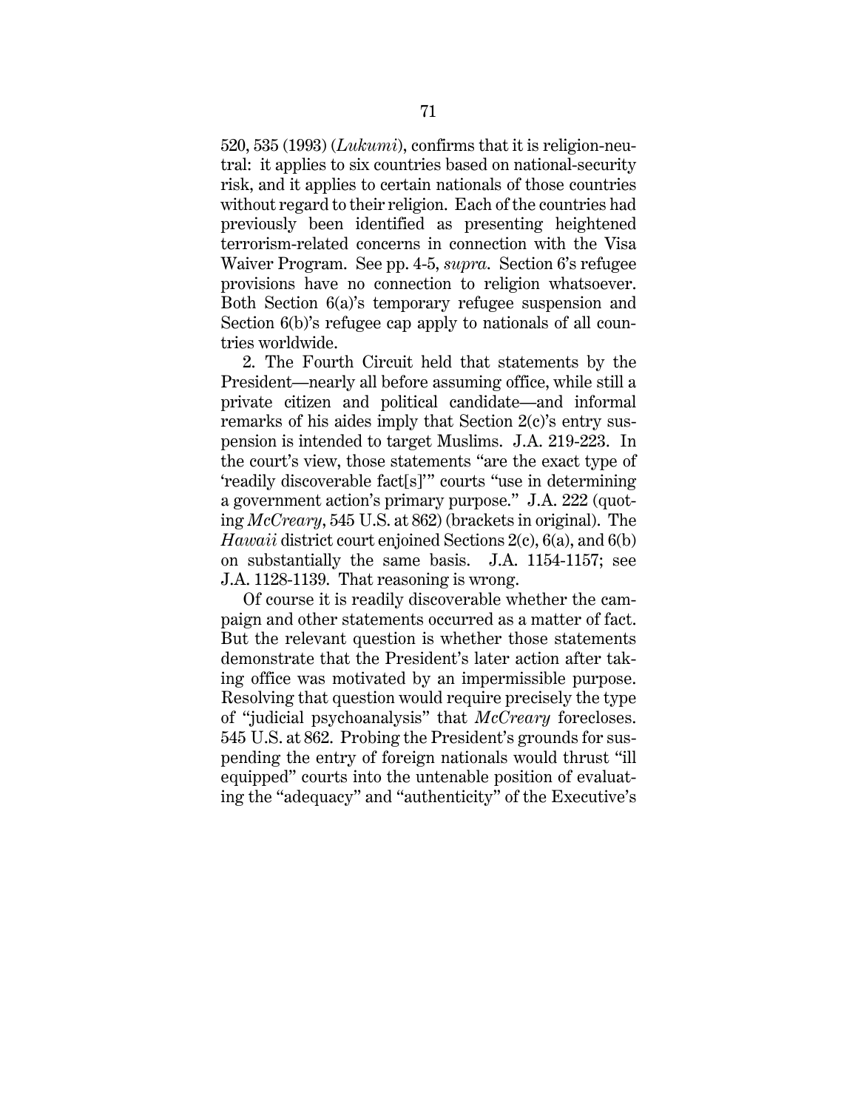520, 535 (1993) (*Lukumi*), confirms that it is religion-neutral: it applies to six countries based on national-security risk, and it applies to certain nationals of those countries without regard to their religion. Each of the countries had previously been identified as presenting heightened terrorism-related concerns in connection with the Visa Waiver Program. See pp. 4-5, *supra*. Section 6's refugee provisions have no connection to religion whatsoever. Both Section 6(a)'s temporary refugee suspension and Section 6(b)'s refugee cap apply to nationals of all countries worldwide.

2. The Fourth Circuit held that statements by the President—nearly all before assuming office, while still a private citizen and political candidate—and informal remarks of his aides imply that Section 2(c)'s entry suspension is intended to target Muslims. J.A. 219-223. In the court's view, those statements "are the exact type of 'readily discoverable fact[s]'" courts "use in determining a government action's primary purpose." J.A. 222 (quoting *McCreary*, 545 U.S. at 862) (brackets in original). The *Hawaii* district court enjoined Sections 2(c), 6(a), and 6(b) on substantially the same basis. J.A. 1154-1157; see J.A. 1128-1139. That reasoning is wrong.

Of course it is readily discoverable whether the campaign and other statements occurred as a matter of fact. But the relevant question is whether those statements demonstrate that the President's later action after taking office was motivated by an impermissible purpose. Resolving that question would require precisely the type of "judicial psychoanalysis" that *McCreary* forecloses. 545 U.S. at 862. Probing the President's grounds for suspending the entry of foreign nationals would thrust "ill equipped" courts into the untenable position of evaluating the "adequacy" and "authenticity" of the Executive's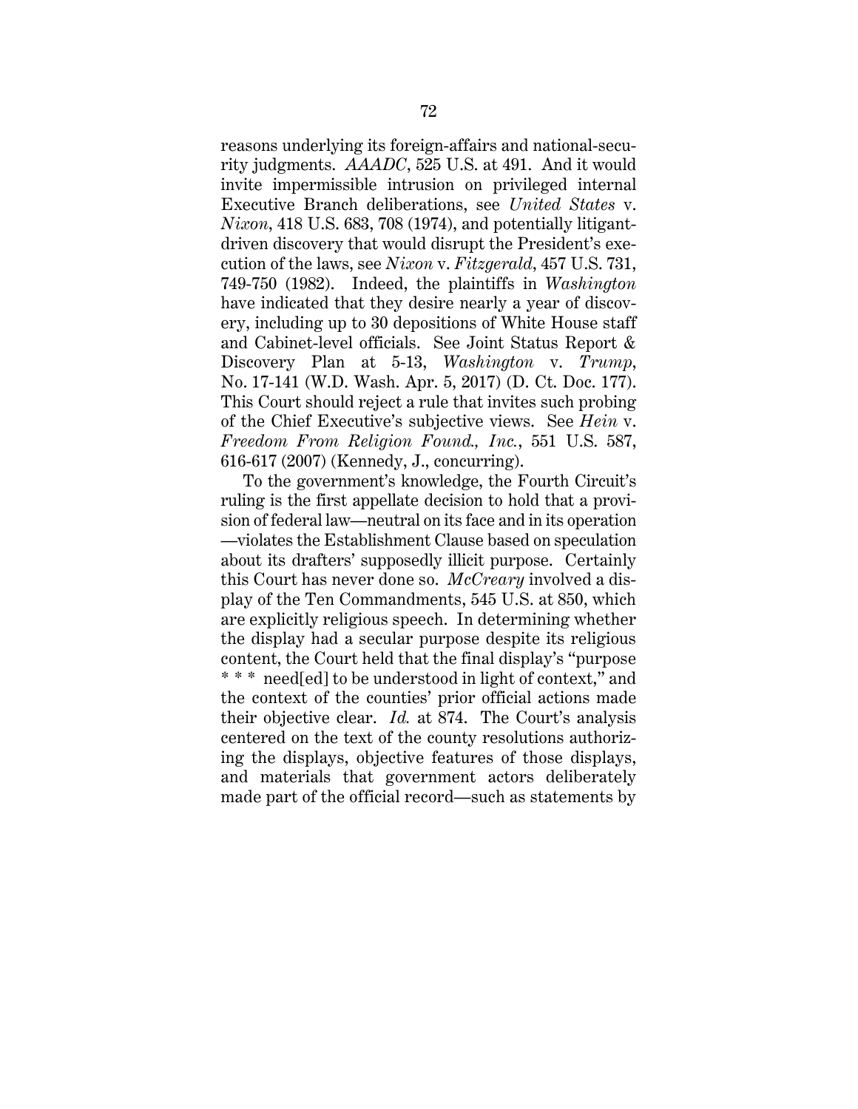reasons underlying its foreign-affairs and national-security judgments. *AAADC*, 525 U.S. at 491. And it would invite impermissible intrusion on privileged internal Executive Branch deliberations, see *United States* v. *Nixon*, 418 U.S. 683, 708 (1974), and potentially litigantdriven discovery that would disrupt the President's execution of the laws, see *Nixon* v. *Fitzgerald*, 457 U.S. 731, 749-750 (1982). Indeed, the plaintiffs in *Washington*  have indicated that they desire nearly a year of discovery, including up to 30 depositions of White House staff and Cabinet-level officials. See Joint Status Report & Discovery Plan at 5-13, *Washington* v. *Trump*, No. 17-141 (W.D. Wash. Apr. 5, 2017) (D. Ct. Doc. 177). This Court should reject a rule that invites such probing of the Chief Executive's subjective views. See *Hein* v. *Freedom From Religion Found., Inc.*, 551 U.S. 587, 616-617 (2007) (Kennedy, J., concurring).

To the government's knowledge, the Fourth Circuit's ruling is the first appellate decision to hold that a provision of federal law—neutral on its face and in its operation —violates the Establishment Clause based on speculation about its drafters' supposedly illicit purpose. Certainly this Court has never done so. *McCreary* involved a display of the Ten Commandments, 545 U.S. at 850, which are explicitly religious speech. In determining whether the display had a secular purpose despite its religious content, the Court held that the final display's "purpose \* \* \* need[ed] to be understood in light of context," and the context of the counties' prior official actions made their objective clear. *Id.* at 874. The Court's analysis centered on the text of the county resolutions authorizing the displays, objective features of those displays, and materials that government actors deliberately made part of the official record—such as statements by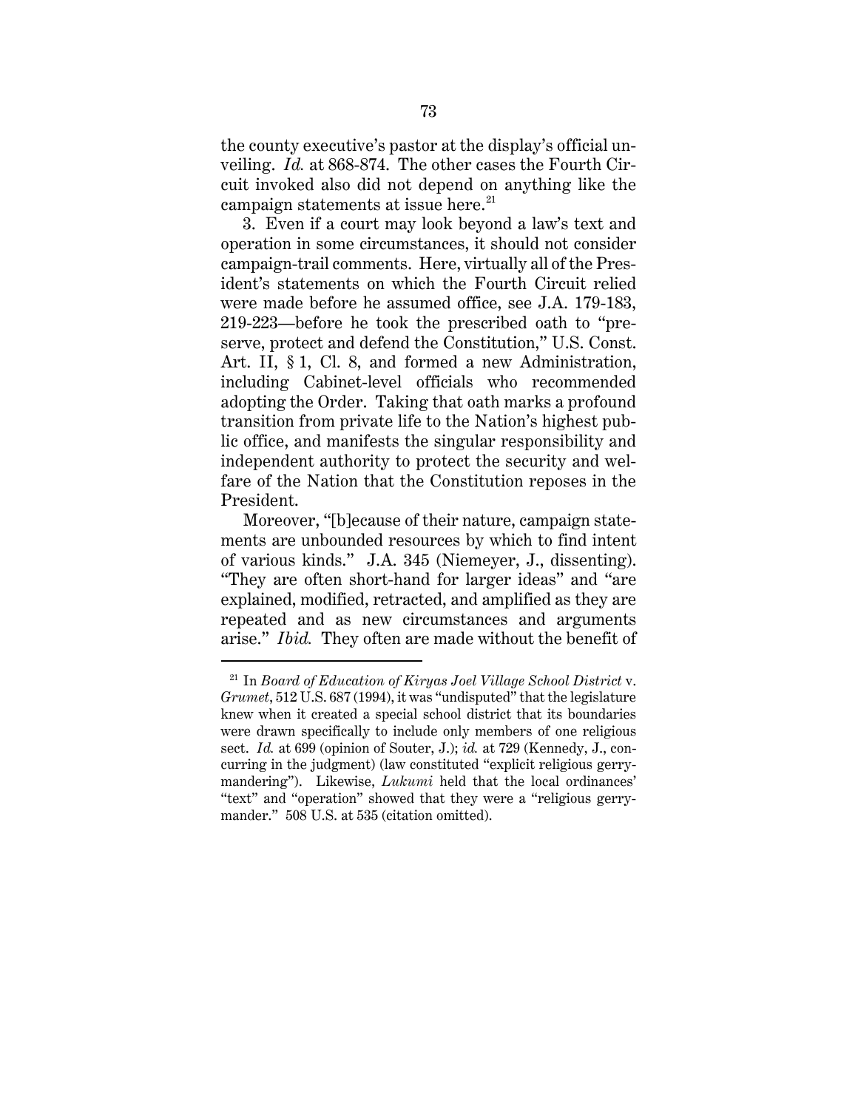the county executive's pastor at the display's official unveiling. *Id.* at 868-874. The other cases the Fourth Circuit invoked also did not depend on anything like the campaign statements at issue here. $^{21}$ 

3. Even if a court may look beyond a law's text and operation in some circumstances, it should not consider campaign-trail comments. Here, virtually all of the President's statements on which the Fourth Circuit relied were made before he assumed office, see J.A. 179-183, 219-223—before he took the prescribed oath to "preserve, protect and defend the Constitution," U.S. Const. Art. II, § 1, Cl. 8, and formed a new Administration, including Cabinet-level officials who recommended adopting the Order. Taking that oath marks a profound transition from private life to the Nation's highest public office, and manifests the singular responsibility and independent authority to protect the security and welfare of the Nation that the Constitution reposes in the President.

Moreover, "[b]ecause of their nature, campaign statements are unbounded resources by which to find intent of various kinds." J.A. 345 (Niemeyer, J., dissenting). "They are often short-hand for larger ideas" and "are explained, modified, retracted, and amplified as they are repeated and as new circumstances and arguments arise." *Ibid.* They often are made without the benefit of

 $\overline{a}$ 

<sup>21</sup> In *Board of Education of Kiryas Joel Village School District* v. *Grumet*, 512 U.S. 687 (1994), it was "undisputed" that the legislature knew when it created a special school district that its boundaries were drawn specifically to include only members of one religious sect. *Id.* at 699 (opinion of Souter, J.); *id.* at 729 (Kennedy, J., concurring in the judgment) (law constituted "explicit religious gerrymandering"). Likewise, *Lukumi* held that the local ordinances' "text" and "operation" showed that they were a "religious gerrymander." 508 U.S. at 535 (citation omitted).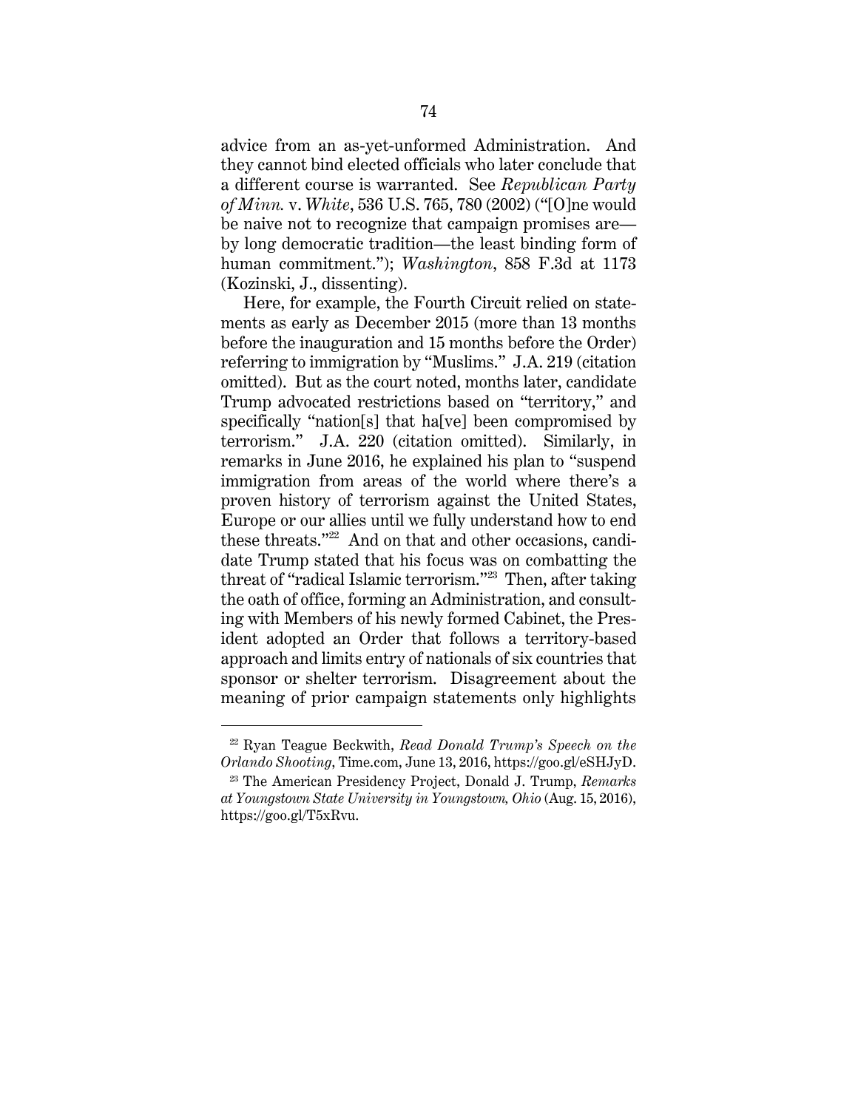advice from an as-yet-unformed Administration. And they cannot bind elected officials who later conclude that a different course is warranted. See *Republican Party of Minn.* v. *White*, 536 U.S. 765, 780 (2002) ("[O]ne would be naive not to recognize that campaign promises are by long democratic tradition—the least binding form of human commitment."); *Washington*, 858 F.3d at 1173 (Kozinski, J., dissenting).

Here, for example, the Fourth Circuit relied on statements as early as December 2015 (more than 13 months before the inauguration and 15 months before the Order) referring to immigration by "Muslims." J.A. 219 (citation omitted). But as the court noted, months later, candidate Trump advocated restrictions based on "territory," and specifically "nation[s] that ha[ve] been compromised by terrorism." J.A. 220 (citation omitted). Similarly, in remarks in June 2016, he explained his plan to "suspend immigration from areas of the world where there's a proven history of terrorism against the United States, Europe or our allies until we fully understand how to end these threats."22 And on that and other occasions, candidate Trump stated that his focus was on combatting the threat of "radical Islamic terrorism."23 Then, after taking the oath of office, forming an Administration, and consulting with Members of his newly formed Cabinet, the President adopted an Order that follows a territory-based approach and limits entry of nationals of six countries that sponsor or shelter terrorism. Disagreement about the meaning of prior campaign statements only highlights

 $\overline{a}$ 

<sup>22</sup> Ryan Teague Beckwith, *Read Donald Trump's Speech on the Orlando Shooting*, Time.com, June 13, 2016, https://goo.gl/eSHJyD.

<sup>23</sup> The American Presidency Project, Donald J. Trump, *Remarks at Youngstown State University in Youngstown, Ohio* (Aug. 15, 2016), https://goo.gl/T5xRvu.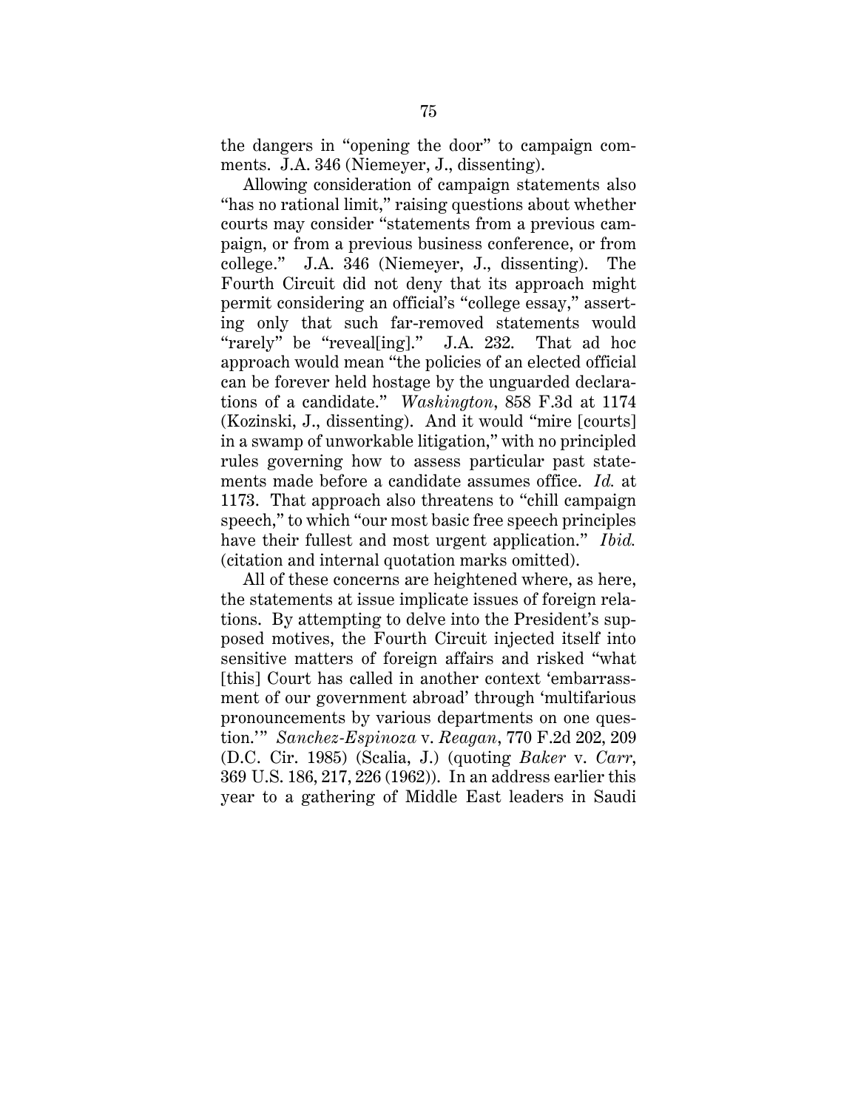the dangers in "opening the door" to campaign comments. J.A. 346 (Niemeyer, J., dissenting).

Allowing consideration of campaign statements also "has no rational limit," raising questions about whether courts may consider "statements from a previous campaign, or from a previous business conference, or from college." J.A. 346 (Niemeyer, J., dissenting). The Fourth Circuit did not deny that its approach might permit considering an official's "college essay," asserting only that such far-removed statements would "rarely" be "reveal[ing]." J.A. 232. That ad hoc approach would mean "the policies of an elected official can be forever held hostage by the unguarded declarations of a candidate." *Washington*, 858 F.3d at 1174 (Kozinski, J., dissenting). And it would "mire [courts] in a swamp of unworkable litigation," with no principled rules governing how to assess particular past statements made before a candidate assumes office. *Id.* at 1173. That approach also threatens to "chill campaign speech," to which "our most basic free speech principles have their fullest and most urgent application." *Ibid.*  (citation and internal quotation marks omitted).

All of these concerns are heightened where, as here, the statements at issue implicate issues of foreign relations. By attempting to delve into the President's supposed motives, the Fourth Circuit injected itself into sensitive matters of foreign affairs and risked "what [this] Court has called in another context 'embarrassment of our government abroad' through 'multifarious pronouncements by various departments on one question.'" *Sanchez-Espinoza* v. *Reagan*, 770 F.2d 202, 209 (D.C. Cir. 1985) (Scalia, J.) (quoting *Baker* v. *Carr*, 369 U.S. 186, 217, 226 (1962)). In an address earlier this year to a gathering of Middle East leaders in Saudi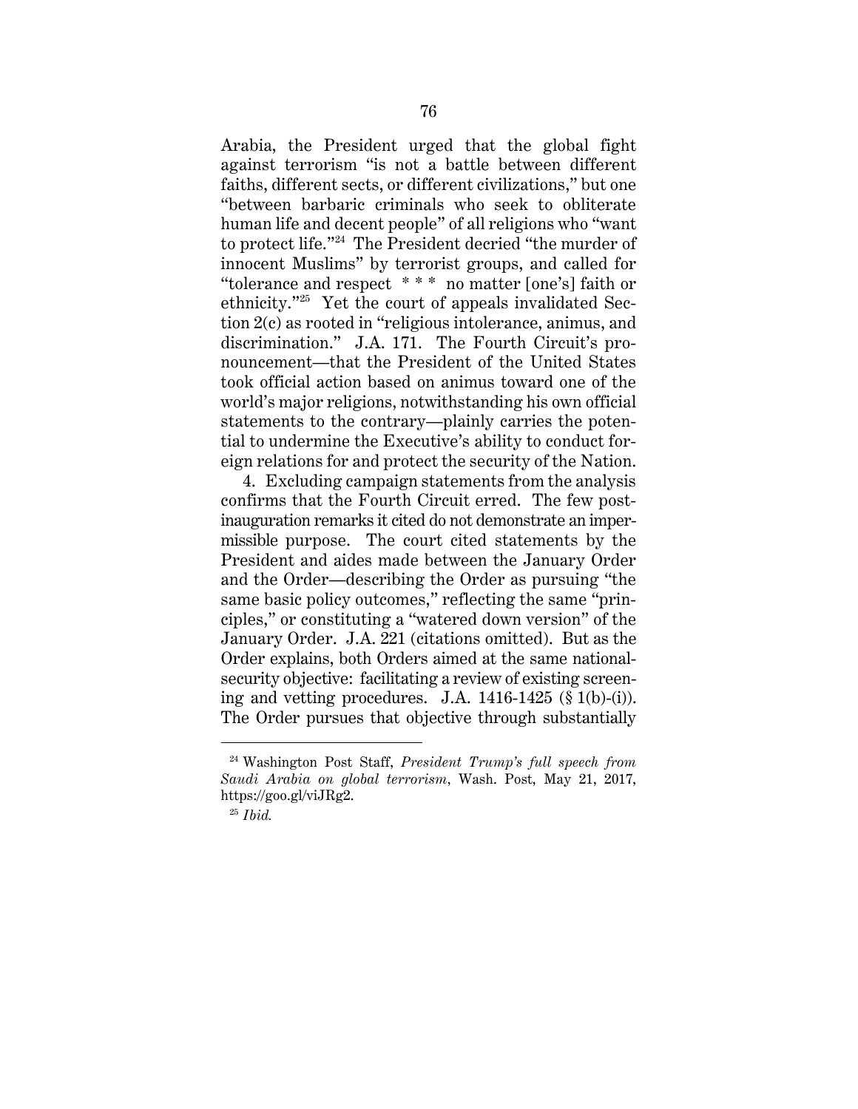Arabia, the President urged that the global fight against terrorism "is not a battle between different faiths, different sects, or different civilizations," but one "between barbaric criminals who seek to obliterate human life and decent people" of all religions who "want to protect life."<sup>24</sup> The President decried "the murder of innocent Muslims" by terrorist groups, and called for "tolerance and respect \* \* \* no matter [one's] faith or ethnicity."25 Yet the court of appeals invalidated Section 2(c) as rooted in "religious intolerance, animus, and discrimination." J.A. 171. The Fourth Circuit's pronouncement—that the President of the United States took official action based on animus toward one of the world's major religions, notwithstanding his own official statements to the contrary—plainly carries the potential to undermine the Executive's ability to conduct foreign relations for and protect the security of the Nation.

4. Excluding campaign statements from the analysis confirms that the Fourth Circuit erred. The few postinauguration remarks it cited do not demonstrate an impermissible purpose. The court cited statements by the President and aides made between the January Order and the Order—describing the Order as pursuing "the same basic policy outcomes," reflecting the same "principles," or constituting a "watered down version" of the January Order. J.A. 221 (citations omitted). But as the Order explains, both Orders aimed at the same nationalsecurity objective: facilitating a review of existing screening and vetting procedures. J.A.  $1416-1425$  (§ 1(b)-(i)). The Order pursues that objective through substantially

 $\overline{a}$ 

<sup>24</sup> Washington Post Staff, *President Trump's full speech from Saudi Arabia on global terrorism*, Wash. Post, May 21, 2017, https://goo.gl/viJRg2.

<sup>25</sup> *Ibid.*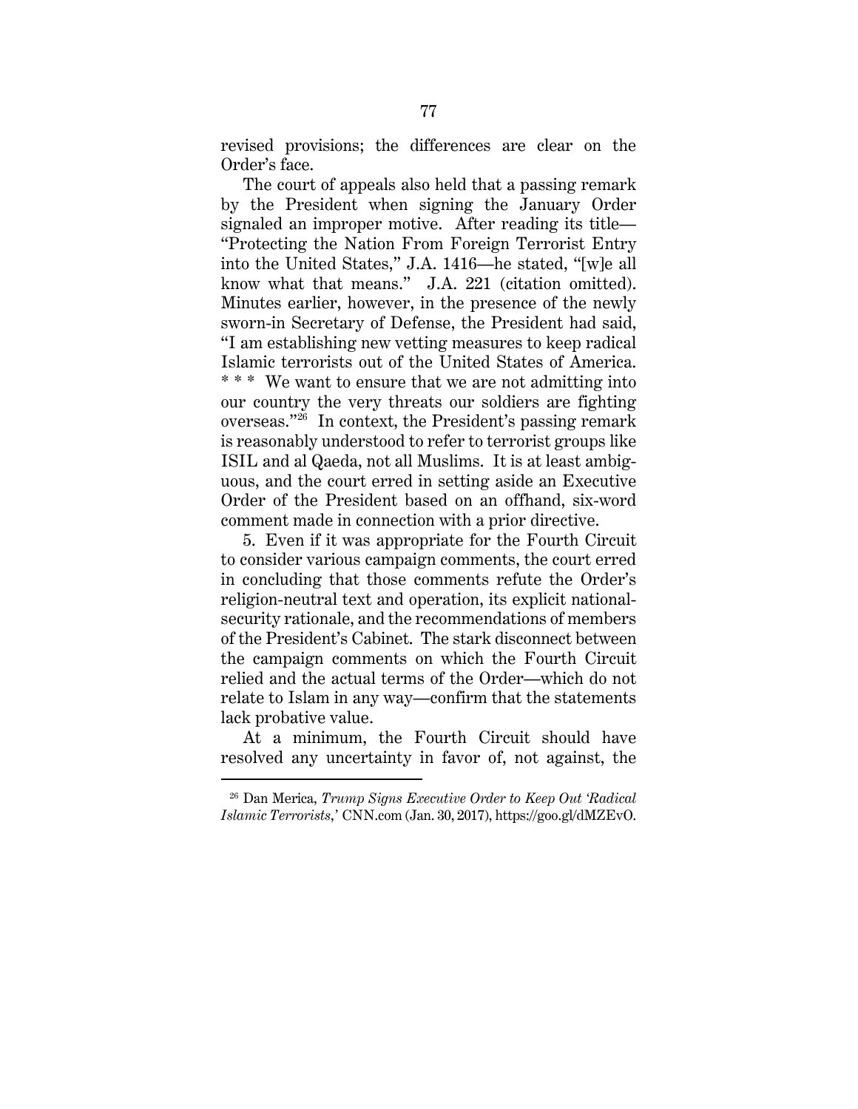revised provisions; the differences are clear on the Order's face.

The court of appeals also held that a passing remark by the President when signing the January Order signaled an improper motive. After reading its title— "Protecting the Nation From Foreign Terrorist Entry into the United States," J.A. 1416—he stated, "[w]e all know what that means." J.A. 221 (citation omitted). Minutes earlier, however, in the presence of the newly sworn-in Secretary of Defense, the President had said, "I am establishing new vetting measures to keep radical Islamic terrorists out of the United States of America. \* \* \* We want to ensure that we are not admitting into our country the very threats our soldiers are fighting overseas."26 In context, the President's passing remark is reasonably understood to refer to terrorist groups like ISIL and al Qaeda, not all Muslims. It is at least ambiguous, and the court erred in setting aside an Executive Order of the President based on an offhand, six-word comment made in connection with a prior directive.

5. Even if it was appropriate for the Fourth Circuit to consider various campaign comments, the court erred in concluding that those comments refute the Order's religion-neutral text and operation, its explicit nationalsecurity rationale, and the recommendations of members of the President's Cabinet. The stark disconnect between the campaign comments on which the Fourth Circuit relied and the actual terms of the Order—which do not relate to Islam in any way—confirm that the statements lack probative value.

At a minimum, the Fourth Circuit should have resolved any uncertainty in favor of, not against, the

 $\overline{a}$ 

<sup>26</sup> Dan Merica, *Trump Signs Executive Order to Keep Out 'Radical Islamic Terrorists*,*'* CNN.com (Jan. 30, 2017), https://goo.gl/dMZEvO.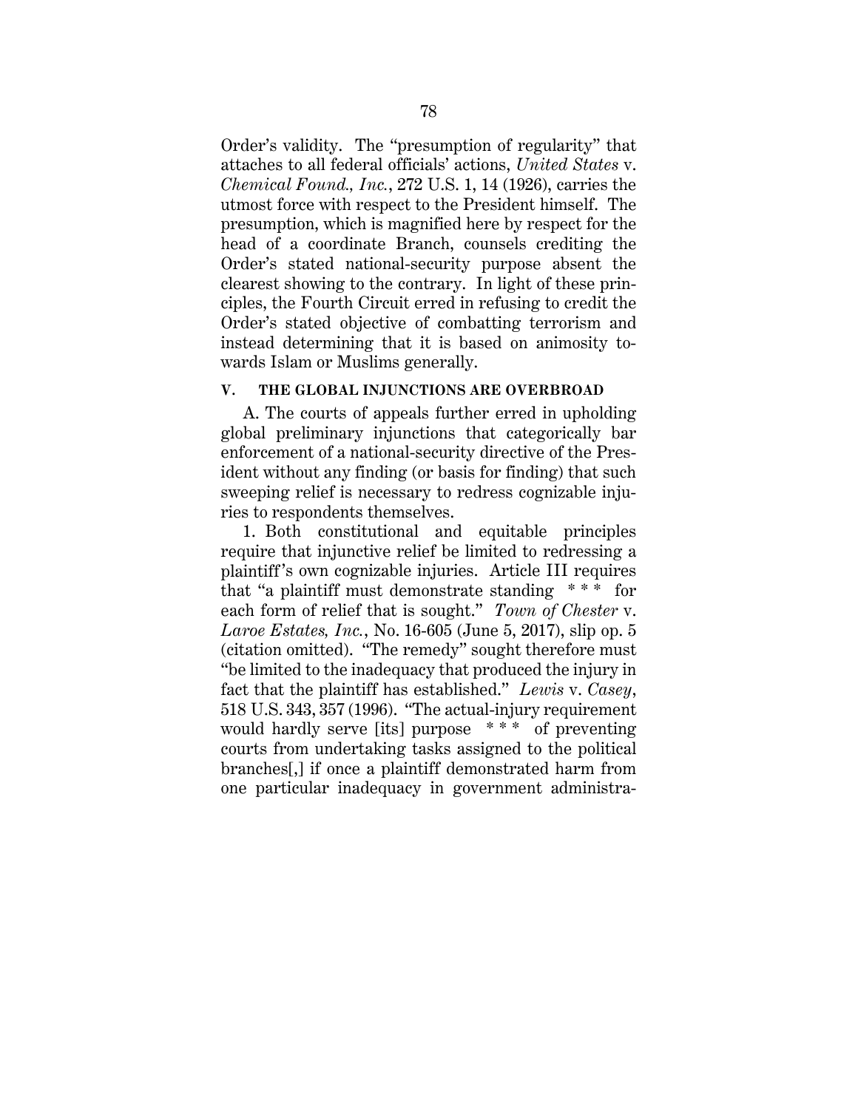Order's validity. The "presumption of regularity" that attaches to all federal officials' actions, *United States* v. *Chemical Found., Inc.*, 272 U.S. 1, 14 (1926), carries the utmost force with respect to the President himself. The presumption, which is magnified here by respect for the head of a coordinate Branch, counsels crediting the Order's stated national-security purpose absent the clearest showing to the contrary. In light of these principles, the Fourth Circuit erred in refusing to credit the Order's stated objective of combatting terrorism and instead determining that it is based on animosity towards Islam or Muslims generally.

## **V. THE GLOBAL INJUNCTIONS ARE OVERBROAD**

A. The courts of appeals further erred in upholding global preliminary injunctions that categorically bar enforcement of a national-security directive of the President without any finding (or basis for finding) that such sweeping relief is necessary to redress cognizable injuries to respondents themselves.

1. Both constitutional and equitable principles require that injunctive relief be limited to redressing a plaintiff  's own cognizable injuries. Article III requires that "a plaintiff must demonstrate standing \* \* \* for each form of relief that is sought." *Town of Chester* v. *Laroe Estates, Inc.*, No. 16-605 (June 5, 2017), slip op. 5 (citation omitted). "The remedy" sought therefore must "be limited to the inadequacy that produced the injury in fact that the plaintiff has established." *Lewis* v. *Casey*, 518 U.S. 343, 357 (1996). "The actual-injury requirement would hardly serve [its] purpose \* \* \* of preventing courts from undertaking tasks assigned to the political branches[,] if once a plaintiff demonstrated harm from one particular inadequacy in government administra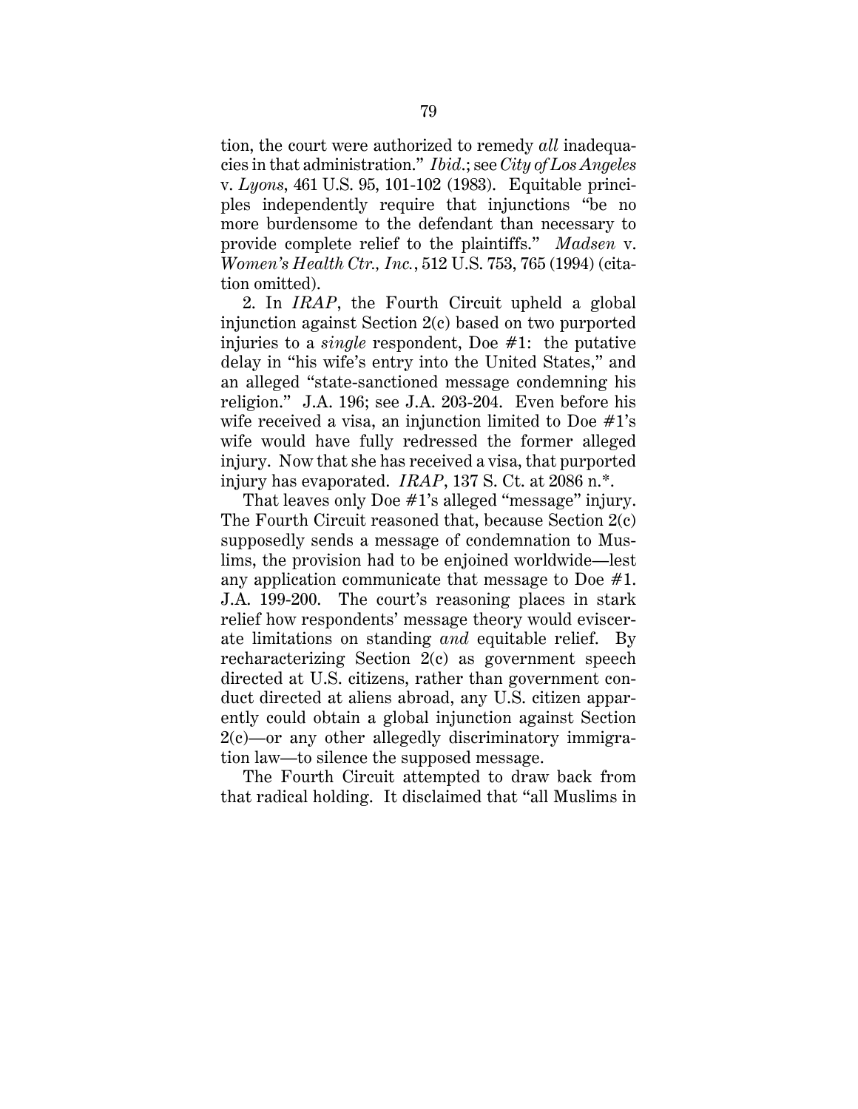tion, the court were authorized to remedy *all* inadequacies in that administration." *Ibid*.; see *City of Los Angeles* v. *Lyons*, 461 U.S. 95, 101-102 (1983). Equitable principles independently require that injunctions "be no more burdensome to the defendant than necessary to provide complete relief to the plaintiffs." *Madsen* v. *Women's Health Ctr., Inc.*, 512 U.S. 753, 765 (1994) (citation omitted).

2. In *IRAP*, the Fourth Circuit upheld a global injunction against Section 2(c) based on two purported injuries to a *single* respondent, Doe #1: the putative delay in "his wife's entry into the United States," and an alleged "state-sanctioned message condemning his religion." J.A. 196; see J.A. 203-204. Even before his wife received a visa, an injunction limited to Doe #1's wife would have fully redressed the former alleged injury. Now that she has received a visa, that purported injury has evaporated. *IRAP*, 137 S. Ct. at 2086 n.\*.

That leaves only Doe #1's alleged "message" injury. The Fourth Circuit reasoned that, because Section 2(c) supposedly sends a message of condemnation to Muslims, the provision had to be enjoined worldwide—lest any application communicate that message to Doe #1. J.A. 199-200. The court's reasoning places in stark relief how respondents' message theory would eviscerate limitations on standing *and* equitable relief. By recharacterizing Section 2(c) as government speech directed at U.S. citizens, rather than government conduct directed at aliens abroad, any U.S. citizen apparently could obtain a global injunction against Section 2(c)—or any other allegedly discriminatory immigration law—to silence the supposed message.

The Fourth Circuit attempted to draw back from that radical holding. It disclaimed that "all Muslims in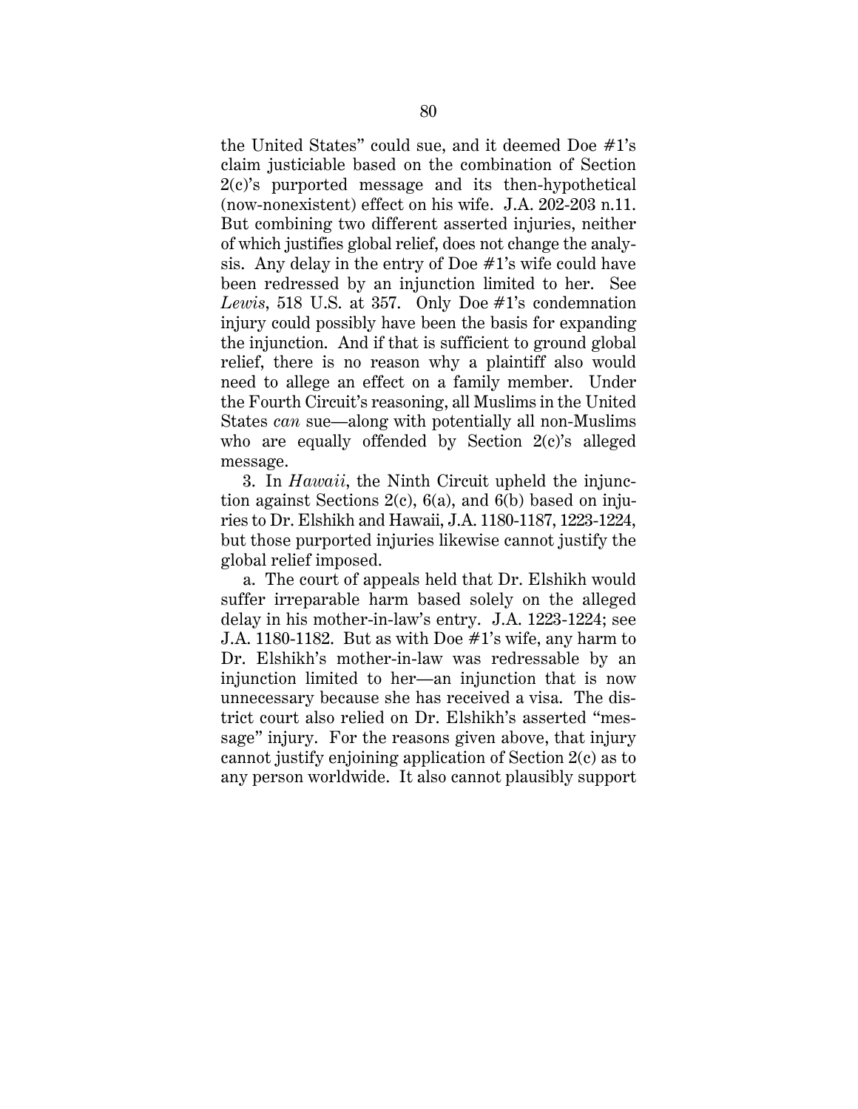the United States" could sue, and it deemed Doe #1's claim justiciable based on the combination of Section 2(c)'s purported message and its then-hypothetical (now-nonexistent) effect on his wife. J.A. 202-203 n.11. But combining two different asserted injuries, neither of which justifies global relief, does not change the analysis. Any delay in the entry of Doe #1's wife could have been redressed by an injunction limited to her. See *Lewis*, 518 U.S. at 357. Only Doe #1's condemnation injury could possibly have been the basis for expanding the injunction. And if that is sufficient to ground global relief, there is no reason why a plaintiff also would need to allege an effect on a family member. Under the Fourth Circuit's reasoning, all Muslims in the United States *can* sue—along with potentially all non-Muslims who are equally offended by Section 2(c)'s alleged message.

3. In *Hawaii*, the Ninth Circuit upheld the injunction against Sections 2(c), 6(a), and 6(b) based on injuries to Dr. Elshikh and Hawaii, J.A. 1180-1187, 1223-1224, but those purported injuries likewise cannot justify the global relief imposed.

a. The court of appeals held that Dr. Elshikh would suffer irreparable harm based solely on the alleged delay in his mother-in-law's entry. J.A. 1223-1224; see J.A. 1180-1182. But as with Doe  $#1$ 's wife, any harm to Dr. Elshikh's mother-in-law was redressable by an injunction limited to her—an injunction that is now unnecessary because she has received a visa. The district court also relied on Dr. Elshikh's asserted "message" injury. For the reasons given above, that injury cannot justify enjoining application of Section 2(c) as to any person worldwide. It also cannot plausibly support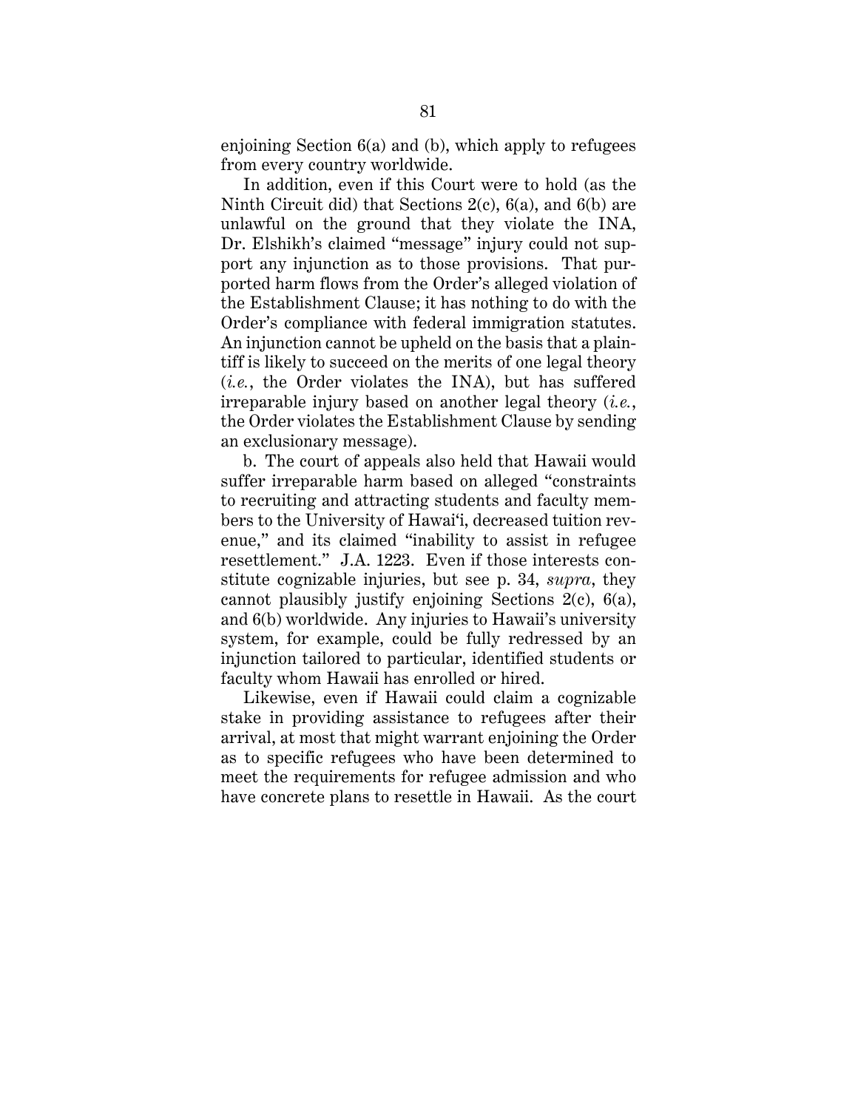enjoining Section 6(a) and (b), which apply to refugees from every country worldwide.

In addition, even if this Court were to hold (as the Ninth Circuit did) that Sections 2(c), 6(a), and 6(b) are unlawful on the ground that they violate the INA, Dr. Elshikh's claimed "message" injury could not support any injunction as to those provisions. That purported harm flows from the Order's alleged violation of the Establishment Clause; it has nothing to do with the Order's compliance with federal immigration statutes. An injunction cannot be upheld on the basis that a plaintiff is likely to succeed on the merits of one legal theory (*i.e.*, the Order violates the INA), but has suffered irreparable injury based on another legal theory (*i.e.*, the Order violates the Establishment Clause by sending an exclusionary message).

b. The court of appeals also held that Hawaii would suffer irreparable harm based on alleged "constraints to recruiting and attracting students and faculty members to the University of Hawai'i, decreased tuition revenue," and its claimed "inability to assist in refugee resettlement." J.A. 1223. Even if those interests constitute cognizable injuries, but see p. 34, *supra*, they cannot plausibly justify enjoining Sections 2(c), 6(a), and 6(b) worldwide. Any injuries to Hawaii's university system, for example, could be fully redressed by an injunction tailored to particular, identified students or faculty whom Hawaii has enrolled or hired.

Likewise, even if Hawaii could claim a cognizable stake in providing assistance to refugees after their arrival, at most that might warrant enjoining the Order as to specific refugees who have been determined to meet the requirements for refugee admission and who have concrete plans to resettle in Hawaii. As the court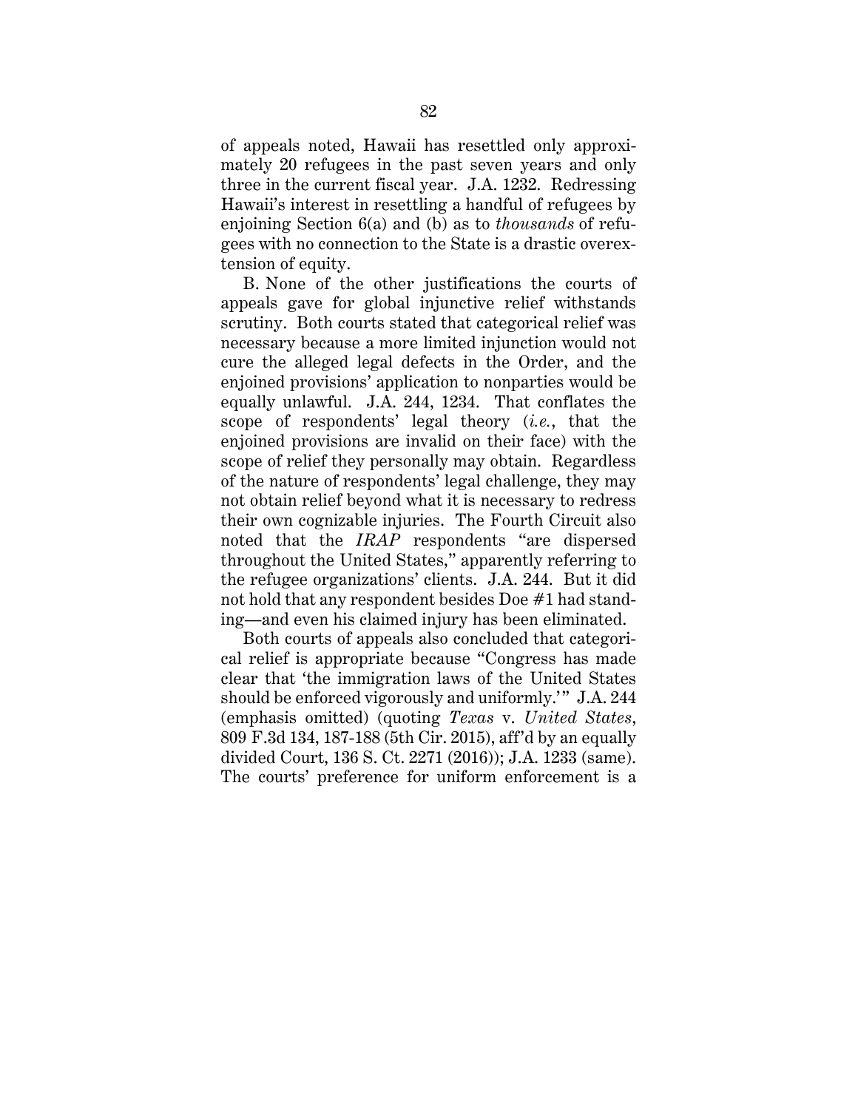of appeals noted, Hawaii has resettled only approximately 20 refugees in the past seven years and only three in the current fiscal year. J.A. 1232. Redressing Hawaii's interest in resettling a handful of refugees by enjoining Section 6(a) and (b) as to *thousands* of refugees with no connection to the State is a drastic overextension of equity.

B. None of the other justifications the courts of appeals gave for global injunctive relief withstands scrutiny. Both courts stated that categorical relief was necessary because a more limited injunction would not cure the alleged legal defects in the Order, and the enjoined provisions' application to nonparties would be equally unlawful. J.A. 244, 1234. That conflates the scope of respondents' legal theory (*i.e.*, that the enjoined provisions are invalid on their face) with the scope of relief they personally may obtain. Regardless of the nature of respondents' legal challenge, they may not obtain relief beyond what it is necessary to redress their own cognizable injuries. The Fourth Circuit also noted that the *IRAP* respondents "are dispersed throughout the United States," apparently referring to the refugee organizations' clients. J.A. 244. But it did not hold that any respondent besides Doe #1 had standing—and even his claimed injury has been eliminated.

Both courts of appeals also concluded that categorical relief is appropriate because "Congress has made clear that 'the immigration laws of the United States should be enforced vigorously and uniformly.'" J.A. 244 (emphasis omitted) (quoting *Texas* v. *United States*, 809 F.3d 134, 187-188 (5th Cir. 2015), aff'd by an equally divided Court, 136 S. Ct. 2271 (2016)); J.A. 1233 (same). The courts' preference for uniform enforcement is a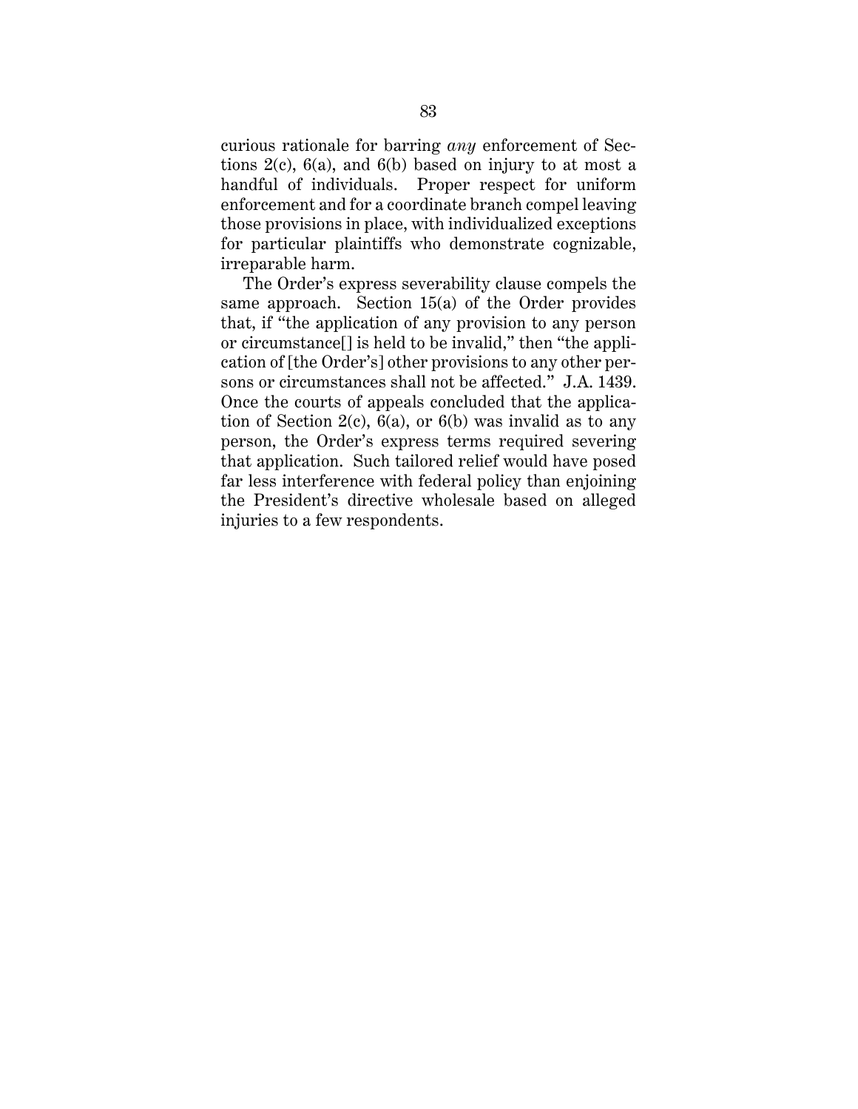curious rationale for barring *any* enforcement of Sections 2(c), 6(a), and 6(b) based on injury to at most a handful of individuals. Proper respect for uniform enforcement and for a coordinate branch compel leaving those provisions in place, with individualized exceptions for particular plaintiffs who demonstrate cognizable, irreparable harm.

The Order's express severability clause compels the same approach. Section 15(a) of the Order provides that, if "the application of any provision to any person or circumstance[] is held to be invalid," then "the application of [the Order's] other provisions to any other persons or circumstances shall not be affected." J.A. 1439. Once the courts of appeals concluded that the application of Section 2(c),  $6(a)$ , or  $6(b)$  was invalid as to any person, the Order's express terms required severing that application. Such tailored relief would have posed far less interference with federal policy than enjoining the President's directive wholesale based on alleged injuries to a few respondents.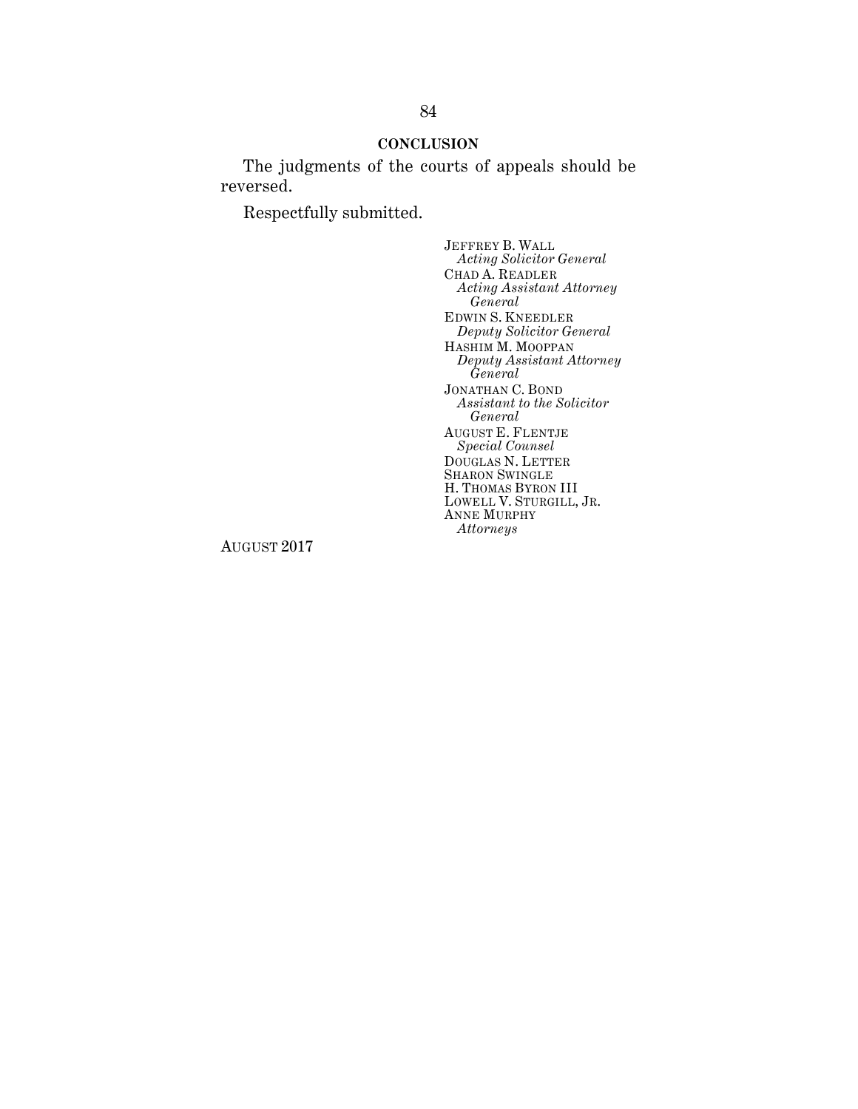## **CONCLUSION**

The judgments of the courts of appeals should be reversed.

Respectfully submitted.

JEFFREY B. WALL *Acting Solicitor General* CHAD A. READLER *Acting Assistant Attorney General* EDWIN S. KNEEDLER *Deputy Solicitor General* HASHIM M. MOOPPAN *Deputy Assistant Attorney General* JONATHAN C. BOND *Assistant to the Solicitor General* AUGUST E. FLENTJE *Special Counsel* DOUGLAS N. LETTER SHARON SWINGLE H. THOMAS BYRON III LOWELL V. STURGILL, JR. ANNE MURPHY *Attorneys*

AUGUST 2017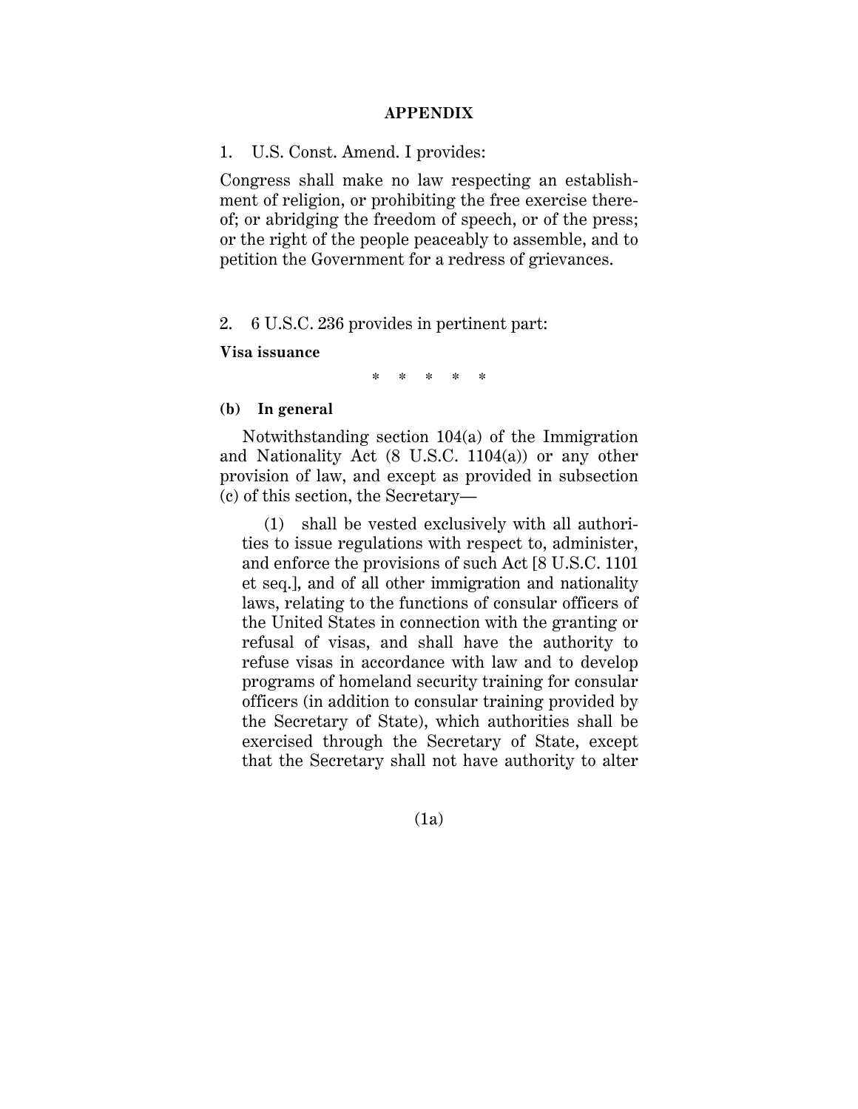#### **APPENDIX**

#### 1. U.S. Const. Amend. I provides:

Congress shall make no law respecting an establishment of religion, or prohibiting the free exercise thereof; or abridging the freedom of speech, or of the press; or the right of the people peaceably to assemble, and to petition the Government for a redress of grievances.

### 2. 6 U.S.C. 236 provides in pertinent part:

### **Visa issuance**

\* \* \* \* \*

## **(b) In general**

Notwithstanding section 104(a) of the Immigration and Nationality Act (8 U.S.C. 1104(a)) or any other provision of law, and except as provided in subsection (c) of this section, the Secretary—

(1) shall be vested exclusively with all authorities to issue regulations with respect to, administer, and enforce the provisions of such Act [8 U.S.C. 1101 et seq.], and of all other immigration and nationality laws, relating to the functions of consular officers of the United States in connection with the granting or refusal of visas, and shall have the authority to refuse visas in accordance with law and to develop programs of homeland security training for consular officers (in addition to consular training provided by the Secretary of State), which authorities shall be exercised through the Secretary of State, except that the Secretary shall not have authority to alter

(1a)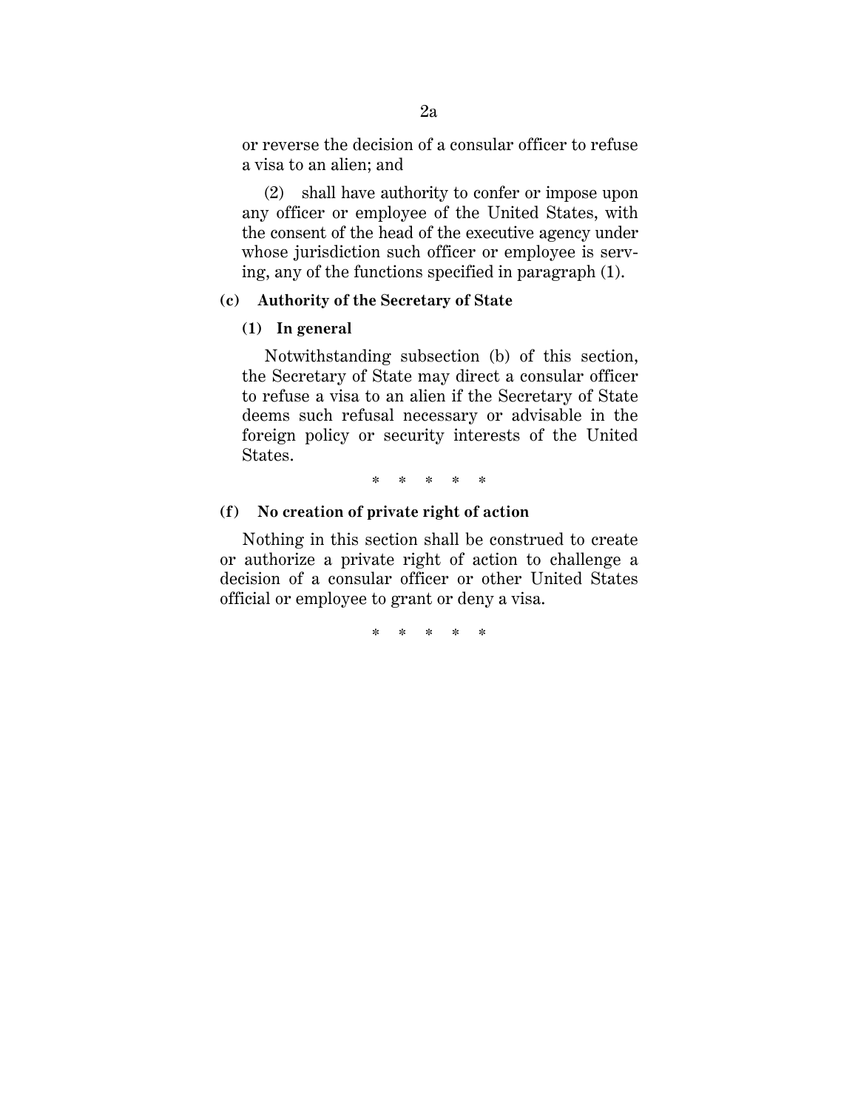or reverse the decision of a consular officer to refuse a visa to an alien; and

(2) shall have authority to confer or impose upon any officer or employee of the United States, with the consent of the head of the executive agency under whose jurisdiction such officer or employee is serving, any of the functions specified in paragraph (1).

## **(c) Authority of the Secretary of State**

### **(1) In general**

Notwithstanding subsection (b) of this section, the Secretary of State may direct a consular officer to refuse a visa to an alien if the Secretary of State deems such refusal necessary or advisable in the foreign policy or security interests of the United States.

\* \* \* \* \*

## **(f) No creation of private right of action**

Nothing in this section shall be construed to create or authorize a private right of action to challenge a decision of a consular officer or other United States official or employee to grant or deny a visa.

\* \* \* \* \*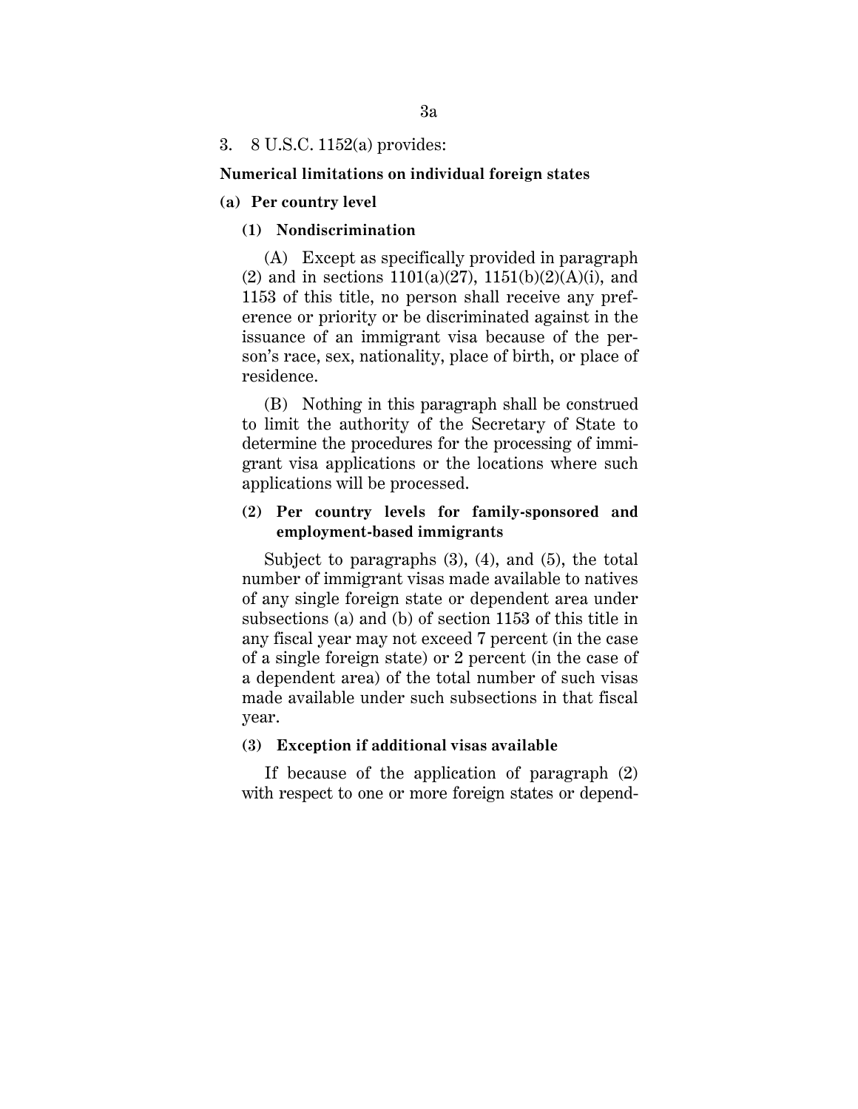## 3. 8 U.S.C. 1152(a) provides:

#### **Numerical limitations on individual foreign states**

#### **(a) Per country level**

## **(1) Nondiscrimination**

 (A) Except as specifically provided in paragraph (2) and in sections  $1101(a)(27)$ ,  $1151(b)(2)(A)(i)$ , and 1153 of this title, no person shall receive any preference or priority or be discriminated against in the issuance of an immigrant visa because of the person's race, sex, nationality, place of birth, or place of residence.

 (B) Nothing in this paragraph shall be construed to limit the authority of the Secretary of State to determine the procedures for the processing of immigrant visa applications or the locations where such applications will be processed.

# **(2) Per country levels for family-sponsored and employment-based immigrants**

Subject to paragraphs (3), (4), and (5), the total number of immigrant visas made available to natives of any single foreign state or dependent area under subsections (a) and (b) of section 1153 of this title in any fiscal year may not exceed 7 percent (in the case of a single foreign state) or 2 percent (in the case of a dependent area) of the total number of such visas made available under such subsections in that fiscal year.

#### **(3) Exception if additional visas available**

If because of the application of paragraph (2) with respect to one or more foreign states or depend-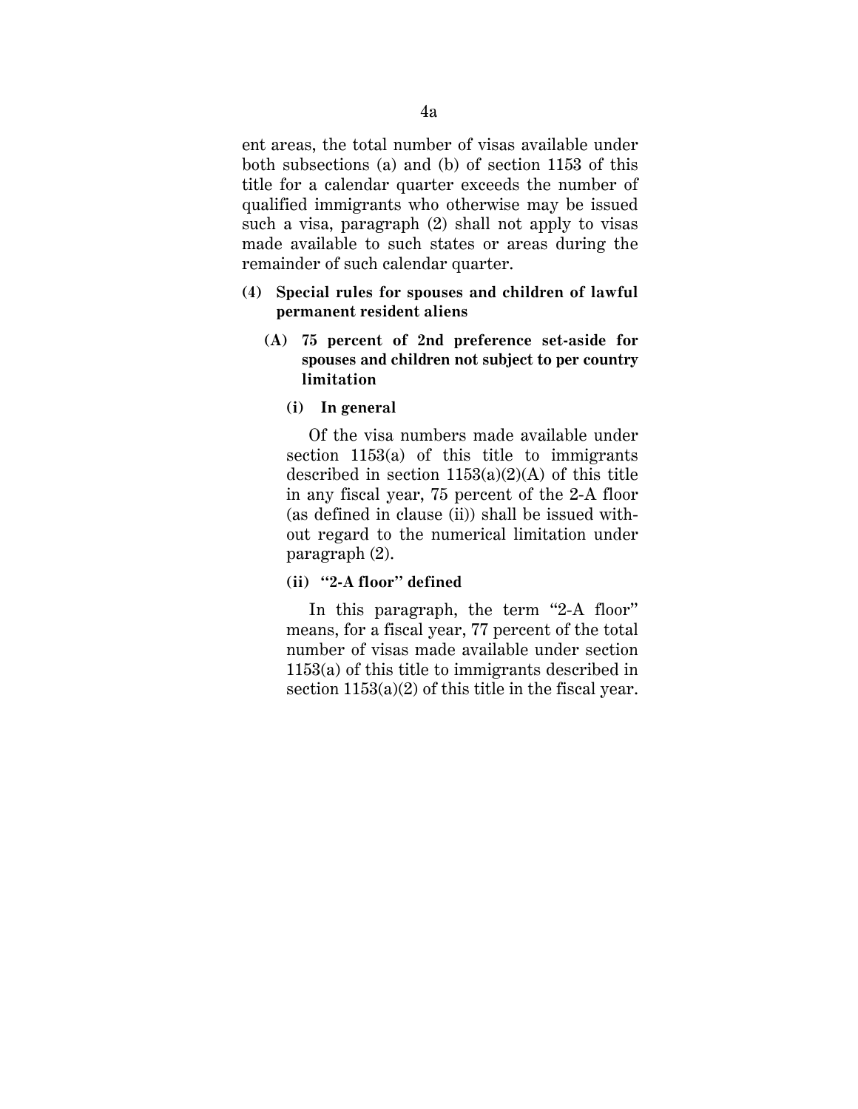ent areas, the total number of visas available under both subsections (a) and (b) of section 1153 of this title for a calendar quarter exceeds the number of qualified immigrants who otherwise may be issued such a visa, paragraph (2) shall not apply to visas made available to such states or areas during the remainder of such calendar quarter.

- **(4) Special rules for spouses and children of lawful permanent resident aliens**
	- **(A) 75 percent of 2nd preference set-aside for spouses and children not subject to per country limitation**
		- **(i) In general**

Of the visa numbers made available under section 1153(a) of this title to immigrants described in section  $1153(a)(2)(A)$  of this title in any fiscal year, 75 percent of the 2-A floor (as defined in clause (ii)) shall be issued without regard to the numerical limitation under paragraph (2).

 **(ii) ''2-A floor'' defined**

In this paragraph, the term "2-A floor" means, for a fiscal year, 77 percent of the total number of visas made available under section 1153(a) of this title to immigrants described in section  $1153(a)(2)$  of this title in the fiscal year.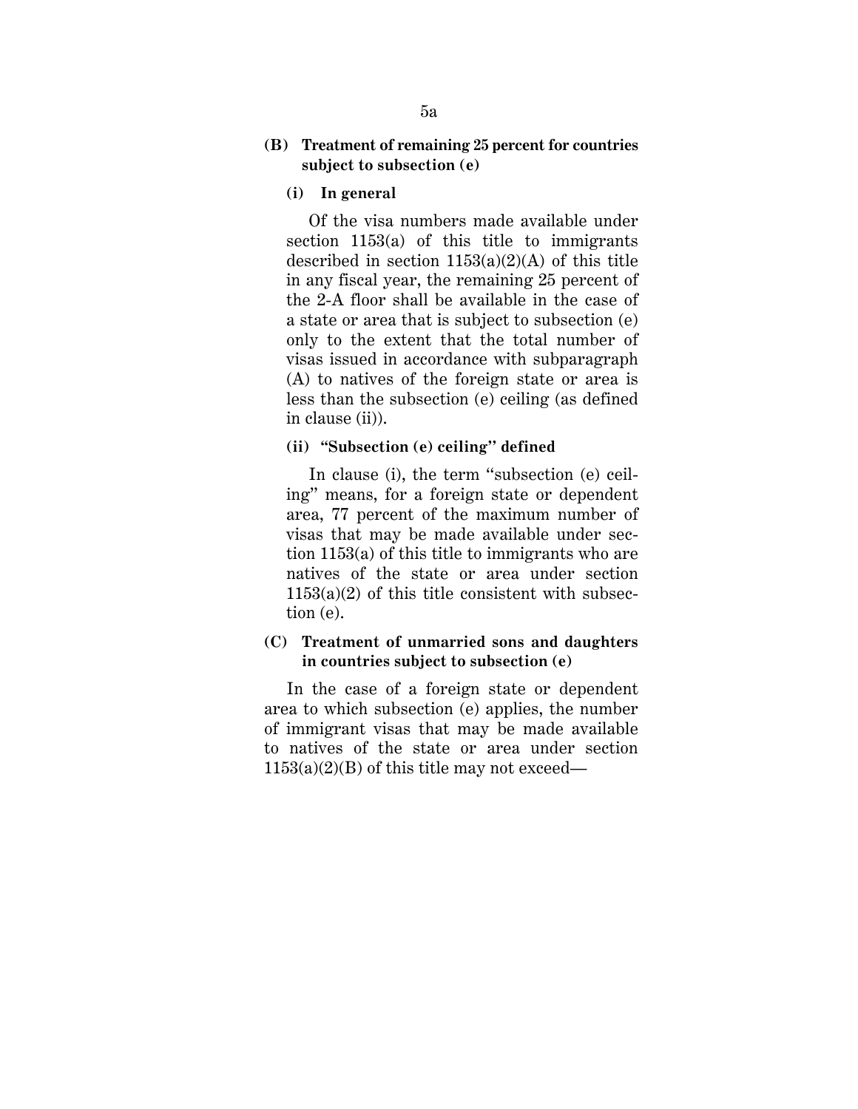## **(B) Treatment of remaining 25 percent for countries subject to subsection (e)**

### **(i) In general**

Of the visa numbers made available under section 1153(a) of this title to immigrants described in section  $1153(a)(2)(A)$  of this title in any fiscal year, the remaining 25 percent of the 2-A floor shall be available in the case of a state or area that is subject to subsection (e) only to the extent that the total number of visas issued in accordance with subparagraph (A) to natives of the foreign state or area is less than the subsection (e) ceiling (as defined in clause (ii)).

### **(ii) "Subsection (e) ceiling'' defined**

In clause (i), the term "subsection (e) ceiling'' means, for a foreign state or dependent area, 77 percent of the maximum number of visas that may be made available under section 1153(a) of this title to immigrants who are natives of the state or area under section  $1153(a)(2)$  of this title consistent with subsection (e).

# **(C) Treatment of unmarried sons and daughters in countries subject to subsection (e)**

In the case of a foreign state or dependent area to which subsection (e) applies, the number of immigrant visas that may be made available to natives of the state or area under section  $1153(a)(2)(B)$  of this title may not exceed—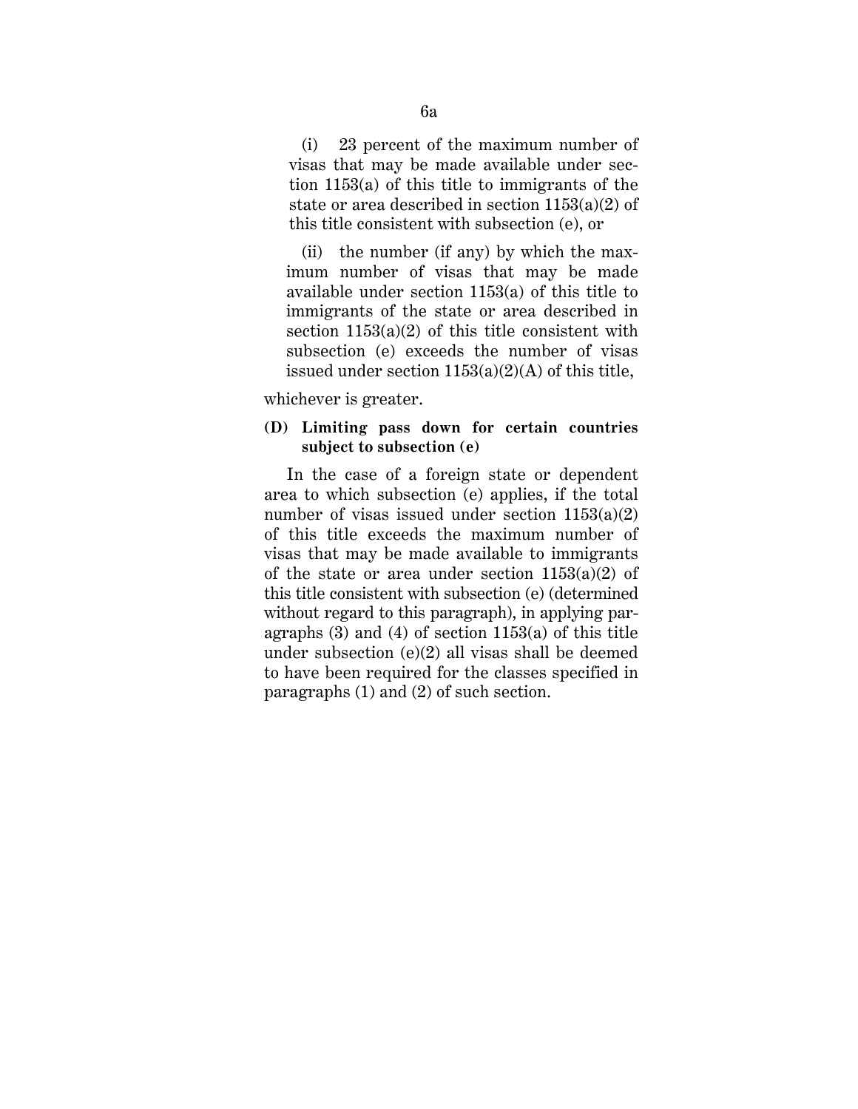(i) 23 percent of the maximum number of visas that may be made available under section 1153(a) of this title to immigrants of the state or area described in section 1153(a)(2) of this title consistent with subsection (e), or

(ii) the number (if any) by which the maximum number of visas that may be made available under section 1153(a) of this title to immigrants of the state or area described in section  $1153(a)(2)$  of this title consistent with subsection (e) exceeds the number of visas issued under section  $1153(a)(2)(A)$  of this title,

whichever is greater.

## **(D) Limiting pass down for certain countries subject to subsection (e)**

In the case of a foreign state or dependent area to which subsection (e) applies, if the total number of visas issued under section  $1153(a)(2)$ of this title exceeds the maximum number of visas that may be made available to immigrants of the state or area under section  $1153(a)(2)$  of this title consistent with subsection (e) (determined without regard to this paragraph), in applying paragraphs (3) and (4) of section 1153(a) of this title under subsection (e)(2) all visas shall be deemed to have been required for the classes specified in paragraphs (1) and (2) of such section.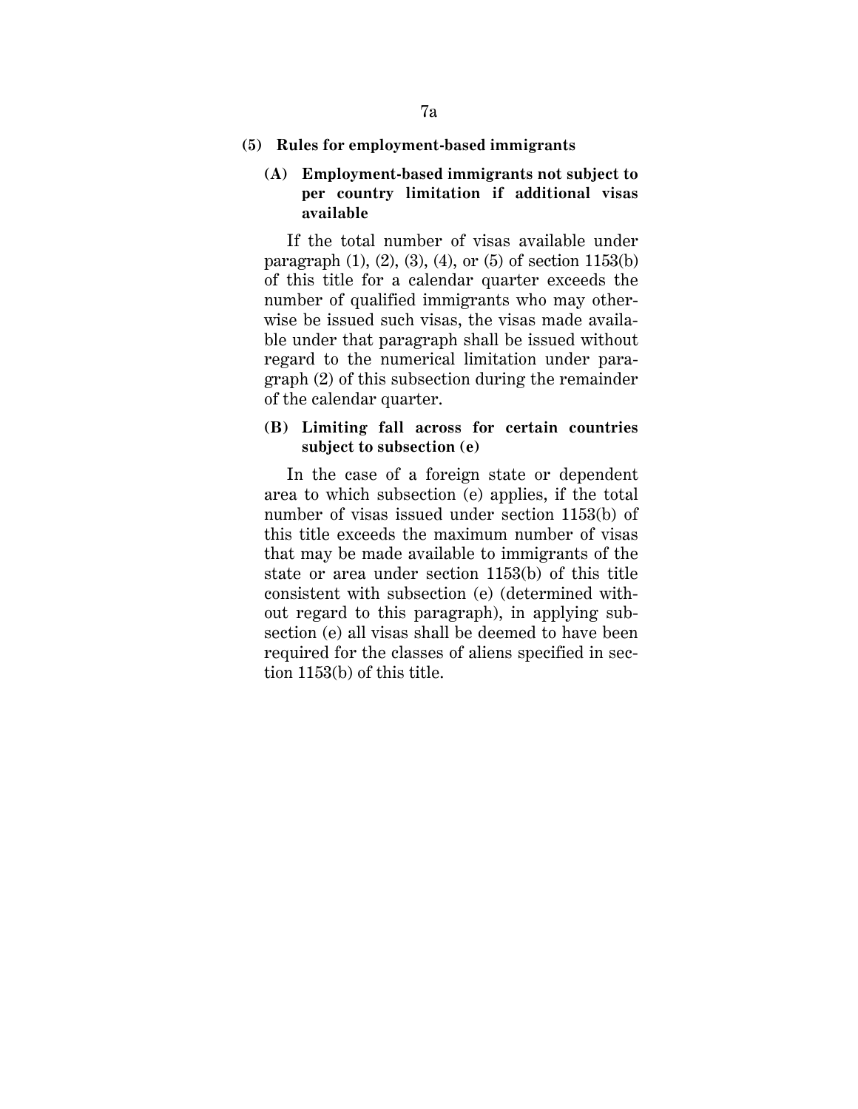## **(5) Rules for employment-based immigrants**

# **(A) Employment-based immigrants not subject to per country limitation if additional visas available**

If the total number of visas available under paragraph  $(1)$ ,  $(2)$ ,  $(3)$ ,  $(4)$ , or  $(5)$  of section 1153 $(b)$ of this title for a calendar quarter exceeds the number of qualified immigrants who may otherwise be issued such visas, the visas made available under that paragraph shall be issued without regard to the numerical limitation under paragraph (2) of this subsection during the remainder of the calendar quarter.

# **(B) Limiting fall across for certain countries subject to subsection (e)**

In the case of a foreign state or dependent area to which subsection (e) applies, if the total number of visas issued under section 1153(b) of this title exceeds the maximum number of visas that may be made available to immigrants of the state or area under section 1153(b) of this title consistent with subsection (e) (determined without regard to this paragraph), in applying subsection (e) all visas shall be deemed to have been required for the classes of aliens specified in section 1153(b) of this title.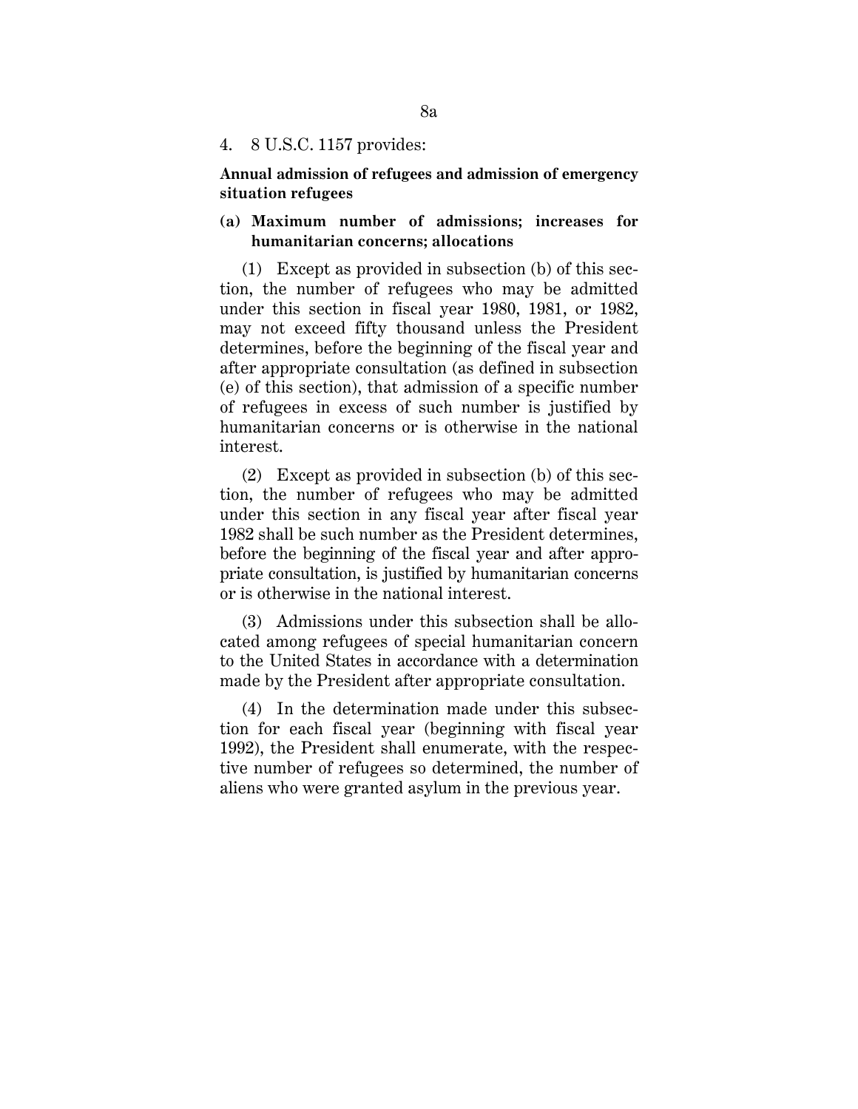#### 4. 8 U.S.C. 1157 provides:

**Annual admission of refugees and admission of emergency situation refugees**

## **(a) Maximum number of admissions; increases for humanitarian concerns; allocations**

(1) Except as provided in subsection (b) of this section, the number of refugees who may be admitted under this section in fiscal year 1980, 1981, or 1982, may not exceed fifty thousand unless the President determines, before the beginning of the fiscal year and after appropriate consultation (as defined in subsection (e) of this section), that admission of a specific number of refugees in excess of such number is justified by humanitarian concerns or is otherwise in the national interest.

(2) Except as provided in subsection (b) of this section, the number of refugees who may be admitted under this section in any fiscal year after fiscal year 1982 shall be such number as the President determines, before the beginning of the fiscal year and after appropriate consultation, is justified by humanitarian concerns or is otherwise in the national interest.

(3) Admissions under this subsection shall be allocated among refugees of special humanitarian concern to the United States in accordance with a determination made by the President after appropriate consultation.

(4) In the determination made under this subsection for each fiscal year (beginning with fiscal year 1992), the President shall enumerate, with the respective number of refugees so determined, the number of aliens who were granted asylum in the previous year.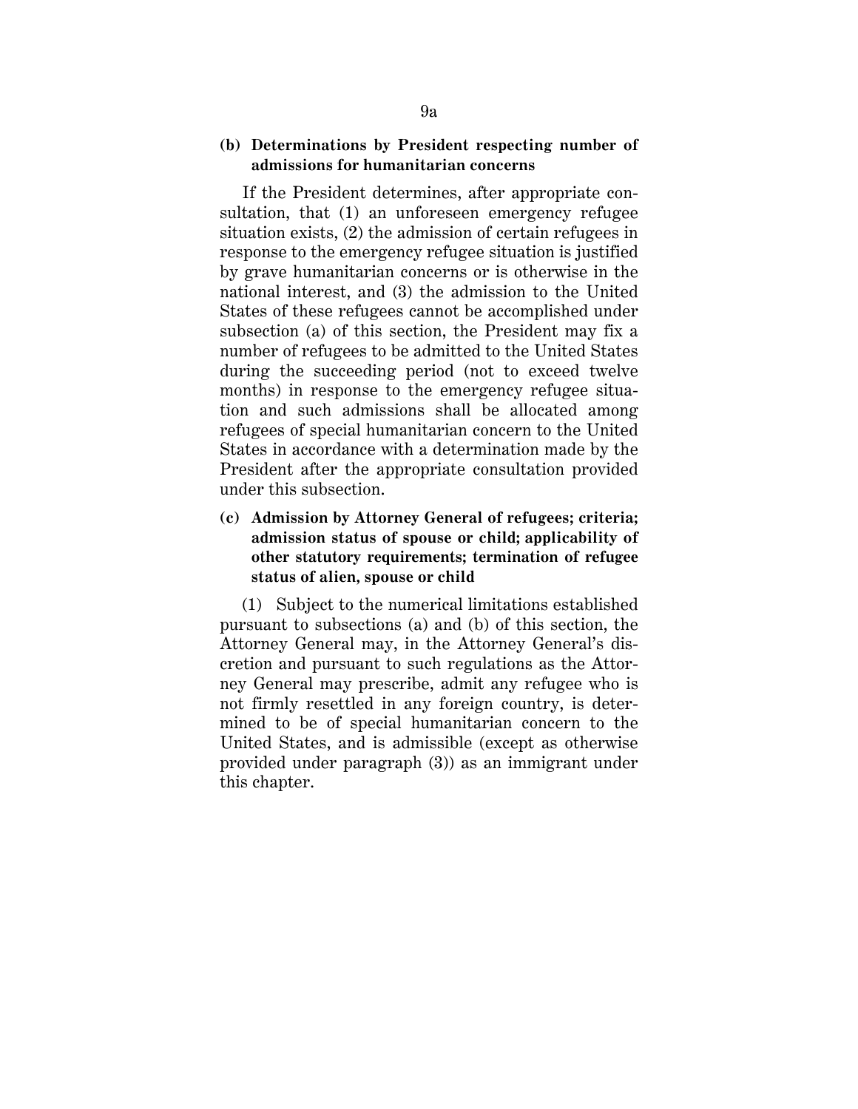## **(b) Determinations by President respecting number of admissions for humanitarian concerns**

If the President determines, after appropriate consultation, that (1) an unforeseen emergency refugee situation exists, (2) the admission of certain refugees in response to the emergency refugee situation is justified by grave humanitarian concerns or is otherwise in the national interest, and (3) the admission to the United States of these refugees cannot be accomplished under subsection (a) of this section, the President may fix a number of refugees to be admitted to the United States during the succeeding period (not to exceed twelve months) in response to the emergency refugee situation and such admissions shall be allocated among refugees of special humanitarian concern to the United States in accordance with a determination made by the President after the appropriate consultation provided under this subsection.

**(c) Admission by Attorney General of refugees; criteria; admission status of spouse or child; applicability of other statutory requirements; termination of refugee status of alien, spouse or child**

(1) Subject to the numerical limitations established pursuant to subsections (a) and (b) of this section, the Attorney General may, in the Attorney General's discretion and pursuant to such regulations as the Attorney General may prescribe, admit any refugee who is not firmly resettled in any foreign country, is determined to be of special humanitarian concern to the United States, and is admissible (except as otherwise provided under paragraph (3)) as an immigrant under this chapter.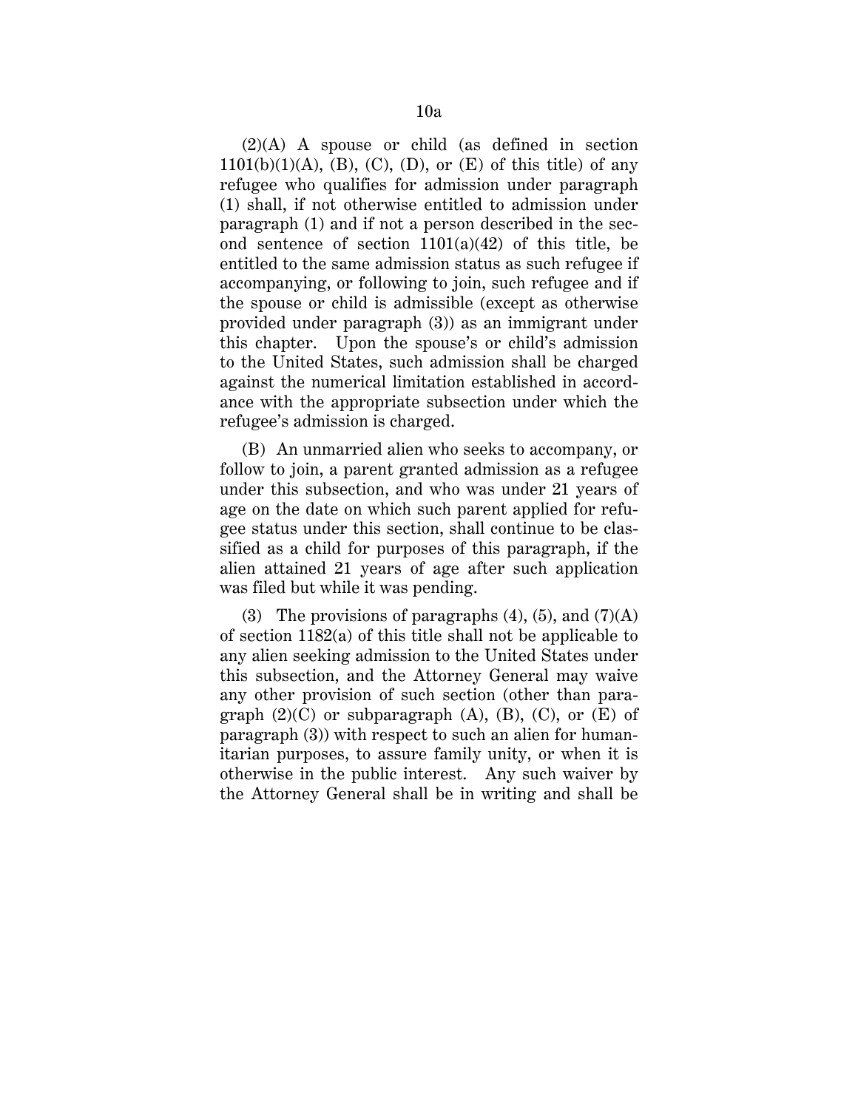(2)(A) A spouse or child (as defined in section  $1101(b)(1)(A)$ , (B), (C), (D), or (E) of this title) of any refugee who qualifies for admission under paragraph (1) shall, if not otherwise entitled to admission under paragraph (1) and if not a person described in the second sentence of section  $1101(a)(42)$  of this title, be entitled to the same admission status as such refugee if accompanying, or following to join, such refugee and if the spouse or child is admissible (except as otherwise provided under paragraph (3)) as an immigrant under this chapter. Upon the spouse's or child's admission to the United States, such admission shall be charged against the numerical limitation established in accordance with the appropriate subsection under which the refugee's admission is charged.

(B) An unmarried alien who seeks to accompany, or follow to join, a parent granted admission as a refugee under this subsection, and who was under 21 years of age on the date on which such parent applied for refugee status under this section, shall continue to be classified as a child for purposes of this paragraph, if the alien attained 21 years of age after such application was filed but while it was pending.

(3) The provisions of paragraphs  $(4)$ ,  $(5)$ , and  $(7)(A)$ of section 1182(a) of this title shall not be applicable to any alien seeking admission to the United States under this subsection, and the Attorney General may waive any other provision of such section (other than paragraph  $(2)(C)$  or subparagraph  $(A)$ ,  $(B)$ ,  $(C)$ , or  $(E)$  of paragraph (3)) with respect to such an alien for humanitarian purposes, to assure family unity, or when it is otherwise in the public interest. Any such waiver by the Attorney General shall be in writing and shall be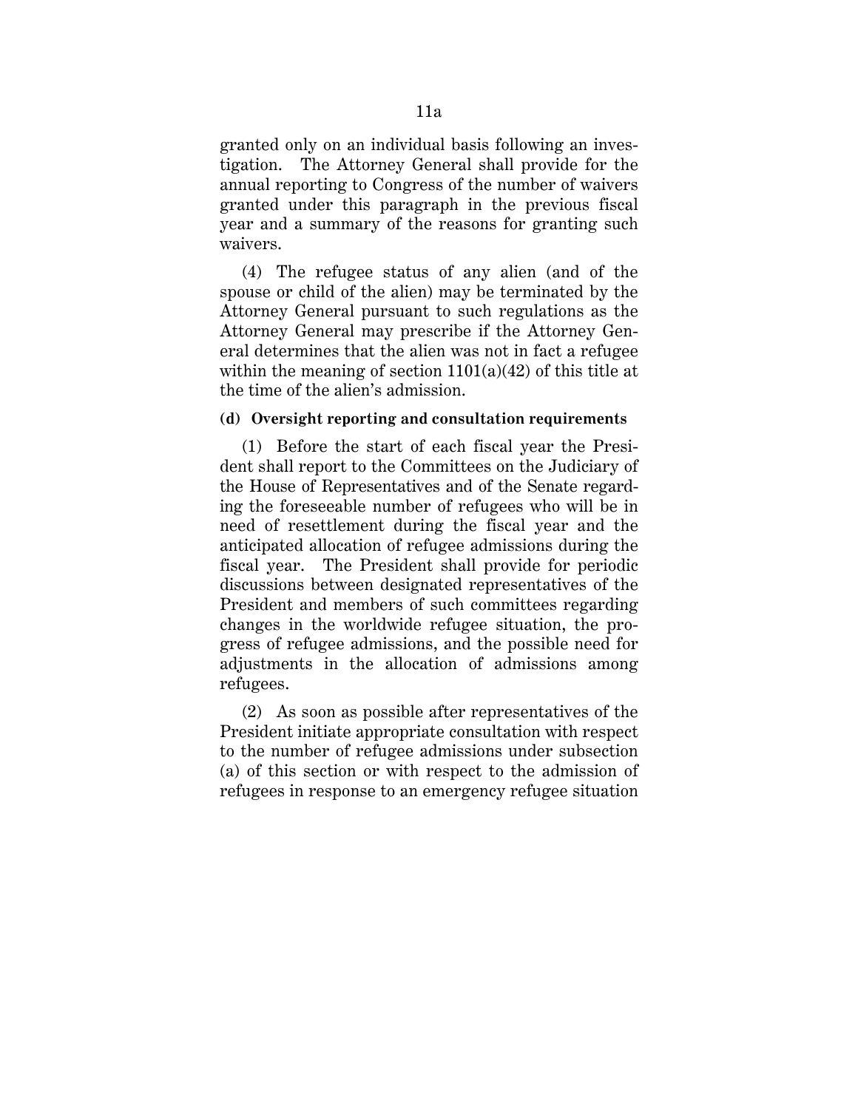granted only on an individual basis following an investigation. The Attorney General shall provide for the annual reporting to Congress of the number of waivers granted under this paragraph in the previous fiscal year and a summary of the reasons for granting such waivers.

(4) The refugee status of any alien (and of the spouse or child of the alien) may be terminated by the Attorney General pursuant to such regulations as the Attorney General may prescribe if the Attorney General determines that the alien was not in fact a refugee within the meaning of section  $1101(a)(42)$  of this title at the time of the alien's admission.

#### **(d) Oversight reporting and consultation requirements**

(1) Before the start of each fiscal year the President shall report to the Committees on the Judiciary of the House of Representatives and of the Senate regarding the foreseeable number of refugees who will be in need of resettlement during the fiscal year and the anticipated allocation of refugee admissions during the fiscal year. The President shall provide for periodic discussions between designated representatives of the President and members of such committees regarding changes in the worldwide refugee situation, the progress of refugee admissions, and the possible need for adjustments in the allocation of admissions among refugees.

(2) As soon as possible after representatives of the President initiate appropriate consultation with respect to the number of refugee admissions under subsection (a) of this section or with respect to the admission of refugees in response to an emergency refugee situation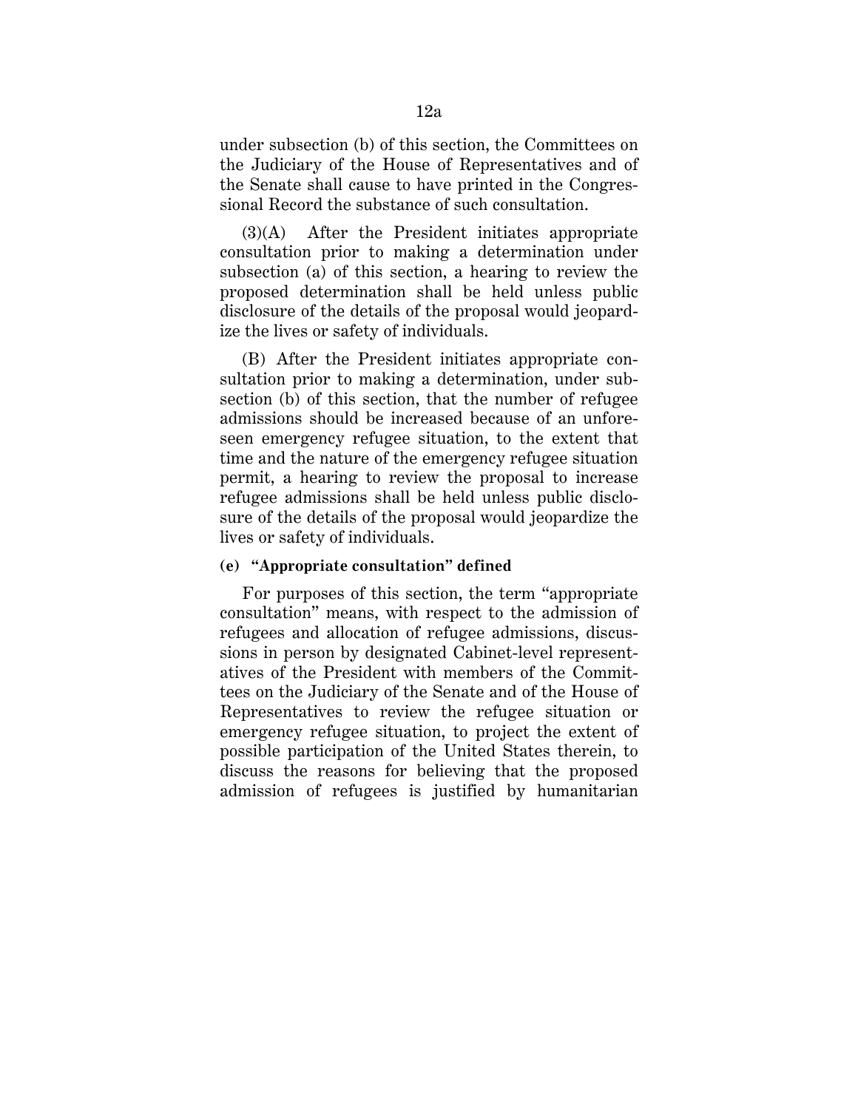under subsection (b) of this section, the Committees on the Judiciary of the House of Representatives and of the Senate shall cause to have printed in the Congressional Record the substance of such consultation.

(3)(A) After the President initiates appropriate consultation prior to making a determination under subsection (a) of this section, a hearing to review the proposed determination shall be held unless public disclosure of the details of the proposal would jeopardize the lives or safety of individuals.

(B) After the President initiates appropriate consultation prior to making a determination, under subsection (b) of this section, that the number of refugee admissions should be increased because of an unforeseen emergency refugee situation, to the extent that time and the nature of the emergency refugee situation permit, a hearing to review the proposal to increase refugee admissions shall be held unless public disclosure of the details of the proposal would jeopardize the lives or safety of individuals.

#### **(e) "Appropriate consultation" defined**

For purposes of this section, the term "appropriate consultation" means, with respect to the admission of refugees and allocation of refugee admissions, discussions in person by designated Cabinet-level representatives of the President with members of the Committees on the Judiciary of the Senate and of the House of Representatives to review the refugee situation or emergency refugee situation, to project the extent of possible participation of the United States therein, to discuss the reasons for believing that the proposed admission of refugees is justified by humanitarian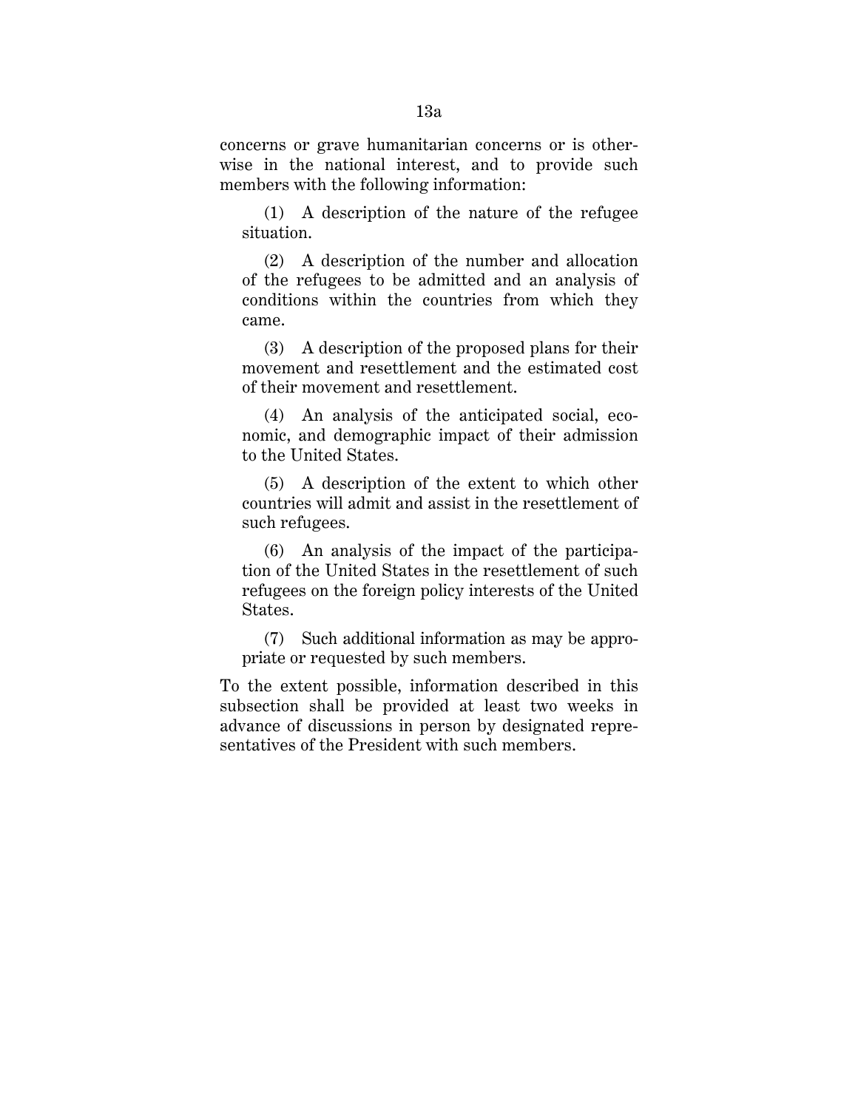concerns or grave humanitarian concerns or is otherwise in the national interest, and to provide such members with the following information:

(1) A description of the nature of the refugee situation.

(2) A description of the number and allocation of the refugees to be admitted and an analysis of conditions within the countries from which they came.

(3) A description of the proposed plans for their movement and resettlement and the estimated cost of their movement and resettlement.

(4) An analysis of the anticipated social, economic, and demographic impact of their admission to the United States.

(5) A description of the extent to which other countries will admit and assist in the resettlement of such refugees.

(6) An analysis of the impact of the participation of the United States in the resettlement of such refugees on the foreign policy interests of the United States.

(7) Such additional information as may be appropriate or requested by such members.

To the extent possible, information described in this subsection shall be provided at least two weeks in advance of discussions in person by designated representatives of the President with such members.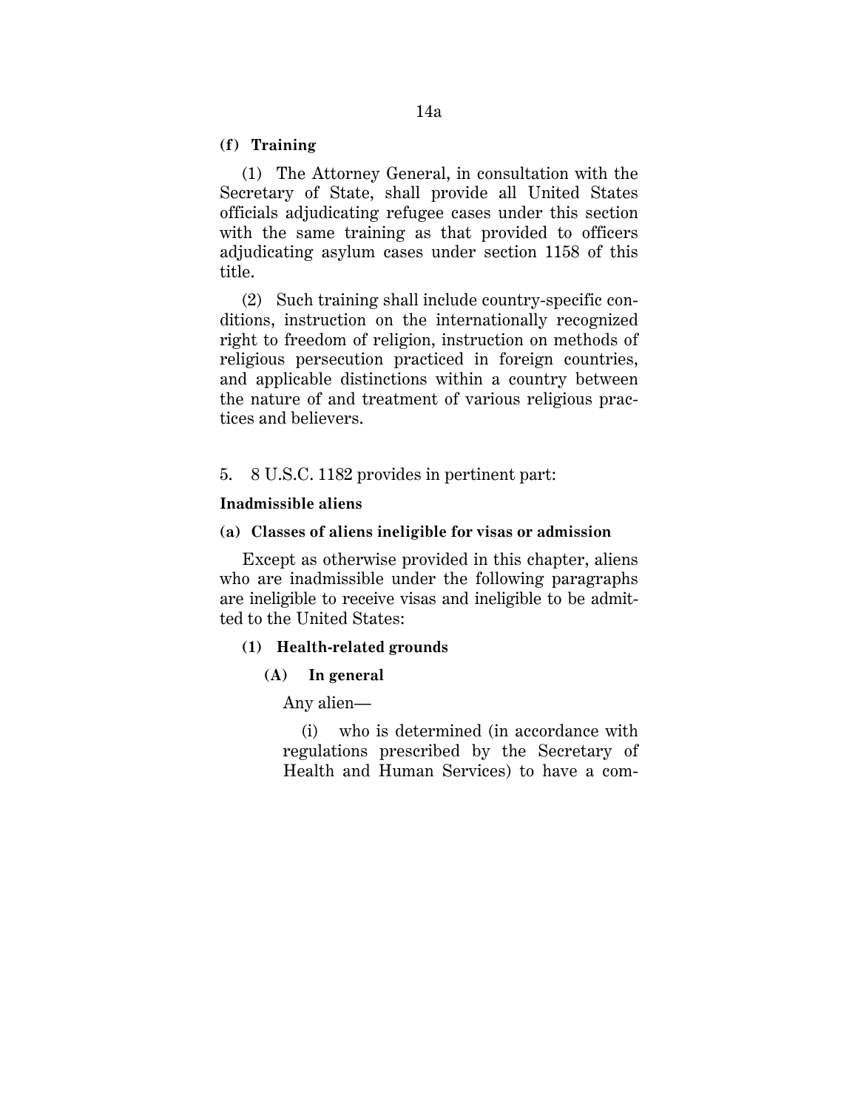## **(f) Training**

(1) The Attorney General, in consultation with the Secretary of State, shall provide all United States officials adjudicating refugee cases under this section with the same training as that provided to officers adjudicating asylum cases under section 1158 of this title.

(2) Such training shall include country-specific conditions, instruction on the internationally recognized right to freedom of religion, instruction on methods of religious persecution practiced in foreign countries, and applicable distinctions within a country between the nature of and treatment of various religious practices and believers.

### 5. 8 U.S.C. 1182 provides in pertinent part:

#### **Inadmissible aliens**

#### **(a) Classes of aliens ineligible for visas or admission**

Except as otherwise provided in this chapter, aliens who are inadmissible under the following paragraphs are ineligible to receive visas and ineligible to be admitted to the United States:

### **(1) Health-related grounds**

### **(A) In general**

Any alien—

(i) who is determined (in accordance with regulations prescribed by the Secretary of Health and Human Services) to have a com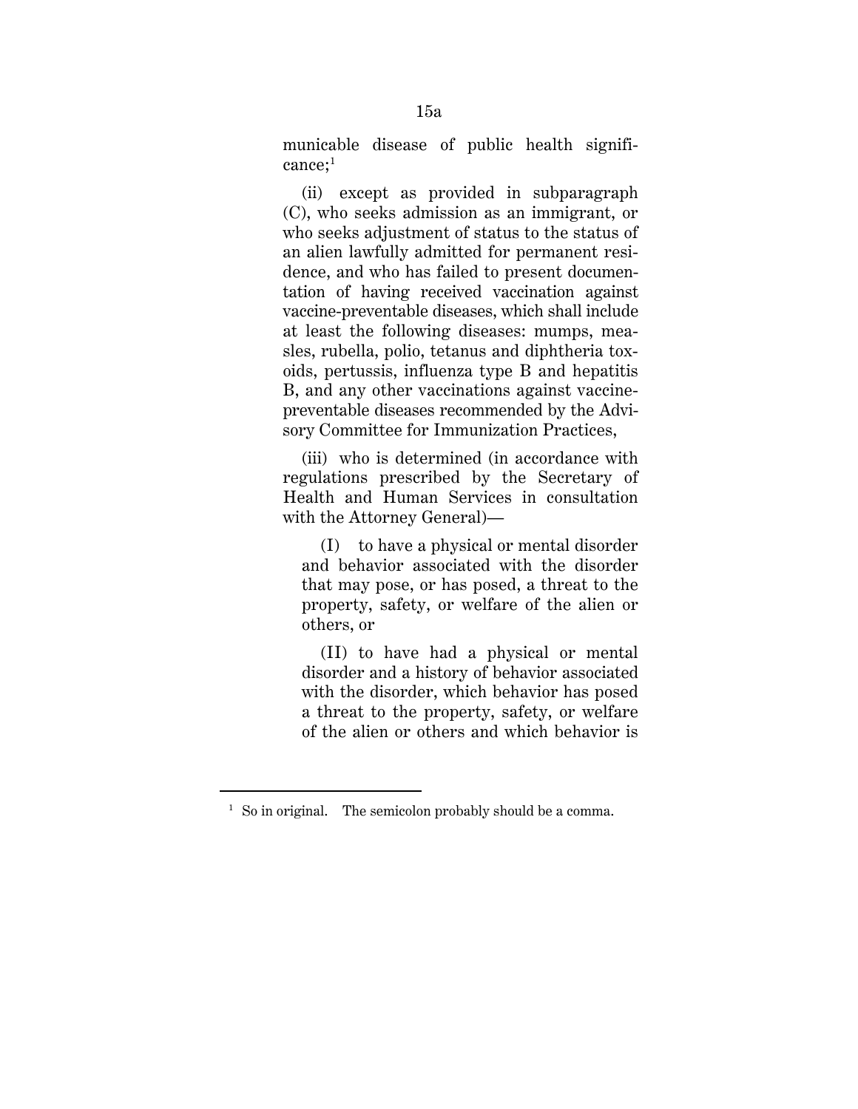municable disease of public health significance:<sup>1</sup>

(ii) except as provided in subparagraph (C), who seeks admission as an immigrant, or who seeks adjustment of status to the status of an alien lawfully admitted for permanent residence, and who has failed to present documentation of having received vaccination against vaccine-preventable diseases, which shall include at least the following diseases: mumps, measles, rubella, polio, tetanus and diphtheria toxoids, pertussis, influenza type B and hepatitis B, and any other vaccinations against vaccinepreventable diseases recommended by the Advisory Committee for Immunization Practices,

(iii) who is determined (in accordance with regulations prescribed by the Secretary of Health and Human Services in consultation with the Attorney General)—

(I) to have a physical or mental disorder and behavior associated with the disorder that may pose, or has posed, a threat to the property, safety, or welfare of the alien or others, or

(II) to have had a physical or mental disorder and a history of behavior associated with the disorder, which behavior has posed a threat to the property, safety, or welfare of the alien or others and which behavior is

-

 $1\,$  So in original. The semicolon probably should be a comma.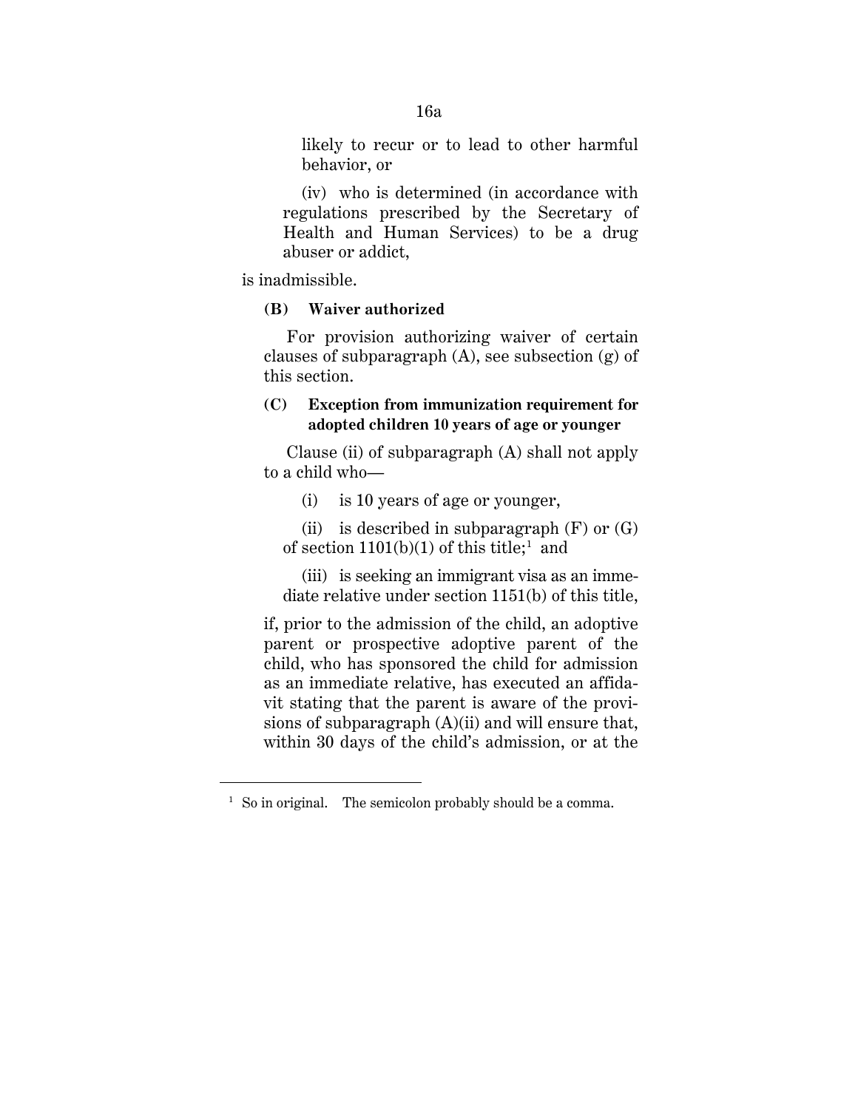likely to recur or to lead to other harmful behavior, or

(iv) who is determined (in accordance with regulations prescribed by the Secretary of Health and Human Services) to be a drug abuser or addict,

is inadmissible.

-

### **(B) Waiver authorized**

 For provision authorizing waiver of certain clauses of subparagraph  $(A)$ , see subsection  $(g)$  of this section.

# **(C) Exception from immunization requirement for adopted children 10 years of age or younger**

Clause (ii) of subparagraph (A) shall not apply to a child who—

(i) is 10 years of age or younger,

(ii) is described in subparagraph  $(F)$  or  $(G)$ of section  $1101(b)(1)$  of this title;<sup>1</sup> and

(iii) is seeking an immigrant visa as an immediate relative under section 1151(b) of this title,

if, prior to the admission of the child, an adoptive parent or prospective adoptive parent of the child, who has sponsored the child for admission as an immediate relative, has executed an affidavit stating that the parent is aware of the provisions of subparagraph (A)(ii) and will ensure that, within 30 days of the child's admission, or at the

<sup>&</sup>lt;sup>1</sup> So in original. The semicolon probably should be a comma.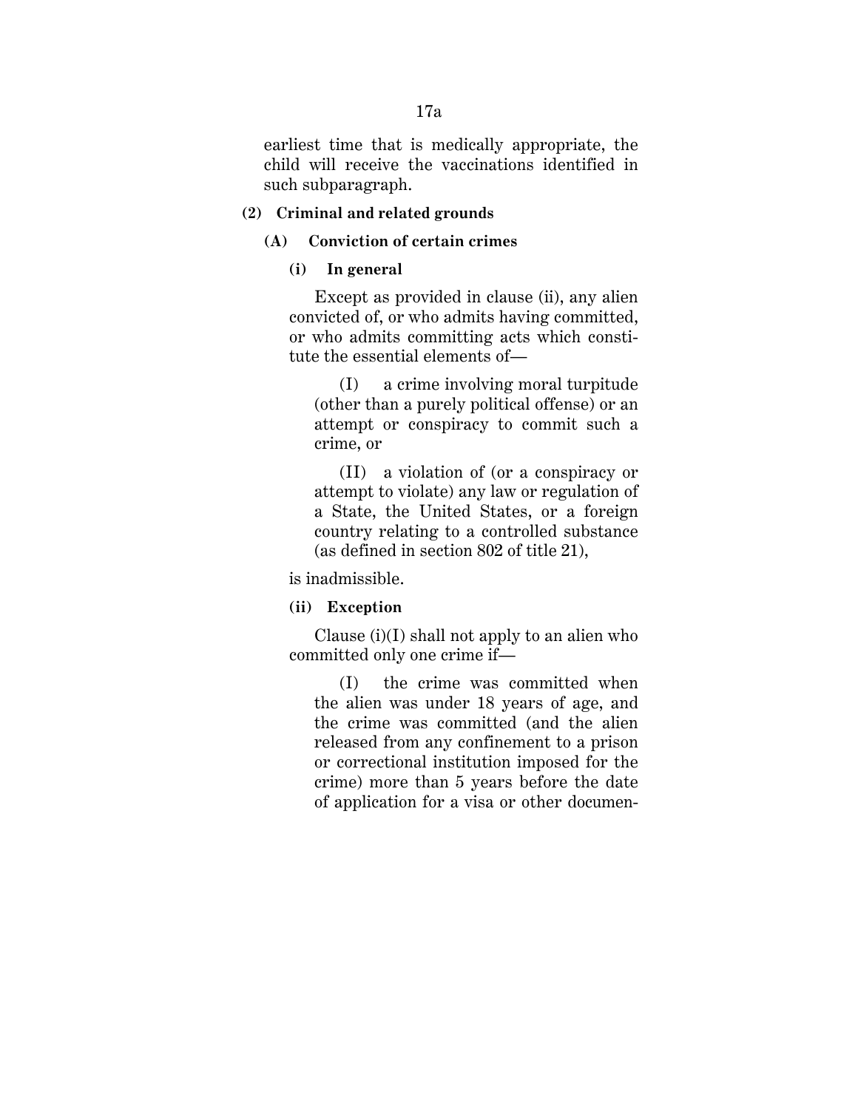earliest time that is medically appropriate, the child will receive the vaccinations identified in such subparagraph.

# **(2) Criminal and related grounds**

## **(A) Conviction of certain crimes**

### **(i) In general**

Except as provided in clause (ii), any alien convicted of, or who admits having committed, or who admits committing acts which constitute the essential elements of—

(I) a crime involving moral turpitude (other than a purely political offense) or an attempt or conspiracy to commit such a crime, or

(II) a violation of (or a conspiracy or attempt to violate) any law or regulation of a State, the United States, or a foreign country relating to a controlled substance (as defined in section 802 of title 21),

is inadmissible.

## **(ii) Exception**

Clause (i)(I) shall not apply to an alien who committed only one crime if—

(I) the crime was committed when the alien was under 18 years of age, and the crime was committed (and the alien released from any confinement to a prison or correctional institution imposed for the crime) more than 5 years before the date of application for a visa or other documen-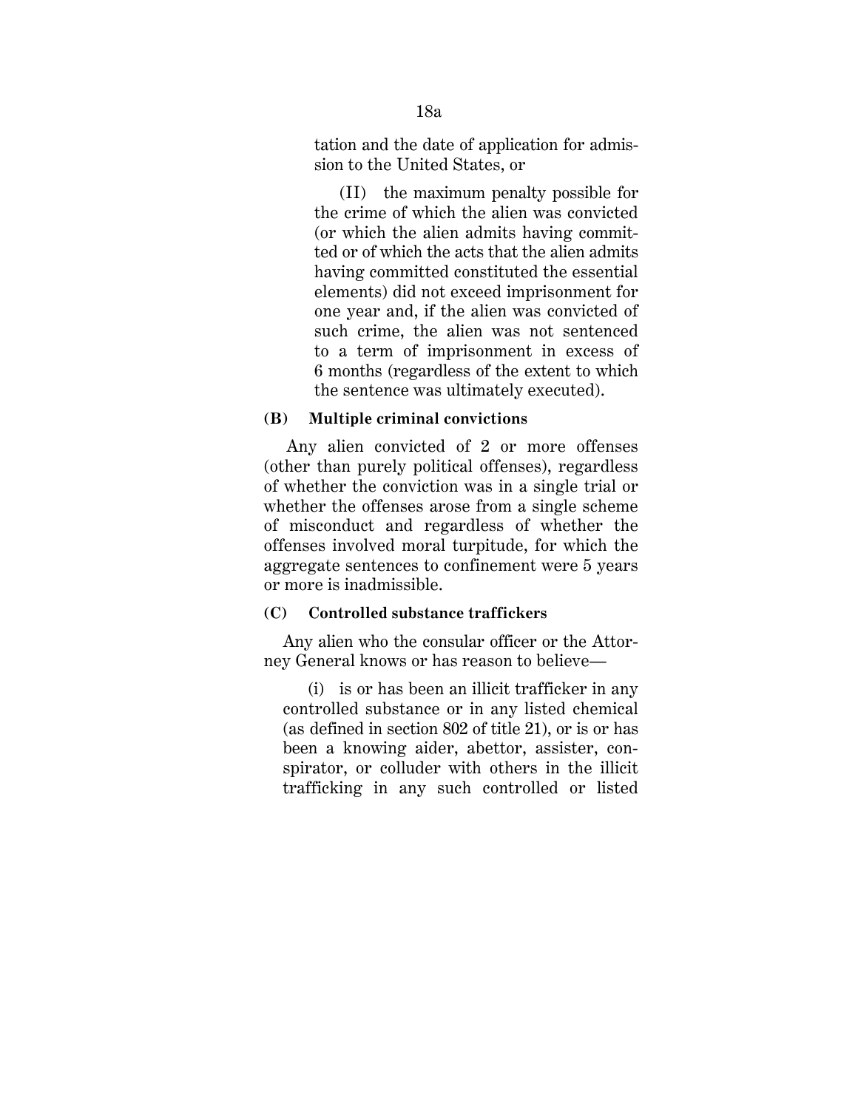tation and the date of application for admission to the United States, or

 (II) the maximum penalty possible for the crime of which the alien was convicted (or which the alien admits having committed or of which the acts that the alien admits having committed constituted the essential elements) did not exceed imprisonment for one year and, if the alien was convicted of such crime, the alien was not sentenced to a term of imprisonment in excess of 6 months (regardless of the extent to which the sentence was ultimately executed).

#### **(B) Multiple criminal convictions**

 Any alien convicted of 2 or more offenses (other than purely political offenses), regardless of whether the conviction was in a single trial or whether the offenses arose from a single scheme of misconduct and regardless of whether the offenses involved moral turpitude, for which the aggregate sentences to confinement were 5 years or more is inadmissible.

### **(C) Controlled substance traffickers**

Any alien who the consular officer or the Attorney General knows or has reason to believe—

(i) is or has been an illicit trafficker in any controlled substance or in any listed chemical (as defined in section 802 of title 21), or is or has been a knowing aider, abettor, assister, conspirator, or colluder with others in the illicit trafficking in any such controlled or listed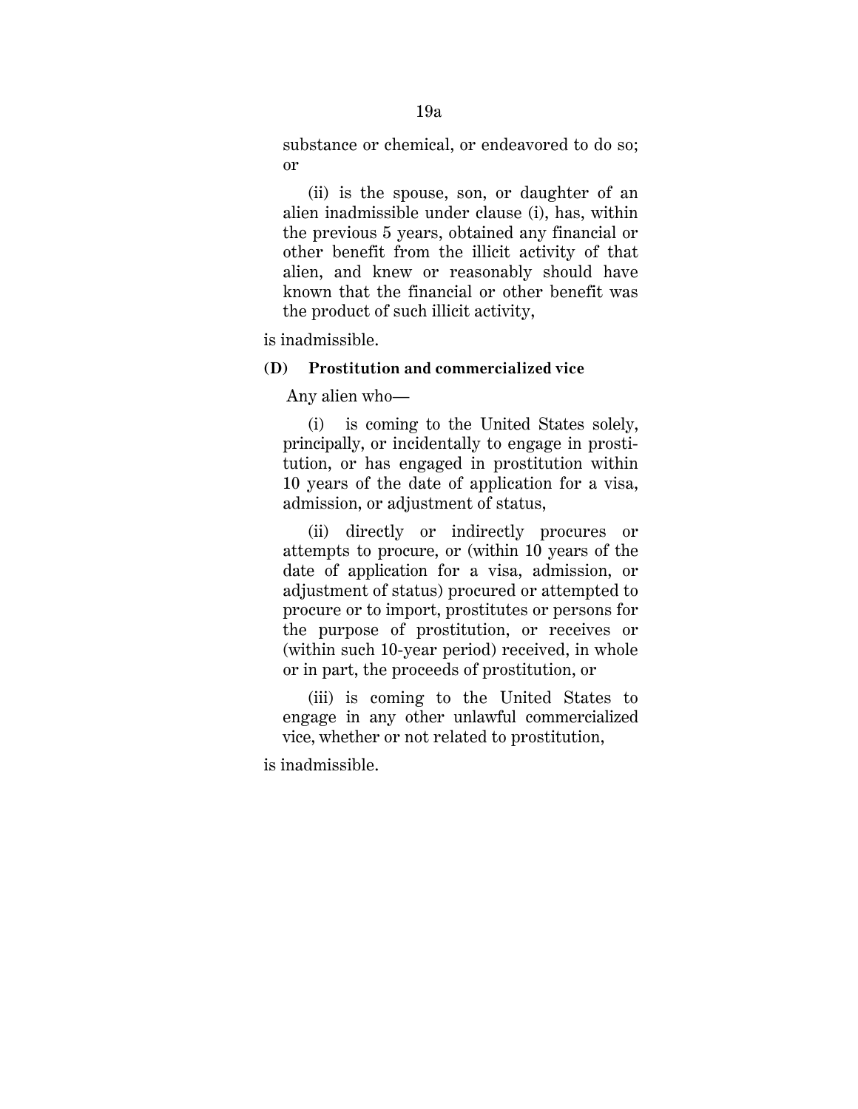substance or chemical, or endeavored to do so; or

(ii) is the spouse, son, or daughter of an alien inadmissible under clause (i), has, within the previous 5 years, obtained any financial or other benefit from the illicit activity of that alien, and knew or reasonably should have known that the financial or other benefit was the product of such illicit activity,

is inadmissible.

#### **(D) Prostitution and commercialized vice**

Any alien who—

(i) is coming to the United States solely, principally, or incidentally to engage in prostitution, or has engaged in prostitution within 10 years of the date of application for a visa, admission, or adjustment of status,

(ii) directly or indirectly procures or attempts to procure, or (within 10 years of the date of application for a visa, admission, or adjustment of status) procured or attempted to procure or to import, prostitutes or persons for the purpose of prostitution, or receives or (within such 10-year period) received, in whole or in part, the proceeds of prostitution, or

(iii) is coming to the United States to engage in any other unlawful commercialized vice, whether or not related to prostitution,

is inadmissible.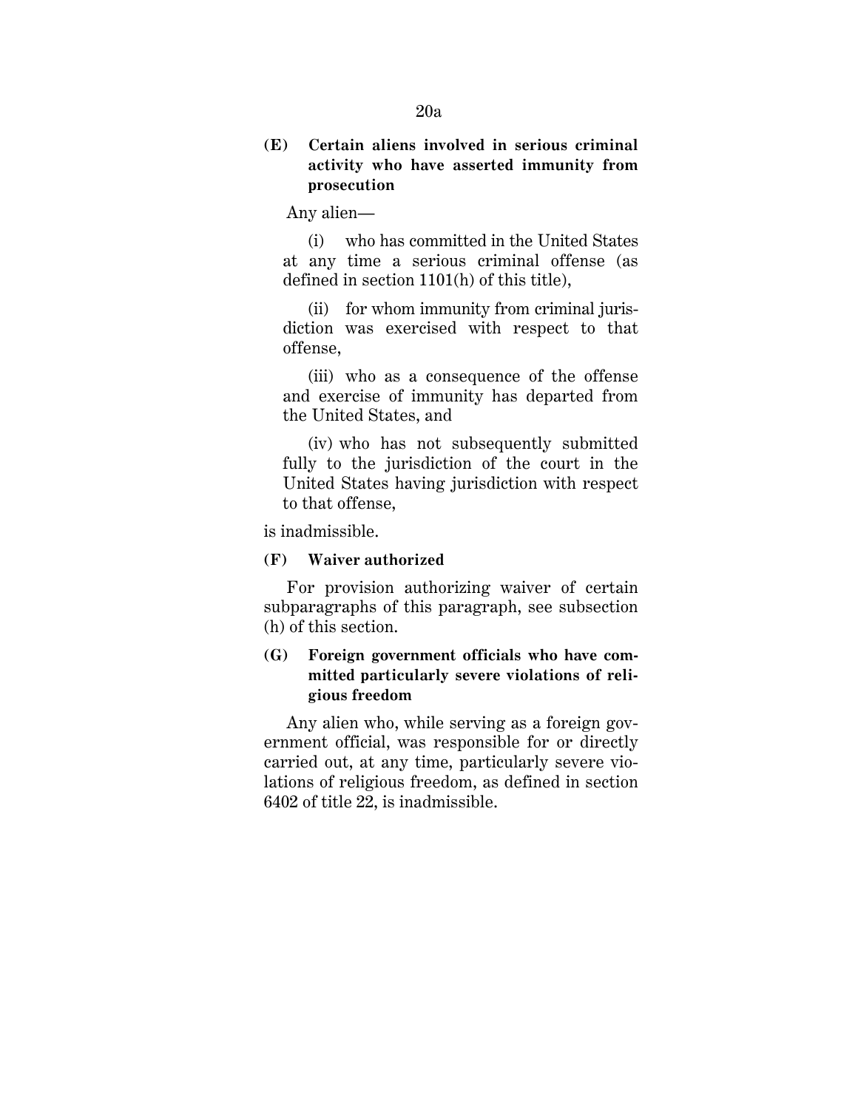# **(E) Certain aliens involved in serious criminal activity who have asserted immunity from prosecution**

Any alien—

(i) who has committed in the United States at any time a serious criminal offense (as defined in section 1101(h) of this title),

(ii) for whom immunity from criminal jurisdiction was exercised with respect to that offense,

(iii) who as a consequence of the offense and exercise of immunity has departed from the United States, and

(iv) who has not subsequently submitted fully to the jurisdiction of the court in the United States having jurisdiction with respect to that offense,

is inadmissible.

## **(F) Waiver authorized**

For provision authorizing waiver of certain subparagraphs of this paragraph, see subsection (h) of this section.

# **(G) Foreign government officials who have committed particularly severe violations of religious freedom**

 Any alien who, while serving as a foreign government official, was responsible for or directly carried out, at any time, particularly severe violations of religious freedom, as defined in section 6402 of title 22, is inadmissible.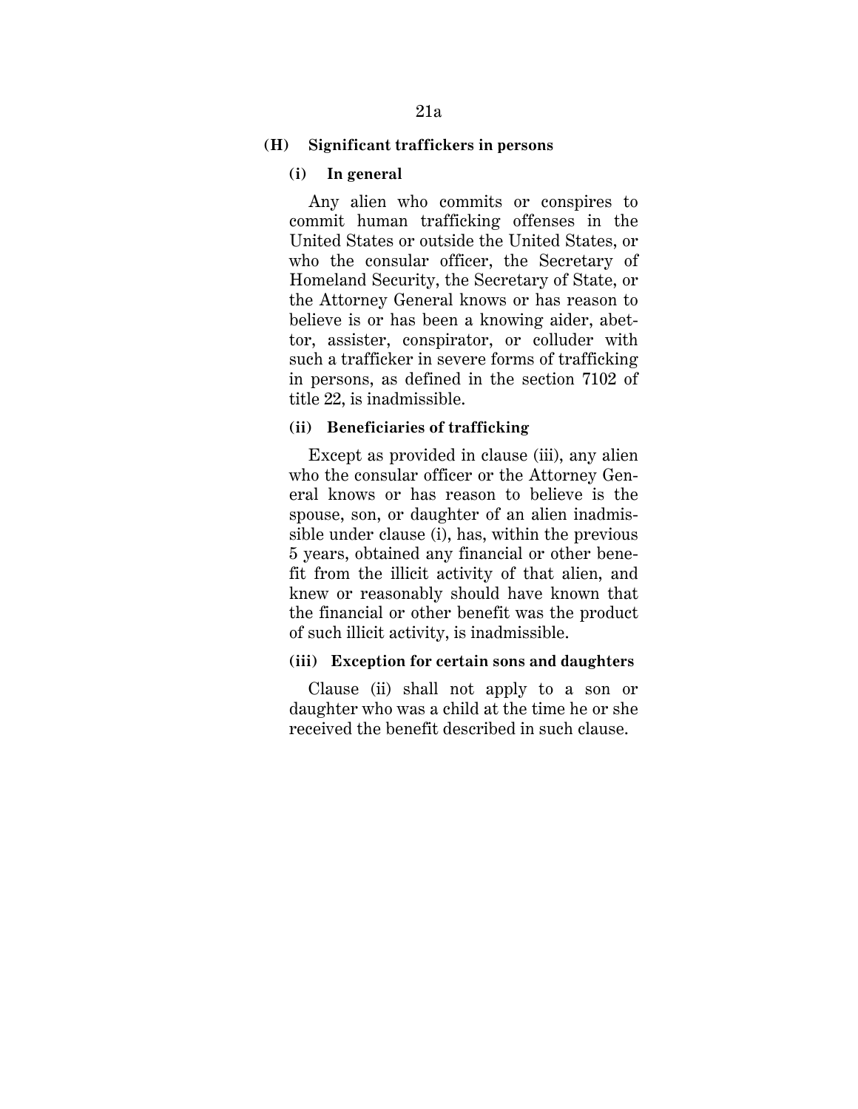#### **(H) Significant traffickers in persons**

#### **(i) In general**

 Any alien who commits or conspires to commit human trafficking offenses in the United States or outside the United States, or who the consular officer, the Secretary of Homeland Security, the Secretary of State, or the Attorney General knows or has reason to believe is or has been a knowing aider, abettor, assister, conspirator, or colluder with such a trafficker in severe forms of trafficking in persons, as defined in the section 7102 of title 22, is inadmissible.

#### **(ii) Beneficiaries of trafficking**

Except as provided in clause (iii), any alien who the consular officer or the Attorney General knows or has reason to believe is the spouse, son, or daughter of an alien inadmissible under clause (i), has, within the previous 5 years, obtained any financial or other benefit from the illicit activity of that alien, and knew or reasonably should have known that the financial or other benefit was the product of such illicit activity, is inadmissible.

# **(iii) Exception for certain sons and daughters**

Clause (ii) shall not apply to a son or daughter who was a child at the time he or she received the benefit described in such clause.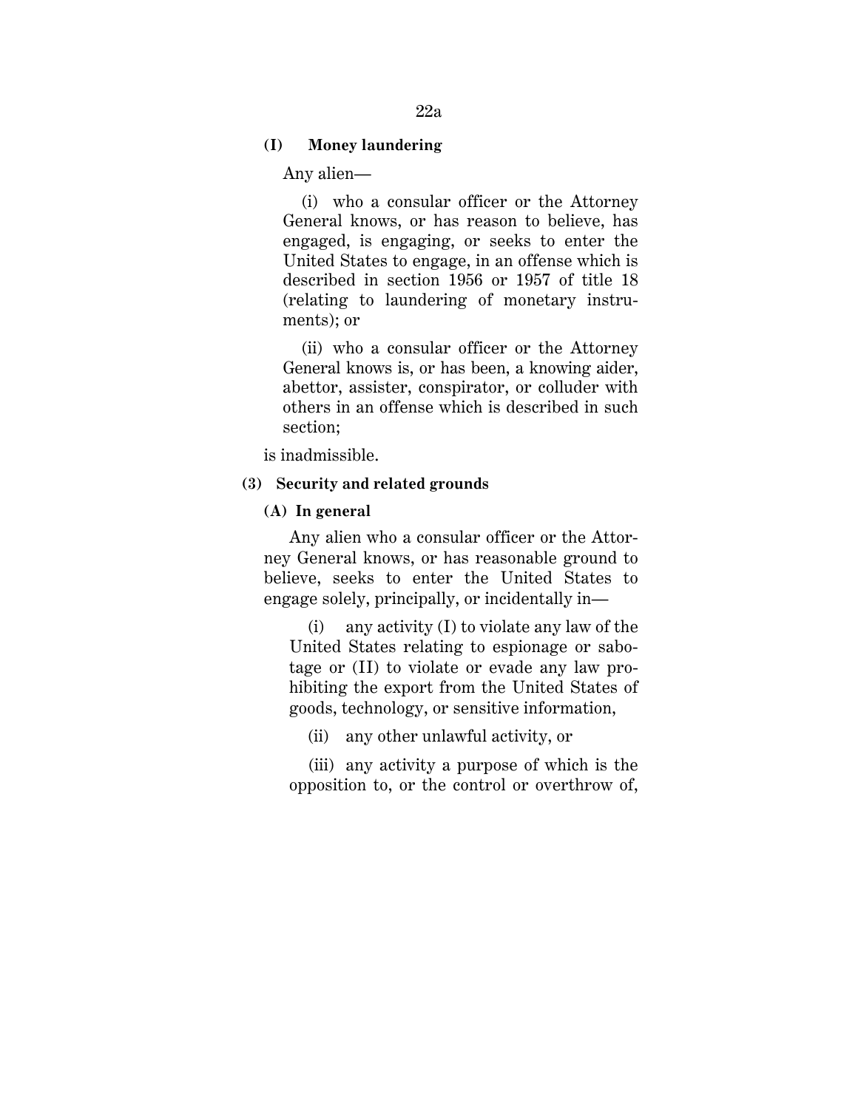## **(I) Money laundering**

Any alien—

(i) who a consular officer or the Attorney General knows, or has reason to believe, has engaged, is engaging, or seeks to enter the United States to engage, in an offense which is described in section 1956 or 1957 of title 18 (relating to laundering of monetary instruments); or

(ii) who a consular officer or the Attorney General knows is, or has been, a knowing aider, abettor, assister, conspirator, or colluder with others in an offense which is described in such section;

is inadmissible.

## **(3) Security and related grounds**

### **(A) In general**

Any alien who a consular officer or the Attorney General knows, or has reasonable ground to believe, seeks to enter the United States to engage solely, principally, or incidentally in—

(i) any activity (I) to violate any law of the United States relating to espionage or sabotage or (II) to violate or evade any law prohibiting the export from the United States of goods, technology, or sensitive information,

(ii) any other unlawful activity, or

(iii) any activity a purpose of which is the opposition to, or the control or overthrow of,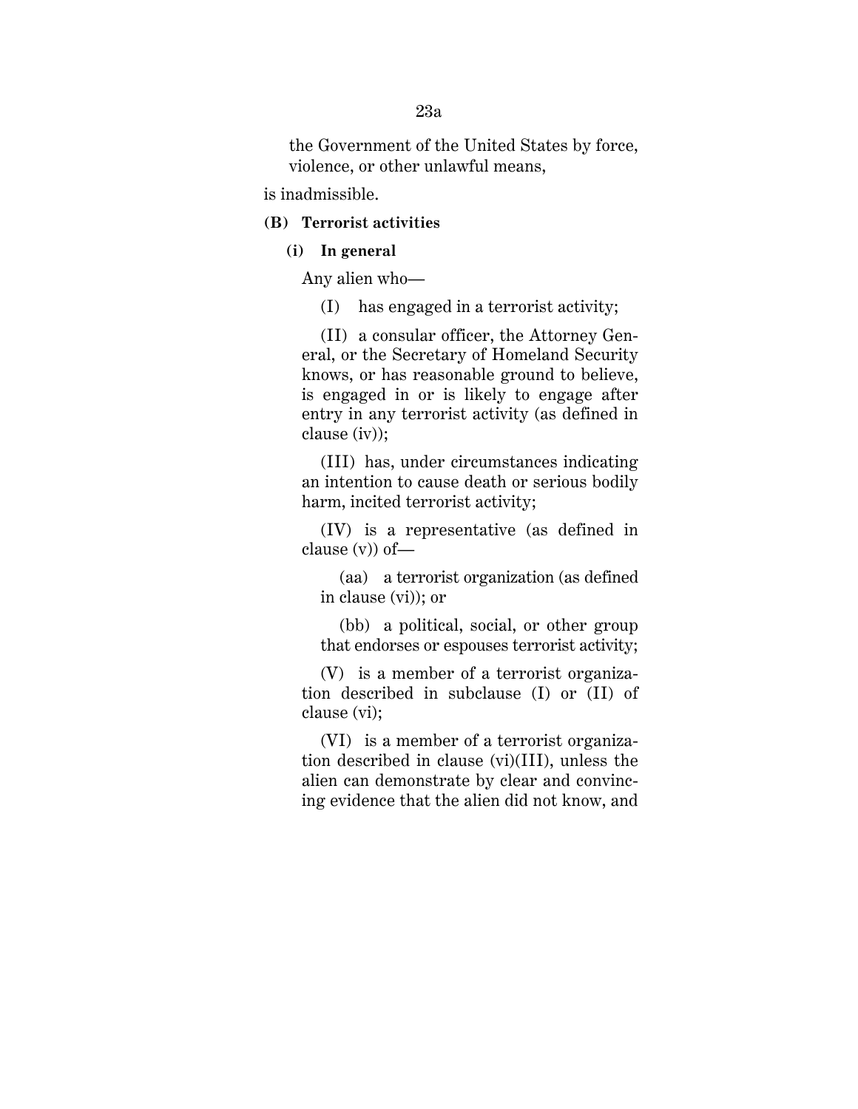the Government of the United States by force, violence, or other unlawful means,

is inadmissible.

## **(B) Terrorist activities**

#### **(i) In general**

Any alien who—

(I) has engaged in a terrorist activity;

(II) a consular officer, the Attorney General, or the Secretary of Homeland Security knows, or has reasonable ground to believe, is engaged in or is likely to engage after entry in any terrorist activity (as defined in clause (iv));

(III) has, under circumstances indicating an intention to cause death or serious bodily harm, incited terrorist activity;

(IV) is a representative (as defined in clause (v)) of—

(aa) a terrorist organization (as defined in clause (vi)); or

(bb) a political, social, or other group that endorses or espouses terrorist activity;

(V) is a member of a terrorist organization described in subclause (I) or (II) of clause (vi);

(VI) is a member of a terrorist organization described in clause (vi)(III), unless the alien can demonstrate by clear and convincing evidence that the alien did not know, and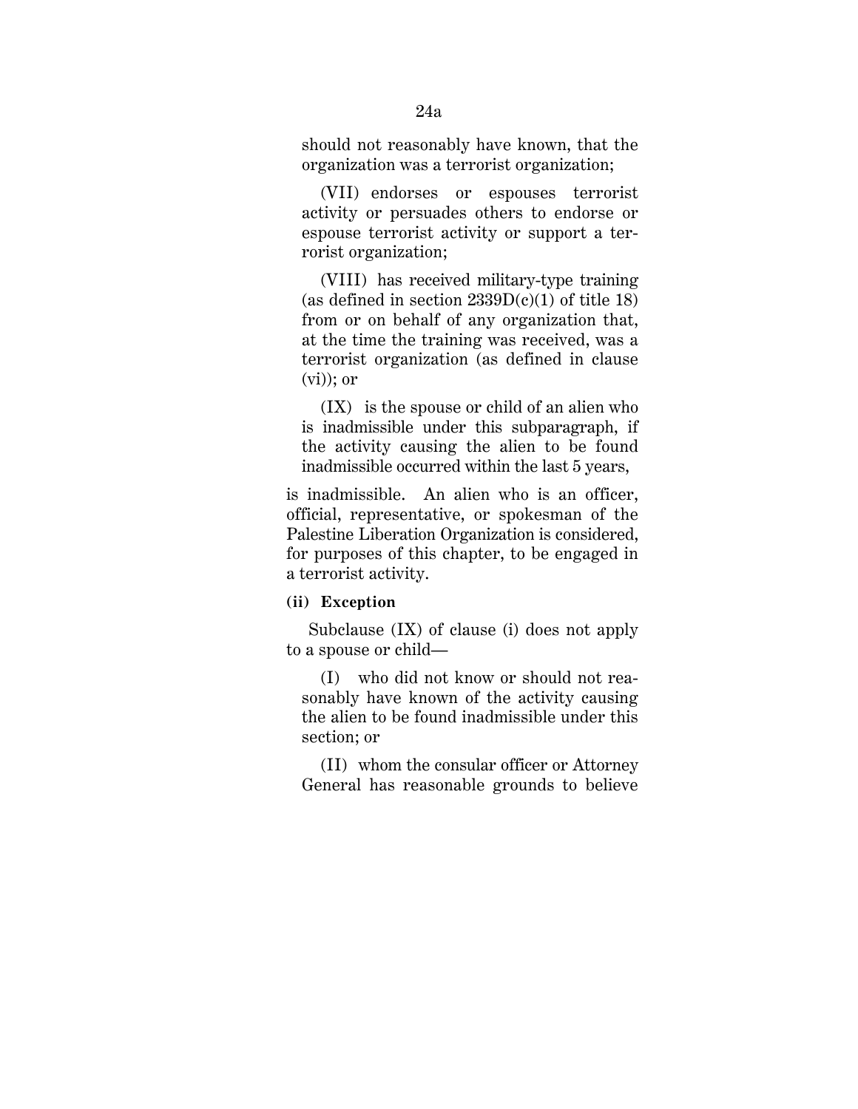should not reasonably have known, that the organization was a terrorist organization;

(VII) endorses or espouses terrorist activity or persuades others to endorse or espouse terrorist activity or support a terrorist organization;

(VIII) has received military-type training (as defined in section  $2339D(c)(1)$  of title 18) from or on behalf of any organization that, at the time the training was received, was a terrorist organization (as defined in clause  $(vi)$ ; or

(IX) is the spouse or child of an alien who is inadmissible under this subparagraph, if the activity causing the alien to be found inadmissible occurred within the last 5 years,

is inadmissible. An alien who is an officer, official, representative, or spokesman of the Palestine Liberation Organization is considered, for purposes of this chapter, to be engaged in a terrorist activity.

### **(ii) Exception**

Subclause (IX) of clause (i) does not apply to a spouse or child—

(I) who did not know or should not reasonably have known of the activity causing the alien to be found inadmissible under this section; or

(II) whom the consular officer or Attorney General has reasonable grounds to believe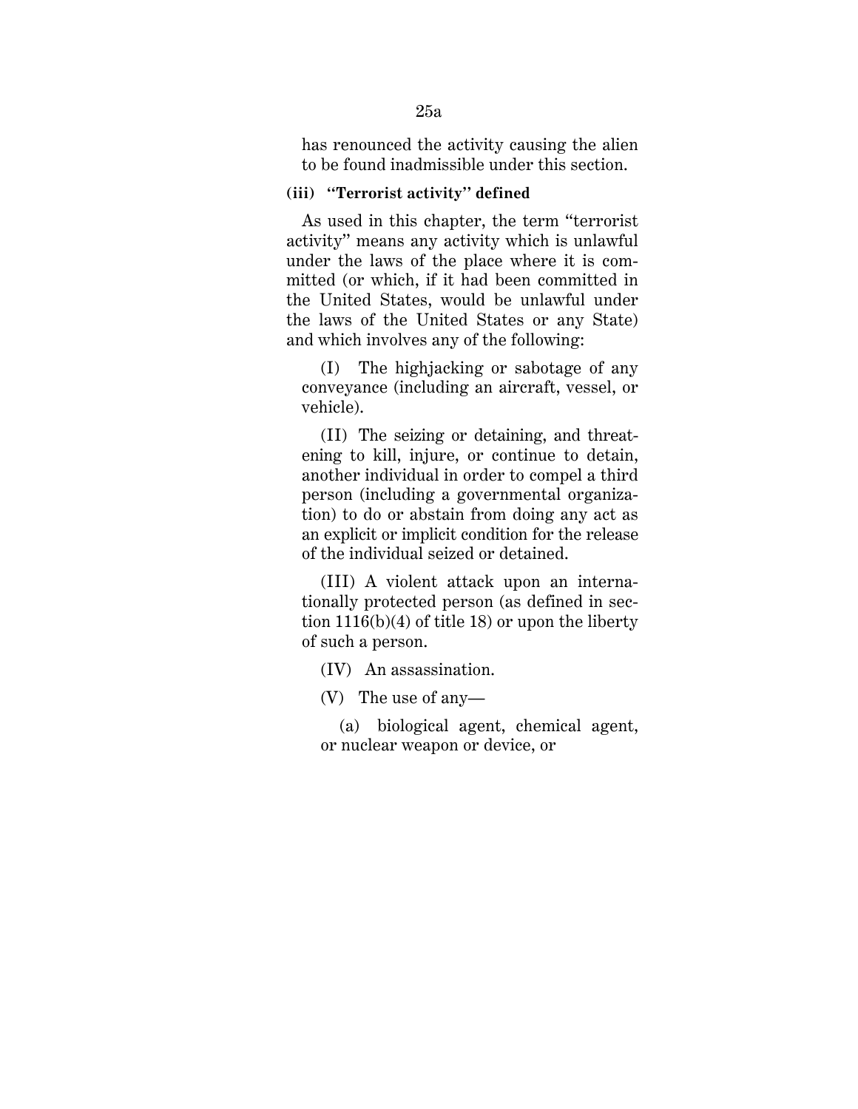has renounced the activity causing the alien to be found inadmissible under this section.

# **(iii) ''Terrorist activity'' defined**

As used in this chapter, the term ''terrorist activity'' means any activity which is unlawful under the laws of the place where it is committed (or which, if it had been committed in the United States, would be unlawful under the laws of the United States or any State) and which involves any of the following:

(I) The highjacking or sabotage of any conveyance (including an aircraft, vessel, or vehicle).

(II) The seizing or detaining, and threatening to kill, injure, or continue to detain, another individual in order to compel a third person (including a governmental organization) to do or abstain from doing any act as an explicit or implicit condition for the release of the individual seized or detained.

(III) A violent attack upon an internationally protected person (as defined in section 1116(b)(4) of title 18) or upon the liberty of such a person.

(IV) An assassination.

(V) The use of any—

(a) biological agent, chemical agent, or nuclear weapon or device, or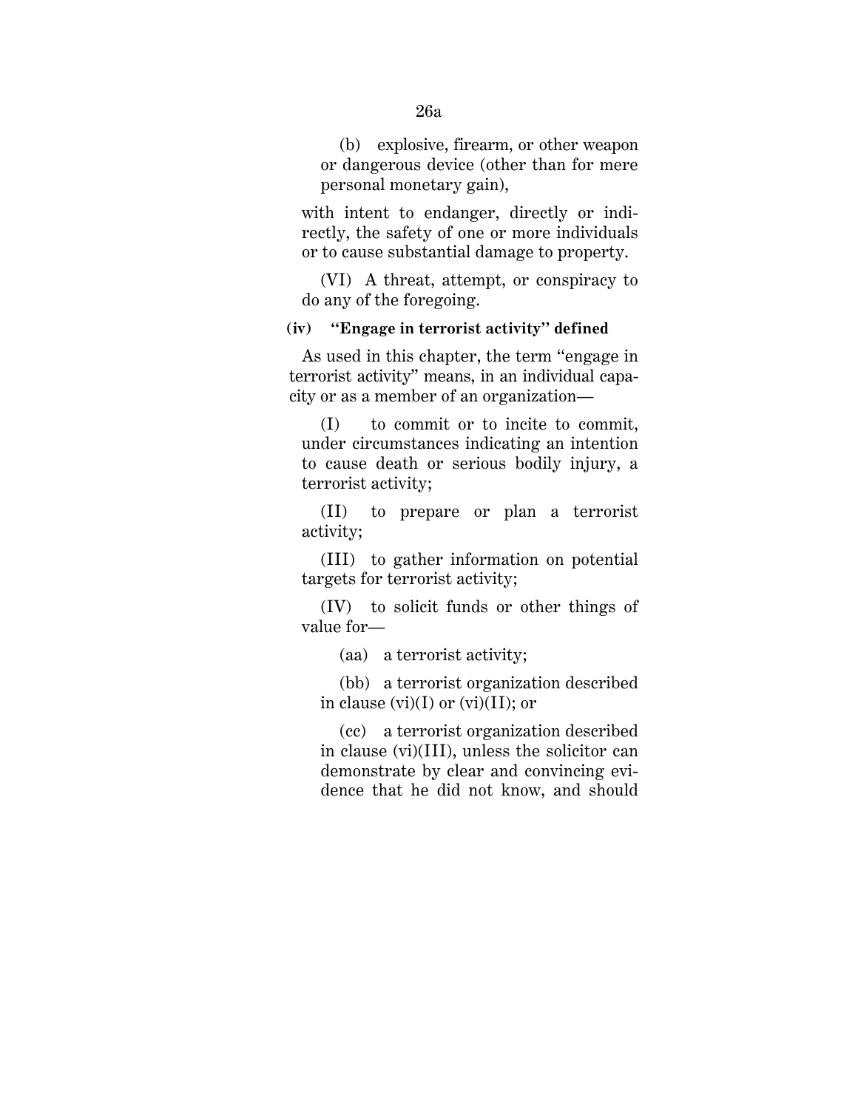(b) explosive, firearm, or other weapon or dangerous device (other than for mere personal monetary gain),

with intent to endanger, directly or indirectly, the safety of one or more individuals or to cause substantial damage to property.

(VI) A threat, attempt, or conspiracy to do any of the foregoing.

#### **(iv) ''Engage in terrorist activity'' defined**

As used in this chapter, the term ''engage in terrorist activity'' means, in an individual capacity or as a member of an organization—

(I) to commit or to incite to commit, under circumstances indicating an intention to cause death or serious bodily injury, a terrorist activity;

(II) to prepare or plan a terrorist activity;

(III) to gather information on potential targets for terrorist activity;

(IV) to solicit funds or other things of value for—

(aa) a terrorist activity;

(bb) a terrorist organization described in clause  $(vi)(I)$  or  $(vi)(II)$ ; or

(cc) a terrorist organization described in clause (vi)(III), unless the solicitor can demonstrate by clear and convincing evidence that he did not know, and should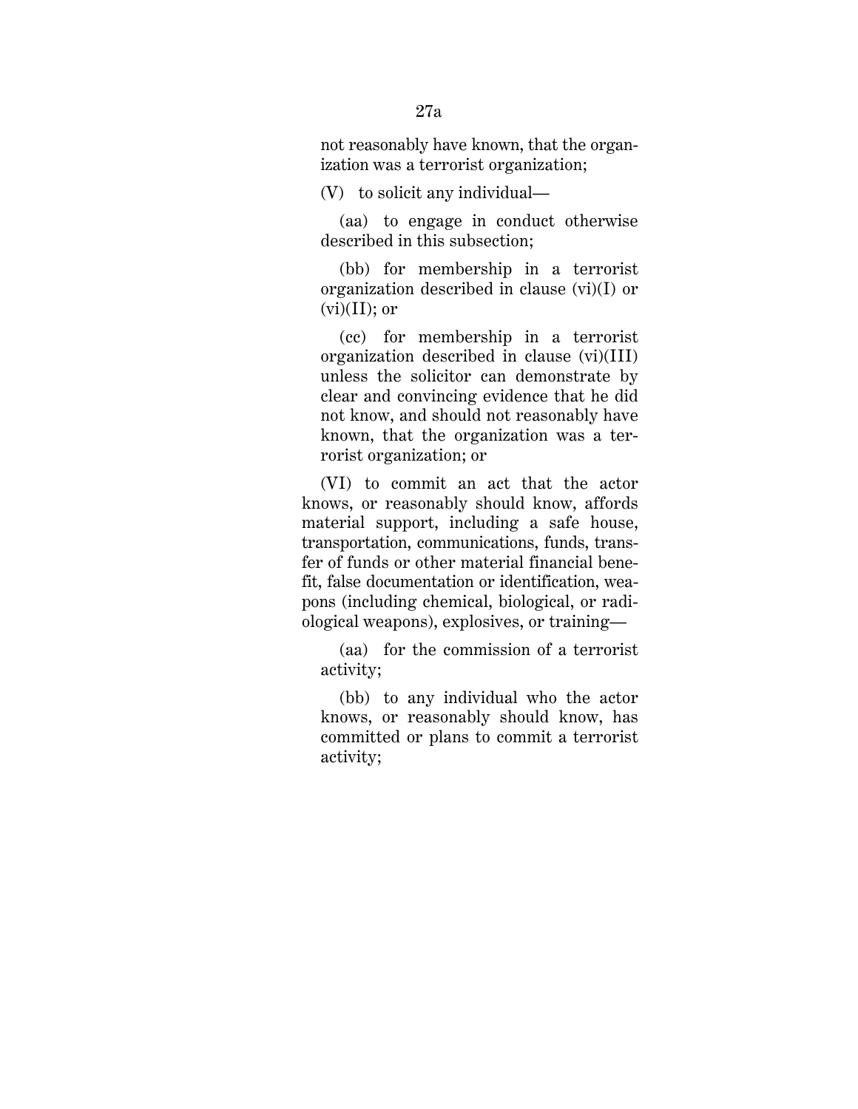not reasonably have known, that the organization was a terrorist organization;

(V) to solicit any individual—

(aa) to engage in conduct otherwise described in this subsection;

(bb) for membership in a terrorist organization described in clause (vi)(I) or  $(vi)(II)$ ; or

(cc) for membership in a terrorist organization described in clause (vi)(III) unless the solicitor can demonstrate by clear and convincing evidence that he did not know, and should not reasonably have known, that the organization was a terrorist organization; or

(VI) to commit an act that the actor knows, or reasonably should know, affords material support, including a safe house, transportation, communications, funds, transfer of funds or other material financial benefit, false documentation or identification, weapons (including chemical, biological, or radiological weapons), explosives, or training—

(aa) for the commission of a terrorist activity;

(bb) to any individual who the actor knows, or reasonably should know, has committed or plans to commit a terrorist activity;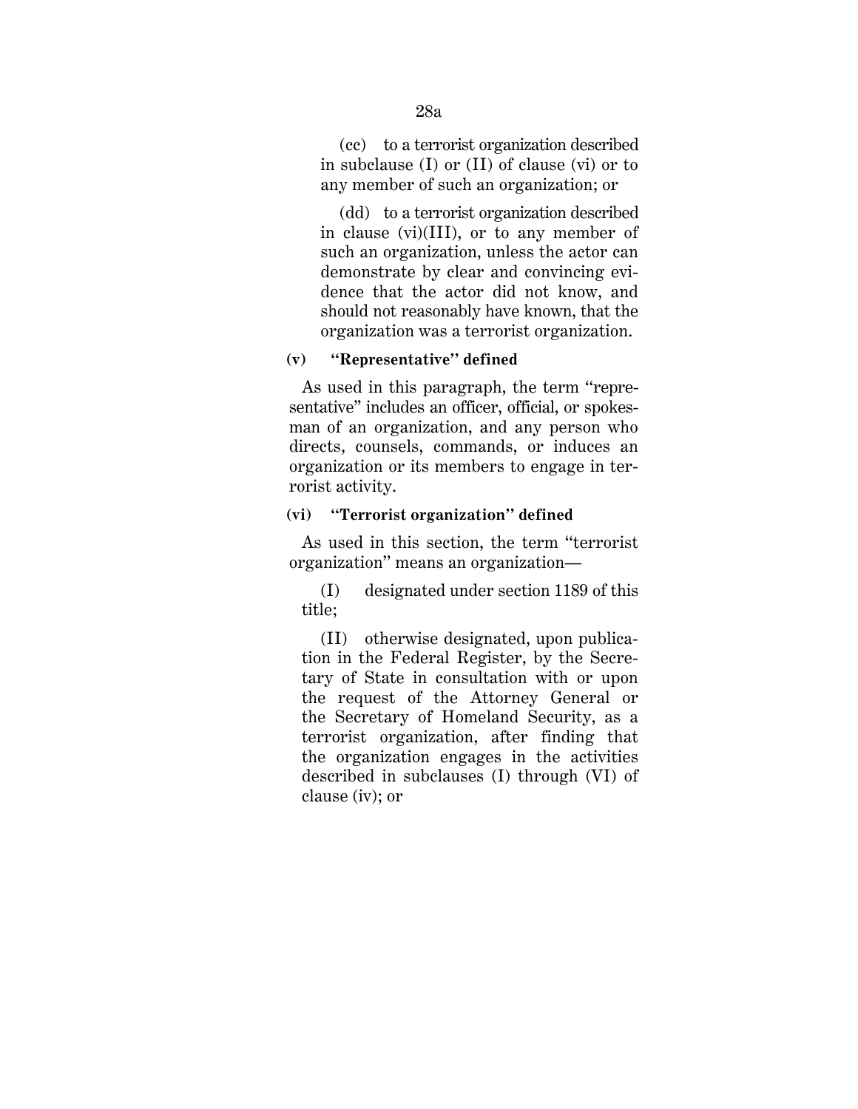(cc) to a terrorist organization described in subclause (I) or (II) of clause (vi) or to any member of such an organization; or

(dd) to a terrorist organization described in clause (vi)(III), or to any member of such an organization, unless the actor can demonstrate by clear and convincing evidence that the actor did not know, and should not reasonably have known, that the organization was a terrorist organization.

#### **(v) ''Representative'' defined**

As used in this paragraph, the term "representative" includes an officer, official, or spokesman of an organization, and any person who directs, counsels, commands, or induces an organization or its members to engage in terrorist activity.

## **(vi) ''Terrorist organization'' defined**

As used in this section, the term ''terrorist organization'' means an organization—

(I) designated under section 1189 of this title;

(II) otherwise designated, upon publication in the Federal Register, by the Secretary of State in consultation with or upon the request of the Attorney General or the Secretary of Homeland Security, as a terrorist organization, after finding that the organization engages in the activities described in subclauses (I) through (VI) of clause (iv); or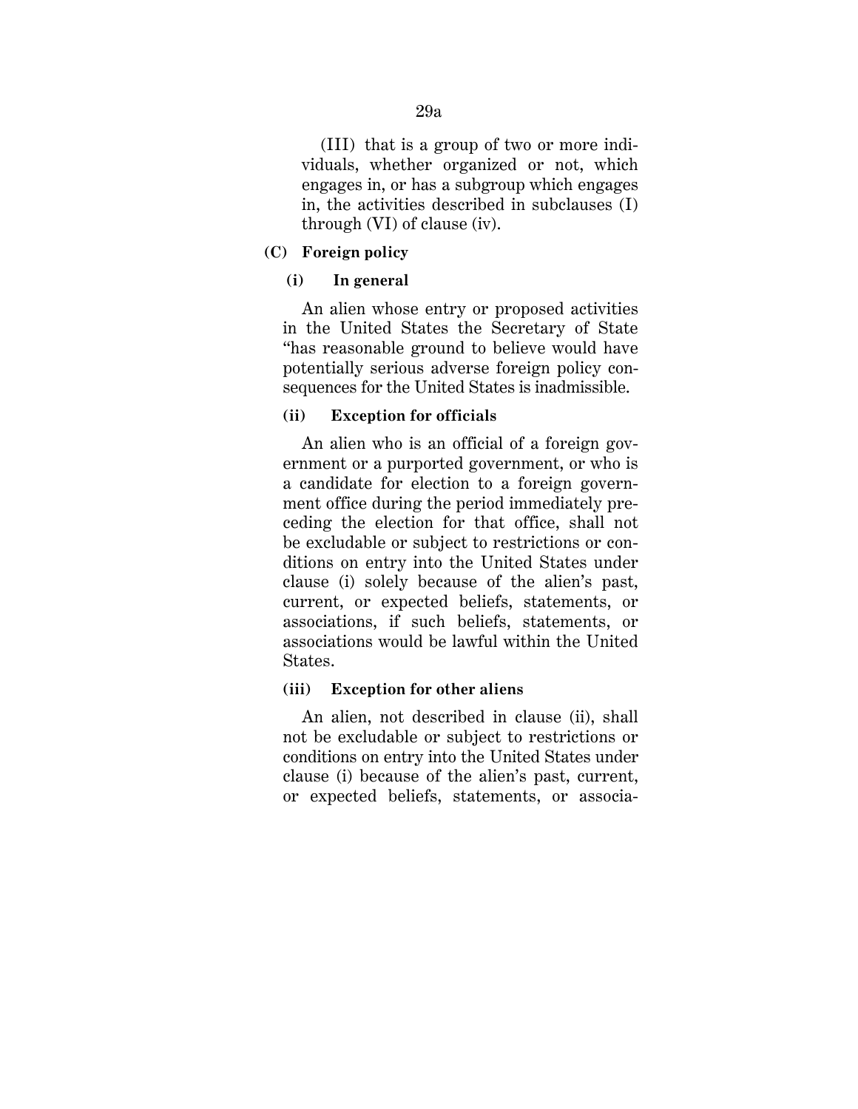(III) that is a group of two or more individuals, whether organized or not, which engages in, or has a subgroup which engages in, the activities described in subclauses (I) through (VI) of clause (iv).

### **(C) Foreign policy**

#### **(i) In general**

An alien whose entry or proposed activities in the United States the Secretary of State "has reasonable ground to believe would have potentially serious adverse foreign policy consequences for the United States is inadmissible.

#### **(ii) Exception for officials**

An alien who is an official of a foreign government or a purported government, or who is a candidate for election to a foreign government office during the period immediately preceding the election for that office, shall not be excludable or subject to restrictions or conditions on entry into the United States under clause (i) solely because of the alien's past, current, or expected beliefs, statements, or associations, if such beliefs, statements, or associations would be lawful within the United States.

#### **(iii) Exception for other aliens**

An alien, not described in clause (ii), shall not be excludable or subject to restrictions or conditions on entry into the United States under clause (i) because of the alien's past, current, or expected beliefs, statements, or associa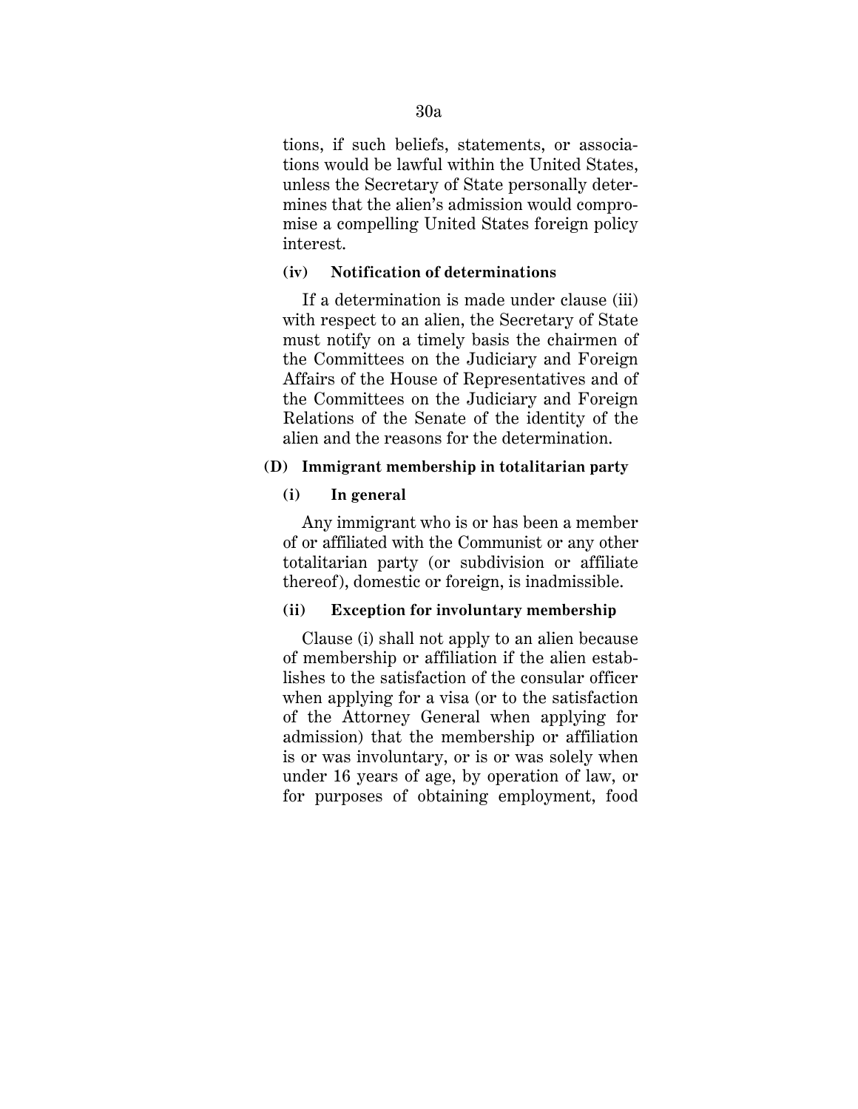tions, if such beliefs, statements, or associations would be lawful within the United States, unless the Secretary of State personally determines that the alien's admission would compromise a compelling United States foreign policy interest.

#### **(iv) Notification of determinations**

If a determination is made under clause (iii) with respect to an alien, the Secretary of State must notify on a timely basis the chairmen of the Committees on the Judiciary and Foreign Affairs of the House of Representatives and of the Committees on the Judiciary and Foreign Relations of the Senate of the identity of the alien and the reasons for the determination.

#### **(D) Immigrant membership in totalitarian party**

#### **(i) In general**

Any immigrant who is or has been a member of or affiliated with the Communist or any other totalitarian party (or subdivision or affiliate thereof), domestic or foreign, is inadmissible.

#### **(ii) Exception for involuntary membership**

Clause (i) shall not apply to an alien because of membership or affiliation if the alien establishes to the satisfaction of the consular officer when applying for a visa (or to the satisfaction of the Attorney General when applying for admission) that the membership or affiliation is or was involuntary, or is or was solely when under 16 years of age, by operation of law, or for purposes of obtaining employment, food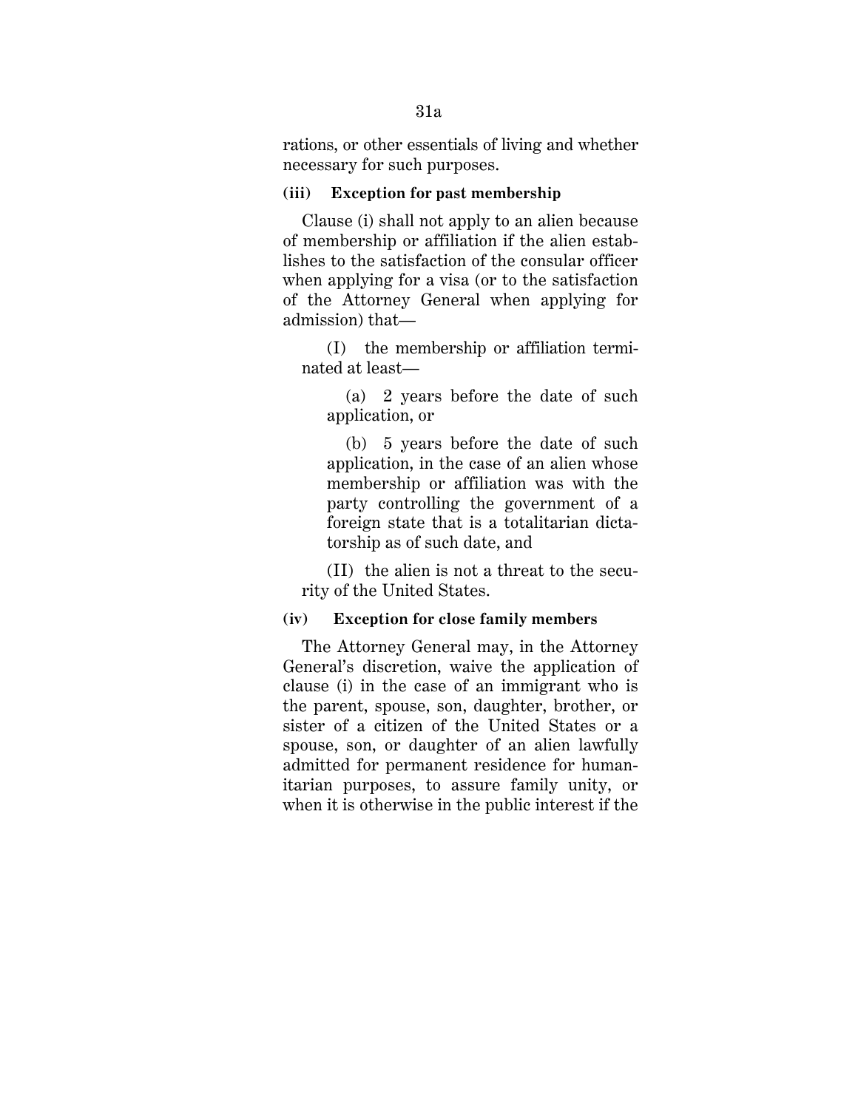rations, or other essentials of living and whether necessary for such purposes.

#### **(iii) Exception for past membership**

Clause (i) shall not apply to an alien because of membership or affiliation if the alien establishes to the satisfaction of the consular officer when applying for a visa (or to the satisfaction of the Attorney General when applying for admission) that—

(I) the membership or affiliation terminated at least—

(a) 2 years before the date of such application, or

(b) 5 years before the date of such application, in the case of an alien whose membership or affiliation was with the party controlling the government of a foreign state that is a totalitarian dictatorship as of such date, and

 (II) the alien is not a threat to the security of the United States.

#### **(iv) Exception for close family members**

The Attorney General may, in the Attorney General's discretion, waive the application of clause (i) in the case of an immigrant who is the parent, spouse, son, daughter, brother, or sister of a citizen of the United States or a spouse, son, or daughter of an alien lawfully admitted for permanent residence for humanitarian purposes, to assure family unity, or when it is otherwise in the public interest if the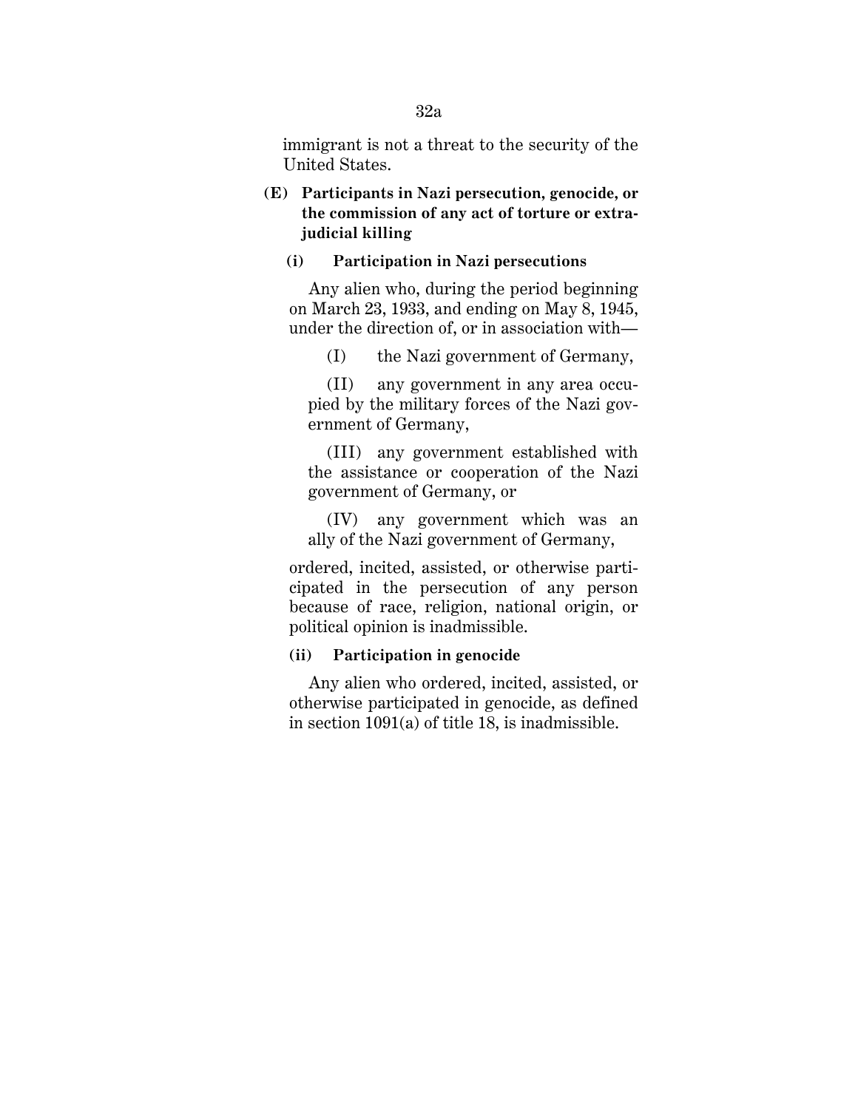immigrant is not a threat to the security of the United States.

# **(E) Participants in Nazi persecution, genocide, or the commission of any act of torture or extrajudicial killing**

## **(i) Participation in Nazi persecutions**

Any alien who, during the period beginning on March 23, 1933, and ending on May 8, 1945, under the direction of, or in association with—

(I) the Nazi government of Germany,

(II) any government in any area occupied by the military forces of the Nazi government of Germany,

(III) any government established with the assistance or cooperation of the Nazi government of Germany, or

(IV) any government which was an ally of the Nazi government of Germany,

ordered, incited, assisted, or otherwise participated in the persecution of any person because of race, religion, national origin, or political opinion is inadmissible.

## **(ii) Participation in genocide**

Any alien who ordered, incited, assisted, or otherwise participated in genocide, as defined in section 1091(a) of title 18, is inadmissible.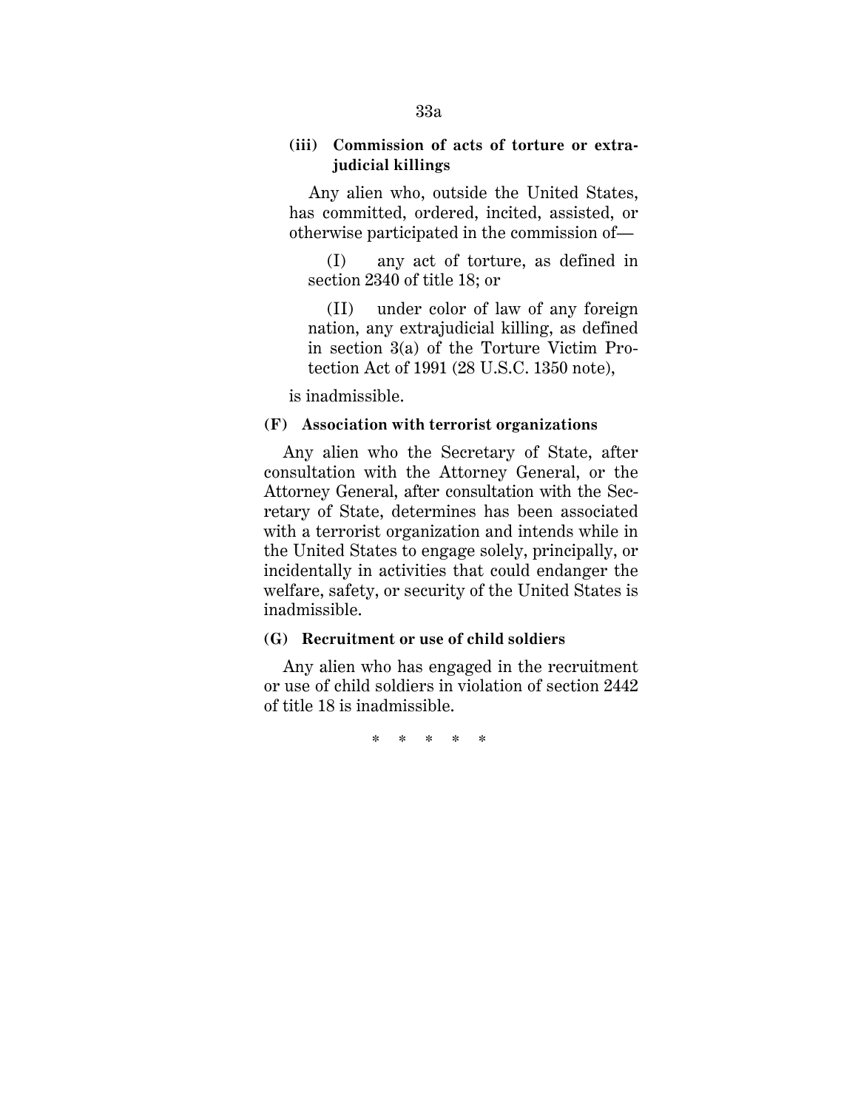## **(iii) Commission of acts of torture or extrajudicial killings**

Any alien who, outside the United States, has committed, ordered, incited, assisted, or otherwise participated in the commission of—

(I) any act of torture, as defined in section 2340 of title 18; or

 (II) under color of law of any foreign nation, any extrajudicial killing, as defined in section 3(a) of the Torture Victim Protection Act of 1991 (28 U.S.C. 1350 note),

is inadmissible.

#### **(F) Association with terrorist organizations**

Any alien who the Secretary of State, after consultation with the Attorney General, or the Attorney General, after consultation with the Secretary of State, determines has been associated with a terrorist organization and intends while in the United States to engage solely, principally, or incidentally in activities that could endanger the welfare, safety, or security of the United States is inadmissible.

#### **(G) Recruitment or use of child soldiers**

Any alien who has engaged in the recruitment or use of child soldiers in violation of section 2442 of title 18 is inadmissible.

\* \* \* \* \*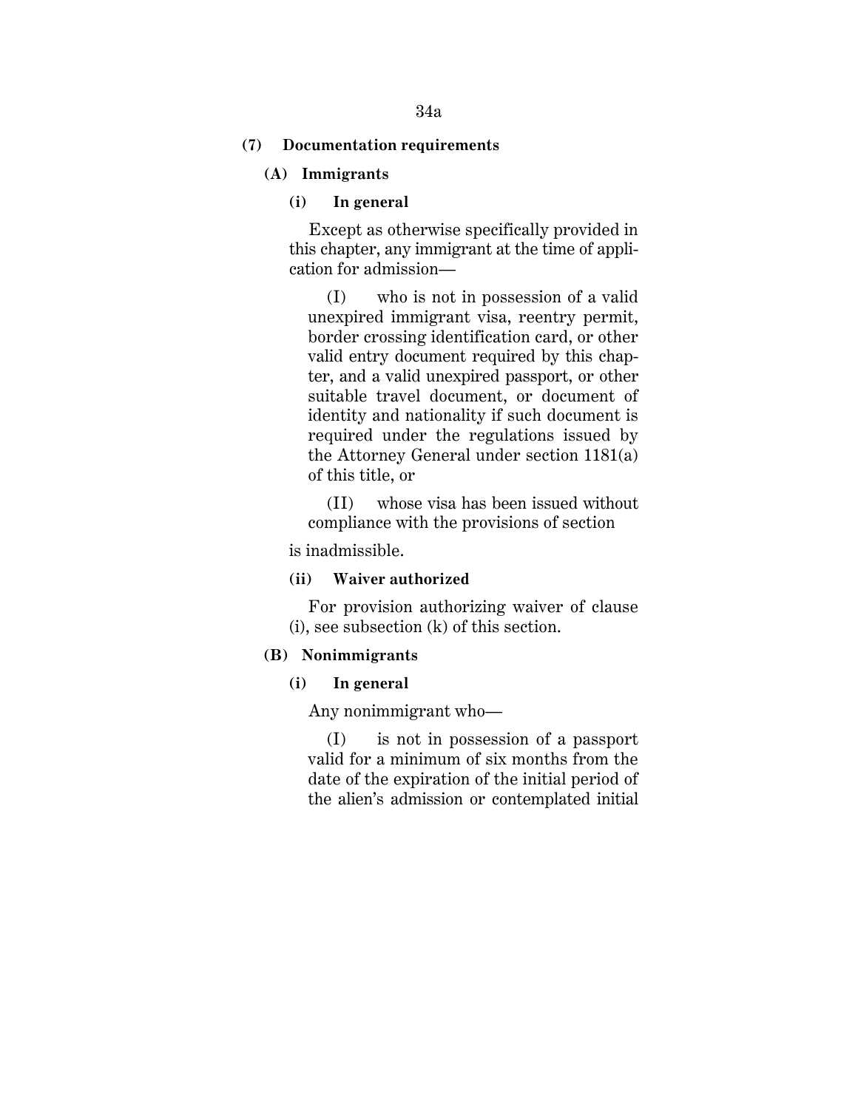# **(7) Documentation requirements**

# **(A) Immigrants**

# **(i) In general**

Except as otherwise specifically provided in this chapter, any immigrant at the time of application for admission—

(I) who is not in possession of a valid unexpired immigrant visa, reentry permit, border crossing identification card, or other valid entry document required by this chapter, and a valid unexpired passport, or other suitable travel document, or document of identity and nationality if such document is required under the regulations issued by the Attorney General under section 1181(a) of this title, or

(II) whose visa has been issued without compliance with the provisions of section

is inadmissible.

# **(ii) Waiver authorized**

For provision authorizing waiver of clause (i), see subsection (k) of this section.

# **(B) Nonimmigrants**

# **(i) In general**

Any nonimmigrant who—

(I) is not in possession of a passport valid for a minimum of six months from the date of the expiration of the initial period of the alien's admission or contemplated initial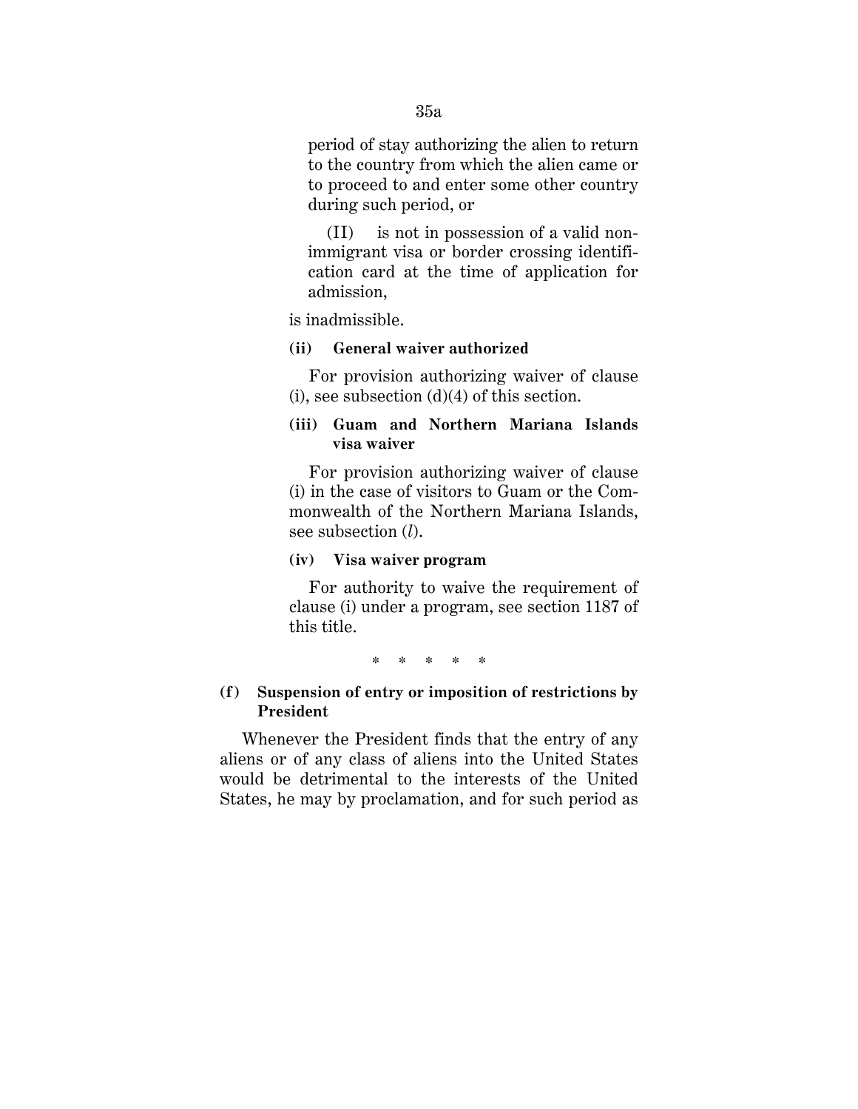period of stay authorizing the alien to return to the country from which the alien came or to proceed to and enter some other country during such period, or

(II) is not in possession of a valid nonimmigrant visa or border crossing identification card at the time of application for admission,

is inadmissible.

### **(ii) General waiver authorized**

For provision authorizing waiver of clause  $(i)$ , see subsection  $(d)(4)$  of this section.

# **(iii) Guam and Northern Mariana Islands visa waiver**

For provision authorizing waiver of clause (i) in the case of visitors to Guam or the Commonwealth of the Northern Mariana Islands, see subsection (*l*).

#### **(iv) Visa waiver program**

For authority to waive the requirement of clause (i) under a program, see section 1187 of this title.

\* \* \* \* \*

# **(f) Suspension of entry or imposition of restrictions by President**

Whenever the President finds that the entry of any aliens or of any class of aliens into the United States would be detrimental to the interests of the United States, he may by proclamation, and for such period as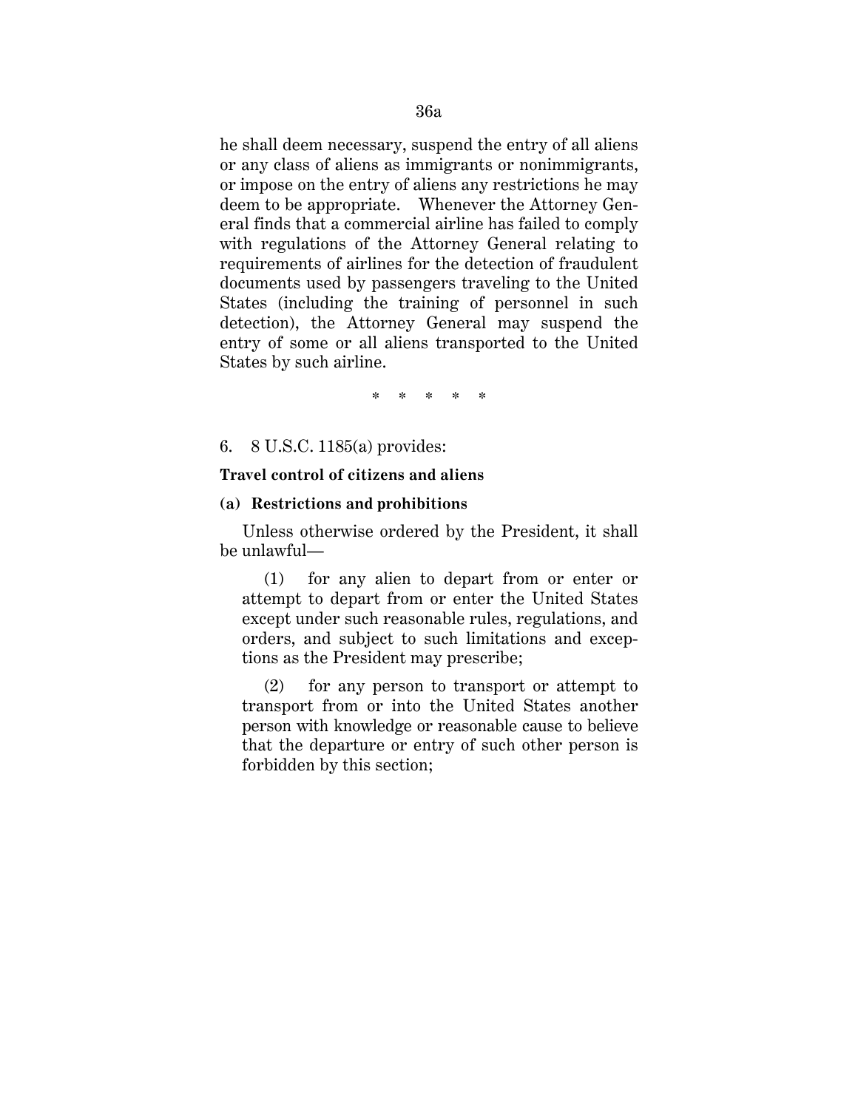he shall deem necessary, suspend the entry of all aliens or any class of aliens as immigrants or nonimmigrants, or impose on the entry of aliens any restrictions he may deem to be appropriate. Whenever the Attorney General finds that a commercial airline has failed to comply with regulations of the Attorney General relating to requirements of airlines for the detection of fraudulent documents used by passengers traveling to the United States (including the training of personnel in such detection), the Attorney General may suspend the entry of some or all aliens transported to the United States by such airline.

\* \* \* \* \*

6. 8 U.S.C. 1185(a) provides:

#### **Travel control of citizens and aliens**

#### **(a) Restrictions and prohibitions**

Unless otherwise ordered by the President, it shall be unlawful—

(1) for any alien to depart from or enter or attempt to depart from or enter the United States except under such reasonable rules, regulations, and orders, and subject to such limitations and exceptions as the President may prescribe;

(2) for any person to transport or attempt to transport from or into the United States another person with knowledge or reasonable cause to believe that the departure or entry of such other person is forbidden by this section;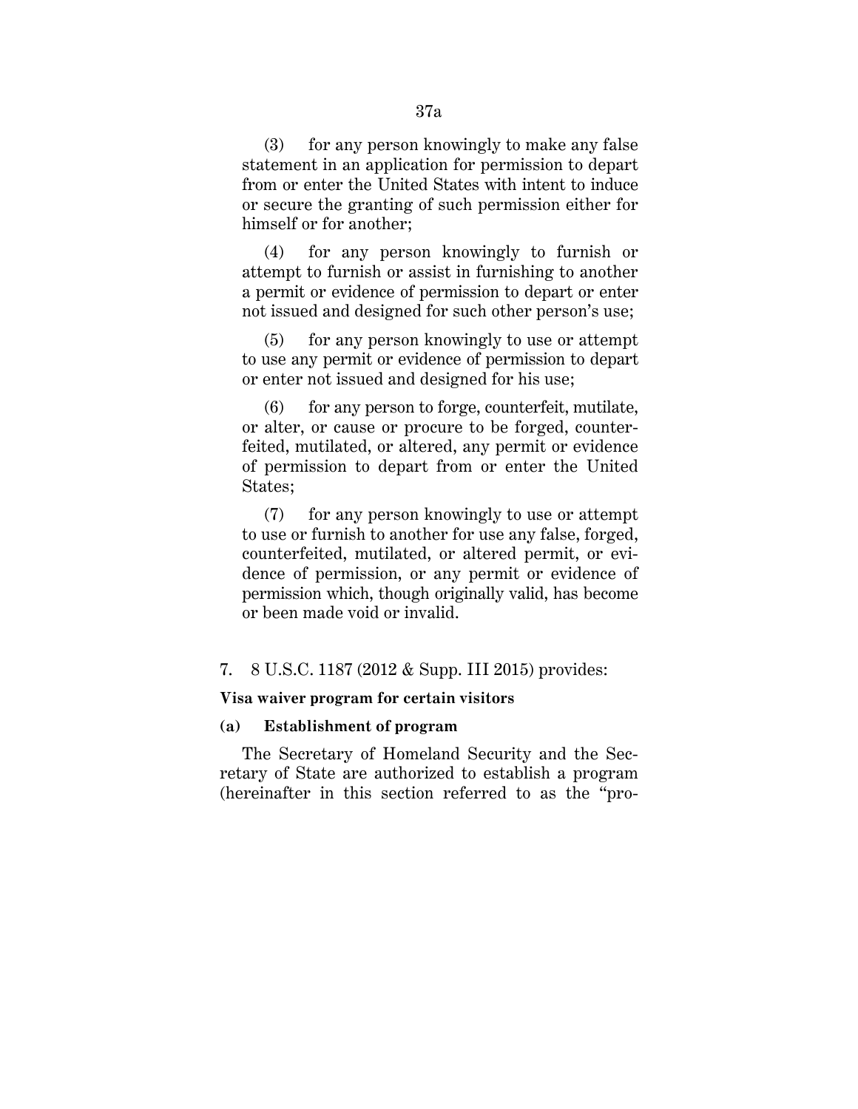(3) for any person knowingly to make any false statement in an application for permission to depart from or enter the United States with intent to induce or secure the granting of such permission either for himself or for another;

(4) for any person knowingly to furnish or attempt to furnish or assist in furnishing to another a permit or evidence of permission to depart or enter not issued and designed for such other person's use;

(5) for any person knowingly to use or attempt to use any permit or evidence of permission to depart or enter not issued and designed for his use;

(6) for any person to forge, counterfeit, mutilate, or alter, or cause or procure to be forged, counterfeited, mutilated, or altered, any permit or evidence of permission to depart from or enter the United States;

(7) for any person knowingly to use or attempt to use or furnish to another for use any false, forged, counterfeited, mutilated, or altered permit, or evidence of permission, or any permit or evidence of permission which, though originally valid, has become or been made void or invalid.

## 7. 8 U.S.C. 1187 (2012 & Supp. III 2015) provides:

#### **Visa waiver program for certain visitors**

#### **(a) Establishment of program**

The Secretary of Homeland Security and the Secretary of State are authorized to establish a program (hereinafter in this section referred to as the "pro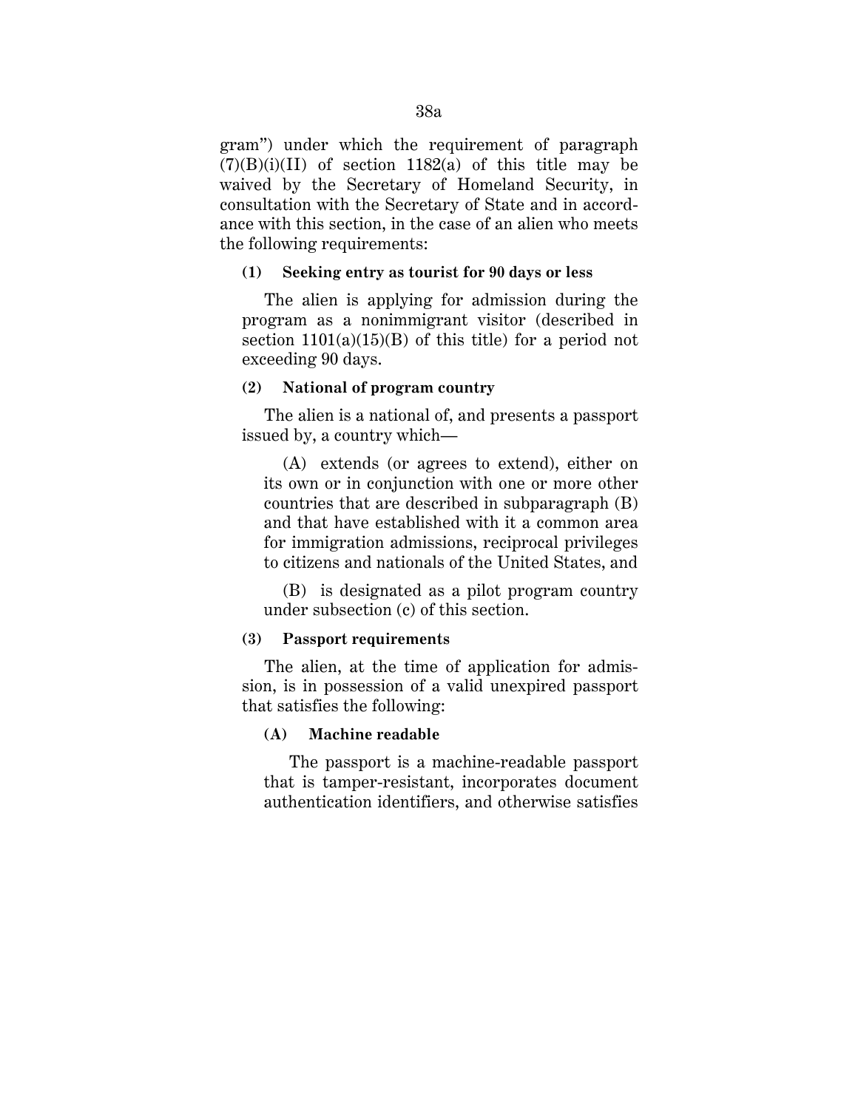gram") under which the requirement of paragraph  $(7)(B)(i)(II)$  of section 1182(a) of this title may be waived by the Secretary of Homeland Security, in consultation with the Secretary of State and in accordance with this section, in the case of an alien who meets the following requirements:

#### **(1) Seeking entry as tourist for 90 days or less**

The alien is applying for admission during the program as a nonimmigrant visitor (described in section  $1101(a)(15)(B)$  of this title) for a period not exceeding 90 days.

#### **(2) National of program country**

The alien is a national of, and presents a passport issued by, a country which—

(A) extends (or agrees to extend), either on its own or in conjunction with one or more other countries that are described in subparagraph (B) and that have established with it a common area for immigration admissions, reciprocal privileges to citizens and nationals of the United States, and

(B) is designated as a pilot program country under subsection (c) of this section.

## **(3) Passport requirements**

The alien, at the time of application for admission, is in possession of a valid unexpired passport that satisfies the following:

### **(A) Machine readable**

The passport is a machine-readable passport that is tamper-resistant, incorporates document authentication identifiers, and otherwise satisfies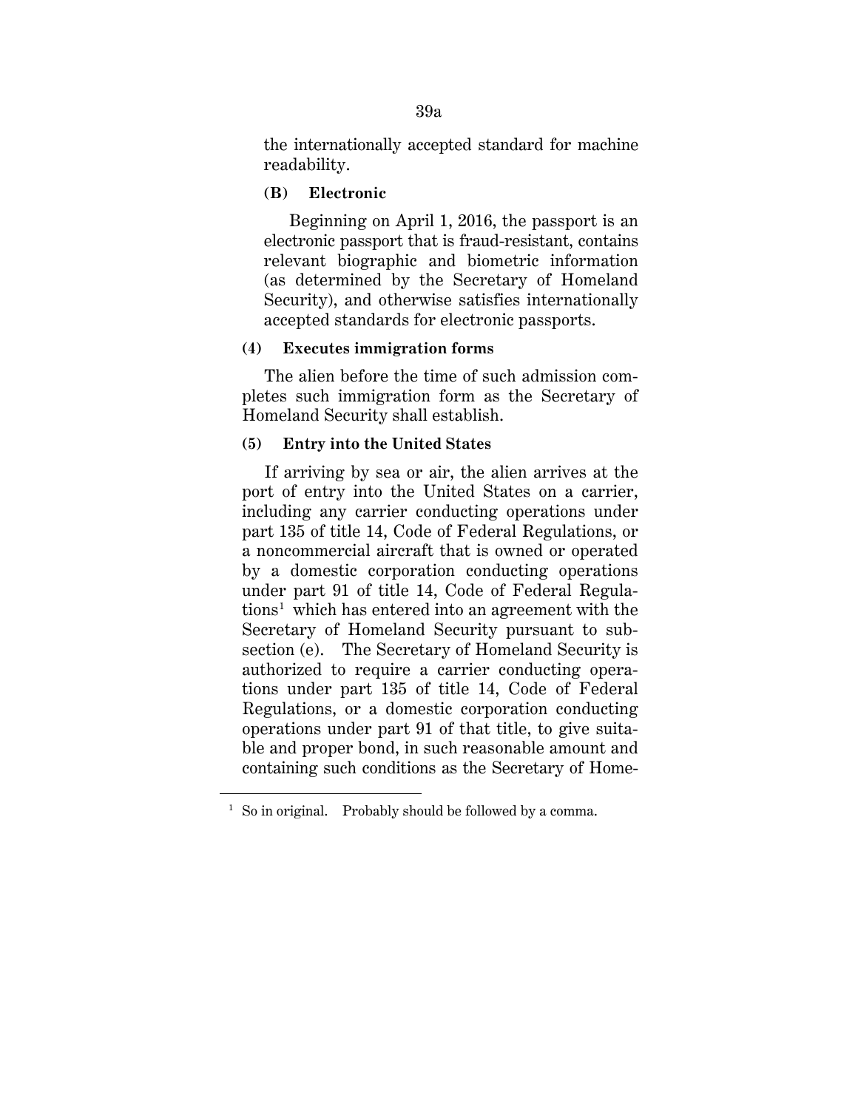the internationally accepted standard for machine readability.

## **(B) Electronic**

Beginning on April 1, 2016, the passport is an electronic passport that is fraud-resistant, contains relevant biographic and biometric information (as determined by the Secretary of Homeland Security), and otherwise satisfies internationally accepted standards for electronic passports.

### **(4) Executes immigration forms**

The alien before the time of such admission completes such immigration form as the Secretary of Homeland Security shall establish.

## **(5) Entry into the United States**

If arriving by sea or air, the alien arrives at the port of entry into the United States on a carrier, including any carrier conducting operations under part 135 of title 14, Code of Federal Regulations, or a noncommercial aircraft that is owned or operated by a domestic corporation conducting operations under part 91 of title 14, Code of Federal Regula $tions<sup>1</sup>$  which has entered into an agreement with the Secretary of Homeland Security pursuant to subsection (e). The Secretary of Homeland Security is authorized to require a carrier conducting operations under part 135 of title 14, Code of Federal Regulations, or a domestic corporation conducting operations under part 91 of that title, to give suitable and proper bond, in such reasonable amount and containing such conditions as the Secretary of Home-

<u>.</u>

<sup>&</sup>lt;sup>1</sup> So in original. Probably should be followed by a comma.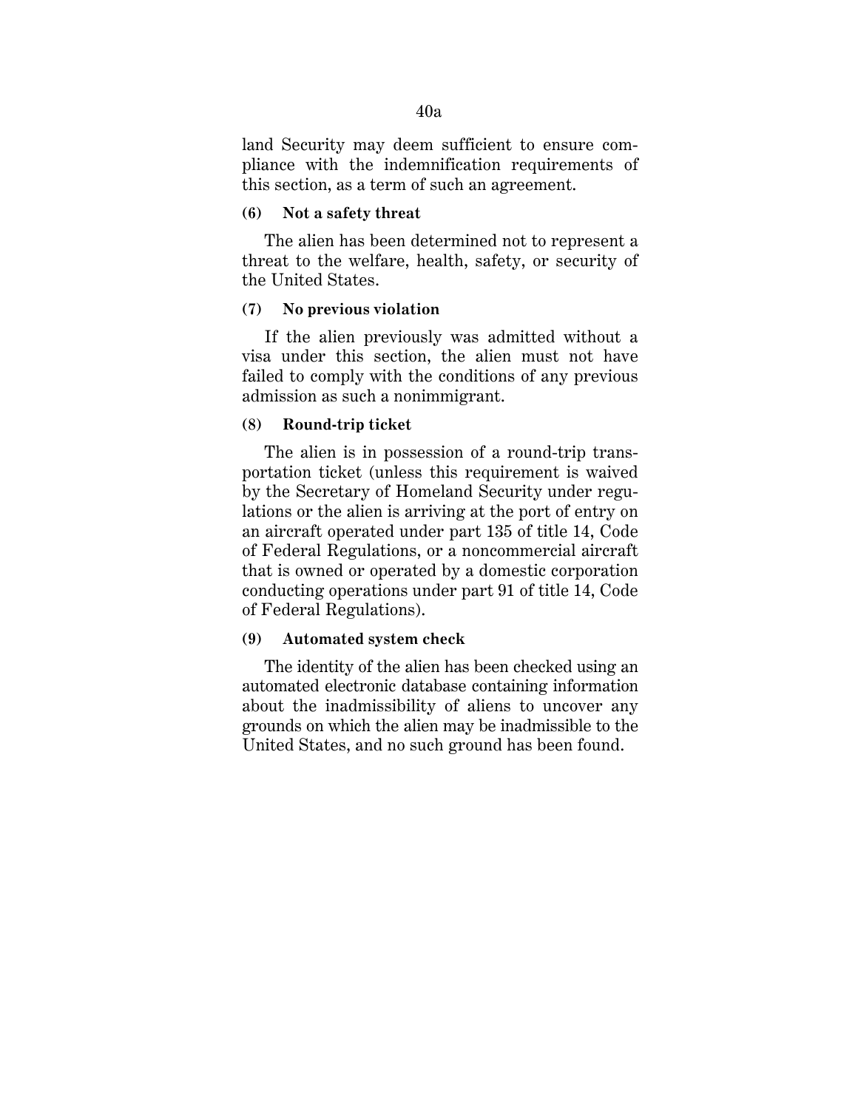land Security may deem sufficient to ensure compliance with the indemnification requirements of this section, as a term of such an agreement.

#### **(6) Not a safety threat**

The alien has been determined not to represent a threat to the welfare, health, safety, or security of the United States.

#### **(7) No previous violation**

If the alien previously was admitted without a visa under this section, the alien must not have failed to comply with the conditions of any previous admission as such a nonimmigrant.

## **(8) Round-trip ticket**

The alien is in possession of a round-trip transportation ticket (unless this requirement is waived by the Secretary of Homeland Security under regulations or the alien is arriving at the port of entry on an aircraft operated under part 135 of title 14, Code of Federal Regulations, or a noncommercial aircraft that is owned or operated by a domestic corporation conducting operations under part 91 of title 14, Code of Federal Regulations).

## **(9) Automated system check**

The identity of the alien has been checked using an automated electronic database containing information about the inadmissibility of aliens to uncover any grounds on which the alien may be inadmissible to the United States, and no such ground has been found.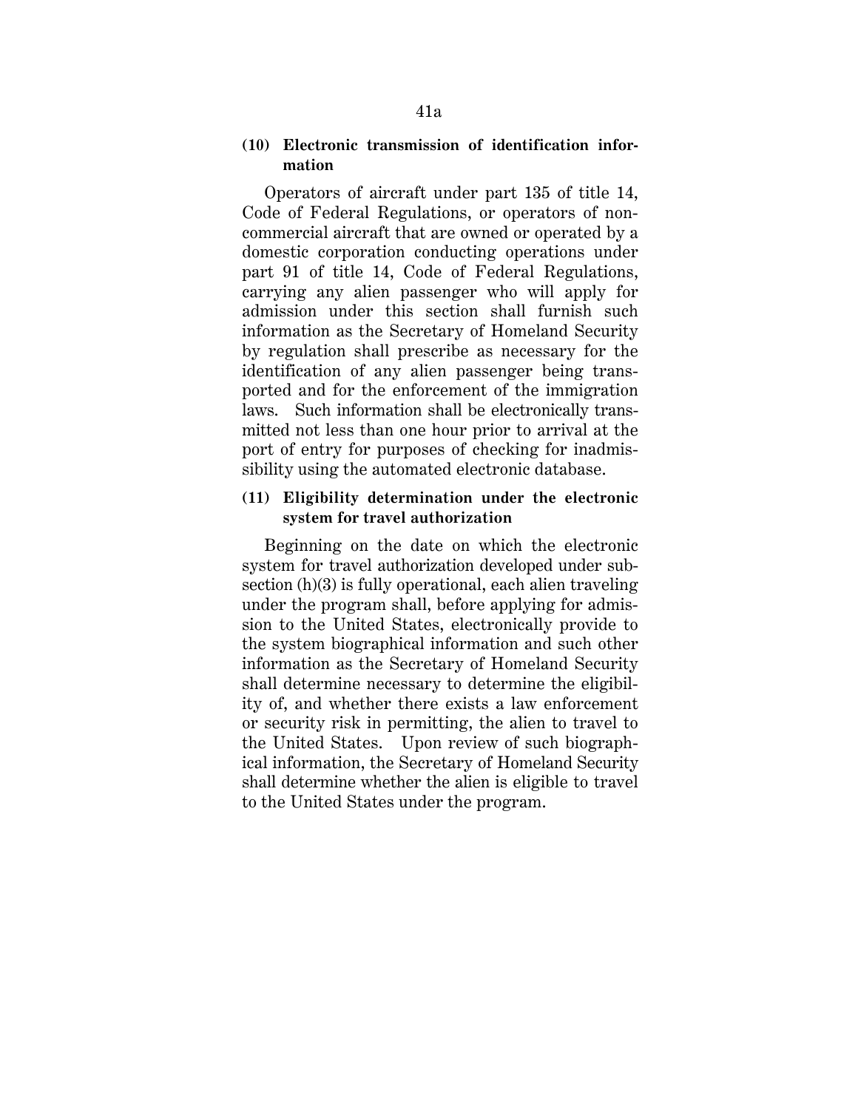## **(10) Electronic transmission of identification information**

Operators of aircraft under part 135 of title 14, Code of Federal Regulations, or operators of noncommercial aircraft that are owned or operated by a domestic corporation conducting operations under part 91 of title 14, Code of Federal Regulations, carrying any alien passenger who will apply for admission under this section shall furnish such information as the Secretary of Homeland Security by regulation shall prescribe as necessary for the identification of any alien passenger being transported and for the enforcement of the immigration laws. Such information shall be electronically transmitted not less than one hour prior to arrival at the port of entry for purposes of checking for inadmissibility using the automated electronic database.

## **(11) Eligibility determination under the electronic system for travel authorization**

Beginning on the date on which the electronic system for travel authorization developed under subsection (h)(3) is fully operational, each alien traveling under the program shall, before applying for admission to the United States, electronically provide to the system biographical information and such other information as the Secretary of Homeland Security shall determine necessary to determine the eligibility of, and whether there exists a law enforcement or security risk in permitting, the alien to travel to the United States. Upon review of such biographical information, the Secretary of Homeland Security shall determine whether the alien is eligible to travel to the United States under the program.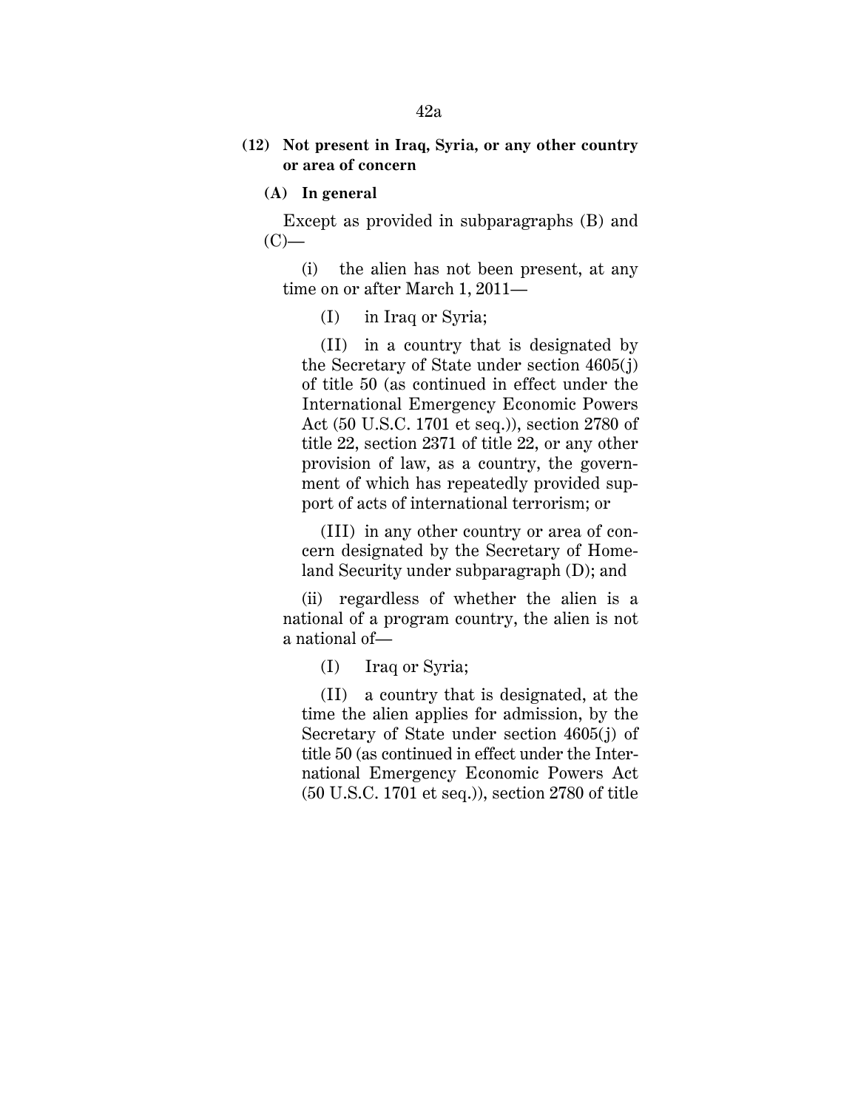#### **(12) Not present in Iraq, Syria, or any other country or area of concern**

#### **(A) In general**

 Except as provided in subparagraphs (B) and  $(C)$ —

 (i) the alien has not been present, at any time on or after March 1, 2011—

(I) in Iraq or Syria;

(II) in a country that is designated by the Secretary of State under section 4605(j) of title 50 (as continued in effect under the International Emergency Economic Powers Act (50 U.S.C. 1701 et seq.)), section 2780 of title 22, section 2371 of title 22, or any other provision of law, as a country, the government of which has repeatedly provided support of acts of international terrorism; or

(III) in any other country or area of concern designated by the Secretary of Homeland Security under subparagraph (D); and

(ii) regardless of whether the alien is a national of a program country, the alien is not a national of—

(I) Iraq or Syria;

(II) a country that is designated, at the time the alien applies for admission, by the Secretary of State under section 4605(j) of title 50 (as continued in effect under the International Emergency Economic Powers Act (50 U.S.C. 1701 et seq.)), section 2780 of title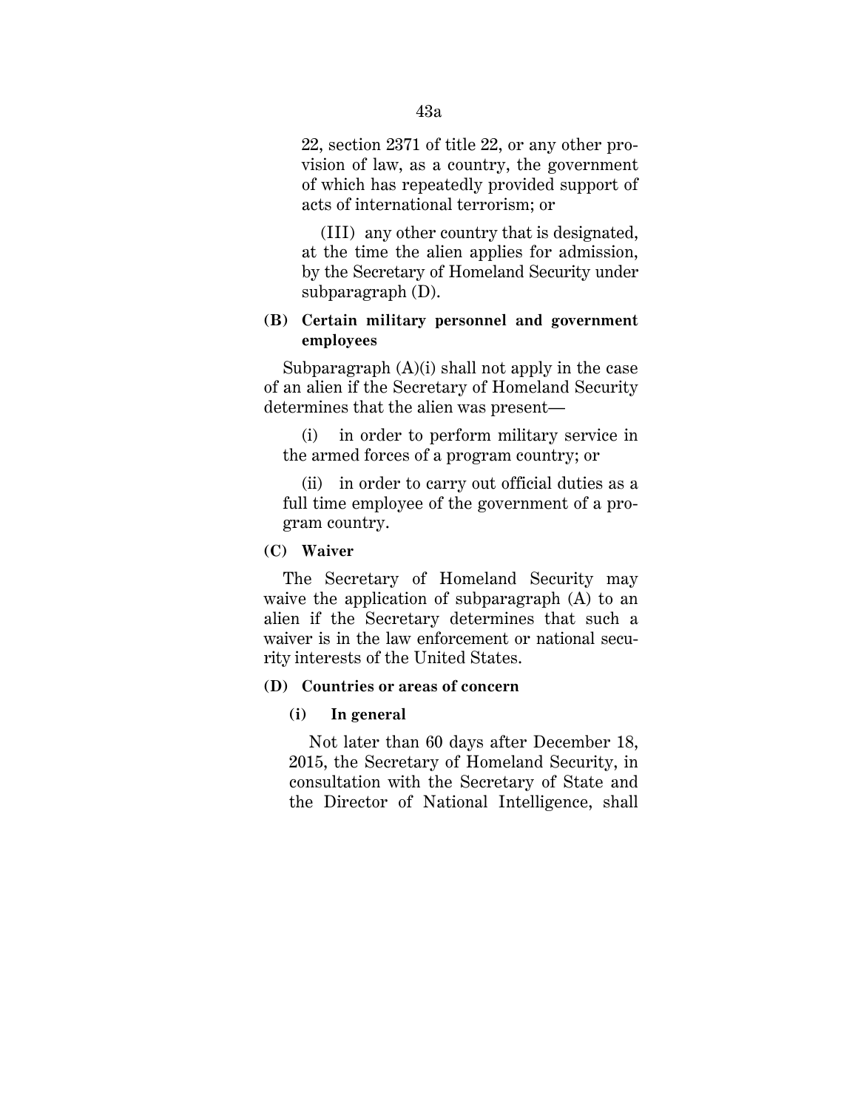22, section 2371 of title 22, or any other provision of law, as a country, the government of which has repeatedly provided support of acts of international terrorism; or

(III) any other country that is designated, at the time the alien applies for admission, by the Secretary of Homeland Security under subparagraph (D).

## **(B) Certain military personnel and government employees**

Subparagraph (A)(i) shall not apply in the case of an alien if the Secretary of Homeland Security determines that the alien was present—

 (i) in order to perform military service in the armed forces of a program country; or

(ii) in order to carry out official duties as a full time employee of the government of a program country.

#### **(C) Waiver**

 The Secretary of Homeland Security may waive the application of subparagraph (A) to an alien if the Secretary determines that such a waiver is in the law enforcement or national security interests of the United States.

#### **(D) Countries or areas of concern**

#### **(i) In general**

Not later than 60 days after December 18, 2015, the Secretary of Homeland Security, in consultation with the Secretary of State and the Director of National Intelligence, shall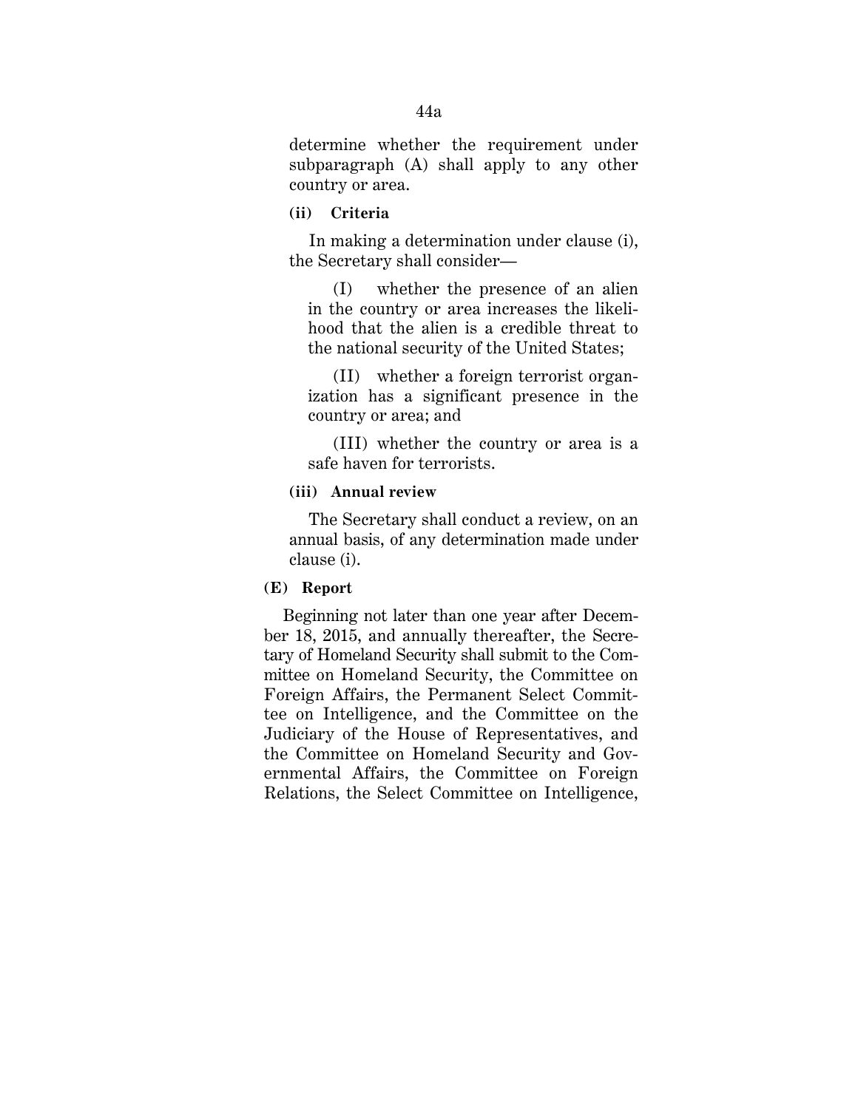determine whether the requirement under subparagraph (A) shall apply to any other country or area.

**(ii) Criteria**

In making a determination under clause (i), the Secretary shall consider—

(I) whether the presence of an alien in the country or area increases the likelihood that the alien is a credible threat to the national security of the United States;

(II) whether a foreign terrorist organization has a significant presence in the country or area; and

(III) whether the country or area is a safe haven for terrorists.

#### **(iii) Annual review**

The Secretary shall conduct a review, on an annual basis, of any determination made under clause (i).

#### **(E) Report**

Beginning not later than one year after December 18, 2015, and annually thereafter, the Secretary of Homeland Security shall submit to the Committee on Homeland Security, the Committee on Foreign Affairs, the Permanent Select Committee on Intelligence, and the Committee on the Judiciary of the House of Representatives, and the Committee on Homeland Security and Governmental Affairs, the Committee on Foreign Relations, the Select Committee on Intelligence,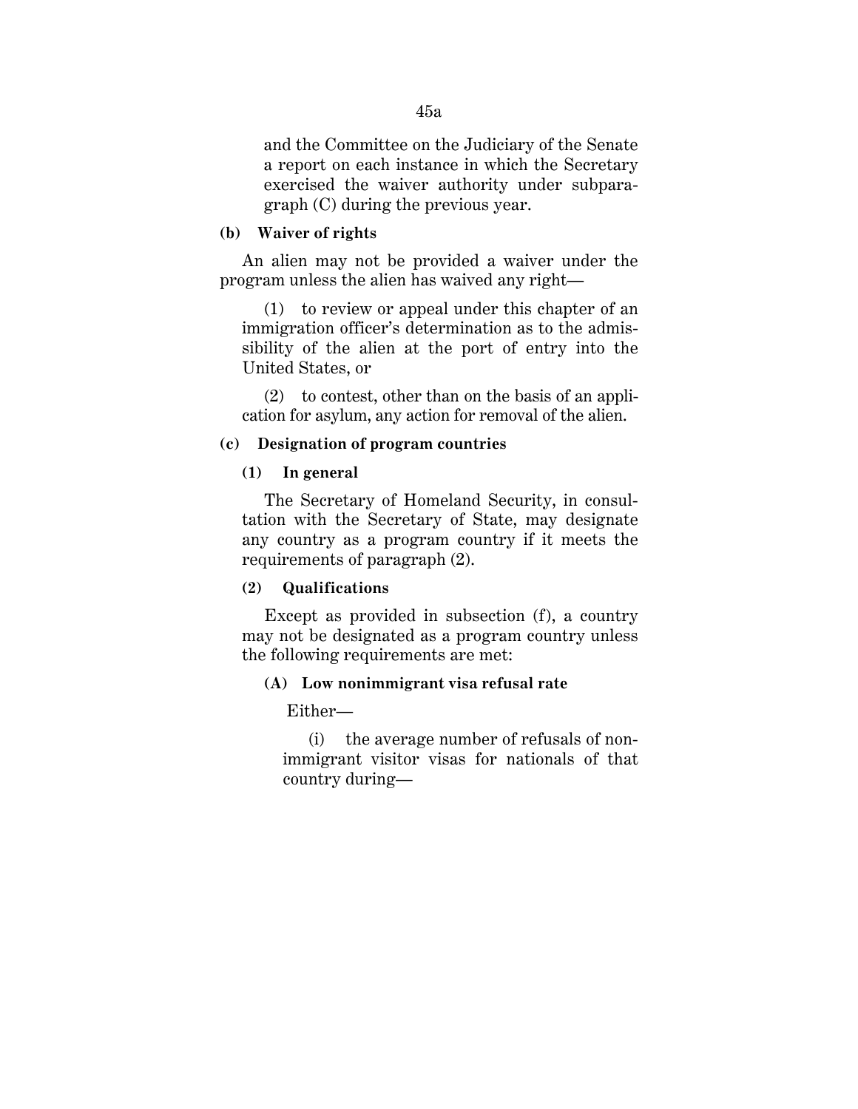and the Committee on the Judiciary of the Senate a report on each instance in which the Secretary exercised the waiver authority under subparagraph (C) during the previous year.

#### **(b) Waiver of rights**

An alien may not be provided a waiver under the program unless the alien has waived any right—

(1) to review or appeal under this chapter of an immigration officer's determination as to the admissibility of the alien at the port of entry into the United States, or

(2) to contest, other than on the basis of an application for asylum, any action for removal of the alien.

### **(c) Designation of program countries**

## **(1) In general**

The Secretary of Homeland Security, in consultation with the Secretary of State, may designate any country as a program country if it meets the requirements of paragraph (2).

### **(2) Qualifications**

Except as provided in subsection (f), a country may not be designated as a program country unless the following requirements are met:

### **(A) Low nonimmigrant visa refusal rate**

Either—

(i) the average number of refusals of nonimmigrant visitor visas for nationals of that country during—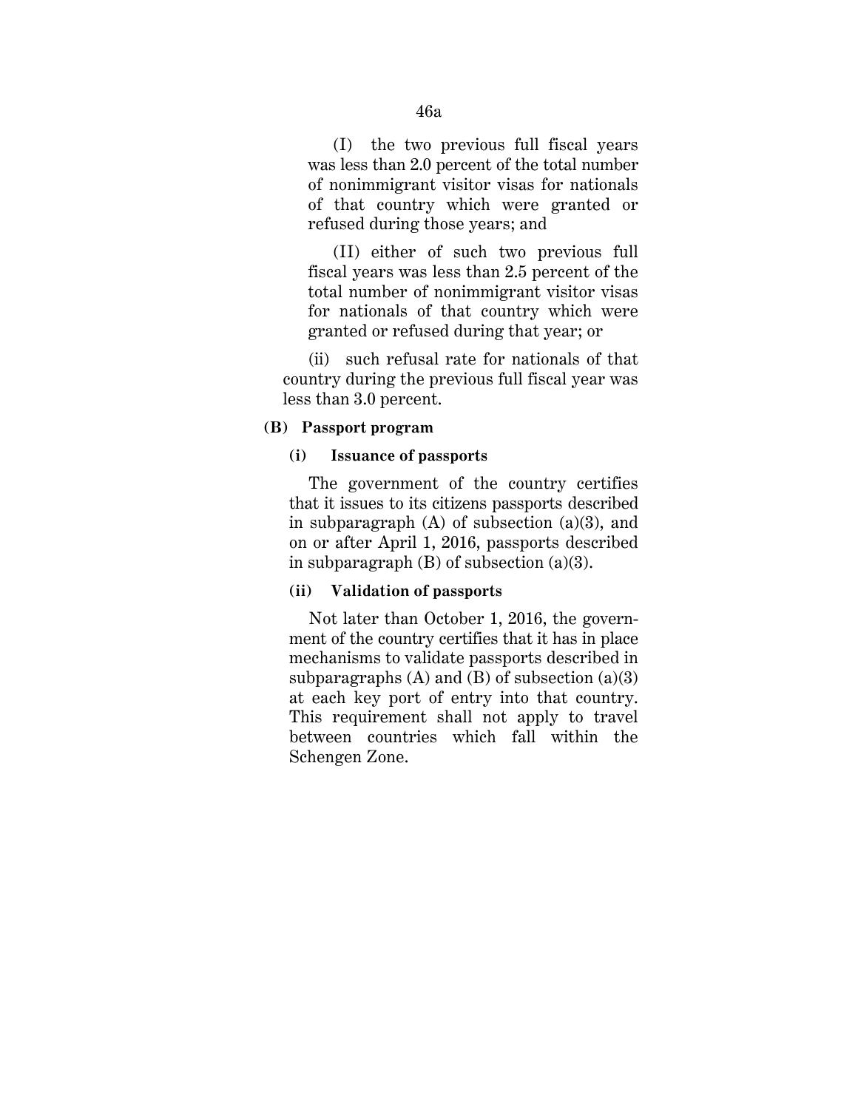(I) the two previous full fiscal years was less than 2.0 percent of the total number of nonimmigrant visitor visas for nationals of that country which were granted or refused during those years; and

(II) either of such two previous full fiscal years was less than 2.5 percent of the total number of nonimmigrant visitor visas for nationals of that country which were granted or refused during that year; or

(ii) such refusal rate for nationals of that country during the previous full fiscal year was less than 3.0 percent.

#### **(B) Passport program**

#### **(i) Issuance of passports**

The government of the country certifies that it issues to its citizens passports described in subparagraph  $(A)$  of subsection  $(a)(3)$ , and on or after April 1, 2016, passports described in subparagraph  $(B)$  of subsection  $(a)(3)$ .

### **(ii) Validation of passports**

Not later than October 1, 2016, the government of the country certifies that it has in place mechanisms to validate passports described in subparagraphs  $(A)$  and  $(B)$  of subsection  $(a)(3)$ at each key port of entry into that country. This requirement shall not apply to travel between countries which fall within the Schengen Zone.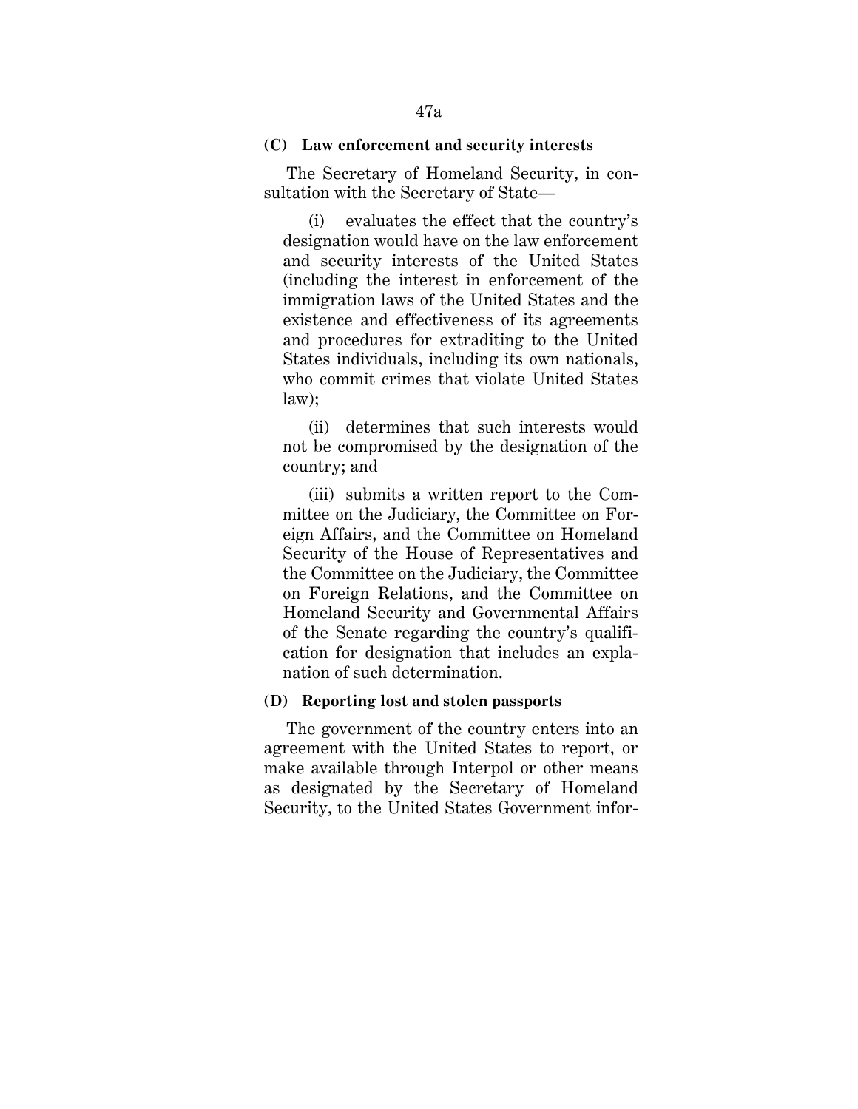#### **(C) Law enforcement and security interests**

The Secretary of Homeland Security, in consultation with the Secretary of State—

(i) evaluates the effect that the country's designation would have on the law enforcement and security interests of the United States (including the interest in enforcement of the immigration laws of the United States and the existence and effectiveness of its agreements and procedures for extraditing to the United States individuals, including its own nationals, who commit crimes that violate United States law);

(ii) determines that such interests would not be compromised by the designation of the country; and

(iii) submits a written report to the Committee on the Judiciary, the Committee on Foreign Affairs, and the Committee on Homeland Security of the House of Representatives and the Committee on the Judiciary, the Committee on Foreign Relations, and the Committee on Homeland Security and Governmental Affairs of the Senate regarding the country's qualification for designation that includes an explanation of such determination.

### **(D) Reporting lost and stolen passports**

 The government of the country enters into an agreement with the United States to report, or make available through Interpol or other means as designated by the Secretary of Homeland Security, to the United States Government infor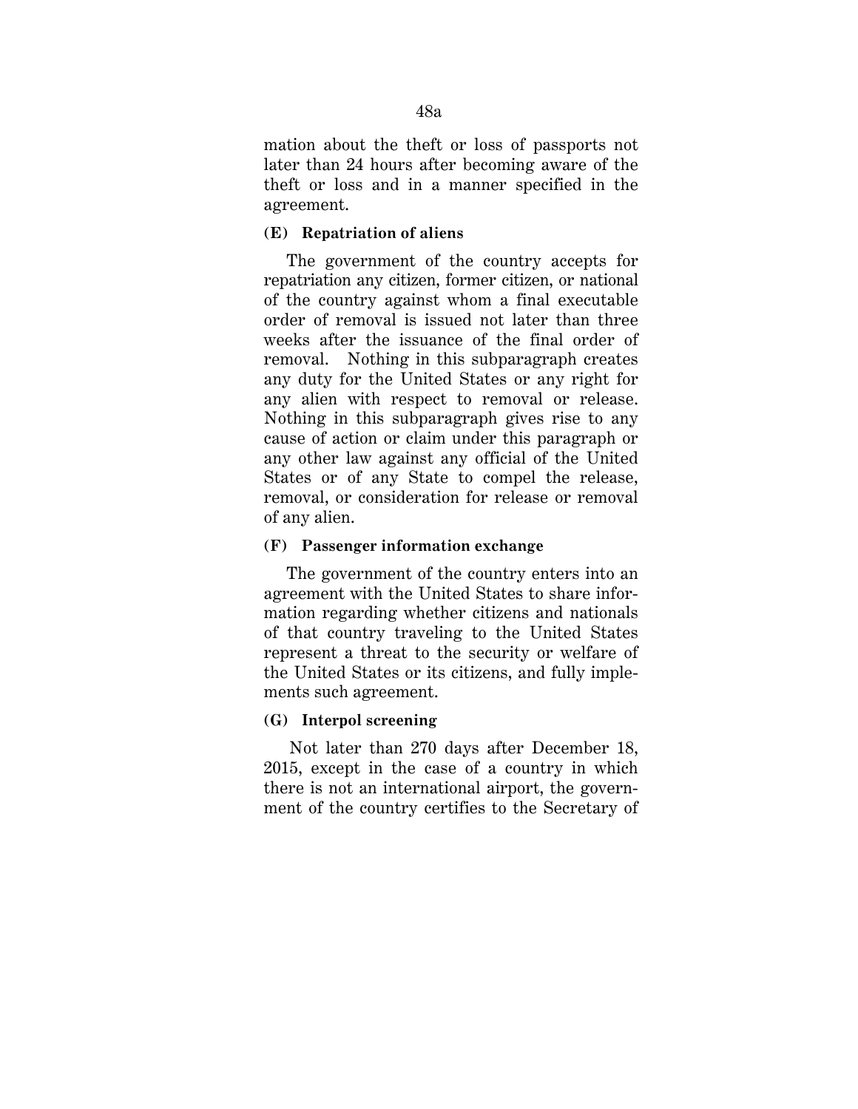mation about the theft or loss of passports not later than 24 hours after becoming aware of the theft or loss and in a manner specified in the agreement.

### **(E) Repatriation of aliens**

 The government of the country accepts for repatriation any citizen, former citizen, or national of the country against whom a final executable order of removal is issued not later than three weeks after the issuance of the final order of removal. Nothing in this subparagraph creates any duty for the United States or any right for any alien with respect to removal or release. Nothing in this subparagraph gives rise to any cause of action or claim under this paragraph or any other law against any official of the United States or of any State to compel the release, removal, or consideration for release or removal of any alien.

#### **(F) Passenger information exchange**

The government of the country enters into an agreement with the United States to share information regarding whether citizens and nationals of that country traveling to the United States represent a threat to the security or welfare of the United States or its citizens, and fully implements such agreement.

#### **(G) Interpol screening**

Not later than 270 days after December 18, 2015, except in the case of a country in which there is not an international airport, the government of the country certifies to the Secretary of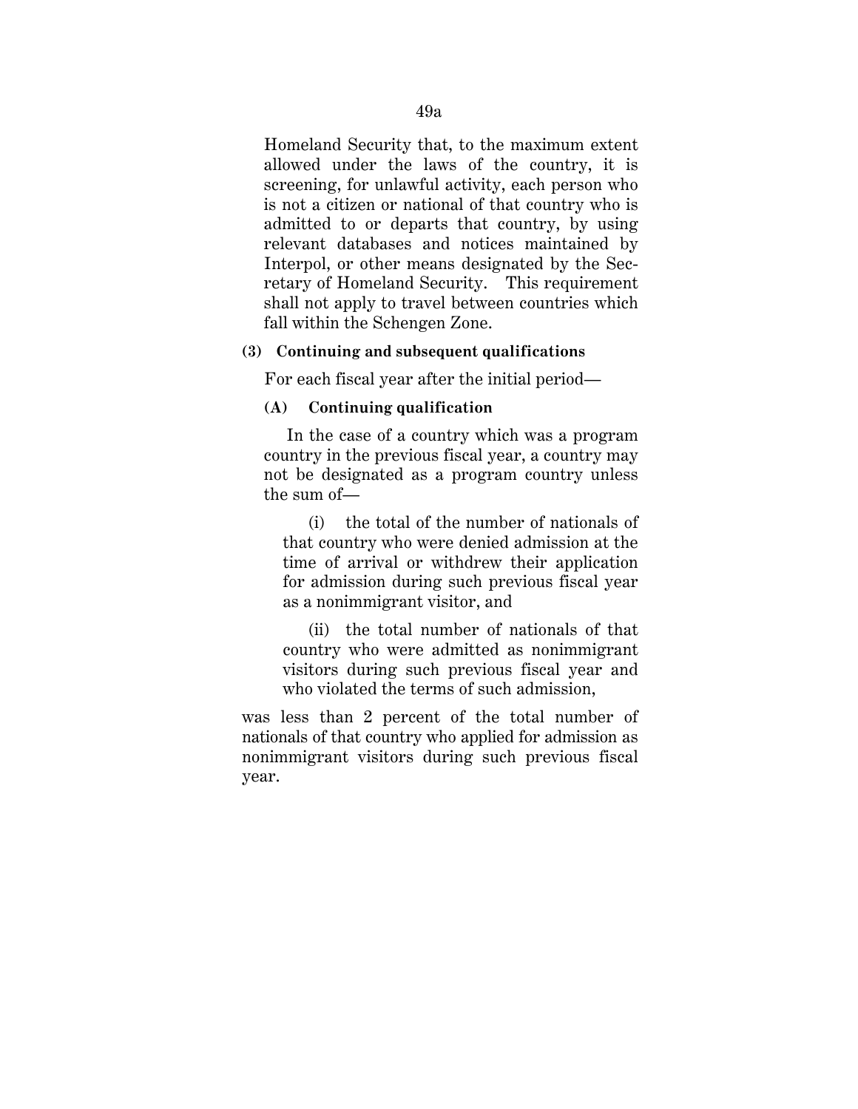Homeland Security that, to the maximum extent allowed under the laws of the country, it is screening, for unlawful activity, each person who is not a citizen or national of that country who is admitted to or departs that country, by using relevant databases and notices maintained by Interpol, or other means designated by the Secretary of Homeland Security. This requirement shall not apply to travel between countries which fall within the Schengen Zone.

#### **(3) Continuing and subsequent qualifications**

For each fiscal year after the initial period—

## **(A) Continuing qualification**

 In the case of a country which was a program country in the previous fiscal year, a country may not be designated as a program country unless the sum of—

(i) the total of the number of nationals of that country who were denied admission at the time of arrival or withdrew their application for admission during such previous fiscal year as a nonimmigrant visitor, and

(ii) the total number of nationals of that country who were admitted as nonimmigrant visitors during such previous fiscal year and who violated the terms of such admission,

was less than 2 percent of the total number of nationals of that country who applied for admission as nonimmigrant visitors during such previous fiscal year.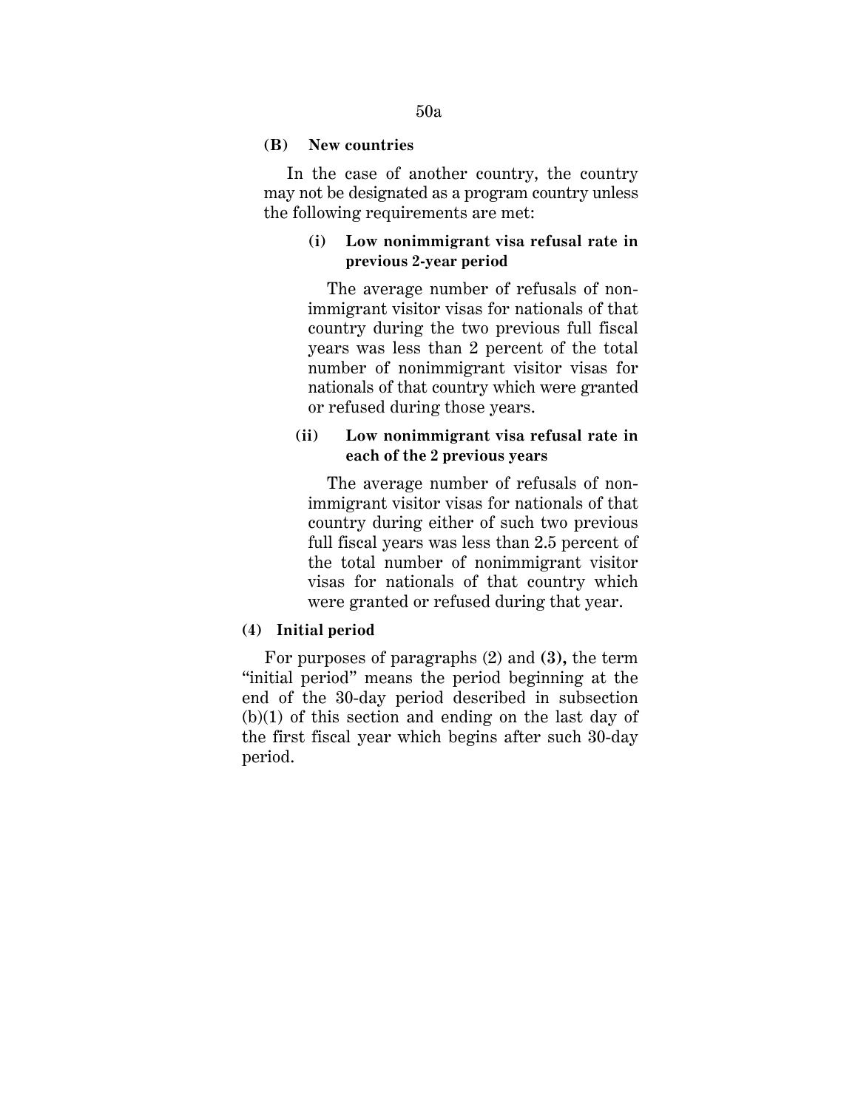#### **(B) New countries**

In the case of another country, the country may not be designated as a program country unless the following requirements are met:

# **(i) Low nonimmigrant visa refusal rate in previous 2-year period**

The average number of refusals of nonimmigrant visitor visas for nationals of that country during the two previous full fiscal years was less than 2 percent of the total number of nonimmigrant visitor visas for nationals of that country which were granted or refused during those years.

# **(ii) Low nonimmigrant visa refusal rate in each of the 2 previous years**

The average number of refusals of nonimmigrant visitor visas for nationals of that country during either of such two previous full fiscal years was less than 2.5 percent of the total number of nonimmigrant visitor visas for nationals of that country which were granted or refused during that year.

### **(4) Initial period**

For purposes of paragraphs (2) and **(3),** the term "initial period" means the period beginning at the end of the 30-day period described in subsection (b)(1) of this section and ending on the last day of the first fiscal year which begins after such 30-day period.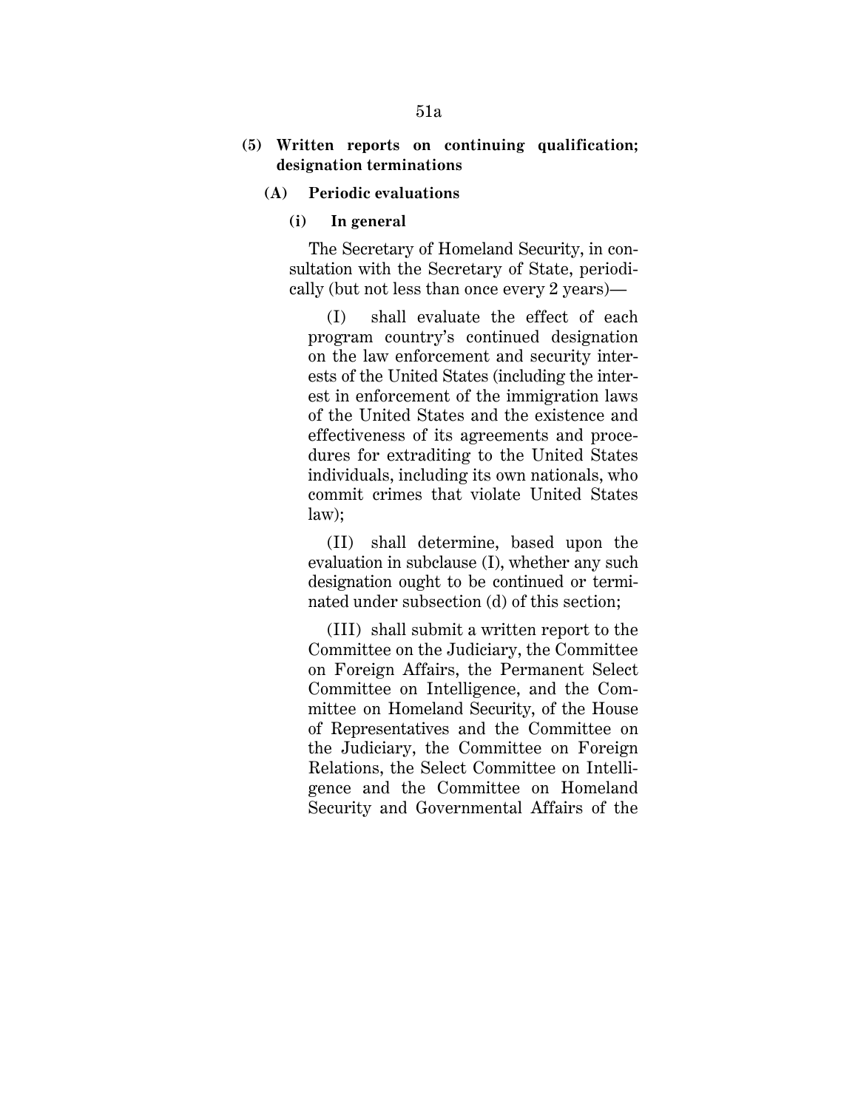### **(5) Written reports on continuing qualification; designation terminations**

#### **(A) Periodic evaluations**

#### **(i) In general**

The Secretary of Homeland Security, in consultation with the Secretary of State, periodically (but not less than once every 2 years)—

(I) shall evaluate the effect of each program country's continued designation on the law enforcement and security interests of the United States (including the interest in enforcement of the immigration laws of the United States and the existence and effectiveness of its agreements and procedures for extraditing to the United States individuals, including its own nationals, who commit crimes that violate United States law);

(II) shall determine, based upon the evaluation in subclause (I), whether any such designation ought to be continued or terminated under subsection (d) of this section;

(III) shall submit a written report to the Committee on the Judiciary, the Committee on Foreign Affairs, the Permanent Select Committee on Intelligence, and the Committee on Homeland Security, of the House of Representatives and the Committee on the Judiciary, the Committee on Foreign Relations, the Select Committee on Intelligence and the Committee on Homeland Security and Governmental Affairs of the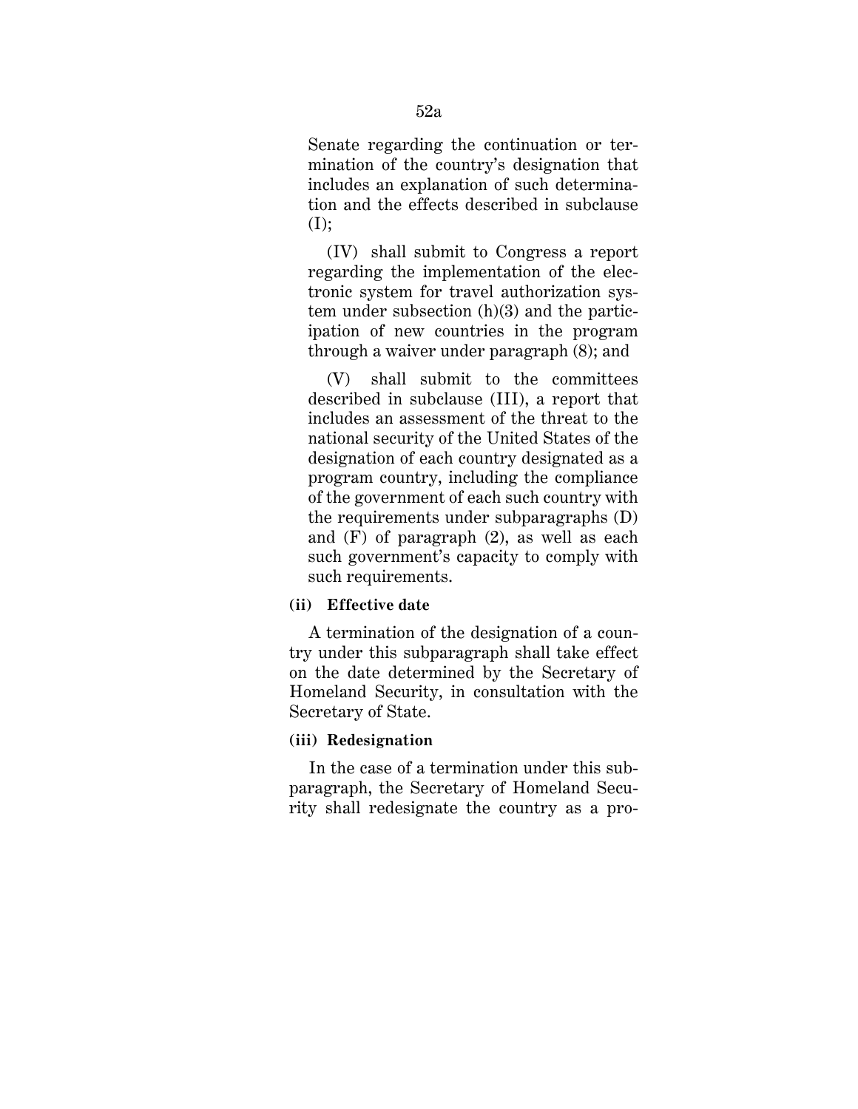Senate regarding the continuation or termination of the country's designation that includes an explanation of such determination and the effects described in subclause  $(I):$ 

(IV) shall submit to Congress a report regarding the implementation of the electronic system for travel authorization system under subsection (h)(3) and the participation of new countries in the program through a waiver under paragraph (8); and

(V) shall submit to the committees described in subclause (III), a report that includes an assessment of the threat to the national security of the United States of the designation of each country designated as a program country, including the compliance of the government of each such country with the requirements under subparagraphs (D) and (F) of paragraph (2), as well as each such government's capacity to comply with such requirements.

## **(ii) Effective date**

A termination of the designation of a country under this subparagraph shall take effect on the date determined by the Secretary of Homeland Security, in consultation with the Secretary of State.

## **(iii) Redesignation**

In the case of a termination under this subparagraph, the Secretary of Homeland Security shall redesignate the country as a pro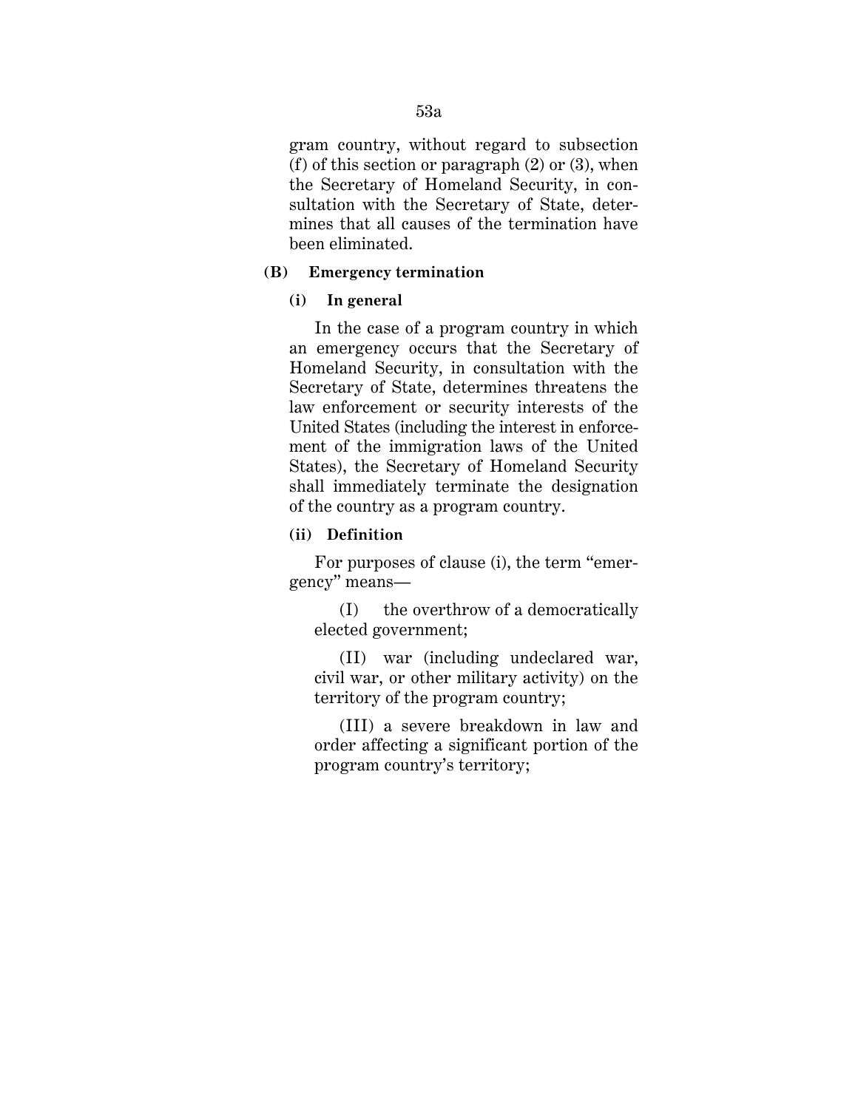gram country, without regard to subsection (f) of this section or paragraph  $(2)$  or  $(3)$ , when the Secretary of Homeland Security, in consultation with the Secretary of State, determines that all causes of the termination have been eliminated.

## **(B) Emergency termination**

## **(i) In general**

In the case of a program country in which an emergency occurs that the Secretary of Homeland Security, in consultation with the Secretary of State, determines threatens the law enforcement or security interests of the United States (including the interest in enforcement of the immigration laws of the United States), the Secretary of Homeland Security shall immediately terminate the designation of the country as a program country.

## **(ii) Definition**

For purposes of clause (i), the term "emergency" means—

(I) the overthrow of a democratically elected government;

(II) war (including undeclared war, civil war, or other military activity) on the territory of the program country;

(III) a severe breakdown in law and order affecting a significant portion of the program country's territory;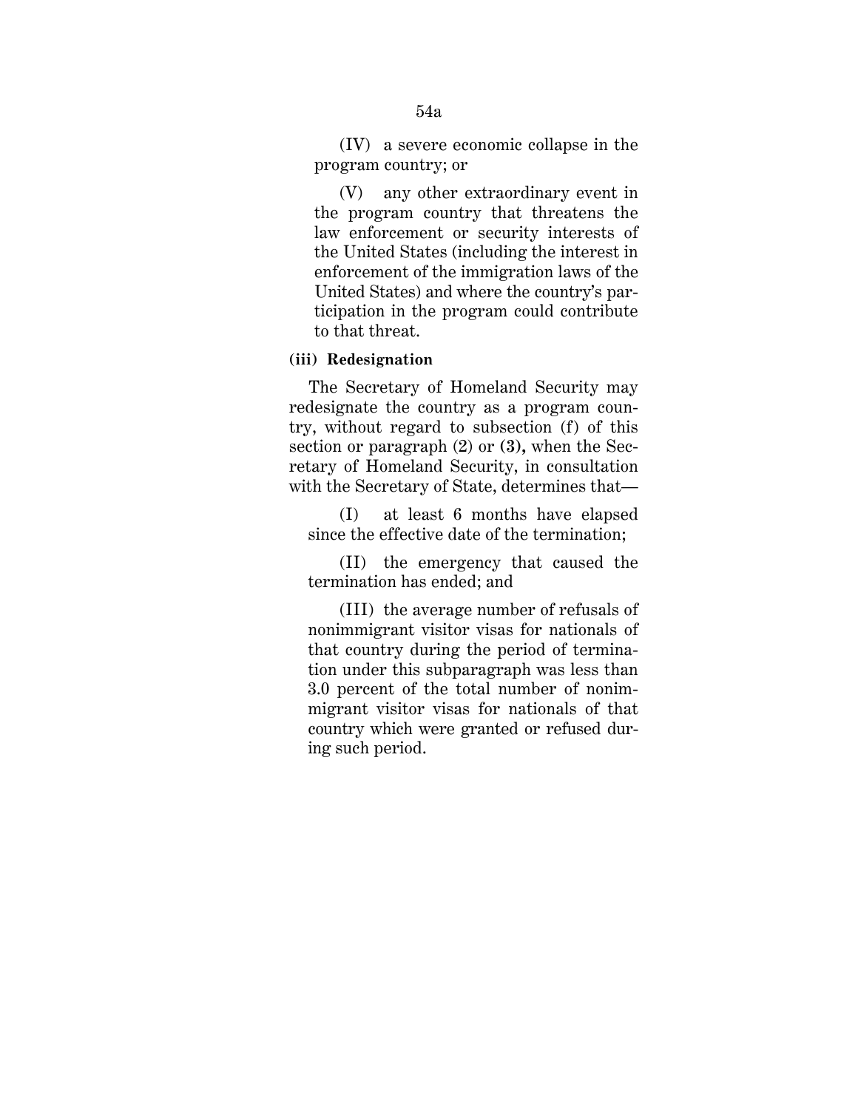(IV) a severe economic collapse in the program country; or

(V) any other extraordinary event in the program country that threatens the law enforcement or security interests of the United States (including the interest in enforcement of the immigration laws of the United States) and where the country's participation in the program could contribute to that threat.

#### **(iii) Redesignation**

The Secretary of Homeland Security may redesignate the country as a program country, without regard to subsection (f) of this section or paragraph (2) or **(3),** when the Secretary of Homeland Security, in consultation with the Secretary of State, determines that—

(I) at least 6 months have elapsed since the effective date of the termination;

(II) the emergency that caused the termination has ended; and

 (III) the average number of refusals of nonimmigrant visitor visas for nationals of that country during the period of termination under this subparagraph was less than 3.0 percent of the total number of nonimmigrant visitor visas for nationals of that country which were granted or refused during such period.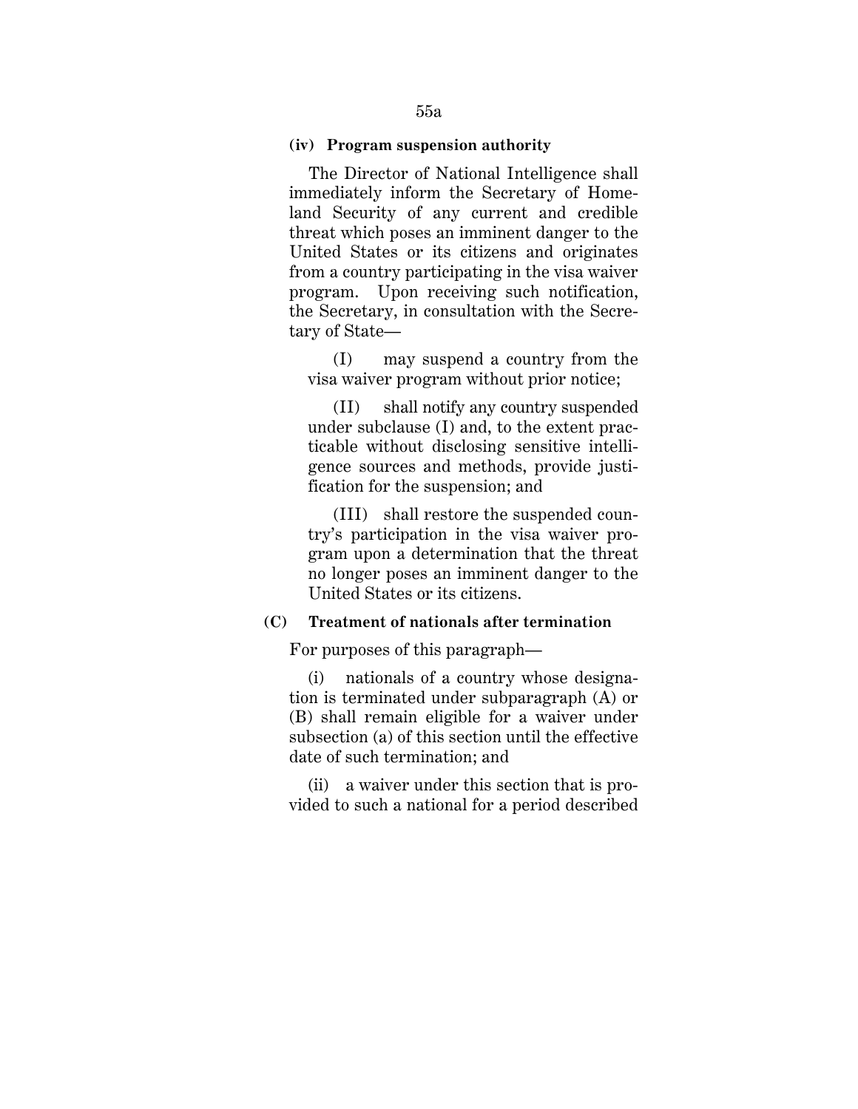#### **(iv) Program suspension authority**

The Director of National Intelligence shall immediately inform the Secretary of Homeland Security of any current and credible threat which poses an imminent danger to the United States or its citizens and originates from a country participating in the visa waiver program. Upon receiving such notification, the Secretary, in consultation with the Secretary of State—

(I) may suspend a country from the visa waiver program without prior notice;

(II) shall notify any country suspended under subclause (I) and, to the extent practicable without disclosing sensitive intelligence sources and methods, provide justification for the suspension; and

(III) shall restore the suspended country's participation in the visa waiver program upon a determination that the threat no longer poses an imminent danger to the United States or its citizens.

#### **(C) Treatment of nationals after termination**

For purposes of this paragraph—

(i) nationals of a country whose designation is terminated under subparagraph (A) or (B) shall remain eligible for a waiver under subsection (a) of this section until the effective date of such termination; and

(ii) a waiver under this section that is provided to such a national for a period described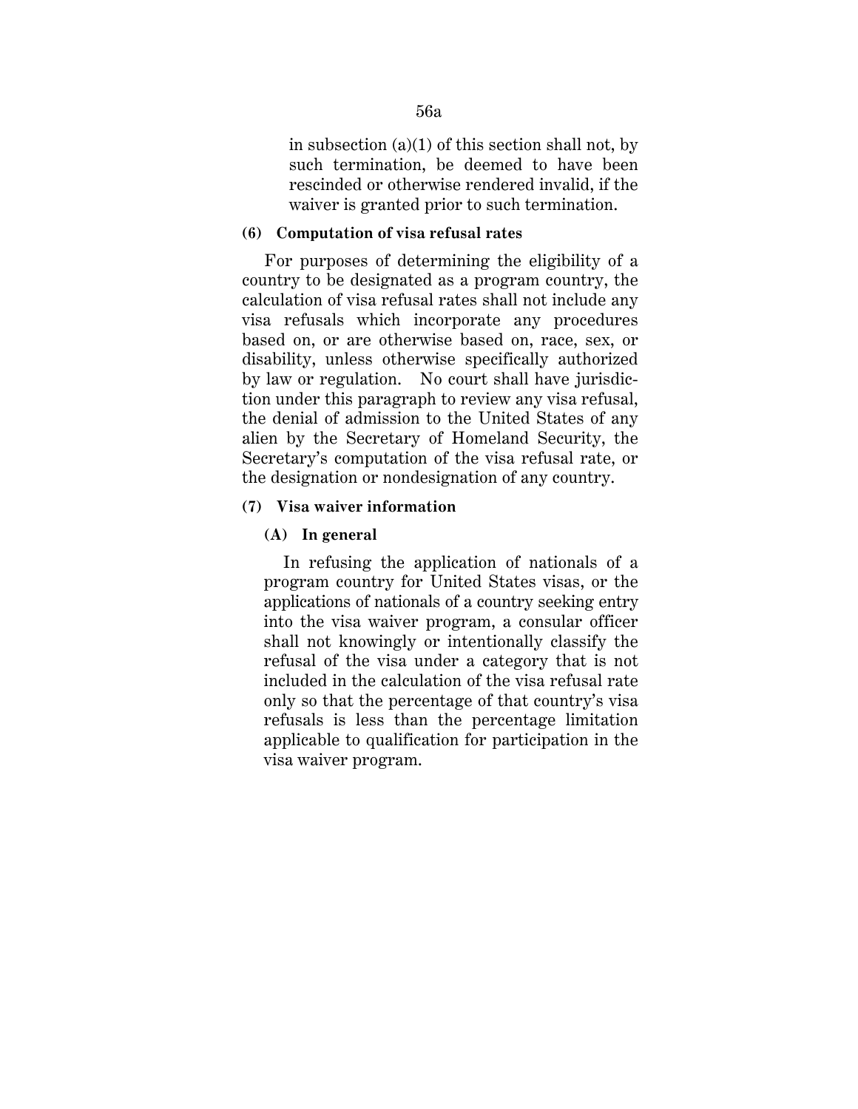in subsection  $(a)(1)$  of this section shall not, by such termination, be deemed to have been rescinded or otherwise rendered invalid, if the waiver is granted prior to such termination.

#### **(6) Computation of visa refusal rates**

For purposes of determining the eligibility of a country to be designated as a program country, the calculation of visa refusal rates shall not include any visa refusals which incorporate any procedures based on, or are otherwise based on, race, sex, or disability, unless otherwise specifically authorized by law or regulation. No court shall have jurisdiction under this paragraph to review any visa refusal, the denial of admission to the United States of any alien by the Secretary of Homeland Security, the Secretary's computation of the visa refusal rate, or the designation or nondesignation of any country.

#### **(7) Visa waiver information**

#### **(A) In general**

In refusing the application of nationals of a program country for United States visas, or the applications of nationals of a country seeking entry into the visa waiver program, a consular officer shall not knowingly or intentionally classify the refusal of the visa under a category that is not included in the calculation of the visa refusal rate only so that the percentage of that country's visa refusals is less than the percentage limitation applicable to qualification for participation in the visa waiver program.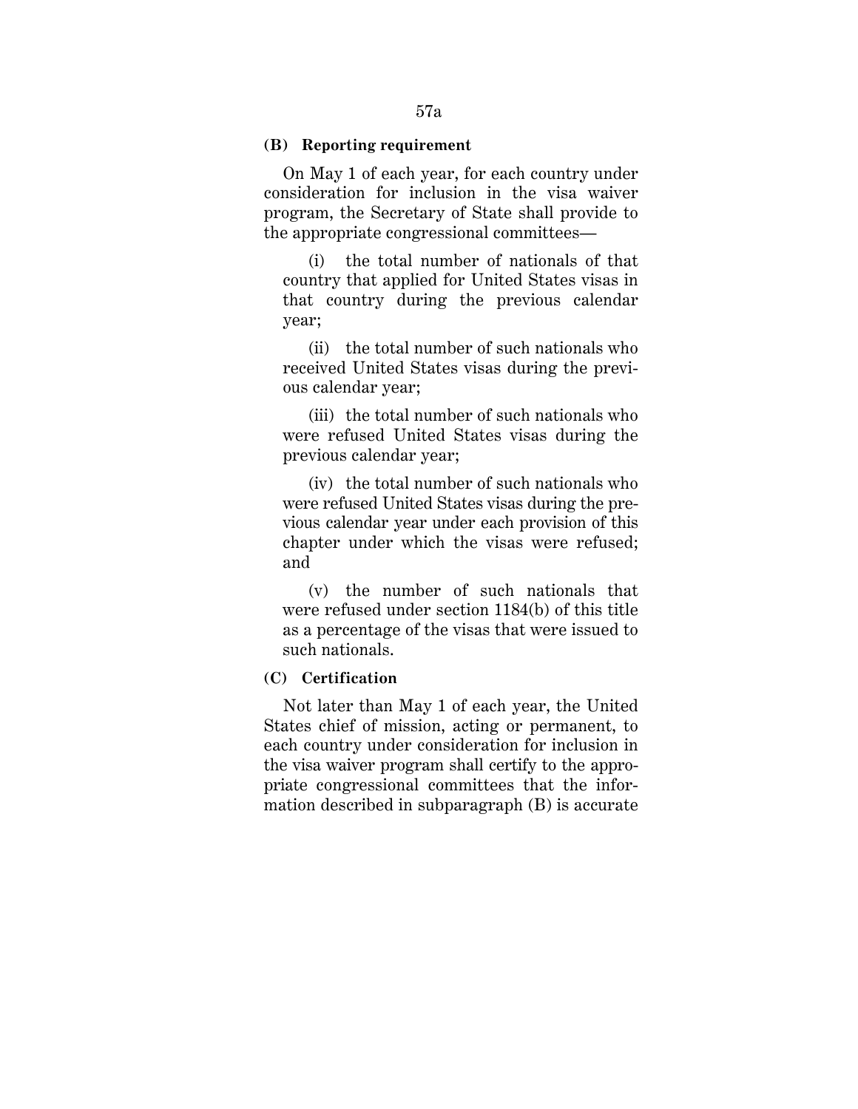#### **(B) Reporting requirement**

On May 1 of each year, for each country under consideration for inclusion in the visa waiver program, the Secretary of State shall provide to the appropriate congressional committees—

(i) the total number of nationals of that country that applied for United States visas in that country during the previous calendar year;

(ii) the total number of such nationals who received United States visas during the previous calendar year;

(iii) the total number of such nationals who were refused United States visas during the previous calendar year;

(iv) the total number of such nationals who were refused United States visas during the previous calendar year under each provision of this chapter under which the visas were refused; and

(v) the number of such nationals that were refused under section 1184(b) of this title as a percentage of the visas that were issued to such nationals.

### **(C) Certification**

Not later than May 1 of each year, the United States chief of mission, acting or permanent, to each country under consideration for inclusion in the visa waiver program shall certify to the appropriate congressional committees that the information described in subparagraph (B) is accurate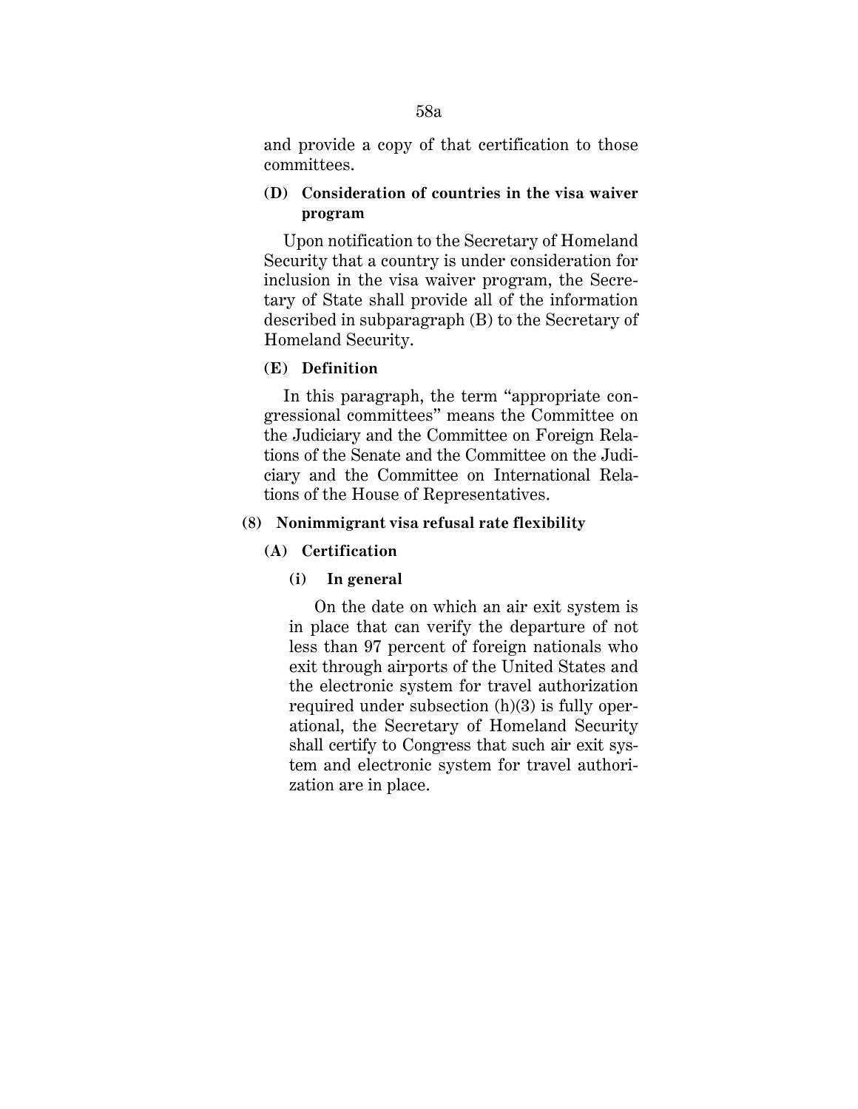and provide a copy of that certification to those committees.

# **(D) Consideration of countries in the visa waiver program**

Upon notification to the Secretary of Homeland Security that a country is under consideration for inclusion in the visa waiver program, the Secretary of State shall provide all of the information described in subparagraph (B) to the Secretary of Homeland Security.

### **(E) Definition**

In this paragraph, the term "appropriate congressional committees" means the Committee on the Judiciary and the Committee on Foreign Relations of the Senate and the Committee on the Judiciary and the Committee on International Relations of the House of Representatives.

## **(8) Nonimmigrant visa refusal rate flexibility**

## **(A) Certification**

### **(i) In general**

On the date on which an air exit system is in place that can verify the departure of not less than 97 percent of foreign nationals who exit through airports of the United States and the electronic system for travel authorization required under subsection (h)(3) is fully operational, the Secretary of Homeland Security shall certify to Congress that such air exit system and electronic system for travel authorization are in place.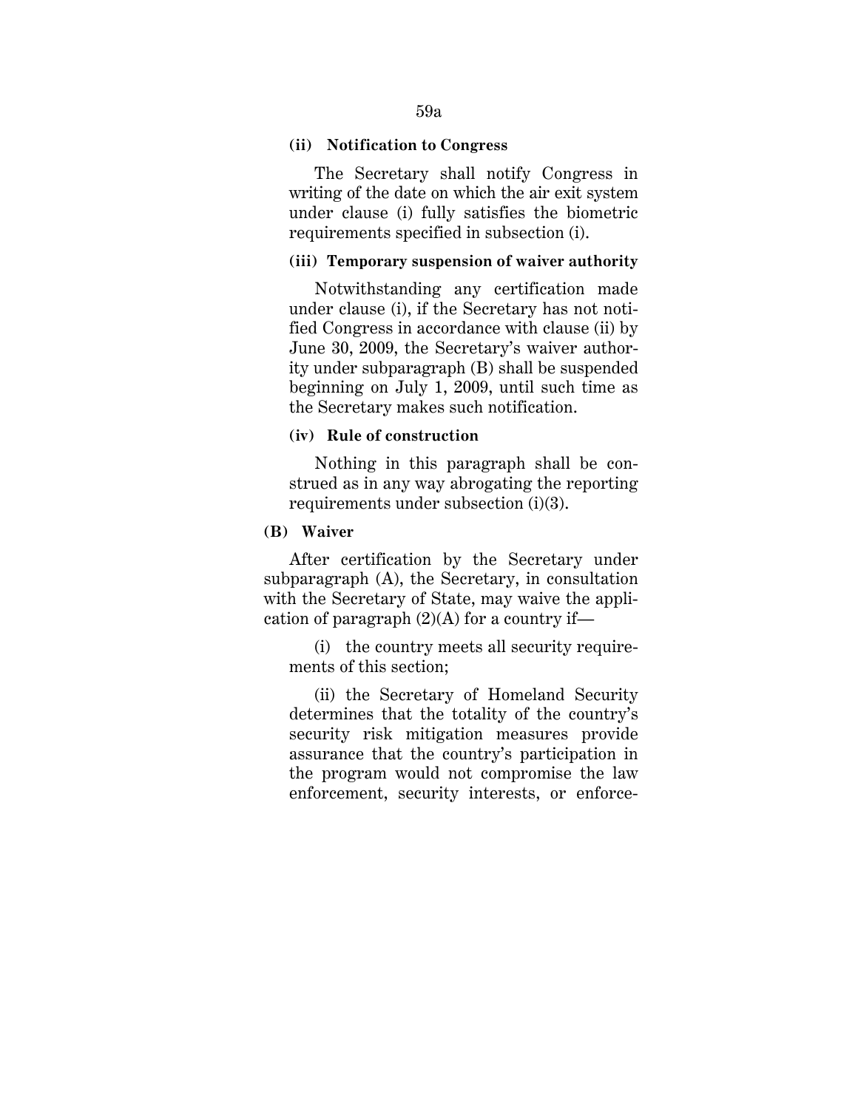#### **(ii) Notification to Congress**

The Secretary shall notify Congress in writing of the date on which the air exit system under clause (i) fully satisfies the biometric requirements specified in subsection (i).

## **(iii) Temporary suspension of waiver authority**

Notwithstanding any certification made under clause (i), if the Secretary has not notified Congress in accordance with clause (ii) by June 30, 2009, the Secretary's waiver authority under subparagraph (B) shall be suspended beginning on July 1, 2009, until such time as the Secretary makes such notification.

#### **(iv) Rule of construction**

Nothing in this paragraph shall be construed as in any way abrogating the reporting requirements under subsection (i)(3).

### **(B) Waiver**

After certification by the Secretary under subparagraph (A), the Secretary, in consultation with the Secretary of State, may waive the application of paragraph  $(2)(A)$  for a country if-

(i) the country meets all security requirements of this section;

(ii) the Secretary of Homeland Security determines that the totality of the country's security risk mitigation measures provide assurance that the country's participation in the program would not compromise the law enforcement, security interests, or enforce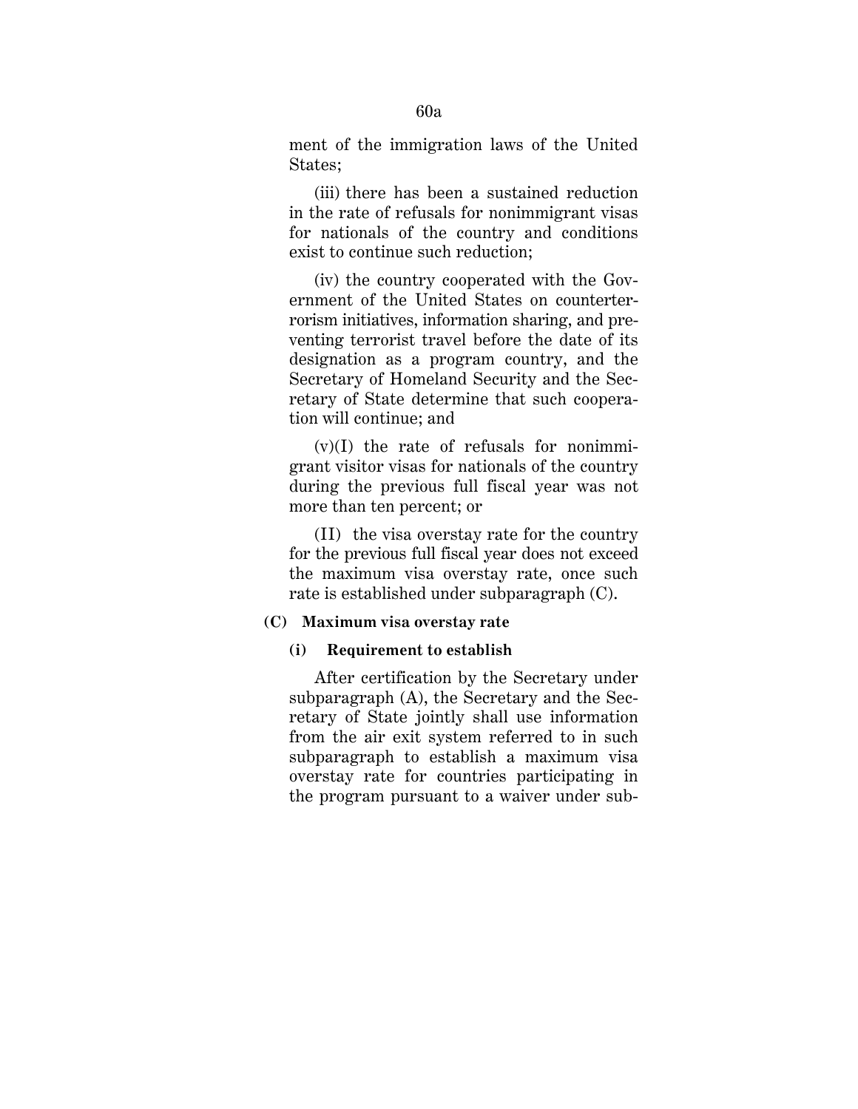ment of the immigration laws of the United States;

(iii) there has been a sustained reduction in the rate of refusals for nonimmigrant visas for nationals of the country and conditions exist to continue such reduction;

(iv) the country cooperated with the Government of the United States on counterterrorism initiatives, information sharing, and preventing terrorist travel before the date of its designation as a program country, and the Secretary of Homeland Security and the Secretary of State determine that such cooperation will continue; and

 $(v)(I)$  the rate of refusals for nonimmigrant visitor visas for nationals of the country during the previous full fiscal year was not more than ten percent; or

(II) the visa overstay rate for the country for the previous full fiscal year does not exceed the maximum visa overstay rate, once such rate is established under subparagraph (C).

#### **(C) Maximum visa overstay rate**

#### **(i) Requirement to establish**

After certification by the Secretary under subparagraph (A), the Secretary and the Secretary of State jointly shall use information from the air exit system referred to in such subparagraph to establish a maximum visa overstay rate for countries participating in the program pursuant to a waiver under sub-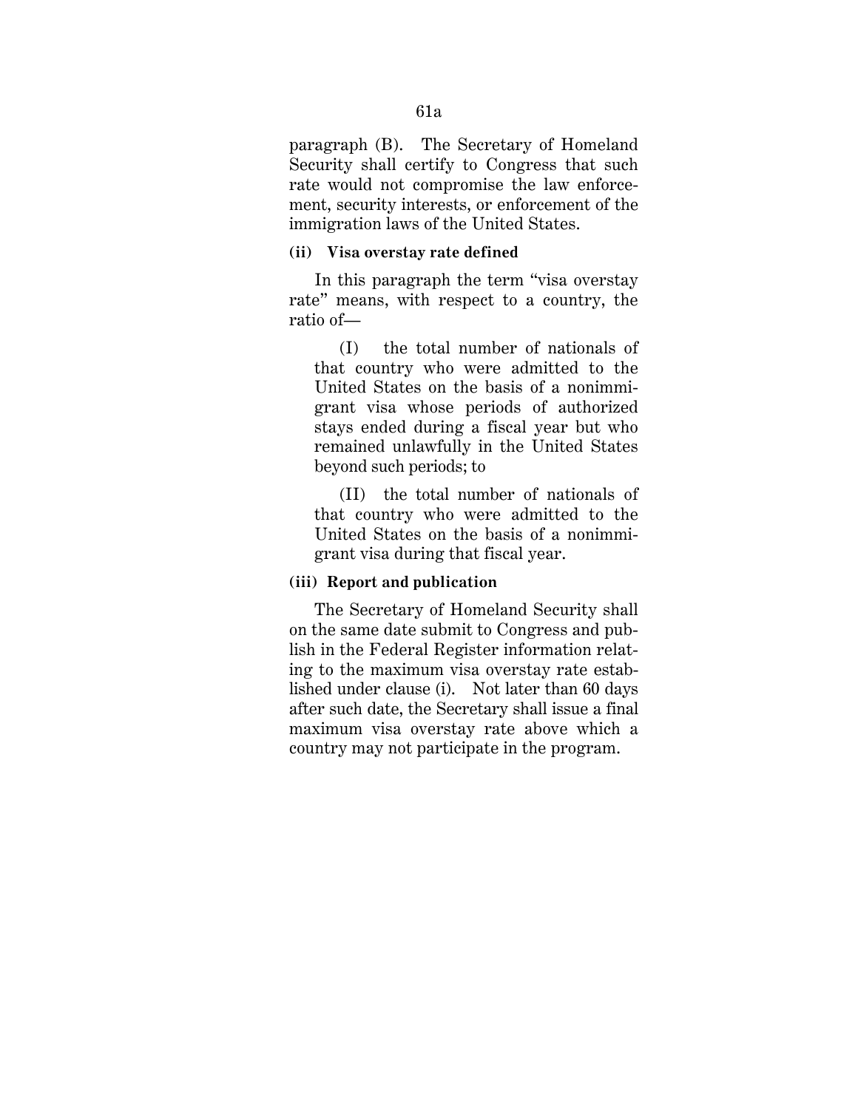paragraph (B). The Secretary of Homeland Security shall certify to Congress that such rate would not compromise the law enforcement, security interests, or enforcement of the immigration laws of the United States.

#### **(ii) Visa overstay rate defined**

In this paragraph the term "visa overstay rate" means, with respect to a country, the ratio of—

(I) the total number of nationals of that country who were admitted to the United States on the basis of a nonimmigrant visa whose periods of authorized stays ended during a fiscal year but who remained unlawfully in the United States beyond such periods; to

(II) the total number of nationals of that country who were admitted to the United States on the basis of a nonimmigrant visa during that fiscal year.

### **(iii) Report and publication**

The Secretary of Homeland Security shall on the same date submit to Congress and publish in the Federal Register information relating to the maximum visa overstay rate established under clause (i). Not later than 60 days after such date, the Secretary shall issue a final maximum visa overstay rate above which a country may not participate in the program.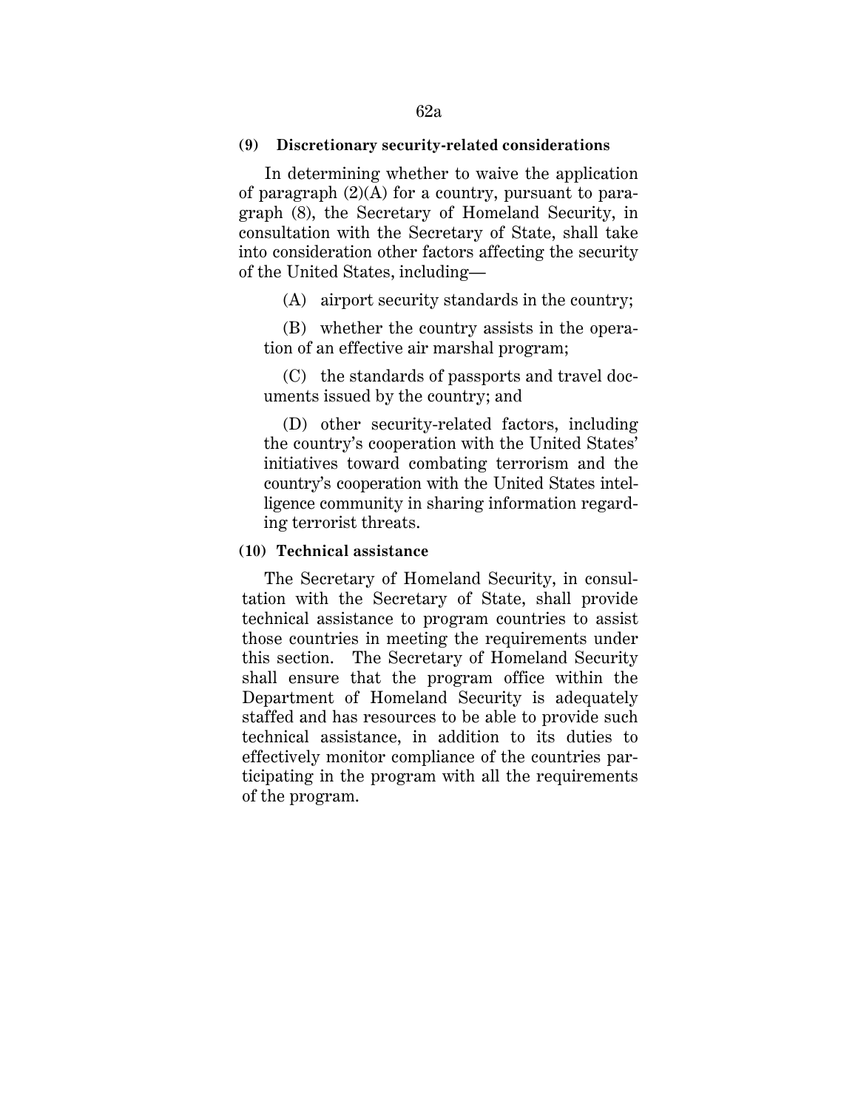#### **(9) Discretionary security-related considerations**

In determining whether to waive the application of paragraph  $(2)(A)$  for a country, pursuant to paragraph (8), the Secretary of Homeland Security, in consultation with the Secretary of State, shall take into consideration other factors affecting the security of the United States, including—

(A) airport security standards in the country;

 (B) whether the country assists in the operation of an effective air marshal program;

 (C) the standards of passports and travel documents issued by the country; and

 (D) other security-related factors, including the country's cooperation with the United States' initiatives toward combating terrorism and the country's cooperation with the United States intelligence community in sharing information regarding terrorist threats.

#### **(10) Technical assistance**

 The Secretary of Homeland Security, in consultation with the Secretary of State, shall provide technical assistance to program countries to assist those countries in meeting the requirements under this section. The Secretary of Homeland Security shall ensure that the program office within the Department of Homeland Security is adequately staffed and has resources to be able to provide such technical assistance, in addition to its duties to effectively monitor compliance of the countries participating in the program with all the requirements of the program.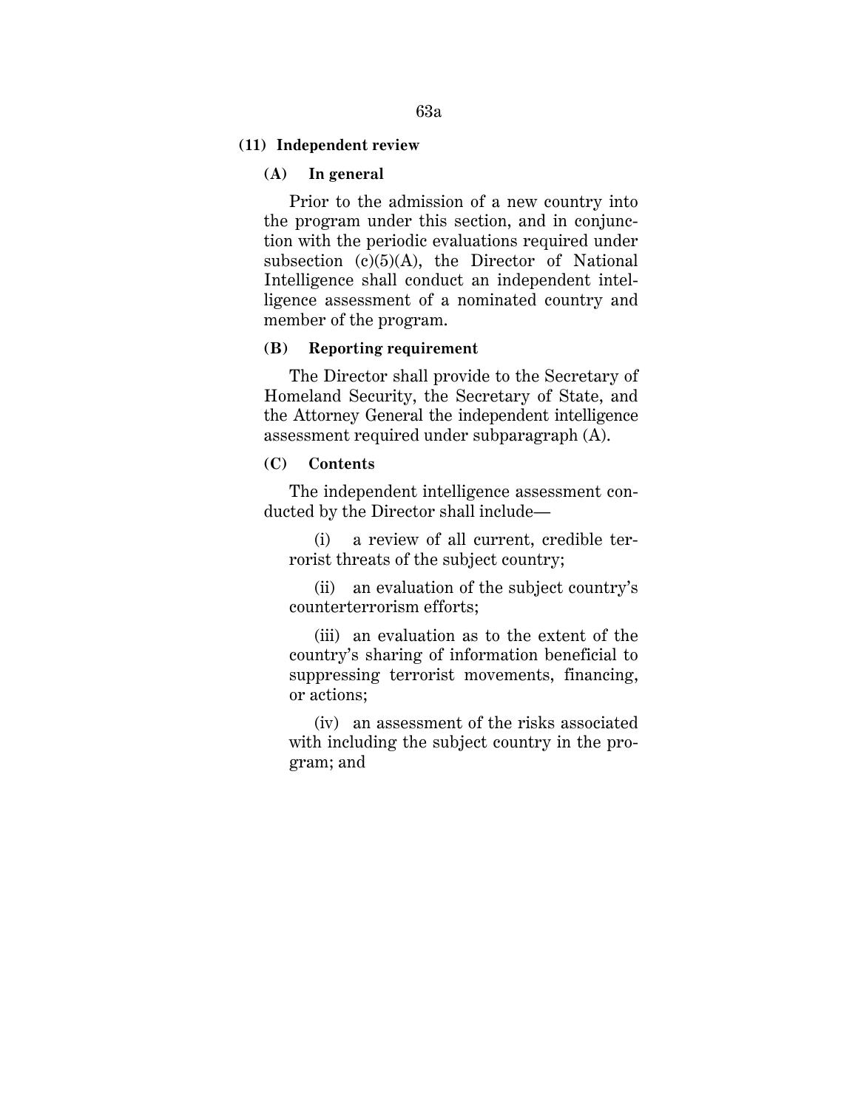# **(11) Independent review**

# **(A) In general**

Prior to the admission of a new country into the program under this section, and in conjunction with the periodic evaluations required under subsection  $(c)(5)(A)$ , the Director of National Intelligence shall conduct an independent intelligence assessment of a nominated country and member of the program.

# **(B) Reporting requirement**

The Director shall provide to the Secretary of Homeland Security, the Secretary of State, and the Attorney General the independent intelligence assessment required under subparagraph (A).

# **(C) Contents**

The independent intelligence assessment conducted by the Director shall include—

(i) a review of all current, credible terrorist threats of the subject country;

(ii) an evaluation of the subject country's counterterrorism efforts;

(iii) an evaluation as to the extent of the country's sharing of information beneficial to suppressing terrorist movements, financing, or actions;

(iv) an assessment of the risks associated with including the subject country in the program; and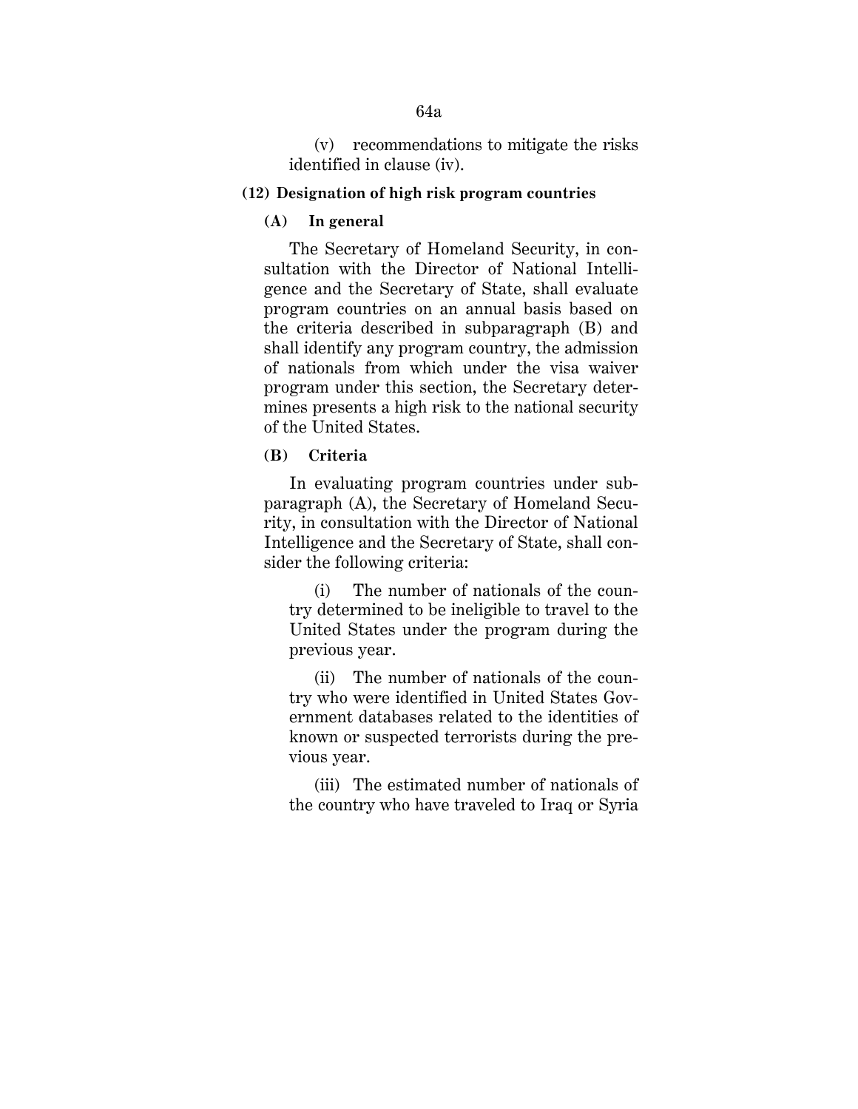## (v) recommendations to mitigate the risks identified in clause (iv).

#### **(12) Designation of high risk program countries**

#### **(A) In general**

The Secretary of Homeland Security, in consultation with the Director of National Intelligence and the Secretary of State, shall evaluate program countries on an annual basis based on the criteria described in subparagraph (B) and shall identify any program country, the admission of nationals from which under the visa waiver program under this section, the Secretary determines presents a high risk to the national security of the United States.

## **(B) Criteria**

In evaluating program countries under subparagraph (A), the Secretary of Homeland Security, in consultation with the Director of National Intelligence and the Secretary of State, shall consider the following criteria:

(i) The number of nationals of the country determined to be ineligible to travel to the United States under the program during the previous year.

(ii) The number of nationals of the country who were identified in United States Government databases related to the identities of known or suspected terrorists during the previous year.

(iii) The estimated number of nationals of the country who have traveled to Iraq or Syria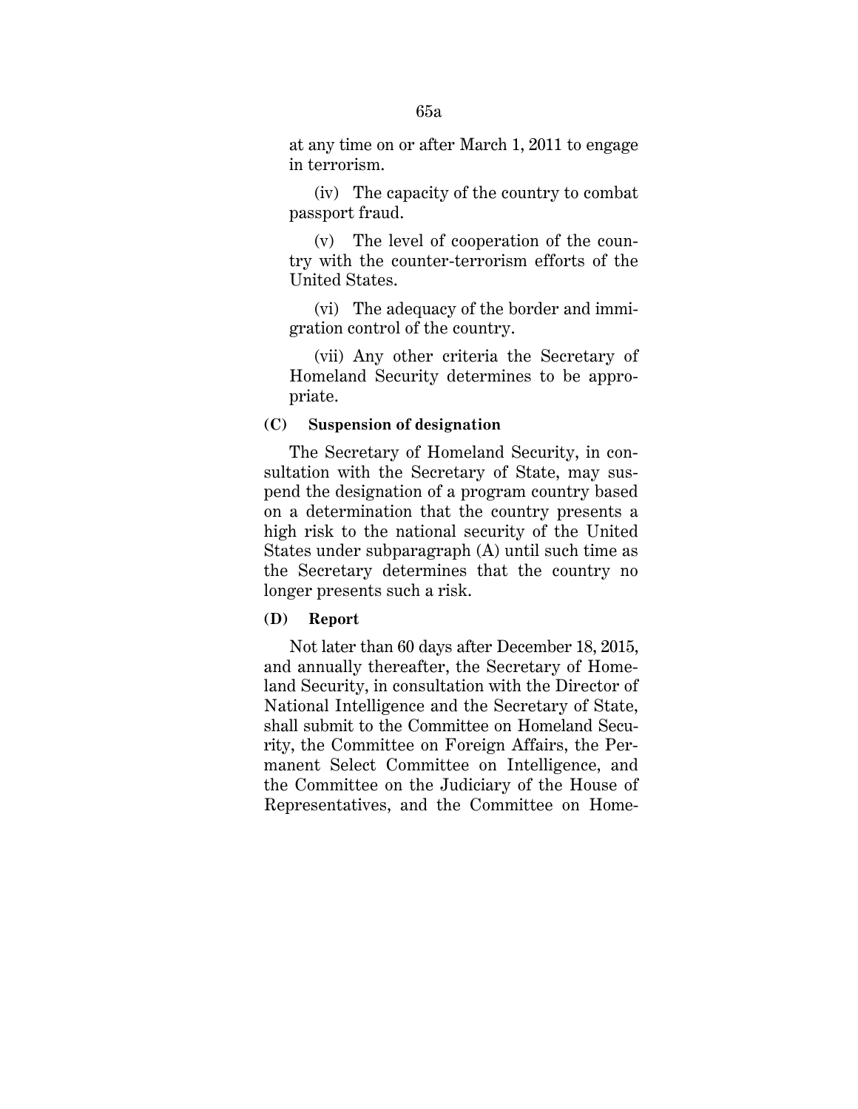at any time on or after March 1, 2011 to engage in terrorism.

(iv) The capacity of the country to combat passport fraud.

(v) The level of cooperation of the country with the counter-terrorism efforts of the United States.

(vi) The adequacy of the border and immigration control of the country.

(vii) Any other criteria the Secretary of Homeland Security determines to be appropriate.

### **(C) Suspension of designation**

The Secretary of Homeland Security, in consultation with the Secretary of State, may suspend the designation of a program country based on a determination that the country presents a high risk to the national security of the United States under subparagraph (A) until such time as the Secretary determines that the country no longer presents such a risk.

#### **(D) Report**

Not later than 60 days after December 18, 2015, and annually thereafter, the Secretary of Homeland Security, in consultation with the Director of National Intelligence and the Secretary of State, shall submit to the Committee on Homeland Security, the Committee on Foreign Affairs, the Permanent Select Committee on Intelligence, and the Committee on the Judiciary of the House of Representatives, and the Committee on Home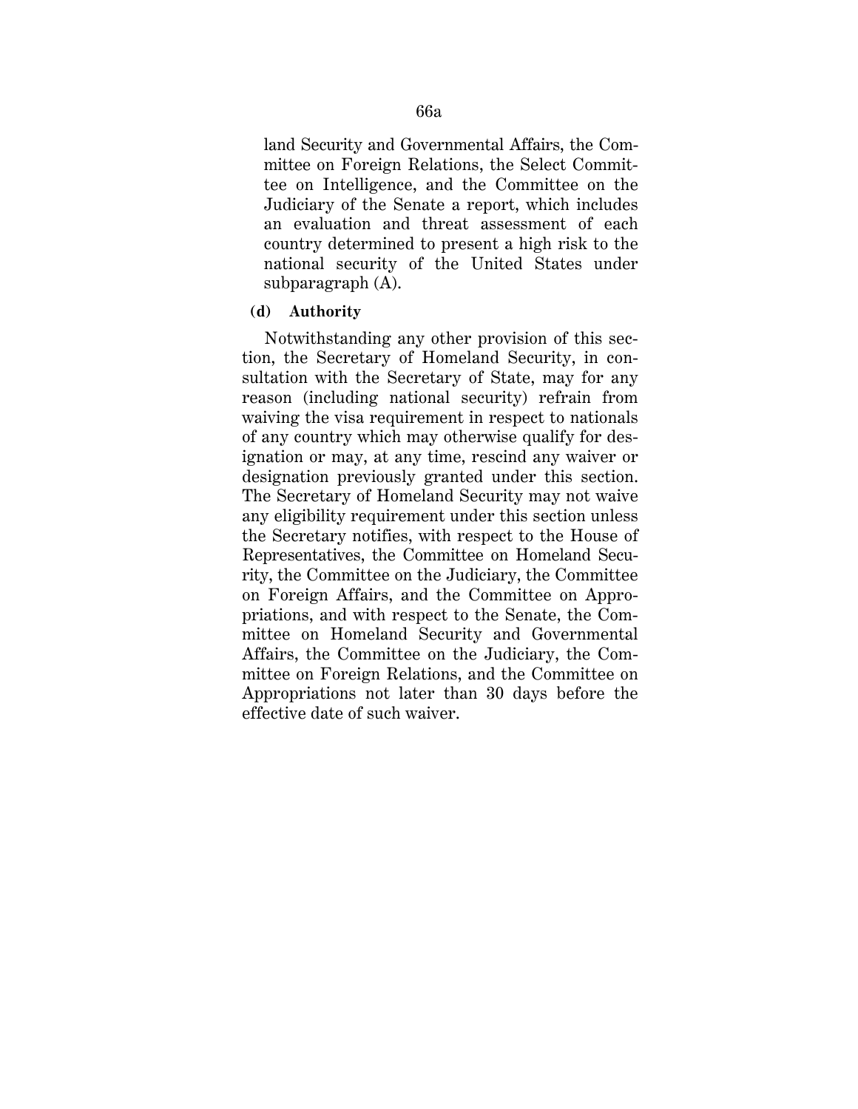land Security and Governmental Affairs, the Committee on Foreign Relations, the Select Committee on Intelligence, and the Committee on the Judiciary of the Senate a report, which includes an evaluation and threat assessment of each country determined to present a high risk to the national security of the United States under subparagraph (A).

### **(d) Authority**

Notwithstanding any other provision of this section, the Secretary of Homeland Security, in consultation with the Secretary of State, may for any reason (including national security) refrain from waiving the visa requirement in respect to nationals of any country which may otherwise qualify for designation or may, at any time, rescind any waiver or designation previously granted under this section. The Secretary of Homeland Security may not waive any eligibility requirement under this section unless the Secretary notifies, with respect to the House of Representatives, the Committee on Homeland Security, the Committee on the Judiciary, the Committee on Foreign Affairs, and the Committee on Appropriations, and with respect to the Senate, the Committee on Homeland Security and Governmental Affairs, the Committee on the Judiciary, the Committee on Foreign Relations, and the Committee on Appropriations not later than 30 days before the effective date of such waiver.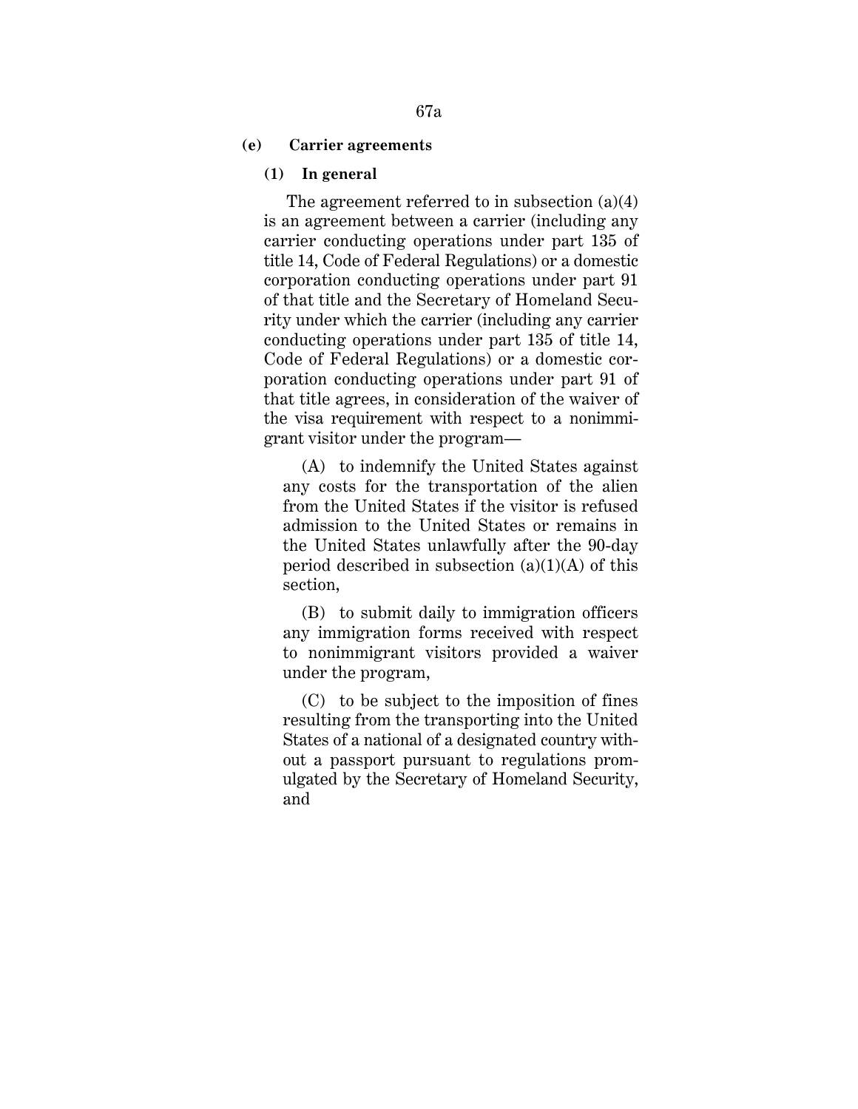### **(e) Carrier agreements**

### **(1) In general**

The agreement referred to in subsection (a)(4) is an agreement between a carrier (including any carrier conducting operations under part 135 of title 14, Code of Federal Regulations) or a domestic corporation conducting operations under part 91 of that title and the Secretary of Homeland Security under which the carrier (including any carrier conducting operations under part 135 of title 14, Code of Federal Regulations) or a domestic corporation conducting operations under part 91 of that title agrees, in consideration of the waiver of the visa requirement with respect to a nonimmigrant visitor under the program—

(A) to indemnify the United States against any costs for the transportation of the alien from the United States if the visitor is refused admission to the United States or remains in the United States unlawfully after the 90-day period described in subsection  $(a)(1)(A)$  of this section,

(B) to submit daily to immigration officers any immigration forms received with respect to nonimmigrant visitors provided a waiver under the program,

(C) to be subject to the imposition of fines resulting from the transporting into the United States of a national of a designated country without a passport pursuant to regulations promulgated by the Secretary of Homeland Security, and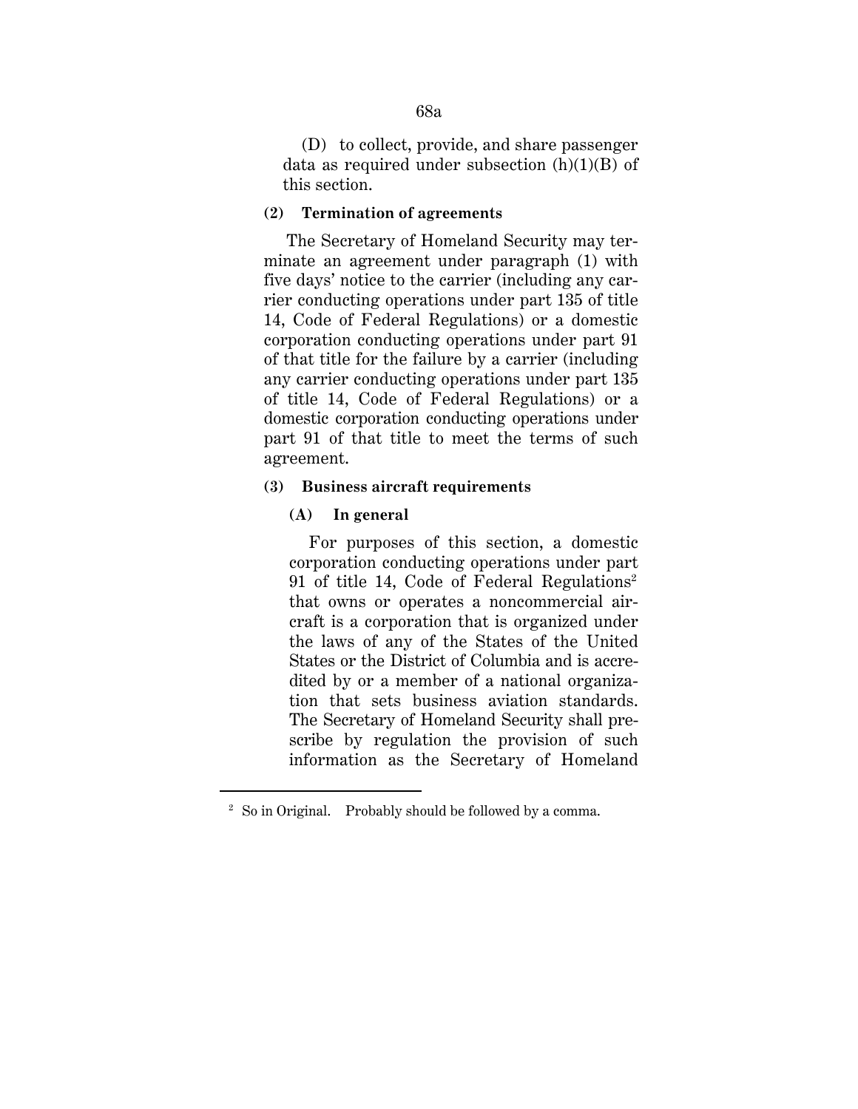(D) to collect, provide, and share passenger data as required under subsection  $(h)(1)(B)$  of this section.

#### **(2) Termination of agreements**

The Secretary of Homeland Security may terminate an agreement under paragraph (1) with five days' notice to the carrier (including any carrier conducting operations under part 135 of title 14, Code of Federal Regulations) or a domestic corporation conducting operations under part 91 of that title for the failure by a carrier (including any carrier conducting operations under part 135 of title 14, Code of Federal Regulations) or a domestic corporation conducting operations under part 91 of that title to meet the terms of such agreement.

### **(3) Business aircraft requirements**

#### **(A) In general**

-

For purposes of this section, a domestic corporation conducting operations under part 91 of title 14, Code of Federal Regulations<sup>2</sup> that owns or operates a noncommercial aircraft is a corporation that is organized under the laws of any of the States of the United States or the District of Columbia and is accredited by or a member of a national organization that sets business aviation standards. The Secretary of Homeland Security shall prescribe by regulation the provision of such information as the Secretary of Homeland

<sup>2</sup> So in Original. Probably should be followed by a comma.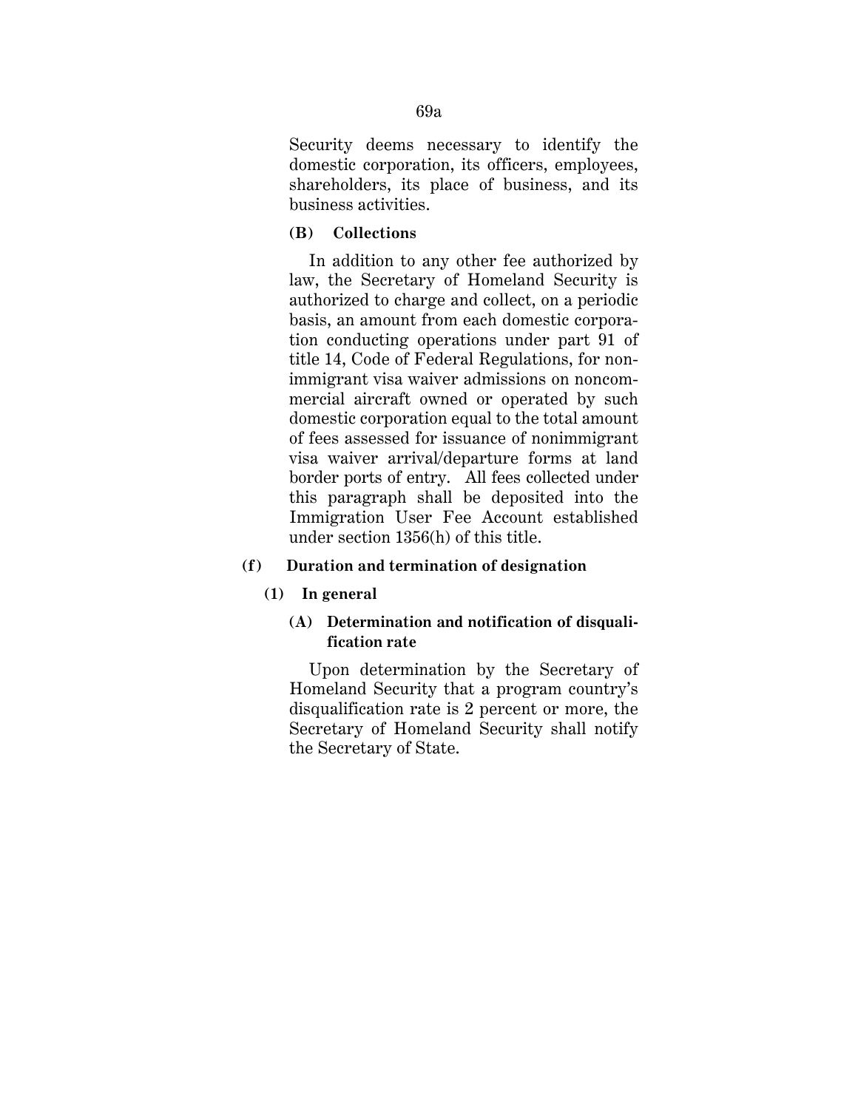Security deems necessary to identify the domestic corporation, its officers, employees, shareholders, its place of business, and its business activities.

### **(B) Collections**

In addition to any other fee authorized by law, the Secretary of Homeland Security is authorized to charge and collect, on a periodic basis, an amount from each domestic corporation conducting operations under part 91 of title 14, Code of Federal Regulations, for nonimmigrant visa waiver admissions on noncommercial aircraft owned or operated by such domestic corporation equal to the total amount of fees assessed for issuance of nonimmigrant visa waiver arrival/departure forms at land border ports of entry. All fees collected under this paragraph shall be deposited into the Immigration User Fee Account established under section 1356(h) of this title.

### **(f) Duration and termination of designation**

### **(1) In general**

## **(A) Determination and notification of disqualification rate**

Upon determination by the Secretary of Homeland Security that a program country's disqualification rate is 2 percent or more, the Secretary of Homeland Security shall notify the Secretary of State.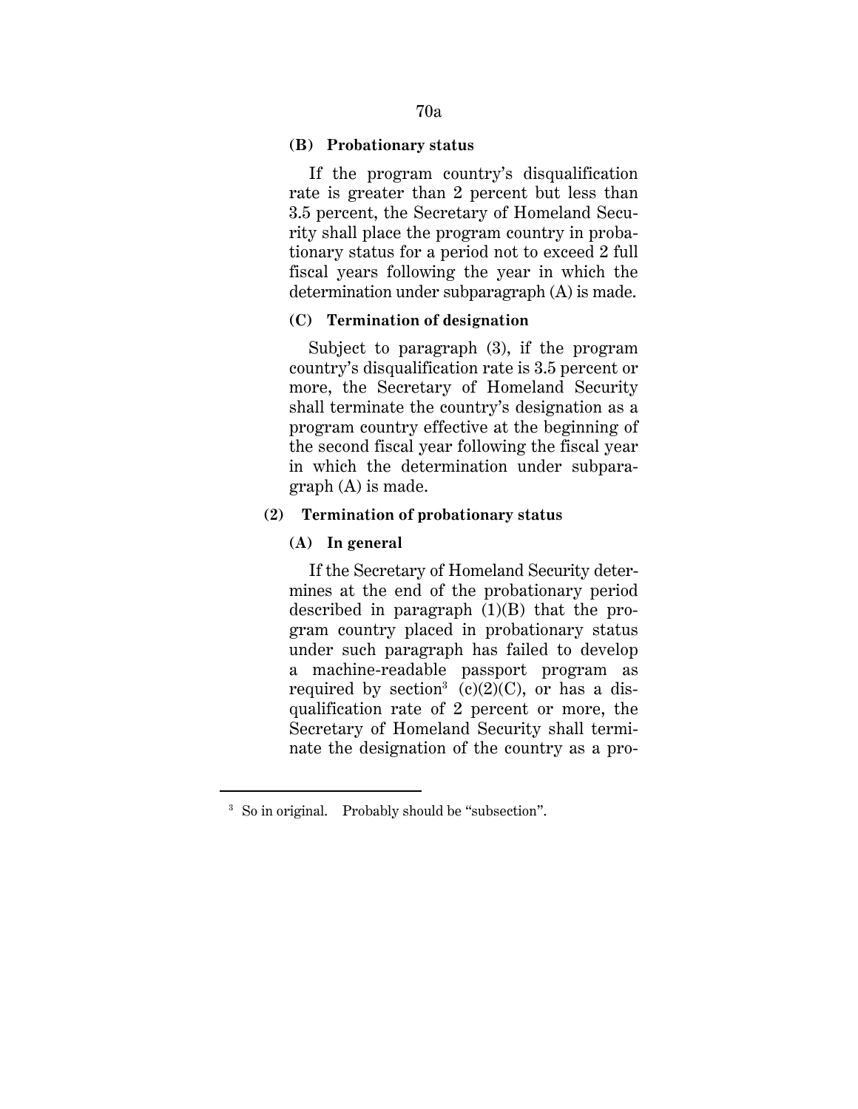### **(B) Probationary status**

If the program country's disqualification rate is greater than 2 percent but less than 3.5 percent, the Secretary of Homeland Security shall place the program country in probationary status for a period not to exceed 2 full fiscal years following the year in which the determination under subparagraph (A) is made.

#### **(C) Termination of designation**

Subject to paragraph (3), if the program country's disqualification rate is 3.5 percent or more, the Secretary of Homeland Security shall terminate the country's designation as a program country effective at the beginning of the second fiscal year following the fiscal year in which the determination under subparagraph (A) is made.

#### **(2) Termination of probationary status**

#### **(A) In general**

If the Secretary of Homeland Security determines at the end of the probationary period described in paragraph (1)(B) that the program country placed in probationary status under such paragraph has failed to develop a machine-readable passport program as required by section<sup>3</sup> (c)(2)(C), or has a disqualification rate of 2 percent or more, the Secretary of Homeland Security shall terminate the designation of the country as a pro-

-

<sup>&</sup>lt;sup>3</sup> So in original. Probably should be "subsection".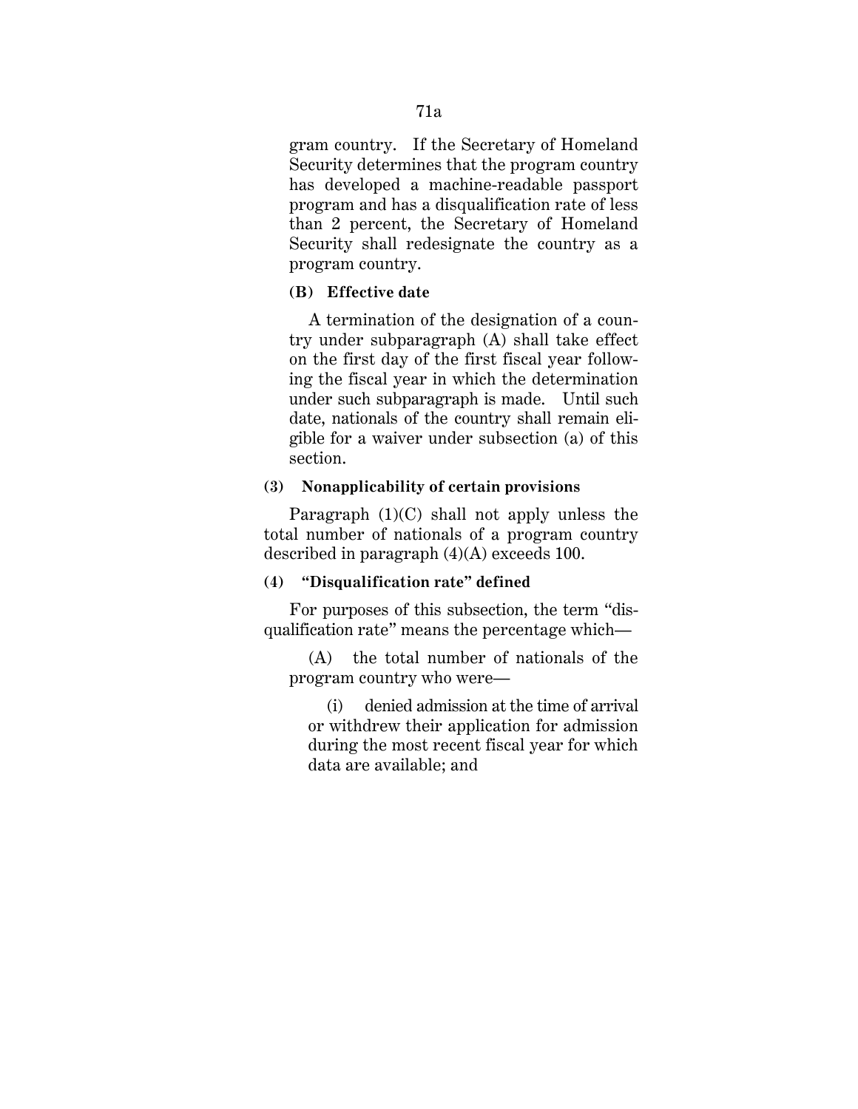gram country. If the Secretary of Homeland Security determines that the program country has developed a machine-readable passport program and has a disqualification rate of less than 2 percent, the Secretary of Homeland Security shall redesignate the country as a program country.

## **(B) Effective date**

A termination of the designation of a country under subparagraph (A) shall take effect on the first day of the first fiscal year following the fiscal year in which the determination under such subparagraph is made. Until such date, nationals of the country shall remain eligible for a waiver under subsection (a) of this section.

## **(3) Nonapplicability of certain provisions**

Paragraph (1)(C) shall not apply unless the total number of nationals of a program country described in paragraph (4)(A) exceeds 100.

# **(4) "Disqualification rate" defined**

For purposes of this subsection, the term "disqualification rate" means the percentage which—

(A) the total number of nationals of the program country who were—

(i) denied admission at the time of arrival or withdrew their application for admission during the most recent fiscal year for which data are available; and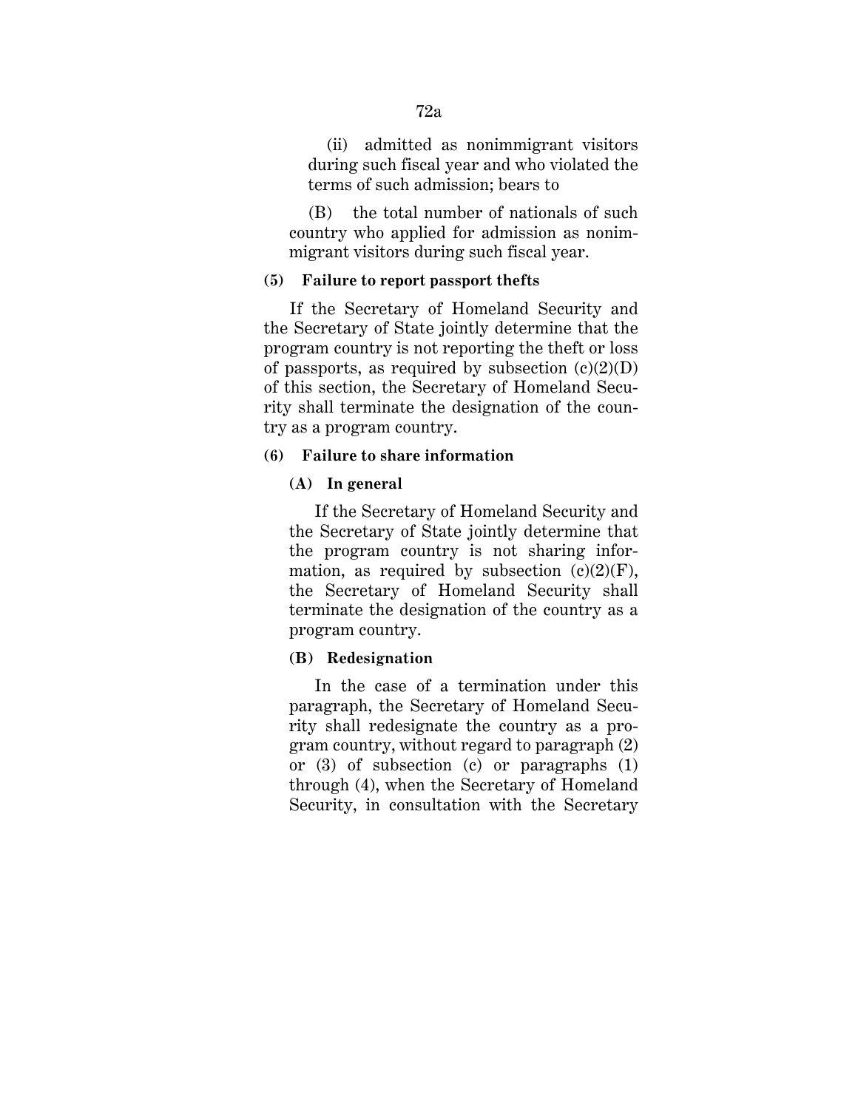(ii) admitted as nonimmigrant visitors during such fiscal year and who violated the terms of such admission; bears to

(B) the total number of nationals of such country who applied for admission as nonimmigrant visitors during such fiscal year.

### **(5) Failure to report passport thefts**

If the Secretary of Homeland Security and the Secretary of State jointly determine that the program country is not reporting the theft or loss of passports, as required by subsection  $(c)(2)(D)$ of this section, the Secretary of Homeland Security shall terminate the designation of the country as a program country.

#### **(6) Failure to share information**

#### **(A) In general**

If the Secretary of Homeland Security and the Secretary of State jointly determine that the program country is not sharing information, as required by subsection  $(c)(2)(F)$ , the Secretary of Homeland Security shall terminate the designation of the country as a program country.

## **(B) Redesignation**

In the case of a termination under this paragraph, the Secretary of Homeland Security shall redesignate the country as a program country, without regard to paragraph (2) or (3) of subsection (c) or paragraphs (1) through (4), when the Secretary of Homeland Security, in consultation with the Secretary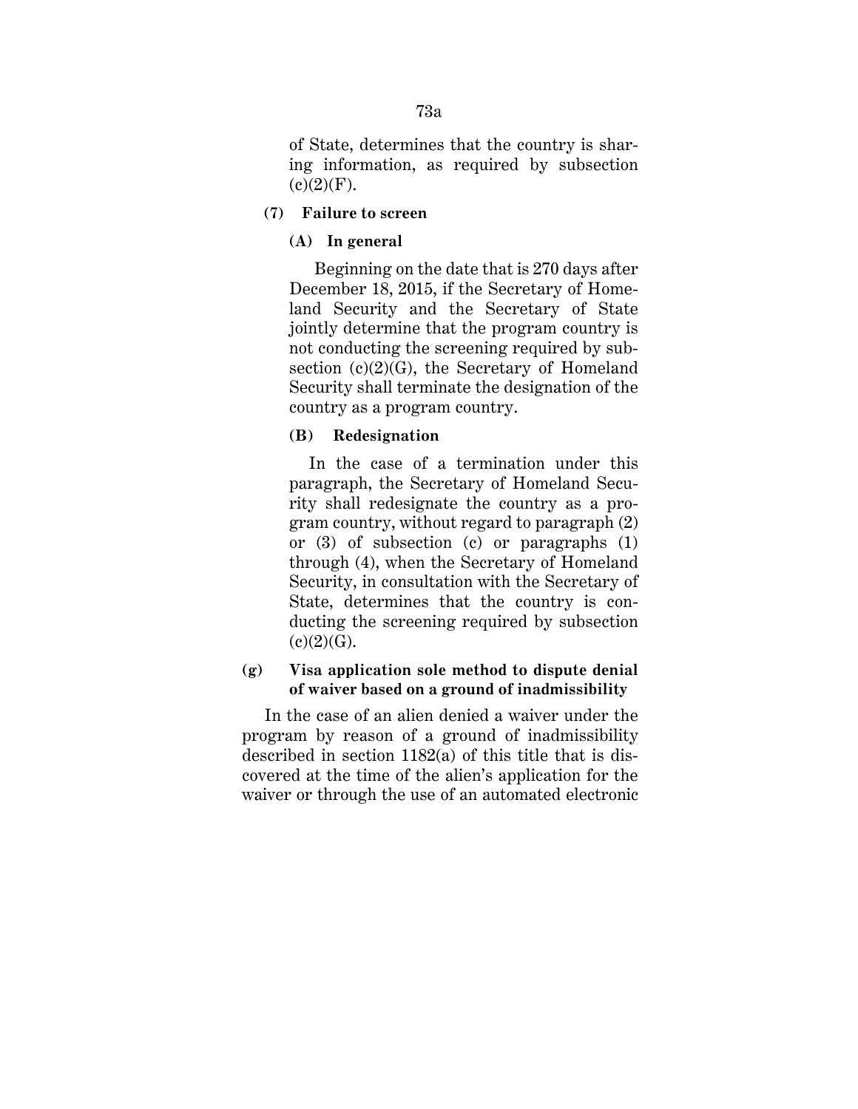of State, determines that the country is sharing information, as required by subsection  $(c)(2)(F).$ 

### **(7) Failure to screen**

#### **(A) In general**

Beginning on the date that is 270 days after December 18, 2015, if the Secretary of Homeland Security and the Secretary of State jointly determine that the program country is not conducting the screening required by subsection  $(c)(2)(G)$ , the Secretary of Homeland Security shall terminate the designation of the country as a program country.

#### **(B) Redesignation**

In the case of a termination under this paragraph, the Secretary of Homeland Security shall redesignate the country as a program country, without regard to paragraph (2) or (3) of subsection (c) or paragraphs (1) through (4), when the Secretary of Homeland Security, in consultation with the Secretary of State, determines that the country is conducting the screening required by subsection  $(c)(2)(G)$ .

## **(g) Visa application sole method to dispute denial of waiver based on a ground of inadmissibility**

In the case of an alien denied a waiver under the program by reason of a ground of inadmissibility described in section 1182(a) of this title that is discovered at the time of the alien's application for the waiver or through the use of an automated electronic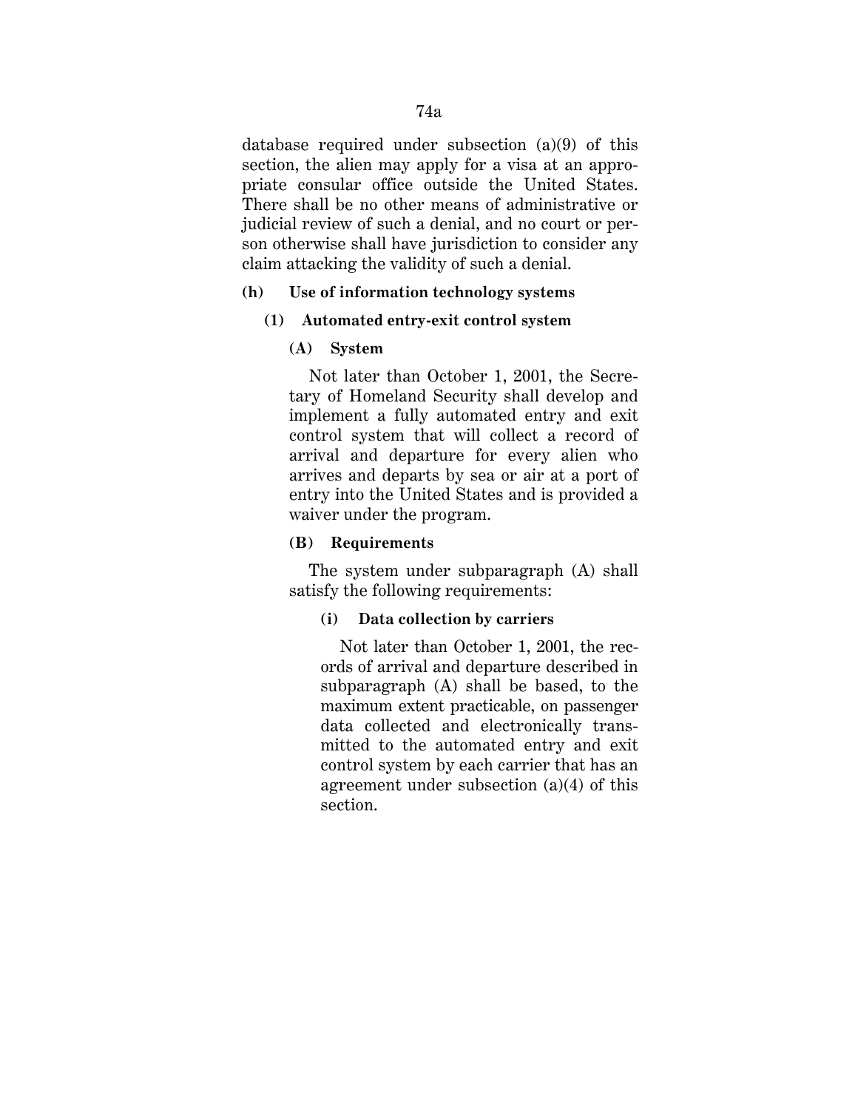database required under subsection (a)(9) of this section, the alien may apply for a visa at an appropriate consular office outside the United States. There shall be no other means of administrative or judicial review of such a denial, and no court or person otherwise shall have jurisdiction to consider any claim attacking the validity of such a denial.

### **(h) Use of information technology systems**

## **(1) Automated entry-exit control system**

## **(A) System**

Not later than October 1, 2001, the Secretary of Homeland Security shall develop and implement a fully automated entry and exit control system that will collect a record of arrival and departure for every alien who arrives and departs by sea or air at a port of entry into the United States and is provided a waiver under the program.

## **(B) Requirements**

The system under subparagraph (A) shall satisfy the following requirements:

### **(i) Data collection by carriers**

Not later than October 1, 2001, the records of arrival and departure described in subparagraph (A) shall be based, to the maximum extent practicable, on passenger data collected and electronically transmitted to the automated entry and exit control system by each carrier that has an agreement under subsection (a)(4) of this section.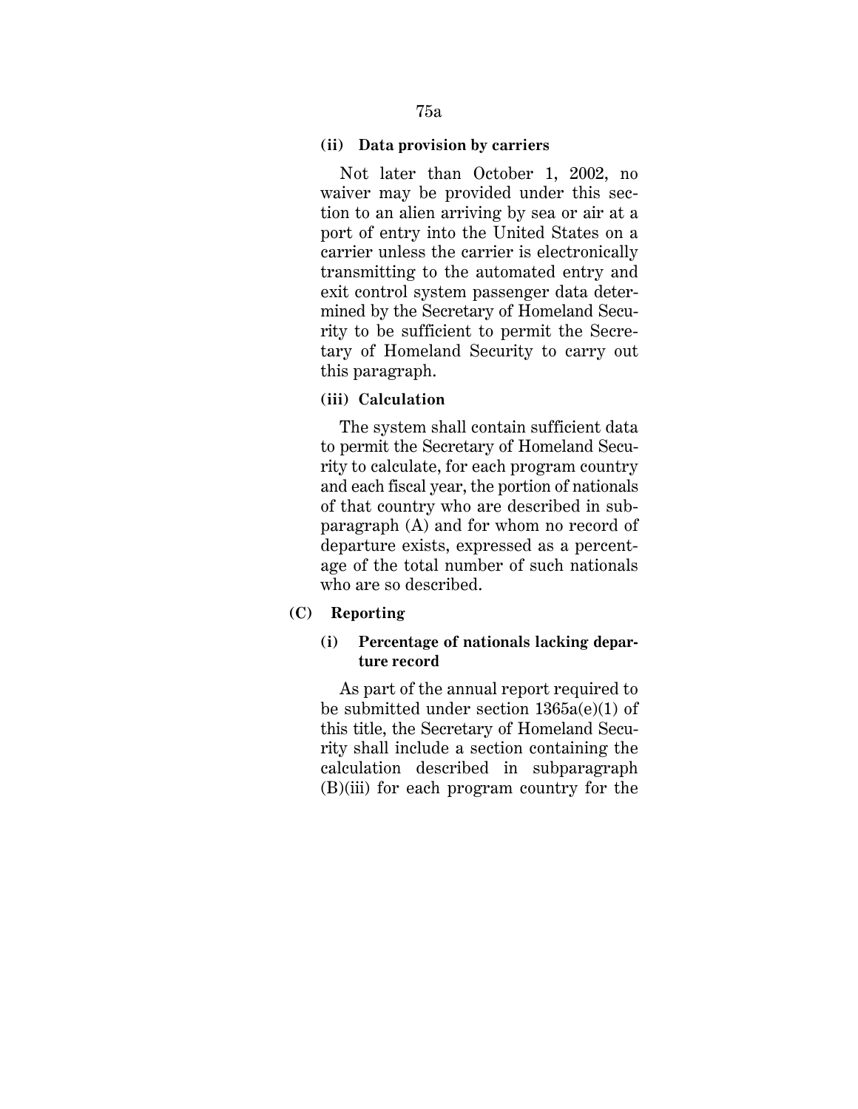Not later than October 1, 2002, no waiver may be provided under this section to an alien arriving by sea or air at a port of entry into the United States on a carrier unless the carrier is electronically transmitting to the automated entry and exit control system passenger data determined by the Secretary of Homeland Security to be sufficient to permit the Secretary of Homeland Security to carry out this paragraph.

#### **(iii) Calculation**

The system shall contain sufficient data to permit the Secretary of Homeland Security to calculate, for each program country and each fiscal year, the portion of nationals of that country who are described in subparagraph (A) and for whom no record of departure exists, expressed as a percentage of the total number of such nationals who are so described.

#### **(C) Reporting**

# **(i) Percentage of nationals lacking departure record**

As part of the annual report required to be submitted under section 1365a(e)(1) of this title, the Secretary of Homeland Security shall include a section containing the calculation described in subparagraph (B)(iii) for each program country for the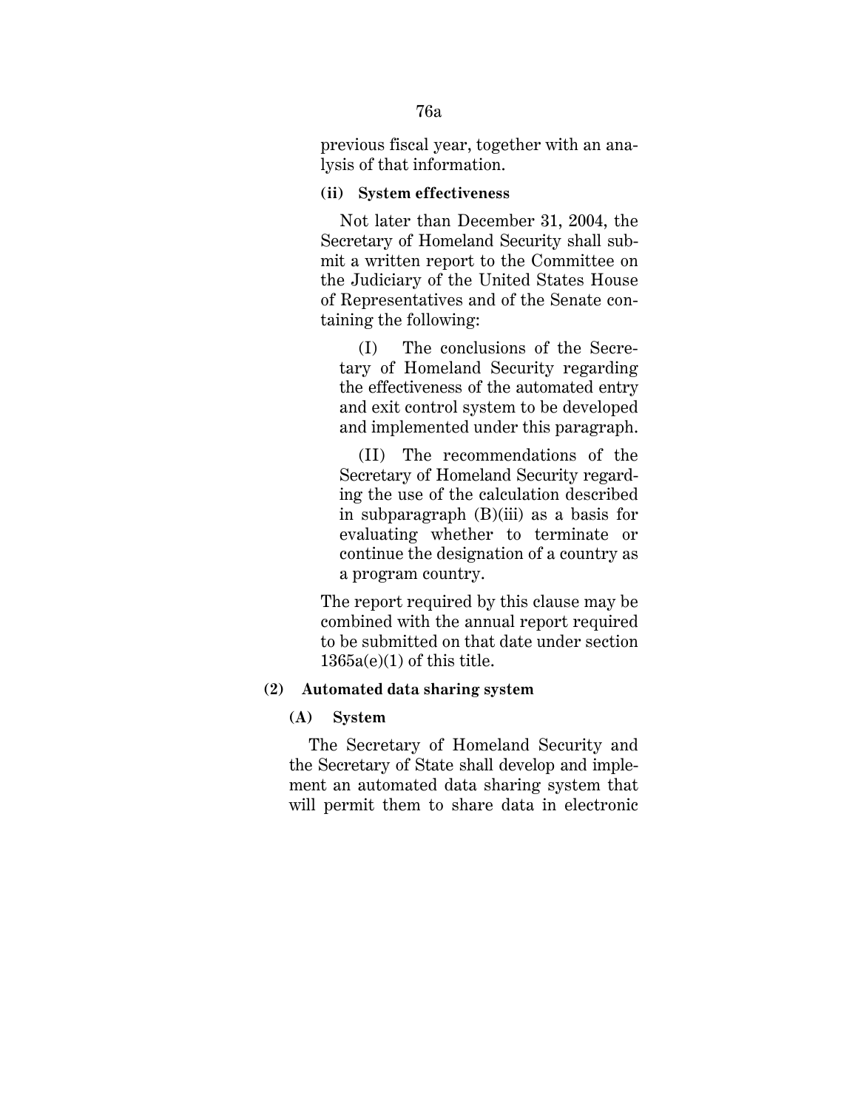previous fiscal year, together with an analysis of that information.

## **(ii) System effectiveness**

Not later than December 31, 2004, the Secretary of Homeland Security shall submit a written report to the Committee on the Judiciary of the United States House of Representatives and of the Senate containing the following:

(I) The conclusions of the Secretary of Homeland Security regarding the effectiveness of the automated entry and exit control system to be developed and implemented under this paragraph.

(II) The recommendations of the Secretary of Homeland Security regarding the use of the calculation described in subparagraph (B)(iii) as a basis for evaluating whether to terminate or continue the designation of a country as a program country.

The report required by this clause may be combined with the annual report required to be submitted on that date under section 1365a(e)(1) of this title.

### **(2) Automated data sharing system**

### **(A) System**

The Secretary of Homeland Security and the Secretary of State shall develop and implement an automated data sharing system that will permit them to share data in electronic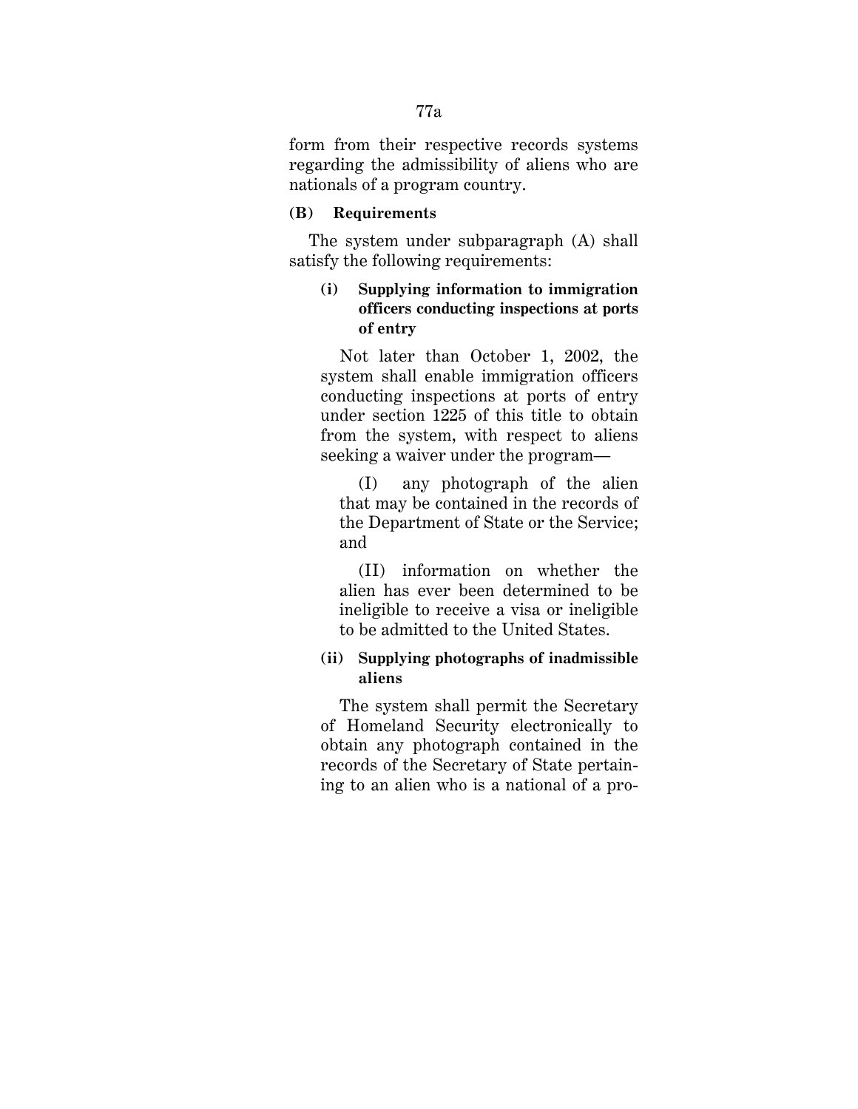form from their respective records systems regarding the admissibility of aliens who are nationals of a program country.

#### **(B) Requirements**

The system under subparagraph (A) shall satisfy the following requirements:

# **(i) Supplying information to immigration officers conducting inspections at ports of entry**

Not later than October 1, 2002, the system shall enable immigration officers conducting inspections at ports of entry under section 1225 of this title to obtain from the system, with respect to aliens seeking a waiver under the program—

(I) any photograph of the alien that may be contained in the records of the Department of State or the Service; and

(II) information on whether the alien has ever been determined to be ineligible to receive a visa or ineligible to be admitted to the United States.

# **(ii) Supplying photographs of inadmissible aliens**

The system shall permit the Secretary of Homeland Security electronically to obtain any photograph contained in the records of the Secretary of State pertaining to an alien who is a national of a pro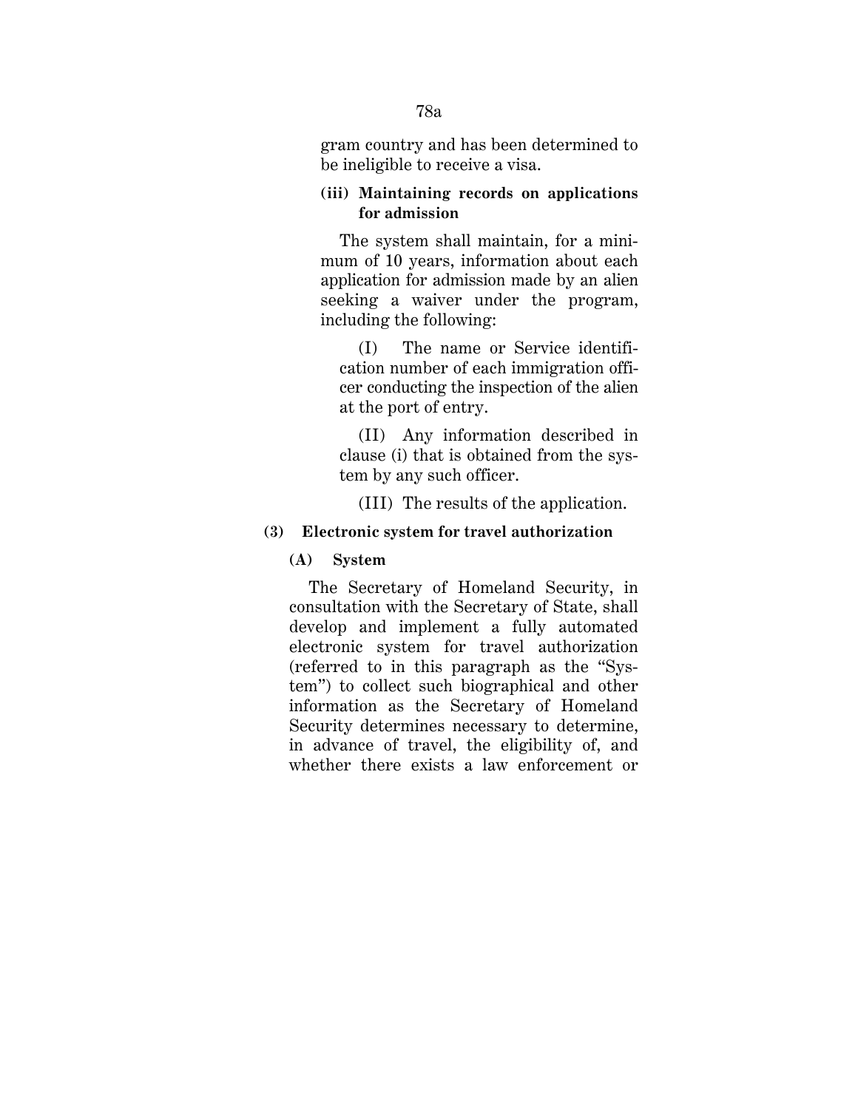gram country and has been determined to be ineligible to receive a visa.

## **(iii) Maintaining records on applications for admission**

The system shall maintain, for a minimum of 10 years, information about each application for admission made by an alien seeking a waiver under the program, including the following:

(I) The name or Service identification number of each immigration officer conducting the inspection of the alien at the port of entry.

(II) Any information described in clause (i) that is obtained from the system by any such officer.

(III) The results of the application.

## **(3) Electronic system for travel authorization**

### **(A) System**

The Secretary of Homeland Security, in consultation with the Secretary of State, shall develop and implement a fully automated electronic system for travel authorization (referred to in this paragraph as the "System") to collect such biographical and other information as the Secretary of Homeland Security determines necessary to determine, in advance of travel, the eligibility of, and whether there exists a law enforcement or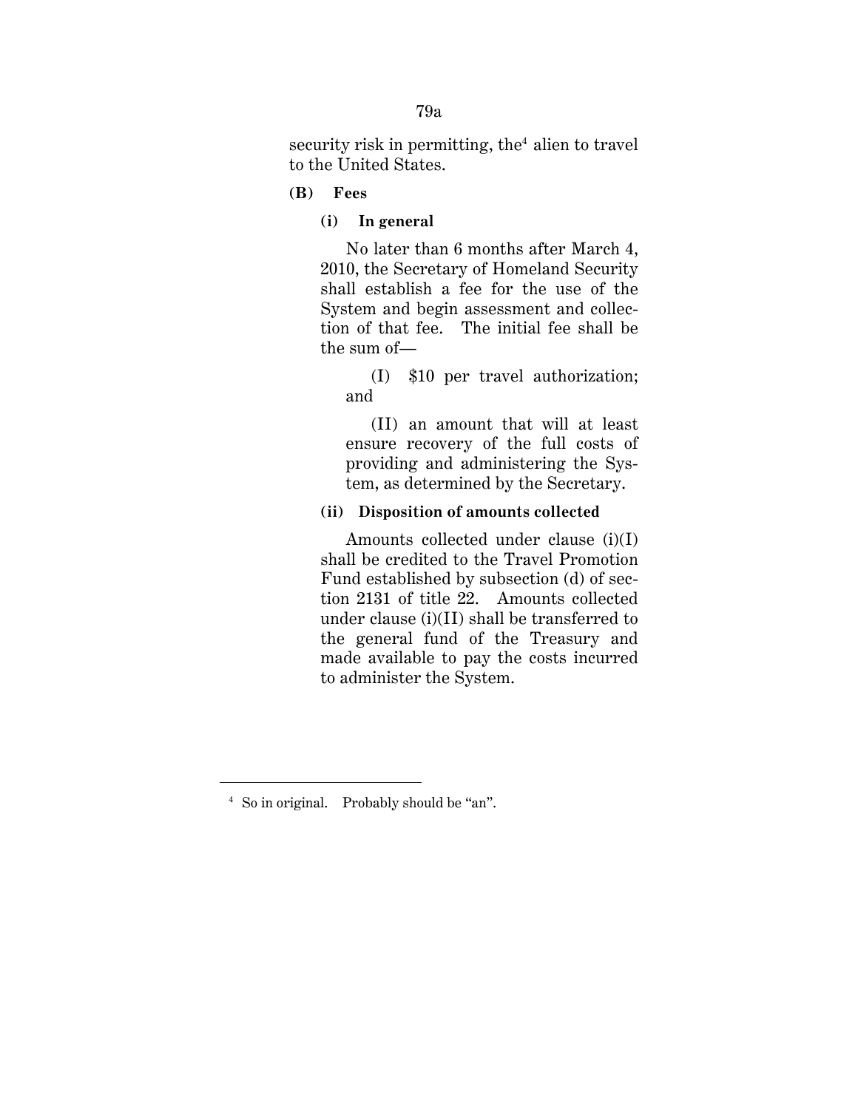security risk in permitting, the  $4$  alien to travel to the United States.

**(B) Fees**

### **(i) In general**

No later than 6 months after March 4, 2010, the Secretary of Homeland Security shall establish a fee for the use of the System and begin assessment and collection of that fee. The initial fee shall be the sum of—

(I) \$10 per travel authorization; and

(II) an amount that will at least ensure recovery of the full costs of providing and administering the System, as determined by the Secretary.

### **(ii) Disposition of amounts collected**

Amounts collected under clause (i)(I) shall be credited to the Travel Promotion Fund established by subsection (d) of section 2131 of title 22. Amounts collected under clause (i)(II) shall be transferred to the general fund of the Treasury and made available to pay the costs incurred to administer the System.

-

<sup>4</sup> So in original. Probably should be "an".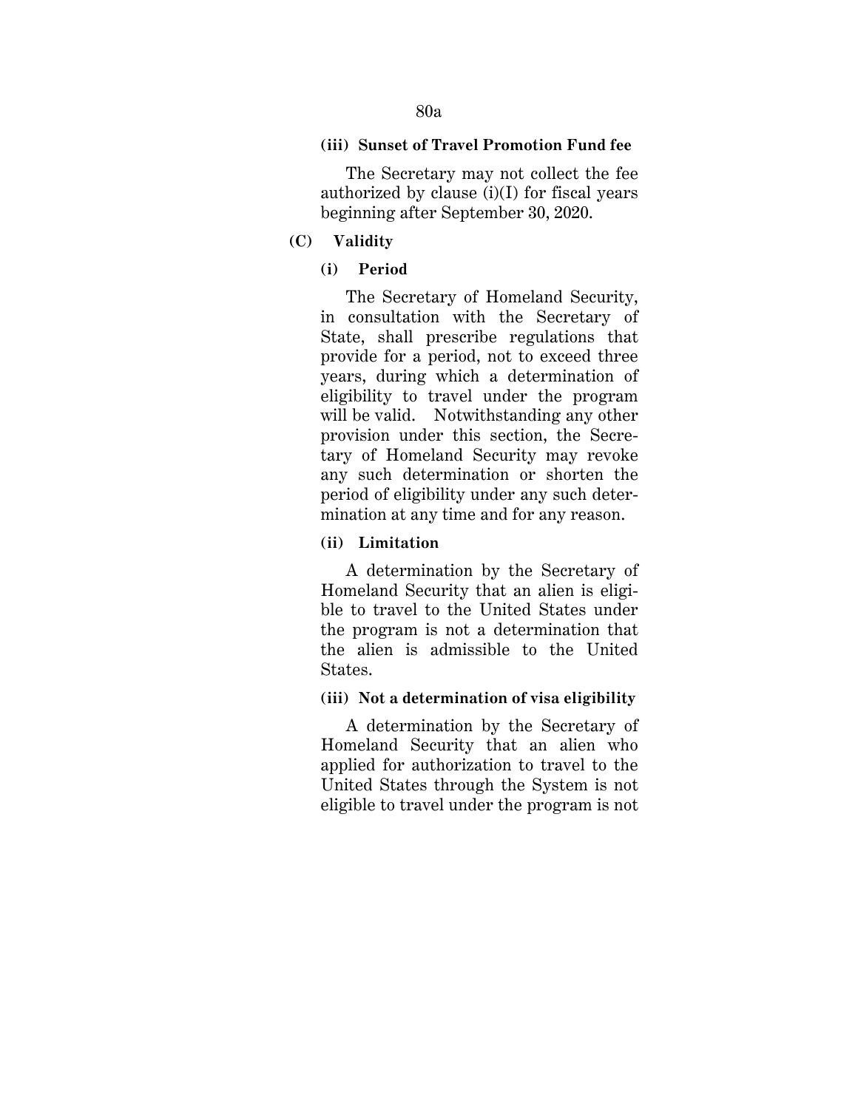## **(iii) Sunset of Travel Promotion Fund fee**

The Secretary may not collect the fee authorized by clause  $(i)(I)$  for fiscal years beginning after September 30, 2020.

## **(C) Validity**

#### **(i) Period**

The Secretary of Homeland Security, in consultation with the Secretary of State, shall prescribe regulations that provide for a period, not to exceed three years, during which a determination of eligibility to travel under the program will be valid. Notwithstanding any other provision under this section, the Secretary of Homeland Security may revoke any such determination or shorten the period of eligibility under any such determination at any time and for any reason.

#### **(ii) Limitation**

A determination by the Secretary of Homeland Security that an alien is eligible to travel to the United States under the program is not a determination that the alien is admissible to the United States.

#### **(iii) Not a determination of visa eligibility**

A determination by the Secretary of Homeland Security that an alien who applied for authorization to travel to the United States through the System is not eligible to travel under the program is not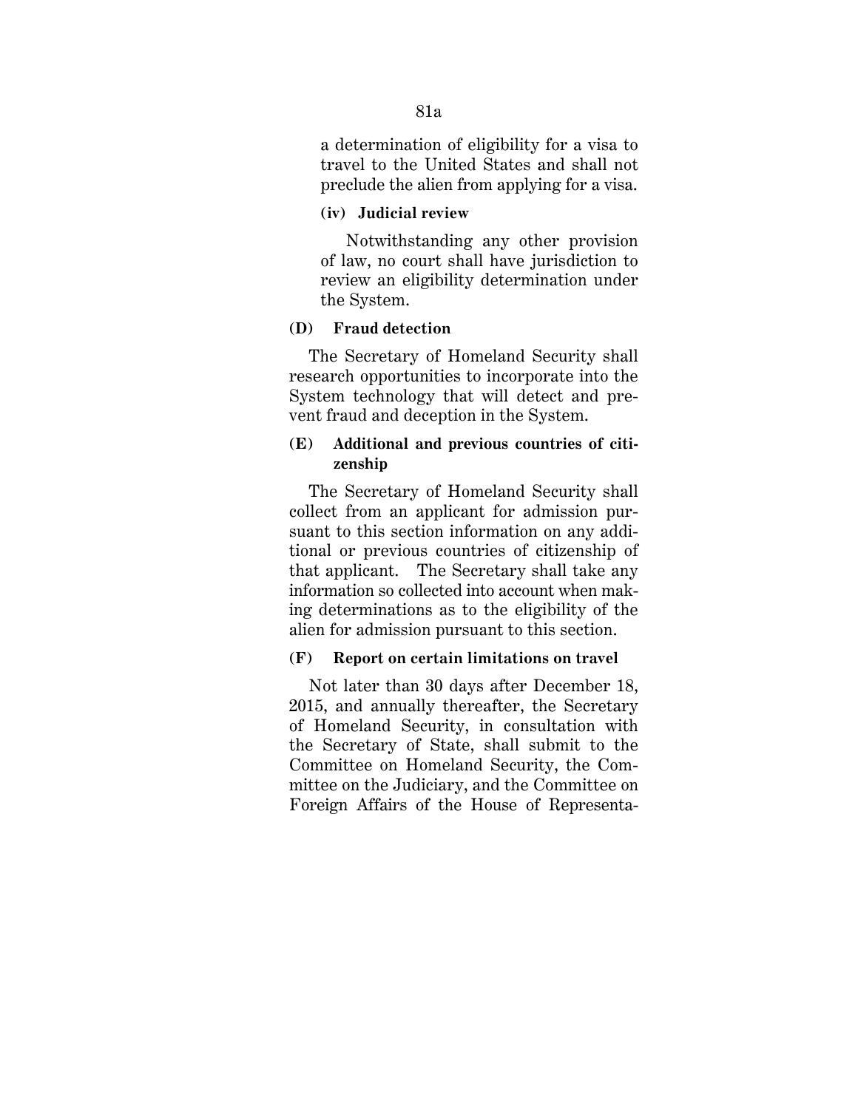a determination of eligibility for a visa to travel to the United States and shall not preclude the alien from applying for a visa.

#### **(iv) Judicial review**

Notwithstanding any other provision of law, no court shall have jurisdiction to review an eligibility determination under the System.

#### **(D) Fraud detection**

The Secretary of Homeland Security shall research opportunities to incorporate into the System technology that will detect and prevent fraud and deception in the System.

# **(E) Additional and previous countries of citizenship**

The Secretary of Homeland Security shall collect from an applicant for admission pursuant to this section information on any additional or previous countries of citizenship of that applicant. The Secretary shall take any information so collected into account when making determinations as to the eligibility of the alien for admission pursuant to this section.

## **(F) Report on certain limitations on travel**

Not later than 30 days after December 18, 2015, and annually thereafter, the Secretary of Homeland Security, in consultation with the Secretary of State, shall submit to the Committee on Homeland Security, the Committee on the Judiciary, and the Committee on Foreign Affairs of the House of Representa-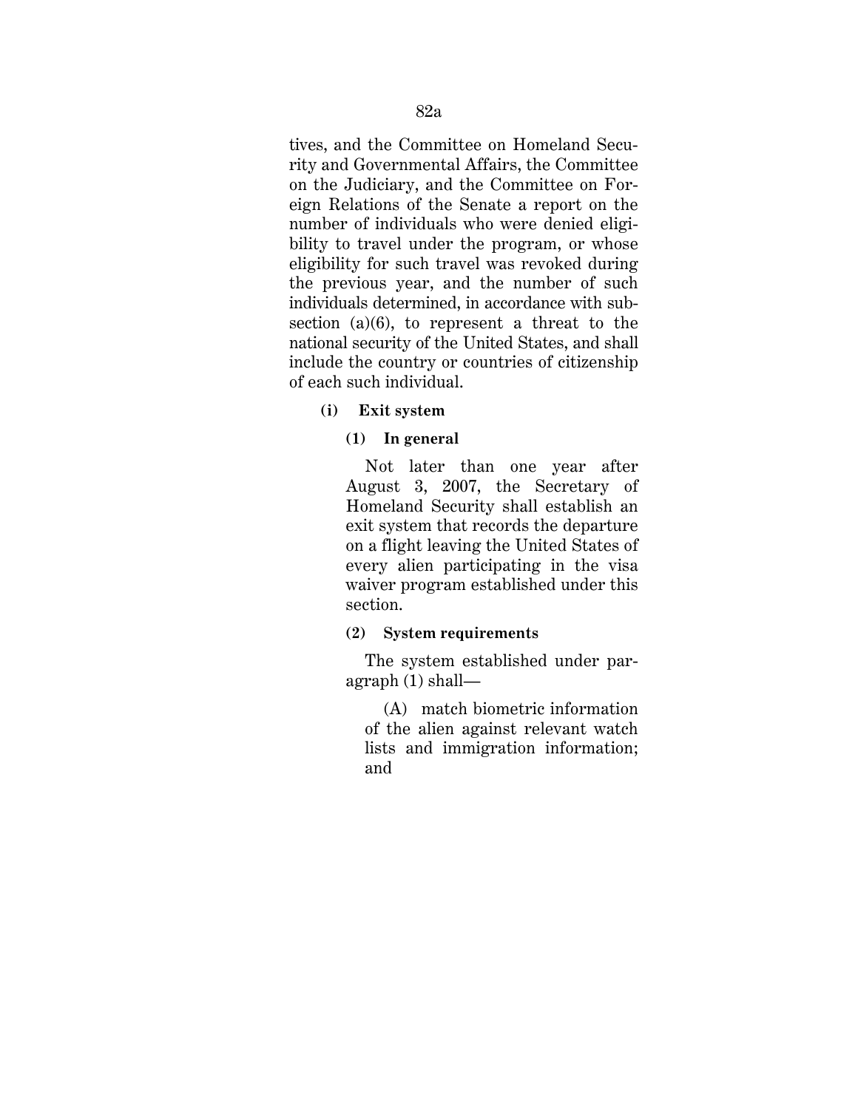tives, and the Committee on Homeland Security and Governmental Affairs, the Committee on the Judiciary, and the Committee on Foreign Relations of the Senate a report on the number of individuals who were denied eligibility to travel under the program, or whose eligibility for such travel was revoked during the previous year, and the number of such individuals determined, in accordance with subsection  $(a)(6)$ , to represent a threat to the national security of the United States, and shall include the country or countries of citizenship of each such individual.

## **(i) Exit system**

# **(1) In general**

Not later than one year after August 3, 2007, the Secretary of Homeland Security shall establish an exit system that records the departure on a flight leaving the United States of every alien participating in the visa waiver program established under this section.

## **(2) System requirements**

The system established under paragraph (1) shall—

(A) match biometric information of the alien against relevant watch lists and immigration information; and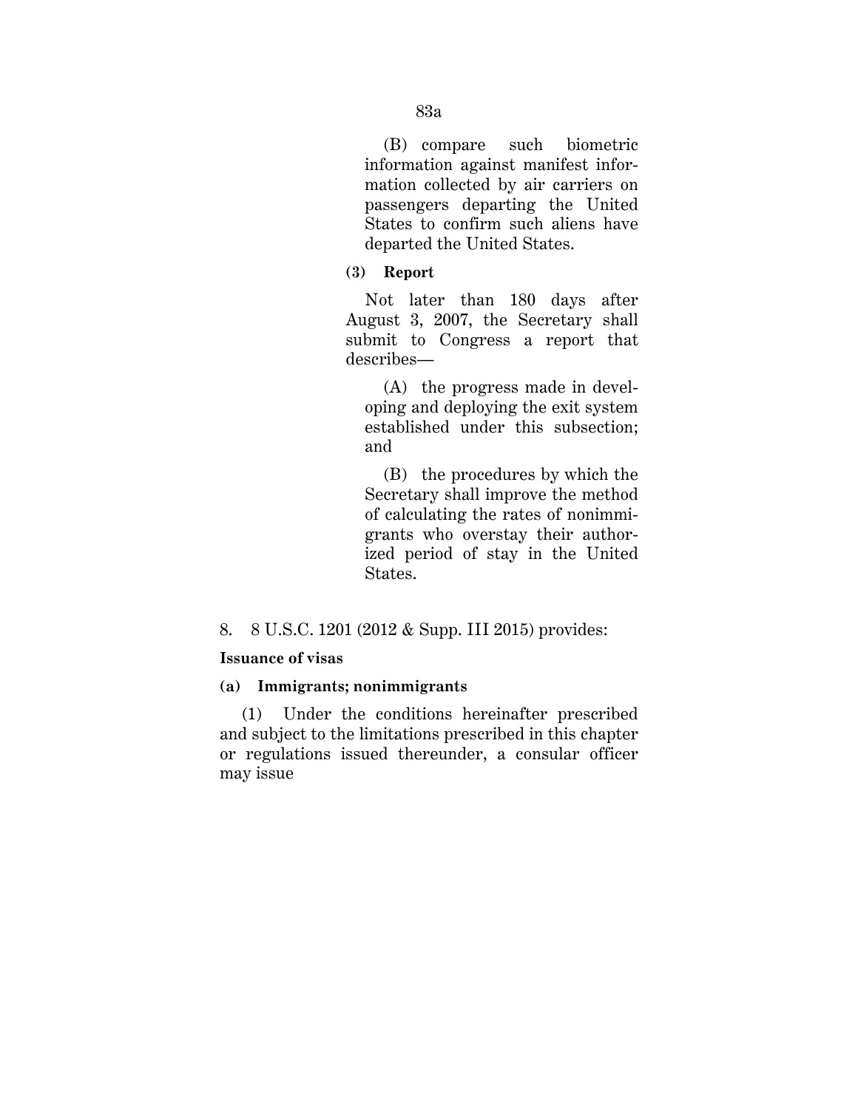(B) compare such biometric information against manifest information collected by air carriers on passengers departing the United States to confirm such aliens have departed the United States.

#### **(3) Report**

Not later than 180 days after August 3, 2007, the Secretary shall submit to Congress a report that describes—

(A) the progress made in developing and deploying the exit system established under this subsection; and

(B) the procedures by which the Secretary shall improve the method of calculating the rates of nonimmigrants who overstay their authorized period of stay in the United States.

### 8. 8 U.S.C. 1201 (2012 & Supp. III 2015) provides:

## **Issuance of visas**

# **(a) Immigrants; nonimmigrants**

(1) Under the conditions hereinafter prescribed and subject to the limitations prescribed in this chapter or regulations issued thereunder, a consular officer may issue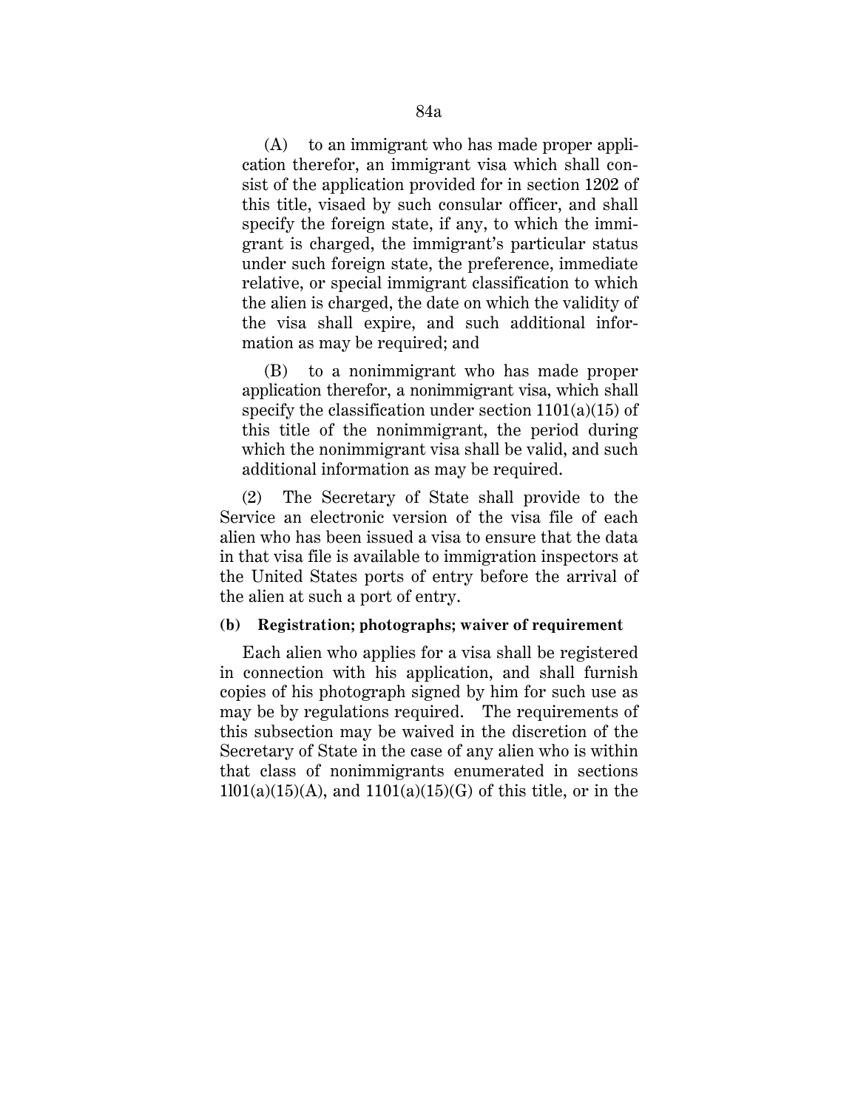(A) to an immigrant who has made proper application therefor, an immigrant visa which shall consist of the application provided for in section 1202 of this title, visaed by such consular officer, and shall specify the foreign state, if any, to which the immigrant is charged, the immigrant's particular status under such foreign state, the preference, immediate relative, or special immigrant classification to which the alien is charged, the date on which the validity of the visa shall expire, and such additional information as may be required; and

(B) to a nonimmigrant who has made proper application therefor, a nonimmigrant visa, which shall specify the classification under section  $1101(a)(15)$  of this title of the nonimmigrant, the period during which the nonimmigrant visa shall be valid, and such additional information as may be required.

(2) The Secretary of State shall provide to the Service an electronic version of the visa file of each alien who has been issued a visa to ensure that the data in that visa file is available to immigration inspectors at the United States ports of entry before the arrival of the alien at such a port of entry.

## **(b) Registration; photographs; waiver of requirement**

Each alien who applies for a visa shall be registered in connection with his application, and shall furnish copies of his photograph signed by him for such use as may be by regulations required. The requirements of this subsection may be waived in the discretion of the Secretary of State in the case of any alien who is within that class of nonimmigrants enumerated in sections  $1101(a)(15)(A)$ , and  $1101(a)(15)(G)$  of this title, or in the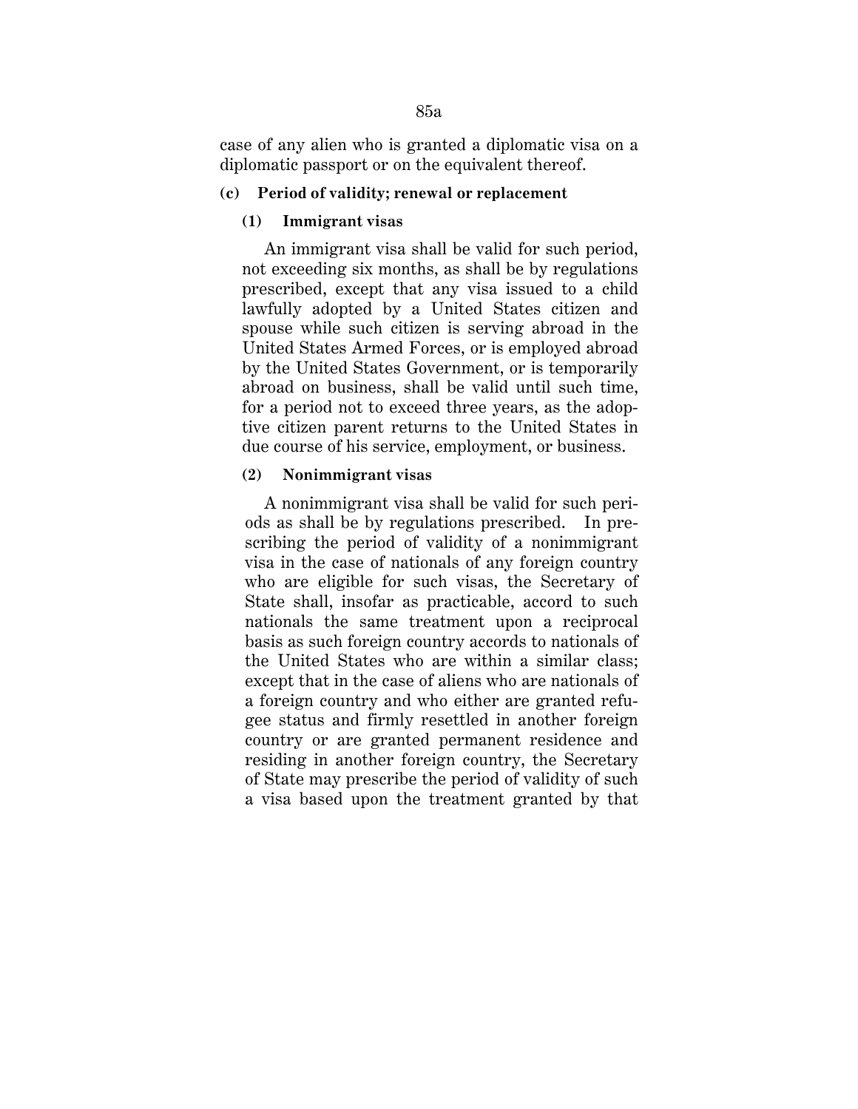case of any alien who is granted a diplomatic visa on a diplomatic passport or on the equivalent thereof.

## **(c) Period of validity; renewal or replacement**

## **(1) Immigrant visas**

An immigrant visa shall be valid for such period, not exceeding six months, as shall be by regulations prescribed, except that any visa issued to a child lawfully adopted by a United States citizen and spouse while such citizen is serving abroad in the United States Armed Forces, or is employed abroad by the United States Government, or is temporarily abroad on business, shall be valid until such time, for a period not to exceed three years, as the adoptive citizen parent returns to the United States in due course of his service, employment, or business.

### **(2) Nonimmigrant visas**

A nonimmigrant visa shall be valid for such periods as shall be by regulations prescribed. In prescribing the period of validity of a nonimmigrant visa in the case of nationals of any foreign country who are eligible for such visas, the Secretary of State shall, insofar as practicable, accord to such nationals the same treatment upon a reciprocal basis as such foreign country accords to nationals of the United States who are within a similar class; except that in the case of aliens who are nationals of a foreign country and who either are granted refugee status and firmly resettled in another foreign country or are granted permanent residence and residing in another foreign country, the Secretary of State may prescribe the period of validity of such a visa based upon the treatment granted by that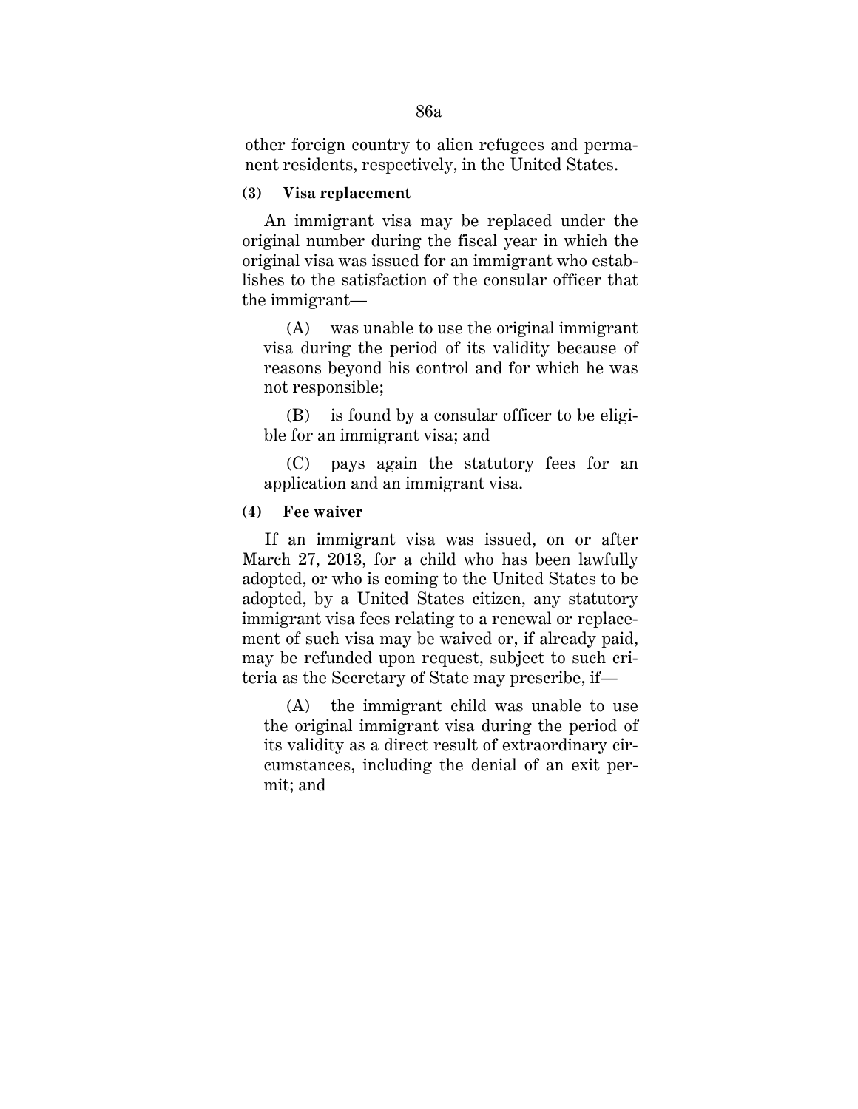other foreign country to alien refugees and permanent residents, respectively, in the United States.

## **(3) Visa replacement**

An immigrant visa may be replaced under the original number during the fiscal year in which the original visa was issued for an immigrant who establishes to the satisfaction of the consular officer that the immigrant—

(A) was unable to use the original immigrant visa during the period of its validity because of reasons beyond his control and for which he was not responsible;

(B) is found by a consular officer to be eligible for an immigrant visa; and

(C) pays again the statutory fees for an application and an immigrant visa.

## **(4) Fee waiver**

If an immigrant visa was issued, on or after March 27, 2013, for a child who has been lawfully adopted, or who is coming to the United States to be adopted, by a United States citizen, any statutory immigrant visa fees relating to a renewal or replacement of such visa may be waived or, if already paid, may be refunded upon request, subject to such criteria as the Secretary of State may prescribe, if—

(A) the immigrant child was unable to use the original immigrant visa during the period of its validity as a direct result of extraordinary circumstances, including the denial of an exit permit; and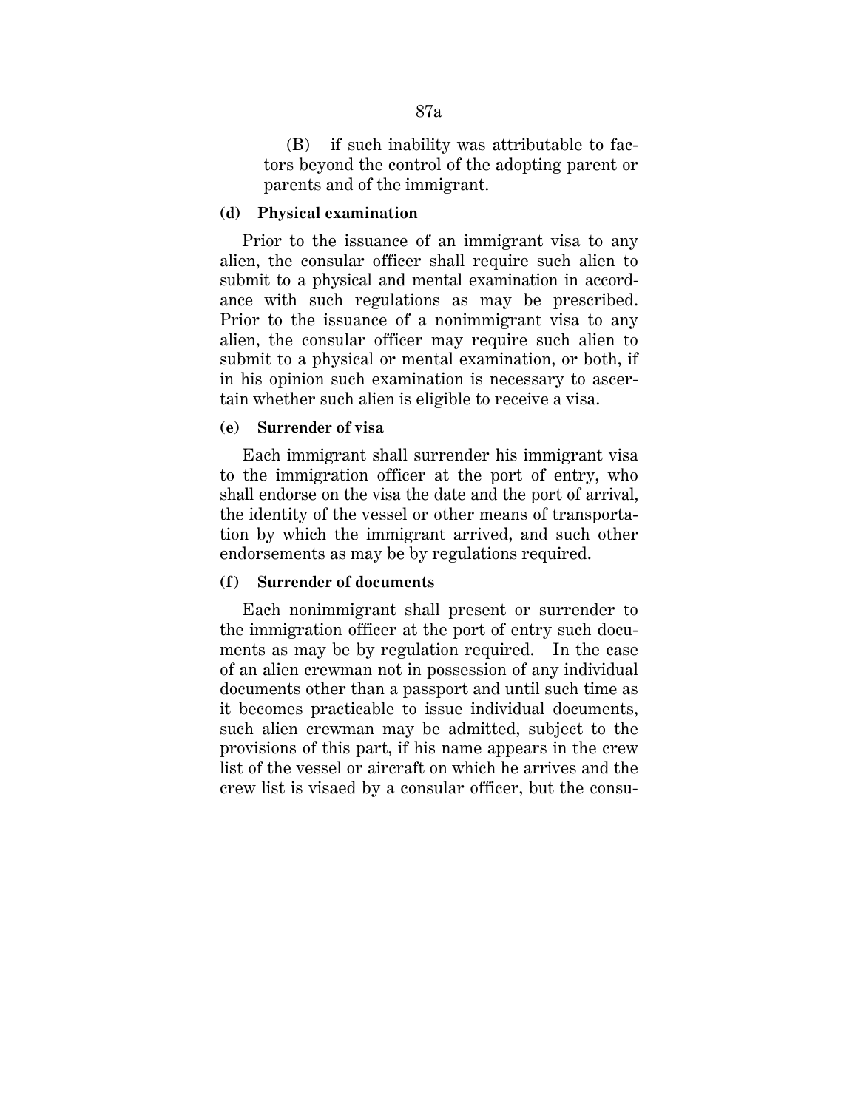(B) if such inability was attributable to factors beyond the control of the adopting parent or parents and of the immigrant.

#### **(d) Physical examination**

Prior to the issuance of an immigrant visa to any alien, the consular officer shall require such alien to submit to a physical and mental examination in accordance with such regulations as may be prescribed. Prior to the issuance of a nonimmigrant visa to any alien, the consular officer may require such alien to submit to a physical or mental examination, or both, if in his opinion such examination is necessary to ascertain whether such alien is eligible to receive a visa.

## **(e) Surrender of visa**

Each immigrant shall surrender his immigrant visa to the immigration officer at the port of entry, who shall endorse on the visa the date and the port of arrival, the identity of the vessel or other means of transportation by which the immigrant arrived, and such other endorsements as may be by regulations required.

### **(f) Surrender of documents**

Each nonimmigrant shall present or surrender to the immigration officer at the port of entry such documents as may be by regulation required. In the case of an alien crewman not in possession of any individual documents other than a passport and until such time as it becomes practicable to issue individual documents, such alien crewman may be admitted, subject to the provisions of this part, if his name appears in the crew list of the vessel or aircraft on which he arrives and the crew list is visaed by a consular officer, but the consu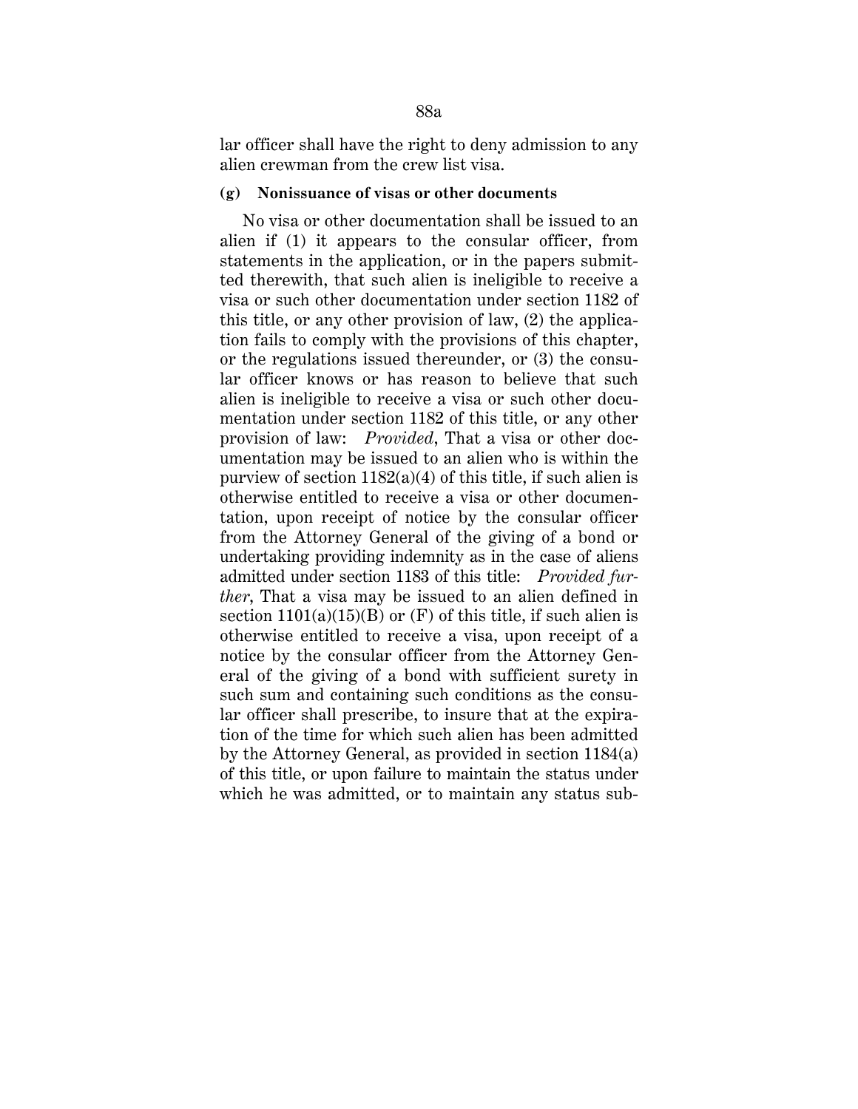lar officer shall have the right to deny admission to any alien crewman from the crew list visa.

### **(g) Nonissuance of visas or other documents**

No visa or other documentation shall be issued to an alien if (1) it appears to the consular officer, from statements in the application, or in the papers submitted therewith, that such alien is ineligible to receive a visa or such other documentation under section 1182 of this title, or any other provision of law, (2) the application fails to comply with the provisions of this chapter, or the regulations issued thereunder, or (3) the consular officer knows or has reason to believe that such alien is ineligible to receive a visa or such other documentation under section 1182 of this title, or any other provision of law: *Provided*, That a visa or other documentation may be issued to an alien who is within the purview of section  $1182(a)(4)$  of this title, if such alien is otherwise entitled to receive a visa or other documentation, upon receipt of notice by the consular officer from the Attorney General of the giving of a bond or undertaking providing indemnity as in the case of aliens admitted under section 1183 of this title: *Provided further*, That a visa may be issued to an alien defined in section  $1101(a)(15)(B)$  or  $(F)$  of this title, if such alien is otherwise entitled to receive a visa, upon receipt of a notice by the consular officer from the Attorney General of the giving of a bond with sufficient surety in such sum and containing such conditions as the consular officer shall prescribe, to insure that at the expiration of the time for which such alien has been admitted by the Attorney General, as provided in section 1184(a) of this title, or upon failure to maintain the status under which he was admitted, or to maintain any status sub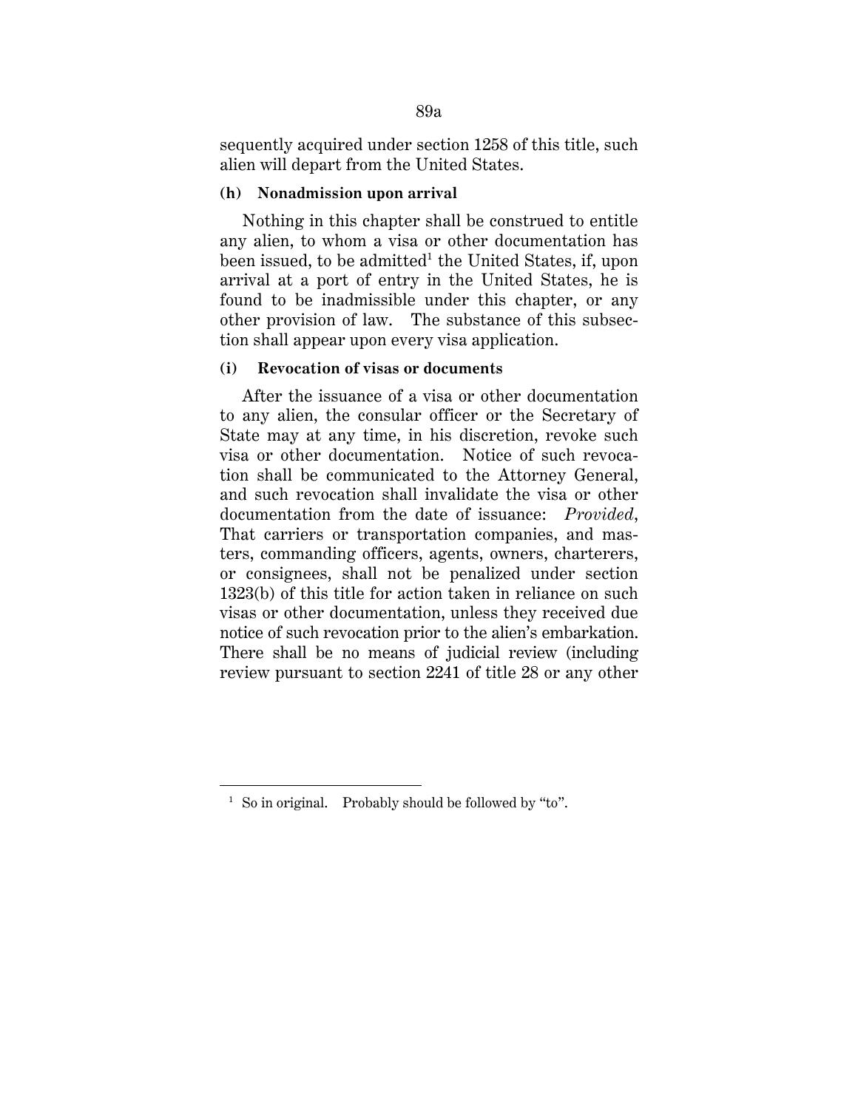sequently acquired under section 1258 of this title, such alien will depart from the United States.

## **(h) Nonadmission upon arrival**

Nothing in this chapter shall be construed to entitle any alien, to whom a visa or other documentation has been issued, to be admitted<sup>1</sup> the United States, if, upon arrival at a port of entry in the United States, he is found to be inadmissible under this chapter, or any other provision of law. The substance of this subsection shall appear upon every visa application.

## **(i) Revocation of visas or documents**

After the issuance of a visa or other documentation to any alien, the consular officer or the Secretary of State may at any time, in his discretion, revoke such visa or other documentation. Notice of such revocation shall be communicated to the Attorney General, and such revocation shall invalidate the visa or other documentation from the date of issuance: *Provided*, That carriers or transportation companies, and masters, commanding officers, agents, owners, charterers, or consignees, shall not be penalized under section 1323(b) of this title for action taken in reliance on such visas or other documentation, unless they received due notice of such revocation prior to the alien's embarkation. There shall be no means of judicial review (including review pursuant to section 2241 of title 28 or any other

<u>.</u>

<sup>&</sup>lt;sup>1</sup> So in original. Probably should be followed by "to".